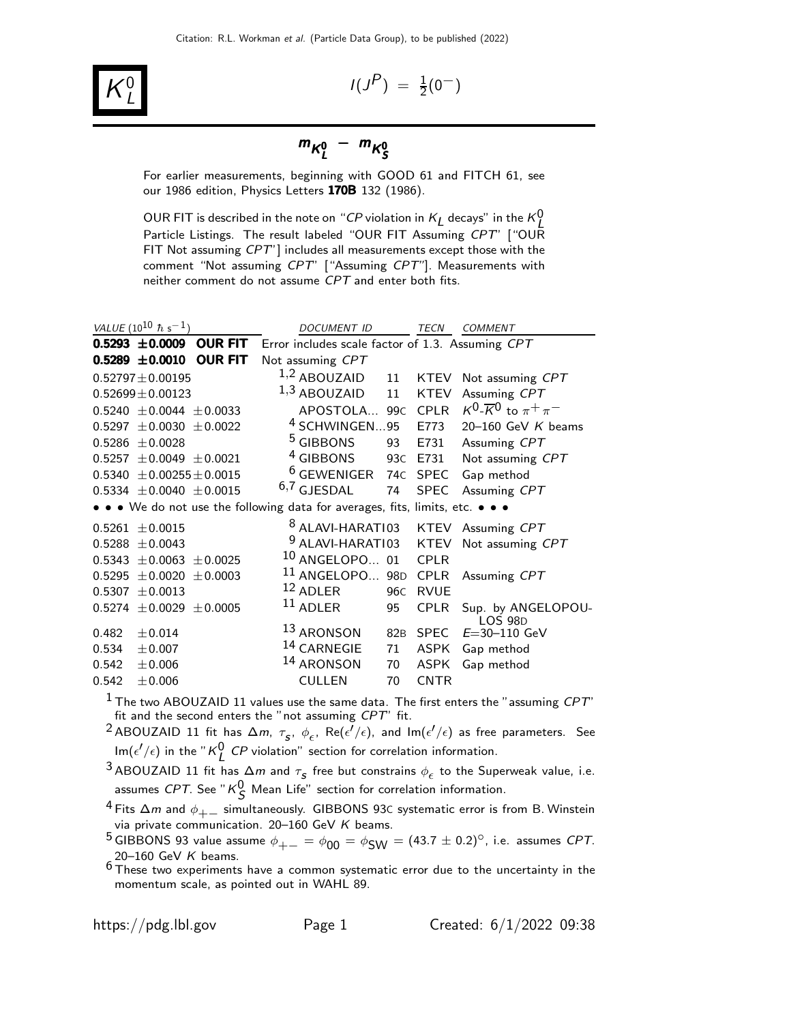

 $I(J^P) = \frac{1}{2}(0^-)$ 

## $m_{K^0_L} - m_{K^0_S}$

For earlier measurements, beginning with GOOD 61 and FITCH 61, see our 1986 edition, Physics Letters 170B 132 (1986).

OUR FIT is described in the note on "CP violation in  $K_L$  decays" in the  $K_L^0$ Particle Listings. The result labeled "OUR FIT Assuming CPT" ["OUR FIT Not assuming CPT"] includes all measurements except those with the comment "Not assuming CPT" ["Assuming CPT"]. Measurements with neither comment do not assume CPT and enter both fits.

| VALUE (10 <sup>10</sup> $\hbar$ s <sup>-1</sup> ) |                                 | <b>DOCUMENT ID</b>                                                            |     | TECN        | <b>COMMENT</b>                                      |
|---------------------------------------------------|---------------------------------|-------------------------------------------------------------------------------|-----|-------------|-----------------------------------------------------|
| $0.5293 \pm 0.0009$                               | <b>OUR FIT</b>                  | Error includes scale factor of 1.3. Assuming CPT                              |     |             |                                                     |
| $0.5289 \pm 0.0010$                               | <b>OUR FIT</b>                  | Not assuming CPT                                                              |     |             |                                                     |
| $0.52797 \pm 0.00195$                             |                                 | $1,2$ ABOUZAID                                                                | 11  |             | KTEV Not assuming CPT                               |
| $0.52699 \pm 0.00123$                             |                                 | 1,3 ABOUZAID                                                                  | 11  | <b>KTEV</b> | Assuming CPT                                        |
|                                                   | $0.5240 \pm 0.0044 \pm 0.0033$  | APOSTOLA 99C                                                                  |     | <b>CPLR</b> | $K^0$ - $\overline{K}$ <sup>0</sup> to $\pi^+\pi^-$ |
|                                                   | $0.5297 \pm 0.0030 \pm 0.0022$  | <sup>4</sup> SCHWINGEN95                                                      |     | E773        | 20-160 GeV $K$ beams                                |
| $0.5286 \pm 0.0028$                               |                                 | <sup>5</sup> GIBBONS                                                          | 93  | E731        | Assuming CPT                                        |
|                                                   | $0.5257 \pm 0.0049 \pm 0.0021$  | <sup>4</sup> GIBBONS                                                          |     | 93C E731    | Not assuming CPT                                    |
|                                                   | $0.5340 \pm 0.00255 \pm 0.0015$ | $6$ GEWENIGER                                                                 |     | 74C SPEC    | Gap method                                          |
|                                                   | $0.5334 \pm 0.0040 \pm 0.0015$  | $6,7$ GJESDAL                                                                 | 74  | <b>SPEC</b> | Assuming CPT                                        |
|                                                   |                                 | • • • We do not use the following data for averages, fits, limits, etc. • • • |     |             |                                                     |
| $0.5261 \pm 0.0015$                               |                                 | <sup>8</sup> ALAVI-HARATI03                                                   |     |             | KTEV Assuming CPT                                   |
| $0.5288 \pm 0.0043$                               |                                 | <sup>9</sup> ALAVI-HARATI03 KTEV                                              |     |             | Not assuming CPT                                    |
|                                                   | $0.5343 \pm 0.0063 \pm 0.0025$  | $10$ ANGELOPO 01                                                              |     | <b>CPLR</b> |                                                     |
| $\pm 0.0020$<br>0.5295                            | ± 0.0003                        | $^{11}$ ANGELOPO 98D                                                          |     | <b>CPLR</b> | Assuming CPT                                        |
| ± 0.0013<br>0.5307                                |                                 | $12$ ADLER                                                                    | 96C | <b>RVUE</b> |                                                     |
|                                                   | $0.5274 \pm 0.0029 \pm 0.0005$  | $11$ ADLER                                                                    | 95  | <b>CPLR</b> | Sup. by ANGELOPOU-<br><b>LOS 98D</b>                |
| $\pm 0.014$<br>0.482                              |                                 | 13 ARONSON                                                                    | 82B | <b>SPEC</b> | $E = 30 - 110$ GeV                                  |
| 0.534<br>$\pm 0.007$                              |                                 | 14 CARNEGIE                                                                   | 71  | ASPK        | Gap method                                          |
| 0.542<br>± 0.006                                  |                                 | 14 ARONSON                                                                    | 70  | <b>ASPK</b> | Gap method                                          |
| 0.542<br>± 0.006                                  |                                 | <b>CULLEN</b>                                                                 | 70  | <b>CNTR</b> |                                                     |
|                                                   |                                 |                                                                               |     |             |                                                     |

 $^1$  The two ABOUZAID 11 values use the same data. The first enters the "assuming  ${\it CPT}^{\cdot}$ fit and the second enters the "not assuming  $CPT$ " fit.

<sup>2</sup> ABOUZAID 11 fit has  $\Delta m$ ,  $\tau_{s}$ ,  $\phi_{\epsilon}$ , Re( $\epsilon'/\epsilon$ ), and Im( $\epsilon'/\epsilon$ ) as free parameters. See  $\mathsf{Im}(\epsilon'/\epsilon)$  in the "K $^0_L$  CP violation" section for correlation information.

<sup>3</sup> ABOUZAID 11 fit has  $\Delta m$  and  $\tau_s$  free but constrains  $\phi_\epsilon$  to the Superweak value, i.e. assumes *CPT*. See " $\kappa^0_{\mathcal{S}}$  Mean Life" section for correlation information.

<sup>4</sup> Fits  $\Delta m$  and  $\phi_{+-}$  simultaneously. GIBBONS 93C systematic error is from B. Winstein via private communication. 20-160 GeV  $K$  beams.

<sup>5</sup> GIBBONS 93 value assume  $\phi_{+-} = \phi_{00} = \phi_{SW} = (43.7 \pm 0.2)^\circ$ , i.e. assumes CPT. 20-160 GeV  $K$  beams.

 $6$  These two experiments have a common systematic error due to the uncertainty in the momentum scale, as pointed out in WAHL 89.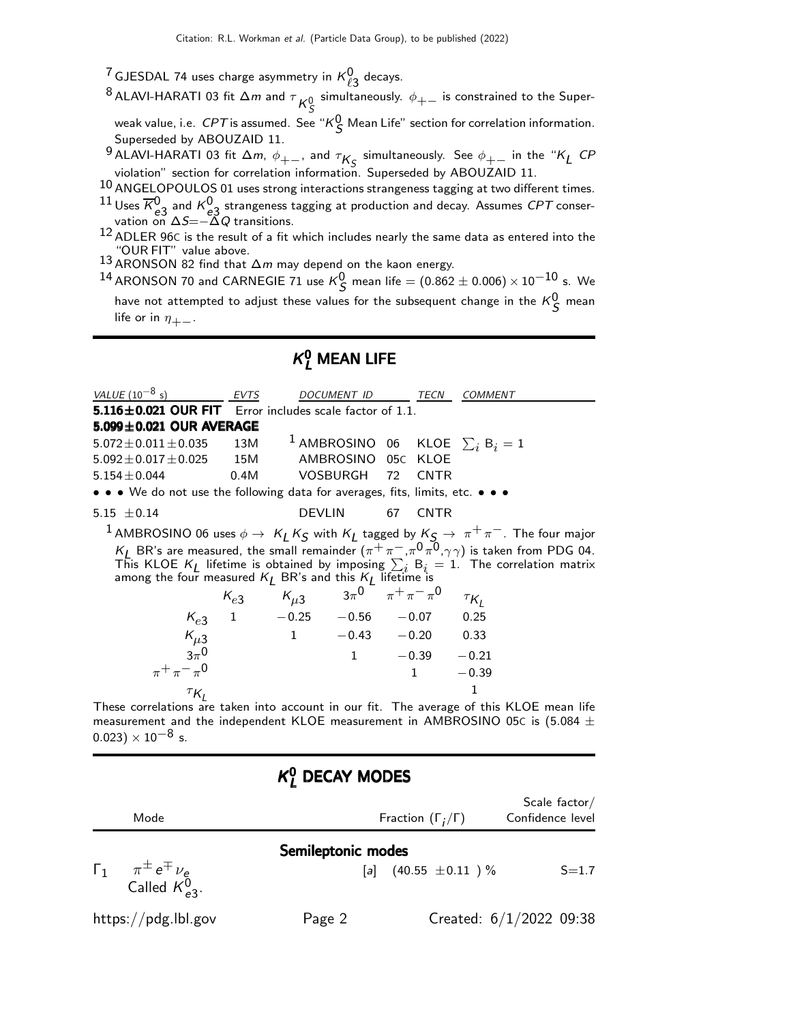<sup>7</sup> GJESDAL 74 uses charge asymmetry in  $\kappa^0_{\ell 3}$  decays.

 $^8$ ALAVI-HARATI 03 fit  $\Delta m$  and  $\tau \overline{\mathcal{K}^0_S}$  simultaneously.  $\phi_{+-}$  is constrained to the Super-

weak value, i.e.  $\mathit{CPT}$  is assumed. See "K $^0_S$  Mean Life" section for correlation information. Superseded by ABOUZAID 11.

9 ALAVI-HARATI 03 fit  $\Delta m$ ,  $\phi_{+-}$ , and  $\tau_{K_S}$  simultaneously. See  $\phi_{+-}$  in the "K<sub>L</sub> CP violation" section for correlation information. Superseded by ABOUZAID 11.

 $10$  ANGELOPOULOS 01 uses strong interactions strangeness tagging at two different times.

 $^{11}$  Uses  $\overline{K}_{a3}^{0}$  and  $K_{a3}^{0}$  strangeness tagging at production and decay. Assumes CPT conser- $\frac{1}{2}$  e3 and  $\frac{1}{2}$  strangeness to e3 costs.

 $^{12}$  ADLER 96C is the result of a fit which includes nearly the same data as entered into the "OUR FIT" value above.

13 ARONSON 82 find that  $\Delta m$  may depend on the kaon energy.

 $^{14}$  ARONSON 70 and CARNEGIE 71 use  $\kappa_S^0$  mean life  $=(0.862\pm 0.006)\times 10^{-10}$  s. We have not attempted to adjust these values for the subsequent change in the  $\kappa_S^0$  mean life or in  $\eta_{+-}$ .

### $\kappa_{L}^{0}$  Mean Life

| VALUE $(10^{-8} s)$                                                           | <b>EVTS</b> |                                                                                                                   | DOCUMENT ID        | TECN           | <b>COMMENT</b>                                                                                                                                                                                                                                                           |
|-------------------------------------------------------------------------------|-------------|-------------------------------------------------------------------------------------------------------------------|--------------------|----------------|--------------------------------------------------------------------------------------------------------------------------------------------------------------------------------------------------------------------------------------------------------------------------|
| <b>5.116 ± 0.021 OUR FIT</b> Error includes scale factor of 1.1.              |             |                                                                                                                   |                    |                |                                                                                                                                                                                                                                                                          |
| 5.099±0.021 OUR AVERAGE                                                       |             |                                                                                                                   |                    |                |                                                                                                                                                                                                                                                                          |
| $5.072 \pm 0.011 \pm 0.035$                                                   |             |                                                                                                                   |                    |                | 13M <sup>1</sup> AMBROSINO 06 KLOE $\sum_i B_i = 1$                                                                                                                                                                                                                      |
| $5.092 \pm 0.017 \pm 0.025$ 15M                                               |             |                                                                                                                   | AMBROSINO 05C KLOE |                |                                                                                                                                                                                                                                                                          |
| $5.154 \pm 0.044$                                                             |             | 0.4M VOSBURGH 72                                                                                                  |                    | <b>CNTR</b>    |                                                                                                                                                                                                                                                                          |
| • • • We do not use the following data for averages, fits, limits, etc. • • • |             |                                                                                                                   |                    |                |                                                                                                                                                                                                                                                                          |
| 5.15 $\pm$ 0.14                                                               |             | <b>DEVLIN</b>                                                                                                     | 67                 | <b>CNTR</b>    |                                                                                                                                                                                                                                                                          |
|                                                                               |             |                                                                                                                   |                    |                | 1 AMBROSINO 06 uses $\phi \to K_L K_S$ with $K_L$ tagged by $K_S \to \pi^+ \pi^-$ . The four major $K_L$ BR's are measured, the small remainder $(\pi^+ \pi^-,\pi^0 \pi^0, \gamma \gamma)$ is taken from PDG 04.<br>This KLOE $K_L$ lifetime is obtained by imposing $\$ |
|                                                                               |             |                                                                                                                   |                    |                |                                                                                                                                                                                                                                                                          |
|                                                                               |             |                                                                                                                   |                    |                |                                                                                                                                                                                                                                                                          |
|                                                                               |             |                                                                                                                   |                    |                |                                                                                                                                                                                                                                                                          |
|                                                                               |             |                                                                                                                   |                    |                |                                                                                                                                                                                                                                                                          |
|                                                                               |             | $K_{e3}$ $K_{\mu 3}$ $3\pi^{0}$ $\pi^{+}\pi^{-}\pi^{0}$ $\tau_{K_{L}}$<br>$K_{e3}$ 1 $-0.25$ $-0.56$ $-0.07$ 0.25 |                    |                |                                                                                                                                                                                                                                                                          |
| $K_{\mu 3}$<br>$3\pi^0$<br>$\pi^+ \pi^- \pi^0$                                |             | $1 -0.43 -0.20 0.33$                                                                                              |                    |                |                                                                                                                                                                                                                                                                          |
|                                                                               |             |                                                                                                                   | $\mathbf{1}$       | $-0.39 - 0.21$ |                                                                                                                                                                                                                                                                          |
|                                                                               |             |                                                                                                                   |                    | $1 \quad \Box$ | $-0.39$                                                                                                                                                                                                                                                                  |

 $\tau_{\mathsf{K}_I}$ These correlations are taken into account in our fit. The average of this KLOE mean life measurement and the independent KLOE measurement in AMBROSINO 05C is (5.084  $\pm$  $(0.023) \times 10^{-8}$  s.

1

### $\kappa_{L}^{0}$  DECAY MODES

| Mode                                                                                         |                    | Fraction $(\Gamma_i/\Gamma)$ | Scale factor/<br>Confidence level |
|----------------------------------------------------------------------------------------------|--------------------|------------------------------|-----------------------------------|
| $\begin{matrix} \Gamma_1 & \pi^{\pm} e^{\mp} \nu_e \\ \text{Called } K_{e3}^0. \end{matrix}$ | Semileptonic modes | [a] $(40.55 \pm 0.11)$ %     | $S = 1.7$                         |
| https://pdg.lbl.gov                                                                          | Page 2             |                              | Created: $6/1/2022$ 09:38         |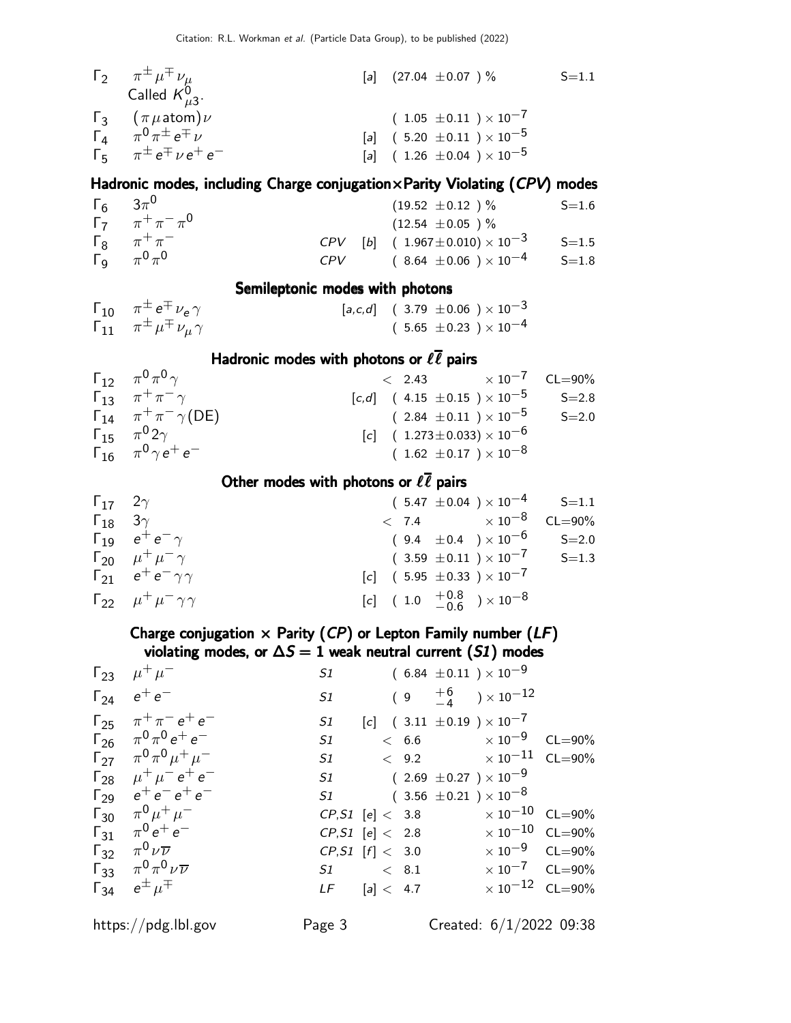| $\Gamma_2$ $\pi^{\pm} \mu^{\mp} \nu_{\mu}$ | [a] $(27.04 \pm 0.07)$ %             | $S = 1.1$ |
|--------------------------------------------|--------------------------------------|-----------|
| Called $K_{\mu 3}^0$ .                     |                                      |           |
| $\Gamma_3$ $(\pi \mu \text{atom}) \nu$     | $(1.05 \pm 0.11) \times 10^{-7}$     |           |
| $\Gamma_4$ $\pi^0 \pi^{\pm} e^{\mp} \nu$   | [a] $(5.20 \pm 0.11) \times 10^{-5}$ |           |
| $\Gamma_5$ $\pi^{\pm} e^{\mp} \nu e^+ e^-$ | [a] $(1.26 \pm 0.04) \times 10^{-5}$ |           |

#### Hadronic modes, including Charge conjugation×Parity Violating (CPV) modes

| $\Gamma_6$ $3\pi^0$ |                                        |     | $(19.52 \pm 0.12)$ %                         | $S = 1.6$ |
|---------------------|----------------------------------------|-----|----------------------------------------------|-----------|
|                     | $\Gamma_7 \qquad \pi^+ \pi^- \pi^0$    |     | $(12.54 \pm 0.05)$ %                         |           |
|                     | $\Gamma_8$ $\pi^+\pi^-$                |     | $CPV$ [b] $(1.967 \pm 0.010) \times 10^{-3}$ | $S = 1.5$ |
|                     | $\Gamma_{\mathbf{q}}$ $\pi^{0}\pi^{0}$ | CPV | $(8.64 \pm 0.06) \times 10^{-4}$             | $S=1.8$   |

#### Semileptonic modes with photons

| $\Gamma_{10}$ $\pi^{\pm} e^{\mp} \nu_e \gamma$       | $[a,c,d] \quad ( \ 3.79 \ \pm 0.06 \ \ ) \times 10^{-3}$ |
|------------------------------------------------------|----------------------------------------------------------|
| $\Gamma_{11}$ $\pi^{\pm} \mu^{\mp} \nu_{\mu} \gamma$ | $(5.65 \pm 0.23)\times 10^{-4}$                          |

#### Hadronic modes with photons or  $\ell \bar{\ell}$  pairs

| $\Gamma_{12}$ $\pi^{0}\pi^{0}\gamma$             |                                                  | $\epsilon$ 2.43 $\times 10^{-7}$ CL=90%              |           |
|--------------------------------------------------|--------------------------------------------------|------------------------------------------------------|-----------|
| $\Gamma_{13}$ $\pi^{+}\pi^{-}\gamma$             |                                                  | $[c,d]$ (4.15 $\pm$ 0.15 ) $\times$ 10 <sup>-5</sup> | $S = 2.8$ |
| $\Gamma_{14}$ $\pi^{+}\pi^{-}\gamma$ (DE)        |                                                  | $(2.84 \pm 0.11) \times 10^{-5}$                     | $S = 2.0$ |
| $\Gamma_{15}$ $\pi^{0}2\gamma$                   | $[c]$ ( 1.273 ± 0.033) $\times$ 10 <sup>-6</sup> |                                                      |           |
| $\Gamma_{16}$ $\pi^{0}$ $\gamma$ $e^{+}$ $e^{-}$ | $(1.62 \pm 0.17) \times 10^{-8}$                 |                                                      |           |

#### Other modes with photons or  $\ell \bar{\ell}$  pairs

| $\Gamma_{17}$ 2 $\gamma$ |                                           | $(5.47 \pm 0.04) \times 10^{-4}$ S=1.1              |           |
|--------------------------|-------------------------------------------|-----------------------------------------------------|-----------|
| $\Gamma_{18}$ 3 $\gamma$ |                                           | $< 7.4 \times 10^{-8} \quad CL = 90\%$              |           |
|                          | $\Gamma_{19}$ $e^+e^-\gamma$              | $(9.4 \pm 0.4) \times 10^{-6}$                      | $S = 2.0$ |
|                          | $\Gamma_{20}$ $\mu^+ \mu^- \gamma$        | $(3.59 \pm 0.11) \times 10^{-7}$                    | $S = 1.3$ |
|                          | $\Gamma_{21}$ $e^+e^-\gamma\gamma$        | $[c]$ (5.95 ± 0.33 ) $\times 10^{-7}$               |           |
|                          | $\Gamma_{22}$ $\mu^+ \mu^- \gamma \gamma$ | $[c]$ (1.0 $\frac{+0.8}{-0.6}$ ) × 10 <sup>-8</sup> |           |

#### Charge conjugation  $\times$  Parity (CP) or Lepton Family number (LF) violating modes, or  $\Delta S = 1$  weak neutral current (S1) modes

| $\Gamma_{23}$ $\mu^+ \mu^-$                     | S1                       |  |                      | $(~6.84~\pm 0.11~) \times 10^{-9}$                            |  |
|-------------------------------------------------|--------------------------|--|----------------------|---------------------------------------------------------------|--|
| $\Gamma_{24}$ $e^+e^-$                          | S1                       |  |                      | $(9\quad \begin{array}{c} +6\ -4 \end{array})\times 10^{-12}$ |  |
| $\Gamma_{25}$ $\pi^{+}\pi^{-}e^{+}e^{-}$        | S1                       |  |                      | $[c]$ (3.11 $\pm$ 0.19 ) × 10 <sup>-7</sup>                   |  |
| $\Gamma_{26}$ $\pi^{0}\pi^{0}e^{+}e^{-}$        | S1                       |  |                      | $< 6.6$ $\times 10^{-9}$ CL=90%                               |  |
| $\Gamma_{27}$ $\pi^0 \pi^0 \mu^+ \mu^-$         | S1                       |  |                      | $<$ 9.2 $\times\ 10^{-11}$ CL=90%                             |  |
| $\Gamma_{28}$ $\mu^+ \mu^- e^+ e^-$             |                          |  |                      | S1 $(2.69 \pm 0.27) \times 10^{-9}$                           |  |
| $\Gamma_{29}$ $e^+e^-e^+e^-$                    |                          |  |                      | $51$ $(3.56 \pm 0.21) \times 10^{-8}$                         |  |
| $\Gamma_{30}$ $\pi^0 \mu^+ \mu^-$               |                          |  |                      | $CP, S1$ [e] < 3.8 $\times 10^{-10}$ CL=90%                   |  |
| $\Gamma_{31}$ $\pi^0 e^+ e^-$                   |                          |  | $CP, S1$ [e] $< 2.8$ | $\times$ 10 $^{-10}$ CL=90%                                   |  |
| $\Gamma_{32}$ $\pi^0 \nu \overline{\nu}$        | $CP, S1$ [f] < 3.0       |  |                      | $\times 10^{-9}$ CL=90%                                       |  |
| $\Gamma_{33}$ $\pi^{0}\pi^{0}\nu\overline{\nu}$ | $S1 \qquad \qquad < 8.1$ |  |                      | $\times 10^{-7}$ CL=90%                                       |  |
| $\Gamma_{34}$ $e^{\pm}$ $\mu^{\mp}$             | $LF$ [a] < 4.7           |  |                      | $\times 10^{-12}$ CL=90%                                      |  |
|                                                 |                          |  |                      |                                                               |  |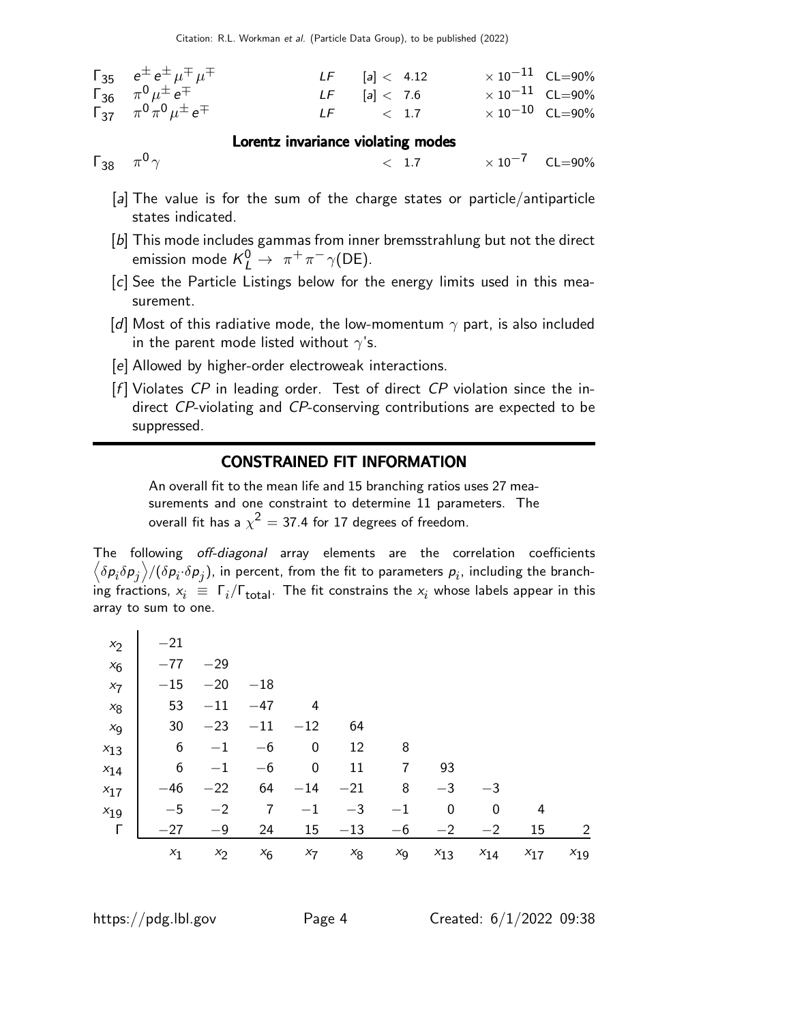| $\Gamma_{35}$ $e^{\pm}e^{\pm} \mu^{\mp} \mu^{\mp}$ | $LF$ [a] < 4.12 | $\times$ 10 <sup>-11</sup> CL=90% |  |
|----------------------------------------------------|-----------------|-----------------------------------|--|
| $\Gamma_{36}$ $\pi^{0} \mu^{\pm} e^{\mp}$          | $LF$ [a] < 7.6  | $\times$ 10 $^{-11}$ CL=90%       |  |
| $\Gamma_{37}$ $\pi^0 \pi^0 \mu^{\pm} e^{\mp}$      | $LF \t\t < 1.7$ | $\times$ 10 $^{-10}$ CL=90%       |  |

#### Lorentz invariance violating modes

 $Γ_{38}$   $π<sup>0</sup>$   $γ$ 

- $<$  1.7  $\times$  10<sup>-7</sup> CL=90%
- [a] The value is for the sum of the charge states or particle/antiparticle states indicated.
- [b] This mode includes gammas from inner bremsstrahlung but not the direct emission mode  $K^0_L \rightarrow \pi^+ \pi^- \gamma(\text{DE}).$
- [c] See the Particle Listings below for the energy limits used in this measurement.
- [d] Most of this radiative mode, the low-momentum  $\gamma$  part, is also included in the parent mode listed without  $\gamma$ 's.
- [e] Allowed by higher-order electroweak interactions.
- $[f]$  Violates CP in leading order. Test of direct CP violation since the indirect CP-violating and CP-conserving contributions are expected to be suppressed.

#### CONSTRAINED FIT INFORMATION

An overall fit to the mean life and 15 branching ratios uses 27 measurements and one constraint to determine 11 parameters. The overall fit has a  $\chi^2 =$  37.4 for 17 degrees of freedom.

The following off-diagonal array elements are the correlation coefficients  $\left<\delta p_i \delta p_j\right>$ / $(\delta p_i \cdot \delta p_j)$ , in percent, from the fit to parameters  $p_i$ , including the branching fractions,  $x_i \equiv \Gamma_i/\Gamma_{\rm total}$ . The fit constrains the  $x_i$  whose labels appear in this array to sum to one.

| $x_2$    | $-21$ |       |       |         |       |         |          |          |          |                |
|----------|-------|-------|-------|---------|-------|---------|----------|----------|----------|----------------|
| $x_6$    | $-77$ | $-29$ |       |         |       |         |          |          |          |                |
| $x_7$    | $-15$ | $-20$ | $-18$ |         |       |         |          |          |          |                |
| $x_8$    | 53    | $-11$ | $-47$ | 4       |       |         |          |          |          |                |
| $x_9$    | 30    | $-23$ | $-11$ | $-12$   | 64    |         |          |          |          |                |
| $x_{13}$ | 6     | $-1$  | $-6$  | 0       | 12    | 8       |          |          |          |                |
| $x_{14}$ | 6     | $-1$  | $-6$  | 0       | 11    | 7       | 93       |          |          |                |
| $x_{17}$ | $-46$ | $-22$ | 64    | $-14$   | $-21$ | 8       | $-3$     | $-3$     |          |                |
| $x_{19}$ | $-5$  | $-2$  | 7     | $^{-1}$ | $-3$  | $-1$    | 0        | 0        | 4        |                |
| Г        | $-27$ | $-9$  | 24    | 15      | $-13$ | $-6$    | $^{-2}$  | $^{-2}$  | 15       | $\overline{2}$ |
|          | $x_1$ | $x_2$ | $x_6$ | $x_7$   | $x_8$ | $x_{9}$ | $x_{13}$ | $x_{14}$ | $x_{17}$ | $x_{19}$       |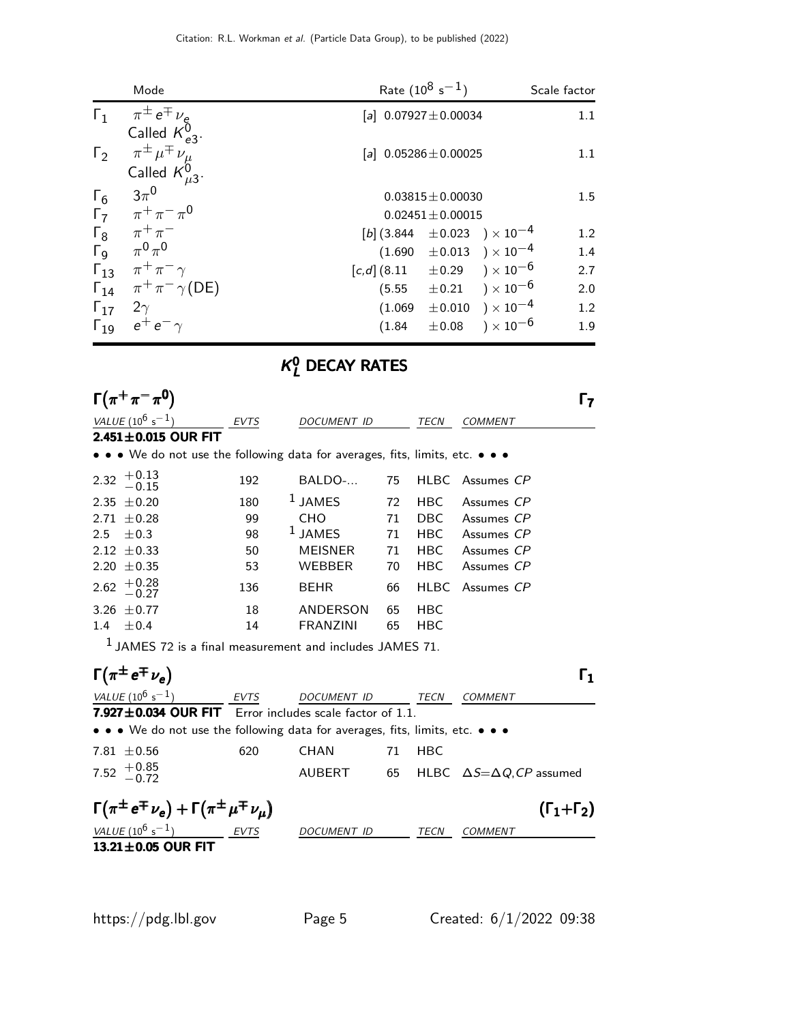|                       | Mode                                      | Rate $(10^8 \text{ s}^{-1})$                         | Scale factor |
|-----------------------|-------------------------------------------|------------------------------------------------------|--------------|
|                       | $\Gamma_1$ $\pi^{\pm}e^{\mp}\nu_e$        | [a] $0.07927 \pm 0.00034$                            | 1.1          |
|                       | Called $K_{e3}^{0}$ .                     |                                                      |              |
| $\Gamma_2$            | $\pi^{\pm} \mu^{\mp} \nu_{\mu}$           | [a] $0.05286 \pm 0.00025$                            | 1.1          |
|                       | Called $K_{\mu 3}^0$ .                    |                                                      |              |
| $\Gamma_6$            | $3\pi^0$                                  | $0.03815 \pm 0.00030$                                | 1.5          |
| $\Gamma_7$            | $\pi^{+}\pi^{-}\pi^{0}$                   | $0.02451 \pm 0.00015$                                |              |
| $\Gamma_8$            | $\pi^+\pi^-$                              | [b] $(3.844 \pm 0.023) \times 10^{-4}$               | 1.2          |
| $\Gamma_{\mathsf{Q}}$ | $\pi^0\pi^0$                              | $(1.690 \pm 0.013) \times 10^{-4}$                   | 1.4          |
|                       | $\Gamma_{13}$ $\pi^+\pi^-\gamma$          | $[c,d]$ (8.11 $\pm$ 0.29 ) $\times$ 10 <sup>-6</sup> | 2.7          |
|                       | $\Gamma_{14}$ $\pi^{+}\pi^{-}\gamma$ (DE) | $(5.55 \pm 0.21) \times 10^{-6}$                     | 2.0          |
| $\Gamma_{17}$         | $2\gamma$                                 | $\pm 0.010$ ) $\times 10^{-4}$<br>(1.069)            | 1.2          |
| $\Gamma_{19}$         | $e^+e^-\gamma$                            | $\pm 0.08$ ) $\times 10^{-6}$<br>(1.84)              | 1.9          |

### $\kappa_{L}^{0}$  DECAY RATES

| $\Gamma(\pi^+\pi^-\pi^0)$                                                     |             |                    |    |             |                                         | $\Gamma$              |
|-------------------------------------------------------------------------------|-------------|--------------------|----|-------------|-----------------------------------------|-----------------------|
| VALUE $(10^6 s^{-1})$                                                         | EVTS        | DOCUMENT ID        |    | TECN        | <b>COMMENT</b>                          |                       |
| $2.451 \pm 0.015$ OUR FIT                                                     |             |                    |    |             |                                         |                       |
| • • • We do not use the following data for averages, fits, limits, etc. • • • |             |                    |    |             |                                         |                       |
| $+0.13$<br>$-0.15$<br>2.32                                                    | 192         | BALDO-             | 75 | <b>HLBC</b> | Assumes CP                              |                       |
| $\pm 0.20$<br>2.35                                                            | 180         | $1$ JAMES          | 72 | <b>HBC</b>  | Assumes CP                              |                       |
| $\pm$ 0.28<br>2.71                                                            | 99          | <b>CHO</b>         | 71 | <b>DBC</b>  | Assumes CP                              |                       |
| ±0.3<br>2.5                                                                   | 98          | $1$ JAMES          | 71 | <b>HBC</b>  | Assumes CP                              |                       |
| 2.12 $\pm$ 0.33                                                               | 50          | <b>MEISNER</b>     | 71 | <b>HBC</b>  | Assumes CP                              |                       |
| 2.20 $\pm$ 0.35                                                               | 53          | <b>WEBBER</b>      | 70 | <b>HBC</b>  | Assumes CP                              |                       |
| $+0.28$<br>-0.27<br>2.62                                                      | 136         | <b>BEHR</b>        | 66 | <b>HLBC</b> | Assumes CP                              |                       |
| $+0.77$<br>3.26                                                               | 18          | ANDERSON           | 65 | <b>HBC</b>  |                                         |                       |
| ±0.4<br>1.4                                                                   | 14          | <b>FRANZINI</b>    | 65 | <b>HBC</b>  |                                         |                       |
| $1$ JAMES 72 is a final measurement and includes JAMES 71.                    |             |                    |    |             |                                         |                       |
| $\Gamma(\pi^{\pm}e^{\mp}\nu_e)$                                               |             |                    |    |             |                                         | Г1                    |
| VALUE $(10^6 s^{-1})$                                                         | <b>EVTS</b> | <b>DOCUMENT ID</b> |    | TECN        | <b>COMMENT</b>                          |                       |
| 7.927 $\pm$ 0.034 OUR FIT Error includes scale factor of 1.1.                 |             |                    |    |             |                                         |                       |
| • • • We do not use the following data for averages, fits, limits, etc. • • • |             |                    |    |             |                                         |                       |
| 7.81 $\pm$ 0.56                                                               | 620         | <b>CHAN</b>        | 71 | <b>HBC</b>  |                                         |                       |
| $+0.85$<br>-0.72<br>7.52                                                      |             | <b>AUBERT</b>      | 65 |             | HLBC $\Delta S = \Delta Q$ , CP assumed |                       |
| $\Gamma(\pi^{\pm}e^{\mp}\nu_e)+\Gamma(\pi^{\pm}\mu^{\mp}\nu_{\mu})$           |             |                    |    |             |                                         | $(\Gamma_1+\Gamma_2)$ |
| VALUE $(10^6 s^{-1})$                                                         | <b>EVTS</b> | <b>DOCUMENT ID</b> |    | <b>TECN</b> | <b>COMMENT</b>                          |                       |
| $13.21 \pm 0.05$ OUR FIT                                                      |             |                    |    |             |                                         |                       |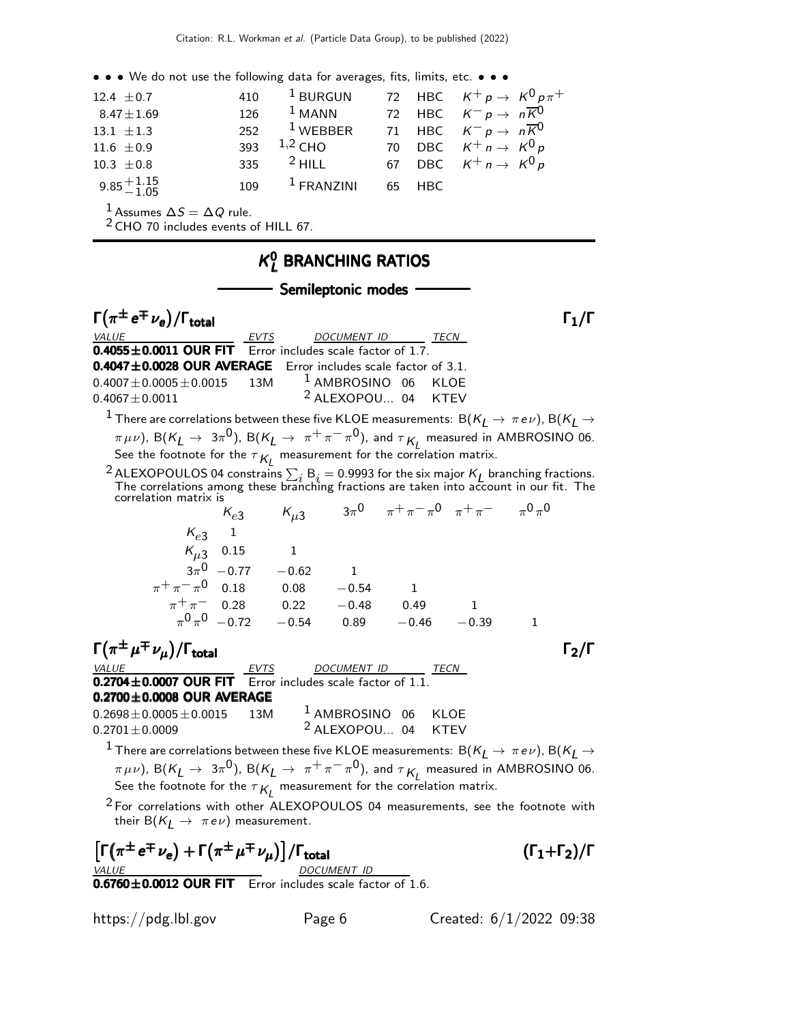• • • We do not use the following data for averages, fits, limits, etc. • • • 12.4  $\pm$  0.7 410 <sup>1</sup> BURGUN 72 HBC  $K^+ p \to K^0 p \pi^+$ 8.47 $\pm$ 1.69 126 <sup>1</sup> MANN 72 HBC  $K^- p \to n\overline{K}^0$ 13.1  $\pm$ 1.3 252 <sup>1</sup> WEBBER 71 HBC  $K^- p \to n\overline{K}^0$ 11.6  $\pm$  0.9 393 <sup>1,2</sup> CHO 70 DBC  $K^{+}n \to K^{0}p$ 10.3  $\pm$  0.8 335 <sup>2</sup> HILL 67 DBC  $K^+ n \to K^0 p$  $9.85 + 1.15$ <br>-1.05 109 <sup>1</sup> FRANZINI 65 HBC  $1$  Assumes  $\Delta S = \Delta Q$  rule. <sup>2</sup> CHO 70 includes events of HILL 67.  $\kappa$ <sup>0</sup> <u>y</u> Branching Ratios - Semileptonic modes - $\Gamma(\pi^{\pm} e^{\mp} \nu_e)/\Gamma_{\rm total}$  Γ<sub>1</sub>/Γ total  $11/1$ VALUE \_\_\_\_\_\_\_\_\_\_\_\_\_\_\_\_\_\_\_\_\_\_\_\_\_\_\_\_\_\_EVTS\_\_\_\_\_\_\_\_\_DOCUMENT\_ID \_\_\_\_\_\_\_\_\_\_\_\_\_\_\_\_\_\_\_  $0.4055\pm0.0011$  OUR FIT Error includes scale factor of 1.7.  $0.4047 \pm 0.0028$  OUR AVERAGE Error includes scale factor of 3.1.  $0.4007 \pm 0.0005 \pm 0.0015$  13M <sup>1</sup> AMBROSINO 06 KLOE  $0.4067 \pm 0.0011$  2 ALEXOPOU... 04 KTEV  $1$  There are correlations between these five KLOE measurements:  $\mathsf{B}(K_L \to \pi \, e \nu)$ ,  $\mathsf{B}(K_L \to \pi \, e \nu)$  $(\pi \mu \nu)$ , B( $K_L \rightarrow 3\pi^0$ ), B( $K_L \rightarrow \pi^+ \pi^- \pi^0$ ), and  $\tau_{K_L}$  measured in AMBROSINO 06. See the footnote for the  $\tau_{\mathcal{K}_{L}}$  measurement for the correlation matrix. <sup>2</sup> ALEXOPOULOS 04 constrains  $\sum_i B_i = 0.9993$  for the six major  $K_L$  branching fractions. The correlations among these branching fractions are taken into account in our fit. The correlation matrix is  $\kappa_{e3}$   $\kappa_{\mu 3}$   $3\pi^0$   $\pi^+\pi^-\pi^0$   $\pi^+\pi^ \pi^0\pi^0$  $\kappa_{e3}$  1  $K_{\mu 3}$  0.15 1  $3\pi^0$  - 0.77  $0$   $-0.77$   $-0.62$  1  $\pi^+\pi^-\pi^0$  0.18 0.08 −0.54 1  $\pi^+ \pi^-$  0.28 0.22 −0.48 0.49 1  $\pi^0 \, \pi^0$   $-0.72$   $-0.54$   $0.89$   $-0.46$   $-0.39$   $1$  $\Gamma(\pi^{\pm}\mu^{\mp}\nu_{\mu})/\Gamma_{\text{total}}$  Γ<sub>2</sub>/Γ  $\underline{\begin{array}{ccc} \textit{VALUE} & \textit{LUC} & \textit{DOCUMENT ID} \\ \textbf{0.2704} \pm \textbf{0.0007 } \textbf{OUR FIT} & \textit{Error includes scale factor} \end{array}}$ Error includes scale factor of  $\overline{1.1}$ .  $0.2700\pm0.0008$  OUR AVERAGE  $0.2698 \pm 0.0005 \pm 0.0015$  13M <sup>1</sup> AMBROSINO 06 KLOE  $0.2701 \pm 0.0009$   $2$  ALEXOPOU... 04 KTEV  $^{-1}$  There are correlations between these five KLOE measurements:  $\, {\rm B} (K_L^{} \to \pi \, e \nu)$ ,  ${\rm B} (K_L^{} \to \pi \, e \nu)$  $(\pi \mu \nu)$ , B(K $_L \rightarrow 3\pi^0$ ), B(K $_L \rightarrow \pi^+ \pi^- \pi^0$ ), and  $\tau_{K_L}$  measured in AMBROSINO 06. See the footnote for the  $\tau_{\mathcal{K}_{L}}$  measurement for the correlation matrix. <sup>2</sup> For correlations with other ALEXOPOULOS 04 measurements, see the footnote with their B $(K_I \rightarrow \pi e \nu)$  measurement.  $\left[\Gamma(\pi^{\pm}e^{\mp}\nu_{e}) + \Gamma(\pi^{\pm}\mu^{\mp}\nu_{\mu})\right] / \Gamma_{\text{total}}$  (Γ<sub>1</sub>+Γ<sub>2</sub>)/Γ DOCUMENT ID  $\overline{0.6760 \pm 0.0012}$  OUR FIT Error includes scale factor of 1.6.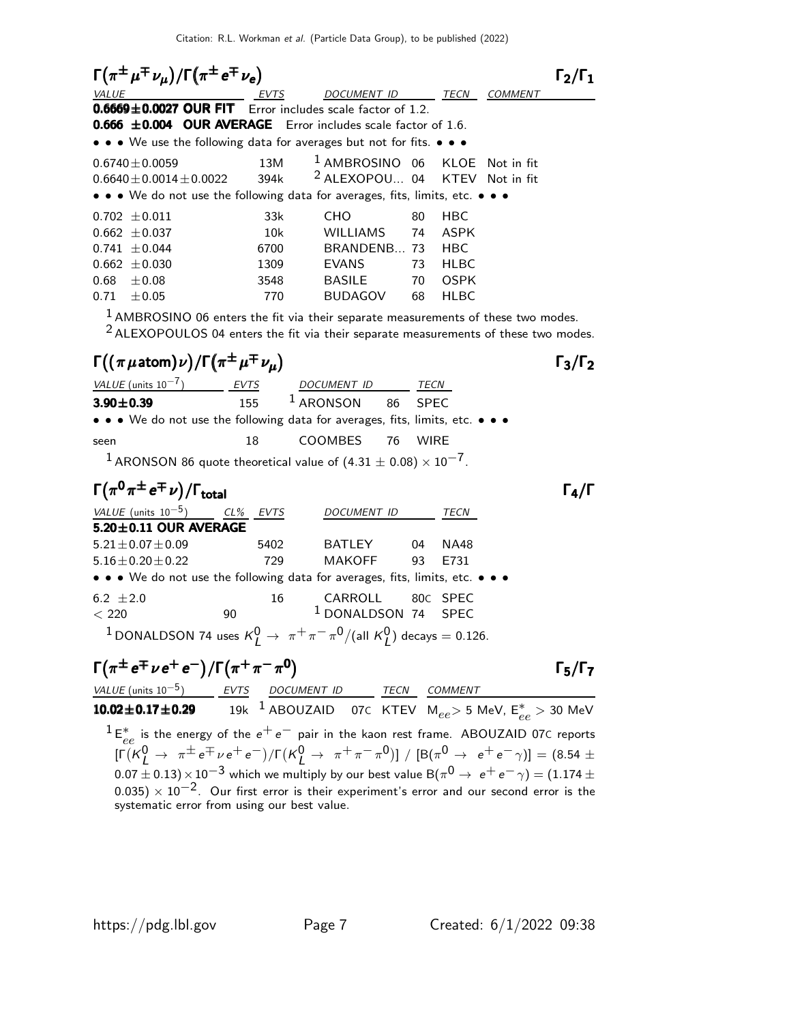Citation: R.L. Workman et al. (Particle Data Group), to be published (2022)

 $\Gamma(\pi^{\pm}\mu^{\mp}\nu_{\mu})/\Gamma(\pi^{\pm}e^{\mp}\nu_{e})$   $\Gamma_{2}/\Gamma_{1}$  $\Gamma_2/\Gamma_1$ TECN COMMENT  $0.6669 \pm 0.0027$  OUR FIT Error includes scale factor of 1.2. **0.666**  $\pm$ **0.004 OUR AVERAGE** Error includes scale factor of 1.6. • • • We use the following data for averages but not for fits. • • •  $0.6740 \pm 0.0059$  13M <sup>1</sup> AMBROSINO 06 KLOE Not in fit  $0.6640 \pm 0.0014 \pm 0.0022$  394k <sup>2</sup> ALEXOPOU... 04 KTEV Not in fit • • • We do not use the following data for averages, fits, limits, etc. • • •  $0.702 \pm 0.011$  33k CHO 80 HBC 0.662 ±0.037 10k WILLIAMS 74 ASPK 0.741  $\pm$ 0.044 6700 BRANDENB... 73 HBC 0.662 ±0.030 1309 EVANS 73 HLBC 0.68 ±0.08 3548 BASILE 70 OSPK 0.71 ±0.05 770 BUDAGOV 68 HLBC  $<sup>1</sup>$  AMBROSINO 06 enters the fit via their separate measurements of these two modes.</sup>  $2$  ALEXOPOULOS 04 enters the fit via their separate measurements of these two modes. Γ $((\pi \mu \text{atom})\nu)/\Gamma(\pi^{\pm} \mu^{\mp} \nu_{\mu})$  Γ<sub>3</sub>/Γ<sub>2</sub>  $\Gamma_3/\Gamma_2$  $VALU E$  (units 10<sup>-7</sup>) EVTS DOCUMENT ID TECN  $3.90 \pm 0.39$  155  $^1$  ARONSON 86 SPEC • • • We do not use the following data for averages, fits, limits, etc. • • • seen 18 COOMBES 76 WIRE  $1$  ARONSON 86 quote theoretical value of  $(4.31 \pm 0.08) \times 10^{-7}$ .  $\Gamma(\pi^0\pi^\pm e^\mp \nu)/\Gamma_{\rm total}$ VALUE (units  $10^{-5}$ ) CL% EVTS DOCUMENT ID TECN  $5.20 \pm 0.11$  OUR AVERAGE 5.21±0.07±0.09 5402 BATLEY 04 NA48 5.16±0.20±0.22 729 MAKOFF 93 E731 • • • We do not use the following data for averages, fits, limits, etc. • • •  $6.2 \pm 2.0$  16 CARROLL 80c SPEC  $<$  220  $<$  90  $<$   $<$  1 DONALDSON 74 SPEC <sup>1</sup> DONALDSON 74 uses  $K^0_L \rightarrow \pi^+ \pi^- \pi^0/($ all  $K^0_L$ ) decays = 0.126.  $\Gamma(\pi^{\pm}e^{\mp}\nu e^+e^-)/\Gamma(\pi^+\pi^-\pi^0)$  Γ<sub>5</sub>/Γ<sub>7</sub> Γς/Γ<sub>7</sub> VALUE (units  $10^{-5}$ ) EVTS DOCUMENT ID TECN COMMENT  $\textbf{10.02} \pm \textbf{0.17} \pm \textbf{0.29}$  to the  $^1$  abouzaid other KTEV me $_{ee}$   $>$  5 MeV,  $\textsf{E}^*_{ee}$   $>$  30 MeV  $1 E_c^*$  $e^*$  is the energy of the  $e^+e^-$  pair in the kaon rest frame. ABOUZAID 07C reports  $[\Gamma(K_L^0 \to \pi^{\pm} e^{\mp} \nu e^+ e^-)/\Gamma(K_L^0 \to \pi^+ \pi^- \pi^0)] / [B(\pi^0 \to e^+ e^- \gamma)] = (8.54 \pm$  $0.07 \pm 0.13) \times 10^{-3}$  which we multiply by our best value B $(\pi^0 \rightarrow\ e^+ \, e^- \, \gamma) = (1.174 \pm 1.1)$ 0.035)  $\times$  10<sup>-2</sup>. Our first error is their experiment's error and our second error is the systematic error from using our best value.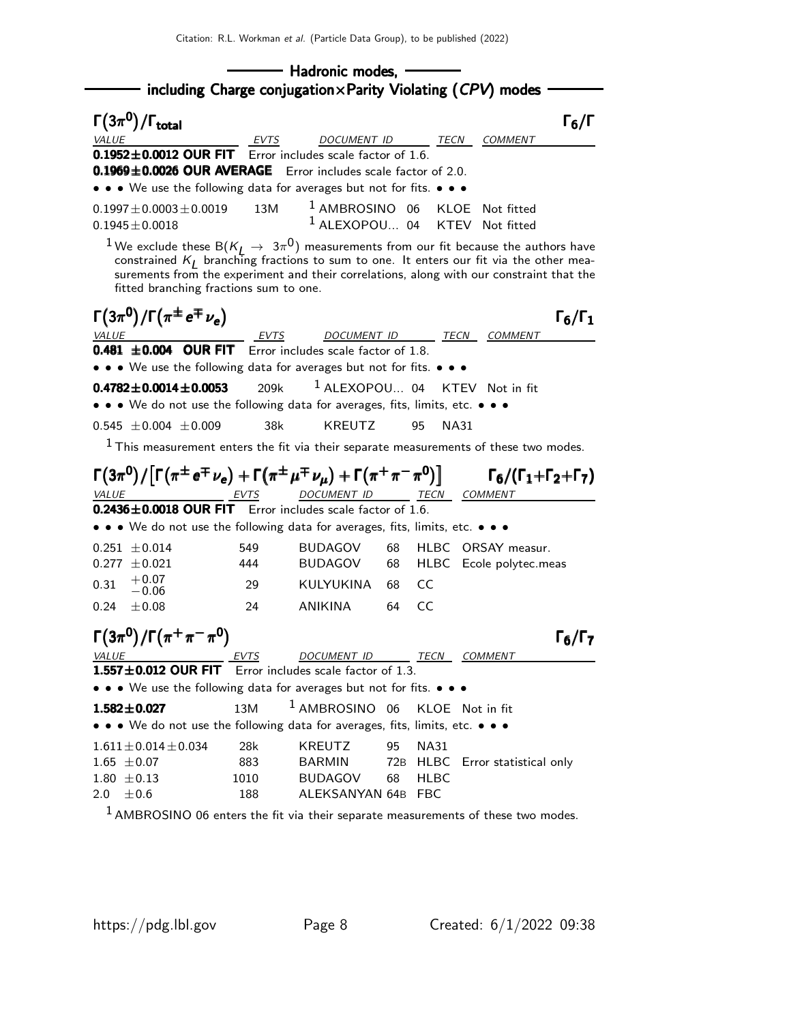|                                                                                                                                                                                                                                                                                                                                                |                  | - Hadronic modes, -                                                               |                |                     |                     |                                               |                     |
|------------------------------------------------------------------------------------------------------------------------------------------------------------------------------------------------------------------------------------------------------------------------------------------------------------------------------------------------|------------------|-----------------------------------------------------------------------------------|----------------|---------------------|---------------------|-----------------------------------------------|---------------------|
| $\Gamma(3\pi^0)/\Gamma_{\rm total}$<br><b>VALUE</b>                                                                                                                                                                                                                                                                                            | <b>EVTS</b>      | including Charge conjugation $\times$ Parity Violating (CPV) modes<br>DOCUMENT ID |                |                     | <i>TECN COMMENT</i> |                                               | $\Gamma_6/\Gamma$   |
| $0.1952 \pm 0.0012$ OUR FIT Error includes scale factor of 1.6.<br>0.1969±0.0026 OUR AVERAGE Error includes scale factor of 2.0.<br>• • • We use the following data for averages but not for fits. • • •                                                                                                                                       |                  |                                                                                   |                |                     |                     |                                               |                     |
| $0.1997 \pm 0.0003 \pm 0.0019$<br>$0.1945 \pm 0.0018$                                                                                                                                                                                                                                                                                          | 13M              | $1$ AMBROSINO 06<br><sup>1</sup> ALEXOPOU 04 KTEV Not fitted                      |                | KLOE                |                     | Not fitted                                    |                     |
| <sup>1</sup> We exclude these B( $K_L \rightarrow 3\pi^0$ ) measurements from our fit because the authors have constrained $K_L$ branching fractions to sum to one. It enters our fit via the other mea-<br>surements from the experiment and their correlations, along with our constraint that the<br>fitted branching fractions sum to one. |                  |                                                                                   |                |                     |                     |                                               |                     |
| $\Gamma(3\pi^0)/\Gamma(\pi^{\pm}e^{\mp}\nu_e)$<br>$\underbrace{VALUE}$<br><b>0.481</b> $\pm$ <b>0.004 OUR FIT</b> Error includes scale factor of 1.8.                                                                                                                                                                                          |                  | DOCUMENT ID TECN COMMENT                                                          |                |                     |                     |                                               | $\Gamma_6/\Gamma_1$ |
| • • • We use the following data for averages but not for fits. • • •<br>0.4782 $\pm$ 0.0014 $\pm$ 0.0053<br>• • • We do not use the following data for averages, fits, limits, etc. • • •                                                                                                                                                      | 209k             | $1$ ALEXOPOU 04                                                                   |                |                     | KTEV Not in fit     |                                               |                     |
| $0.545 \pm 0.004 \pm 0.009$<br>$^1$ This measurement enters the fit via their separate measurements of these two modes.                                                                                                                                                                                                                        | 38k              | <b>KREUTZ</b>                                                                     |                | 95                  | NA31                |                                               |                     |
| $\Gamma(3\pi^{0})/\lceil\Gamma(\pi^{\pm}e^{\mp}\nu_{e})+\Gamma(\pi^{\pm}\mu^{\mp}\nu_{\mu})+\Gamma(\pi^{+}\pi^{-}\pi^{0})\rceil$ $\Gamma_{6}/(\Gamma_{1}+\Gamma_{2}+\Gamma_{7})$                                                                                                                                                               |                  | DOCUMENT ID TECN COMMENT                                                          |                |                     |                     |                                               |                     |
| 0.2436±0.0018 OUR FIT Error includes scale factor of 1.6.<br>• • • We do not use the following data for averages, fits, limits, etc. • • •                                                                                                                                                                                                     |                  |                                                                                   |                |                     |                     |                                               |                     |
| $0.251 \pm 0.014$<br>$0.277 \pm 0.021$<br>$+0.07$<br>0.31<br>$-0.06\,$                                                                                                                                                                                                                                                                         | 549<br>444<br>29 | <b>BUDAGOV</b><br><b>BUDAGOV</b><br>KULYUKINA                                     | 68<br>68<br>68 | CC                  |                     | HLBC ORSAY measur.<br>HLBC Ecole polytec.meas |                     |
| 0.24<br>$+0.08$                                                                                                                                                                                                                                                                                                                                | 24               | <b>ANIKINA</b>                                                                    | 64             | CC.                 |                     |                                               |                     |
| $\Gamma(3\pi^0)/\Gamma(\pi^+\pi^-\pi^0)$                                                                                                                                                                                                                                                                                                       |                  |                                                                                   |                |                     |                     |                                               | $\Gamma_6/\Gamma_7$ |
| VALUE<br>1.557±0.012 OUR FIT Error includes scale factor of 1.3.                                                                                                                                                                                                                                                                               | EVTS             | DOCUMENT ID                                                                       |                | <u>TECN COMMENT</u> |                     |                                               |                     |
| • • • We use the following data for averages but not for fits. • • •                                                                                                                                                                                                                                                                           |                  |                                                                                   |                |                     |                     |                                               |                     |
| $1.582 \pm 0.027$                                                                                                                                                                                                                                                                                                                              | 13M              | <sup>1</sup> AMBROSINO 06                                                         |                |                     | KLOE Not in fit     |                                               |                     |
| • • • We do not use the following data for averages, fits, limits, etc. • • •                                                                                                                                                                                                                                                                  |                  |                                                                                   |                |                     |                     |                                               |                     |
| $1.611 \pm 0.014 \pm 0.034$                                                                                                                                                                                                                                                                                                                    | 28k              | <b>KREUTZ</b>                                                                     | 95             | <b>NA31</b>         |                     |                                               |                     |
| $1.65 \pm 0.07$                                                                                                                                                                                                                                                                                                                                | 883              | <b>BARMIN</b>                                                                     |                |                     |                     | 72B HLBC Error statistical only               |                     |
| $1.80 \pm 0.13$<br>$\pm 0.6$<br>2.0                                                                                                                                                                                                                                                                                                            | 1010<br>188      | <b>BUDAGOV</b><br>ALEKSANYAN 64B FBC                                              | 68             | <b>HLBC</b>         |                     |                                               |                     |
|                                                                                                                                                                                                                                                                                                                                                |                  |                                                                                   |                |                     |                     |                                               |                     |

<sup>1</sup> AMBROSINO 06 enters the fit via their separate measurements of these two modes.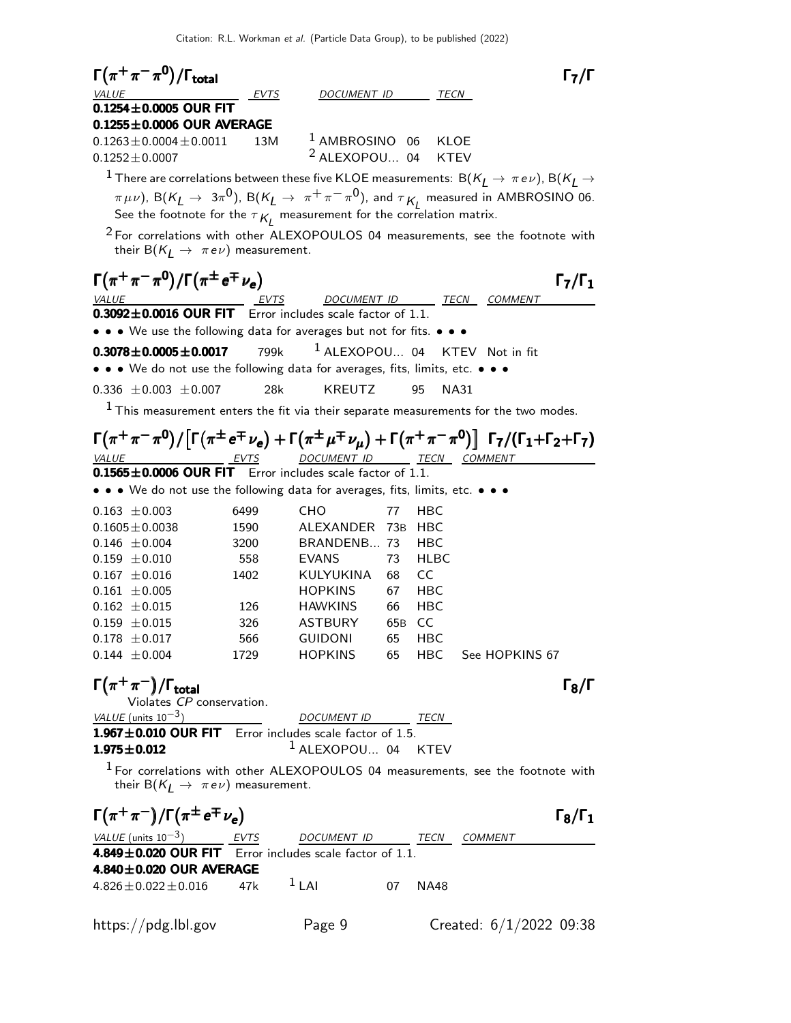| $\Gamma(\pi^+\pi^-\pi^0)/\Gamma_{\rm total}$                                                                                                                                                          |             |                                |     |             |                                    | $\Gamma_7/\Gamma$   |
|-------------------------------------------------------------------------------------------------------------------------------------------------------------------------------------------------------|-------------|--------------------------------|-----|-------------|------------------------------------|---------------------|
| <i>VALUE</i>                                                                                                                                                                                          | EVTS        | DOCUMENT ID                    |     | TECN        |                                    |                     |
| $0.1254 \pm 0.0005$ OUR FIT<br>$0.1255 \pm 0.0006$ OUR AVERAGE                                                                                                                                        |             |                                |     |             |                                    |                     |
| $0.1263 \pm 0.0004 \pm 0.0011$                                                                                                                                                                        | 13M         | <sup>1</sup> AMBROSINO 06 KLOE |     |             |                                    |                     |
| $0.1252 \pm 0.0007$                                                                                                                                                                                   |             | $2$ ALEXOPOU 04                |     | KTEV        |                                    |                     |
| $^{-1}$ There are correlations between these five KLOE measurements: $\, {\sf B} (K_L^{} \to \pi \, e \nu)$ , ${\sf B} (K_L^{} \to \pi \, e \nu)$                                                     |             |                                |     |             |                                    |                     |
| $\pi \mu \nu$ ), B( $K_L \to 3\pi^0$ ), B( $K_L \to \pi^+ \pi^- \pi^0$ ), and $\tau_{K_L}$ measured in AMBROSINO 06.<br>See the footnote for the $\tau_{K_l}$ measurement for the correlation matrix. |             |                                |     |             |                                    |                     |
|                                                                                                                                                                                                       |             |                                |     |             |                                    |                     |
| $2$ For correlations with other ALEXOPOULOS 04 measurements, see the footnote with<br>their B( $K_I \rightarrow \pi e \nu$ ) measurement.                                                             |             |                                |     |             |                                    |                     |
| $\Gamma(\pi^+\pi^-\pi^0)/\Gamma(\pi^{\pm}e^{\mp}\nu_e)$                                                                                                                                               |             |                                |     |             |                                    | $\Gamma_7/\Gamma_1$ |
| <b>VALUE</b>                                                                                                                                                                                          | <i>EVTS</i> |                                |     |             | DOCUMENT ID TECN COMMENT           |                     |
| 0.3092±0.0016 OUR FIT Error includes scale factor of 1.1.                                                                                                                                             |             |                                |     |             |                                    |                     |
| • • • We use the following data for averages but not for fits. • • •                                                                                                                                  |             |                                |     |             |                                    |                     |
| $0.3078 \pm 0.0005 \pm 0.0017$                                                                                                                                                                        | 799k        | $1$ ALEXOPOU 04                |     |             | KTEV Not in fit                    |                     |
| • • • We do not use the following data for averages, fits, limits, etc. • • •                                                                                                                         |             |                                |     |             |                                    |                     |
| $0.336 \pm 0.003 \pm 0.007$                                                                                                                                                                           | 28k         | <b>KREUTZ</b>                  |     | 95<br>NA31  |                                    |                     |
| $^1$ This measurement enters the fit via their separate measurements for the two modes.                                                                                                               |             |                                |     |             |                                    |                     |
| $\Gamma(\pi^+\pi^-\pi^0)/[\Gamma(\pi^{\pm}e^{\mp}\nu_e)+\Gamma(\pi^{\pm}\mu^{\mp}\nu_{\mu})+\Gamma(\pi^+\pi^-\pi^0)] \Gamma_7/(\Gamma_1+\Gamma_2+\Gamma_7)$                                           |             |                                |     |             |                                    |                     |
| <i>VALUE</i>                                                                                                                                                                                          | EVTS        | DOCUMENT ID TECN COMMENT       |     |             |                                    |                     |
| $0.1565 \pm 0.0006$ OUR FIT Error includes scale factor of 1.1.                                                                                                                                       |             |                                |     |             |                                    |                     |
| • • • We do not use the following data for averages, fits, limits, etc. • • •                                                                                                                         |             |                                |     |             |                                    |                     |
| $0.163 \pm 0.003$                                                                                                                                                                                     | 6499        | CHO                            | 77  | HBC         |                                    |                     |
| $0.1605 \pm 0.0038$                                                                                                                                                                                   | 1590        | ALEXANDER 73B                  |     | HBC         |                                    |                     |
| $0.146 \pm 0.004$                                                                                                                                                                                     | 3200        | BRANDENB 73                    |     | <b>HBC</b>  |                                    |                     |
| $0.159 \pm 0.010$                                                                                                                                                                                     | 558         | <b>EVANS</b>                   | 73  | HLBC        |                                    |                     |
| $0.167 \pm 0.016$                                                                                                                                                                                     | 1402        | KULYUKINA 68                   |     | CC.         |                                    |                     |
| $0.161 \pm 0.005$                                                                                                                                                                                     |             | <b>HOPKINS</b>                 | 67  | HBC         |                                    |                     |
| $0.162 \pm 0.015$                                                                                                                                                                                     | 126         | HAWKINS                        | 66  | HBC         |                                    |                     |
| $0.159 \pm 0.015$                                                                                                                                                                                     | 326         | ASTBURY                        | 65B | CC          |                                    |                     |
| $0.178 \pm 0.017$                                                                                                                                                                                     | 566         | GUIDONI                        | 65  | HBC         |                                    |                     |
| $0.144 \pm 0.004$                                                                                                                                                                                     |             |                                |     |             | 1729 HOPKINS 65 HBC See HOPKINS 67 |                     |
| $\Gamma(\pi^+\pi^-)/\Gamma_{\rm total}$                                                                                                                                                               |             |                                |     |             |                                    | $\Gamma_8/\Gamma$   |
| Violates CP conservation.                                                                                                                                                                             |             |                                |     |             |                                    |                     |
| VALUE (units $10^{-3}$ )<br>$\frac{VALUE \text{ (units 10}^{-3})}{1.967 \pm 0.010 \text{ OUR FIT}}$ Error includes scale factor of 1.5.                                                               |             |                                |     |             |                                    |                     |
| $1.975 \pm 0.012$                                                                                                                                                                                     |             | $1$ ALEXOPOU 04 KTEV           |     |             |                                    |                     |
|                                                                                                                                                                                                       |             |                                |     |             |                                    |                     |
| $1$ For correlations with other ALEXOPOULOS 04 measurements, see the footnote with<br>their B( $K_I \rightarrow \pi e \nu$ ) measurement.                                                             |             |                                |     |             |                                    |                     |
| $\Gamma(\pi^+\pi^-)/\Gamma(\pi^{\pm}e^{\mp}\nu_e)$                                                                                                                                                    |             |                                |     |             |                                    | $\Gamma_8/\Gamma_1$ |
| VALUE (units $10^{-3}$ ) EVTS                                                                                                                                                                         |             | DOCUMENT ID TECN COMMENT       |     |             |                                    |                     |
| 4.849±0.020 OUR FIT Error includes scale factor of 1.1.<br>4.840±0.020 OUR AVERAGE                                                                                                                    |             |                                |     |             |                                    |                     |
| $4.826 \pm 0.022 \pm 0.016$ 47k                                                                                                                                                                       | $1$ LAI     | $\overline{07}$                |     | <b>NA48</b> |                                    |                     |
|                                                                                                                                                                                                       |             |                                |     |             |                                    |                     |
| https://pdg.lbl.gov                                                                                                                                                                                   |             | Page 9                         |     |             | Created: $6/1/2022$ 09:38          |                     |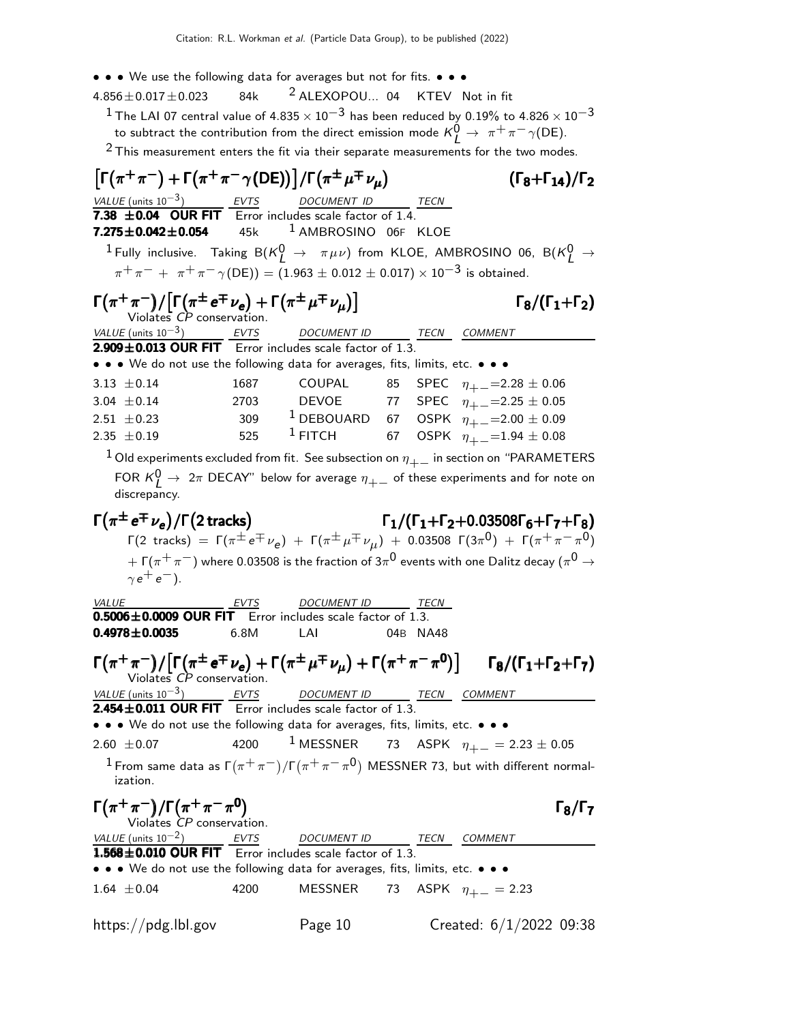- • We use the following data for averages but not for fits. • •
- $4.856 \pm 0.017 \pm 0.023$  84k <sup>2</sup> ALEXOPOU... 04 KTEV Not in fit
	- $^1$  The LAI 07 central value of 4.835  $\times$  10 $^{-3}$  has been reduced by 0.19% to 4.826  $\times$  10 $^{-3}$ to subtract the contribution from the direct emission mode  $\mathsf{K}_{\mathsf{L}}^{\mathsf{O}} \to~\pi^+\pi^-\gamma(\mathsf{DE}).$

 $2$  This measurement enters the fit via their separate measurements for the two modes.

 $\left[\Gamma(\pi^+\pi^-)+\Gamma(\pi^+\pi^-\gamma(DE))\right]/\Gamma(\pi^{\pm}\mu^{\mp}\nu_{\mu})$  ( $\Gamma_8+\Gamma_{14}$ )/ $\Gamma_2$  $(\Gamma_8+\Gamma_{14})/\Gamma_2$ VALUE (units  $10^{-3}$ ) EVTS DOCUMENT ID 7.38  $\pm$ 0.04 OUR FIT  $\overline{C}$  Error includes scale factor of 1.4.  $7.275\pm0.042\pm0.054$  45k  $^1$  AMBROSINO 06F KLOE  $^1$  Fully inclusive. Taking  $\mathsf{B}(\mathsf{K}_{\mathsf{L}}^0 \rightarrow \pi\mu\nu)$  from KLOE, AMBROSINO 06,  $\mathsf{B}(\mathsf{K}_{\mathsf{L}}^0 \rightarrow \pi\mu\nu)$  $\pi^+ \pi^- + \pi^+ \pi^- \gamma$  (DE)) = (1.963 ± 0.012 ± 0.017) × 10<sup>-3</sup> is obtained.  $\Gamma(\pi^+\pi^-)/\big[\Gamma\big(\pi^{\pm}\,e^{\mp}\,\nu_e\big)+\Gamma\big(\pi^{\pm}\,\mu^{\mp}\,\nu_{\mu}\big)\big]$  Γ<sub>8</sub>/(Γ<sub>1</sub>+Γ<sub>2</sub>) Violates CP conservation. VALUE (units  $10^{-3}$ ) EVTS DOCUMENT ID TECN COMMENT  $2.909\pm0.013$  OUR FIT Error includes scale factor of 1.3. • • • We do not use the following data for averages, fits, limits, etc. • • • 3.13  $\pm$ 0.14 1687 COUPAL 85 SPEC  $\eta_{+-}$ =2.28  $\pm$  0.06 3.04  $\pm$  0.14 2703 DEVOE 77 SPEC  $\eta_{+-}$ =2.25  $\pm$  0.05 2.51 ±0.23 309  $\frac{1}{1}$ DEBOUARD 67 OSPK  $\eta_{+-}^{+}$ =2.00 ± 0.09 2.35  $\pm$  0.19 525  $^1$  FITCH 67 OSPK  $\eta^{+}_{+-}$ =1.94  $\pm$  0.08  $1$  Old experiments excluded from fit. See subsection on  $\eta_{+-}$  in section on "PARAMETERS FOR  ${\sf K}^0_L\to~2\pi$  DECAY" below for average  $\eta_{+-}$  of these experiments and for note on discrepancy.  $\Gamma(\pi^{\pm}\,e^{\mp}\,\nu_e)/\Gamma(2\,\mathrm{tracks})$  $\Gamma(\pi^{\pm} e^{\mp} \nu_e)/\Gamma(2 \text{ tracks})$   $\Gamma_1/(\Gamma_1+\Gamma_2+0.03508\Gamma_6+\Gamma_7+\Gamma_8)$  $\Gamma$ **e**  $\nu_e$ )/**F(2 tracks)**<br>  $\Gamma$ (2 tracks) =  $\Gamma$ ( $\pi^{\pm}$ e  $\Gamma$  $\nu_e$ ) +  $\Gamma$ ( $\pi^{\pm}$  $\mu^{\mp}$  $\nu_{\mu}$ ) + 0.03508  $\Gamma$ (3 $\pi^0$ ) +  $\Gamma$ ( $\pi^+$  $\pi^ \pi^0$ )  $+$  Γ( $\pi^+\pi^-$ ) where 0.03508 is the fraction of 3 $\pi^0$  events with one Dalitz decay ( $\pi^0\to$  $\gamma e^+ e^-$ ). VALUE EVTS DOCUMENT ID TECN  $0.5006 \pm 0.0009$  OUR FIT Error includes scale factor of 1.3. 0.4978±0.0035 6.8M LAI 04B NA48  $\Gamma(\pi^+\pi^-)/[\Gamma(\pi^{\pm}\,e^{\mp}\,\nu_e)+\Gamma(\pi^{\pm}\,\mu^{\mp}\,\nu_{\mu})+\Gamma(\pi^+\,\pi^-\,\pi^0)] \qquad \Gamma_8/(\Gamma_1+\Gamma_2+\Gamma_7)$  $\pi$  )/  $\left[1(\pi^+e^+\nu_e)+1(\pi^+\mu^+\nu_\mu)+1(\pi^+\pi^-\pi^o)\right]$  18/(11+12<br>Violates *CP* conservation. VALUE (units  $10^{-3}$ ) EVTS DOCUMENT ID TECN COMMENT  $2.454\pm0.011$  OUR FIT Error includes scale factor of 1.3. • • • We do not use the following data for averages, fits, limits, etc. • • • 2.60 ± 0.07 4200 <sup>1</sup> MESSNER 73 ASPK  $\eta_{+-} = 2.23 \pm 0.05$  $^1$ From same data as Γ $(\pi^+\pi^-)/$ Γ $(\pi^+\pi^-\pi^0)$  MESSNER 73, but with different normalization.  $\Gamma(\pi^+\pi^-)/\Gamma(\pi^+\pi^-\pi^0)$   $\Gamma_8/\Gamma_7$ VALUE (units  $10^{-2}$ ) EVTS DOCUMENT ID TECN COMMENT  $1.568\pm0.010$  OUR FIT Error includes scale factor of 1.3. • • • We do not use the following data for averages, fits, limits, etc. • • • 1.64 ±0.04 4200 MESSNER 73 ASPK  $\eta_{+-} = 2.23$ https://pdg.lbl.gov Page 10 Created: 6/1/2022 09:38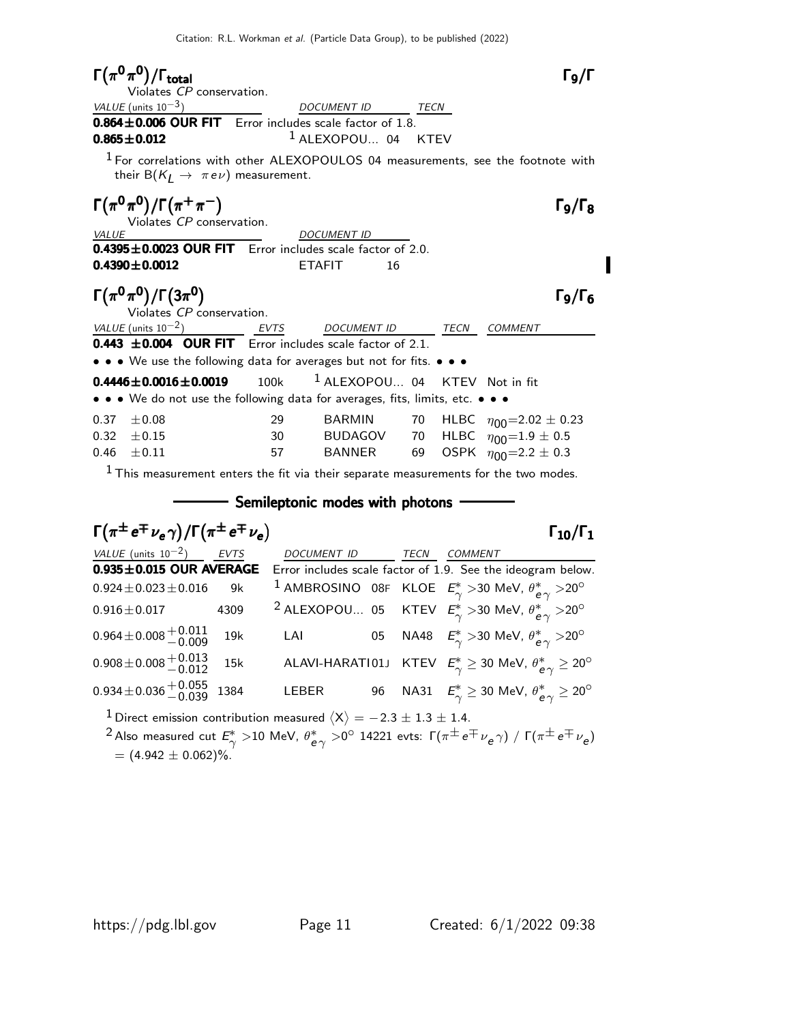$\Gamma(\pi^0\pi^0)/\Gamma_{\rm total}$  Γ9/Γ  $\Gamma_9/\Gamma$ Violates CP conservation.  $VALUE$  (units 10<sup>-3</sup>) DOCUMENT ID TECN  $0.864 \pm 0.006$  OUR FIT Error includes scale factor of 1.8.  $0.865 \pm 0.012$   $1$  ALEXOPOU... 04 KTEV <sup>1</sup> For correlations with other ALEXOPOULOS 04 measurements, see the footnote with their B $(K_I \rightarrow \pi e \nu)$  measurement.  $\Gamma(\pi^0\pi^0)/\Gamma(\pi^+\pi^-)$   $\Gamma_9/\Gamma_8$ Violates *CP* conservation.<br>VALUE DOCUMENT ID  $0.4395\pm0.0023$  OUR FIT Error includes scale factor of 2.0. 0.4390±0.0012 ETAFIT 16  $\Gamma(\pi^0\pi^0)/\Gamma(3\pi^0)$   $\Gamma_9/\Gamma_6$  $\pi^0$ )/Г $(3\pi^0)$ <br>Violates *CP* conservation. VALUE (units  $10^{-2}$ ) EVTS DOCUMENT ID TECN COMMENT **0.443**  $\pm$ **0.004 OUR FIT** Error includes scale factor of 2.1. • • • We use the following data for averages but not for fits. • • •  $0.4446 \pm 0.0016 \pm 0.0019$  100k  $1$  ALEXOPOU... 04 KTEV Not in fit • • • We do not use the following data for averages, fits, limits, etc. • • • 0.37  $\pm$  0.08 29 BARMIN 70 HLBC  $\eta_{00}$ =2.02  $\pm$  0.23<br>0.32  $\pm$  0.15 30 BUDAGOV 70 HLBC  $\eta_{00}$ =1.9  $\pm$  0.5 0.32  $\pm$  0.15 30 BUDAGOV 70 HLBC  $\eta_{00} = 1.9 \pm 0.5$ <br>0.46  $\pm$  0.11 57 BANNER 69 OSPK  $\eta_{00} = 2.2 \pm 0.3$ 69 OSPK  $\eta_{00} = 2.2 \pm 0.3$ 

 $<sup>1</sup>$  This measurement enters the fit via their separate measurements for the two modes.</sup>

Semileptonic modes with photons

$$
\begin{array}{llll}\n\Gamma(\pi^{\pm}e^{\mp}\nu_{e}\gamma)/\Gamma(\pi^{\pm}e^{\mp}\nu_{e}) & \Gamma_{10}/\Gamma_{1} \\
\hline\n\text{VALUE (units 10}^{-2)} & \text{EVTS} & \text{DOCUMENT ID} & \text{TECN} & \text{COMMENT} \\
\hline\n0.935 \pm 0.015 \text{ OUR AVERAGE} & \text{Error includes scale factor of 1.9. See the ideogram below.} \\
0.924 \pm 0.023 \pm 0.016 & 9k & 1 AMBROSINO 08F KLOE & E_{\gamma}^{*} > 30 MeV, \theta_{e\gamma}^{*} > 20^{\circ} \\
0.916 \pm 0.017 & 4309 & 2 ALEXOPOU... 05 & KTEV & E_{\gamma}^{*} > 30 MeV, \theta_{e\gamma}^{*} > 20^{\circ} \\
0.964 \pm 0.008 \pm 0.008 \pm 0.009 & 19k & \text{LAI} & 05 NA48 & E_{\gamma}^{*} > 30 MeV, \theta_{e\gamma}^{*} > 20^{\circ} \\
0.908 \pm 0.008 \pm 0.008 \pm 0.012 & 15k & \text{ALAVI-HARATIO1J} & KTEV & E_{\gamma}^{*} \ge 30 MeV, \theta_{e\gamma}^{*} \ge 20^{\circ} \\
0.934 \pm 0.036 \pm 0.036 \pm 0.039 & 1384 & \text{LEBER} & 96 NA31 & E_{\gamma}^{*} \ge 30 MeV, \theta_{e\gamma}^{*} \ge 20^{\circ}\n\end{array}
$$

 $^{\text{1}}$  Direct emission contribution measured  $\langle \mathrm{X} \rangle = -2.3 \pm 1.3 \pm 1.4.$ 

 $\mathbf{r}$ 

<sup>2</sup> Also measured cut  $E_{\sim}^{*}$  $_{\gamma}^{*}$   $>$ 10 MeV,  $\theta_{\mathsf{e}}^{*}$  $\frac{1}{e\gamma}>$ 0 $^{\circ}$  14221 evts: Γ( $\pi^{\pm}\,$ e $^{\mp}\nu_{\bm e}\gamma)$  / Γ( $\pi^{\pm}\,$ e $^{\mp}\nu_{\bm e})$  $= (4.942 \pm 0.062)\%$ .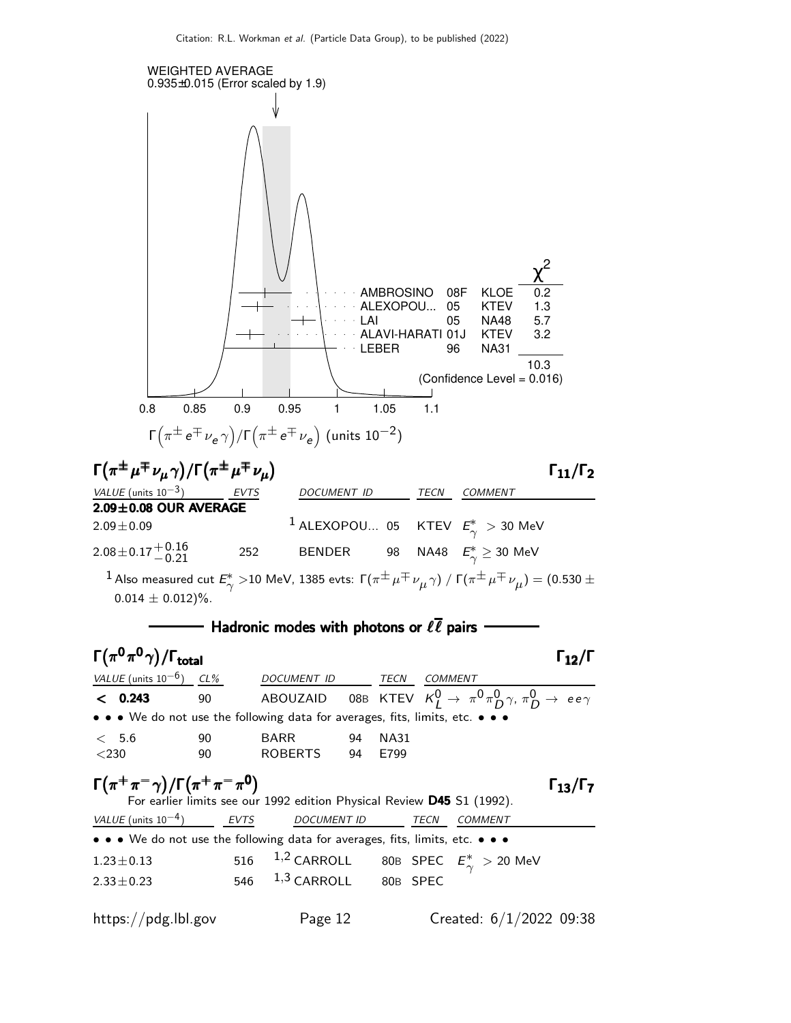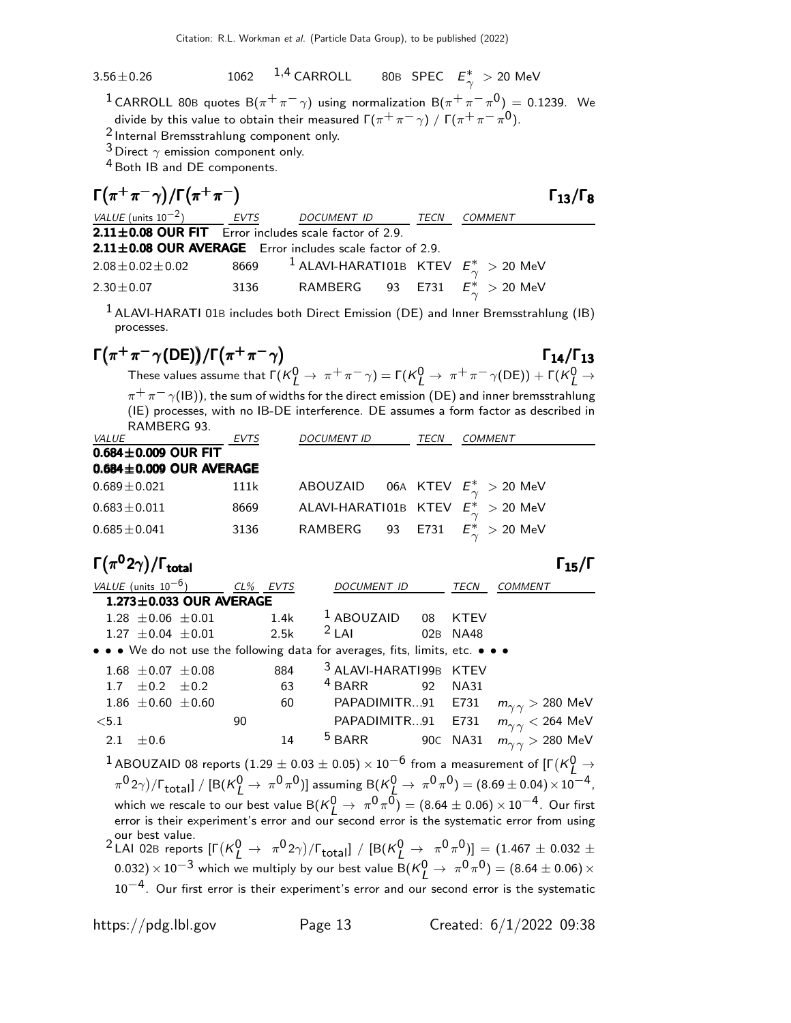#### $3.56 \pm 0.26$  1062  $1.4$  CARROLL 80B SPEC  $E^*_{\infty}$  $_{\gamma}^{\ast}$   $>$  20 MeV

 $^1$ CARROLL 80B quotes  $\mathsf{B}(\pi^+\pi^-\gamma)$  using normalization  $\mathsf{B}(\pi^+\pi^-\pi^0)=$  0.1239. We divide by this value to obtain their measured  $\Gamma(\pi^+\pi^-\, \gamma) \; / \; \Gamma(\pi^+\pi^-\, \pi^0).$ 

2 Internal Bremsstrahlung component only.

 $3$  Direct  $\gamma$  emission component only.

4 Both IB and DE components.

| $\Gamma(\pi^+\pi^-\gamma)/\Gamma(\pi^+\pi^-)$                   |      |                                                              |      | $\Gamma_{13}/\Gamma_8$ |
|-----------------------------------------------------------------|------|--------------------------------------------------------------|------|------------------------|
| VALUE (units $10^{-2}$ ) EVTS                                   |      | DOCUMENT ID                                                  | TECN | COMMENT                |
| $2.11 \pm 0.08$ OUR FIT Error includes scale factor of 2.9.     |      |                                                              |      |                        |
| $2.11 \pm 0.08$ OUR AVERAGE Error includes scale factor of 2.9. |      |                                                              |      |                        |
| $2.08 \pm 0.02 \pm 0.02$                                        |      | 8669 <sup>1</sup> ALAVI-HARATI01B KTEV $E^*_{\sim} > 20$ MeV |      |                        |
| $2.30 \pm 0.07$                                                 | 3136 | RAMBERG 93 E731 $E^*_{\sim} > 20$ MeV                        |      |                        |

 $1$ ALAVI-HARATI 01B includes both Direct Emission (DE) and Inner Bremsstrahlung (IB) processes.

#### $\Gamma(\pi^+\pi^-\gamma(DE))/\Gamma(\pi^+\pi^-\gamma)$  Γ<sub>14</sub>/Γ<sub>13</sub>  $\Gamma_{14}/\Gamma_{13}$

These values assume that  $\Gamma(K^0_L\to\pi^+\pi^-\gamma)=\Gamma(K^0_L\to\pi^+\pi^-\gamma(DE))+\Gamma(K^0_L\to\pi^+\pi^-\gamma)$  $\pi^+\pi^-\gamma$ (IB)), the sum of widths for the direct emission (DE) and inner bremsstrahlung (IE) processes, with no IB-DE interference. DE assumes a form factor as described in RAMBERG 93.

|                               |             |                    | COMMENT                                                         |
|-------------------------------|-------------|--------------------|-----------------------------------------------------------------|
|                               |             |                    |                                                                 |
| $0.684 \pm 0.009$ OUR AVERAGE |             |                    |                                                                 |
| 111k                          | ABOUZAID    |                    | 06A KTEV $E^*_{\sim} > 20$ MeV                                  |
| 8669                          |             |                    |                                                                 |
| 3136                          | RAMBERG     |                    | $E^* > 20$ MeV                                                  |
|                               | <b>EVTS</b> | <i>DOCUMENT ID</i> | TECN<br>ALAVI-HARATI01B KTEV $E_{\sim}^{*} > 20$ MeV<br>93 E731 |

 $\Gamma(\pi^0 2\gamma)/\Gamma_{\rm total}$  Γ<sub>15</sub>/Γ

| <i>VALUE</i> (units $10^{-6}$ ) |                               | CL% EVTS |      | DOCUMENT ID                                                                   |     | TECN        | COMMENT                                                                                                                                                                                  |
|---------------------------------|-------------------------------|----------|------|-------------------------------------------------------------------------------|-----|-------------|------------------------------------------------------------------------------------------------------------------------------------------------------------------------------------------|
|                                 | $1.273 \pm 0.033$ OUR AVERAGE |          |      |                                                                               |     |             |                                                                                                                                                                                          |
| $1.28 \pm 0.06 \pm 0.01$        |                               |          | 1.4k | $1$ ABOUZAID 08 KTEV                                                          |     |             |                                                                                                                                                                                          |
| $1.27 \pm 0.04 \pm 0.01$        |                               |          | 2.5k | $2$ LAI                                                                       | 02B | <b>NA48</b> |                                                                                                                                                                                          |
|                                 |                               |          |      | • • • We do not use the following data for averages, fits, limits, etc. • • • |     |             |                                                                                                                                                                                          |
| $1.68 \pm 0.07 \pm 0.08$        |                               |          | 884  | <sup>3</sup> ALAVI-HARATI99B KTEV                                             |     |             |                                                                                                                                                                                          |
| $\pm 0.2$<br>1.7 <sub>z</sub>   | $\pm 0.2$                     |          | 63   | <sup>4</sup> BARR<br>92                                                       |     | <b>NA31</b> |                                                                                                                                                                                          |
| 1.86 $\pm$ 0.60 $\pm$ 0.60      |                               |          | 60   | PAPADIMITR91 E731                                                             |     |             | $m_{\gamma\gamma}$ > 280 MeV                                                                                                                                                             |
| $5.1$                           |                               | 90       |      |                                                                               |     |             | PAPADIMITR91 E731 $m_{\gamma\gamma}$ < 264 MeV                                                                                                                                           |
| 2.1<br>$\pm 0.6$                |                               |          | 14   | <sup>5</sup> BARR 90C NA31                                                    |     |             | $m_{\gamma\,\gamma}>280\,\,{\rm MeV}$                                                                                                                                                    |
|                                 |                               |          |      |                                                                               |     |             | $^1$ ABOUZAID 08 reports (1.29 $\pm$ 0.03 $\pm$ 0.05) $\times$ 10 $^{-6}$ from a measurement of [F(K) $\rightarrow$                                                                      |
|                                 |                               |          |      |                                                                               |     |             | $(\pi^0 2\gamma)/\Gamma_{\text{total}}$ ] / [B(K $^0$ $\rightarrow \pi^0 \pi^0$ )] assuming B(K $^0$ $\rightarrow \pi^0 \pi^0$ ) = (8.69 ± 0.04) × 10 <sup>-4</sup> ,                    |
|                                 |                               |          |      |                                                                               |     |             | which we rescale to our best value B( $K_I^0 \rightarrow \pi^0 \pi^0$ ) = (8.64 $\pm$ 0.06) × 10 <sup>-4</sup> . Our first                                                               |
|                                 |                               |          |      |                                                                               |     |             | error is their experiment's error and our second error is the systematic error from using                                                                                                |
|                                 |                               |          |      |                                                                               |     |             |                                                                                                                                                                                          |
|                                 |                               |          |      |                                                                               |     |             | our best value.<br><sup>2</sup> LAI 02B reports $[\Gamma(\mathcal{K}^0_f \to \pi^0 2\gamma)/\Gamma_{\text{total}}] / [B(\mathcal{K}^0_L \to \pi^0 \pi^0)] = (1.467 \pm 0.032 \pm 0.032)$ |
|                                 |                               |          |      |                                                                               |     |             | 0.032) $\times$ 10 <sup>-3</sup> which we multiply by our best value B( $K_I^0 \rightarrow \pi^0 \pi^0$ ) = (8.64 $\pm$ 0.06) $\times$                                                   |
|                                 |                               |          |      |                                                                               |     |             | $10^{-4}$ . Our first error is their experiment's error and our second error is the systematic                                                                                           |
|                                 |                               |          |      |                                                                               |     |             |                                                                                                                                                                                          |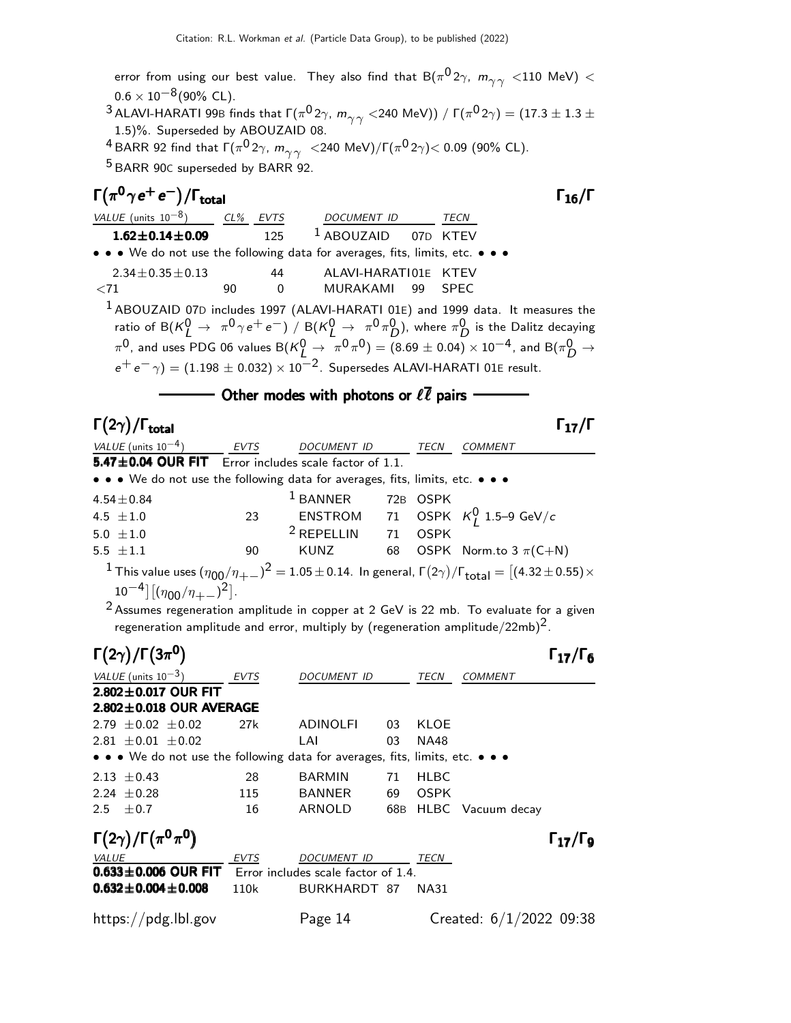error from using our best value. They also find that  $\mathsf{B}(\pi^{\mathsf{0}} 2\gamma,\; \mathsf{m}_{\gamma\gamma}^{\mathcal{}} < 110\,$  MeV)  $<$  $0.6 \times 10^{-8}$ (90% CL).  $^3$  ALAVI-HARATI 99B finds that  $\Gamma(\pi^{\textsf{O}}2\gamma,\ m_{\gamma^\prime\gamma^\prime}$   $<$ 240 MeV))  $/\Gamma(\pi^{\textsf{O}}2\gamma)=(17.3\pm1.3\pm1.3$ 1.5)%. Superseded by ABOUZAID 08.  $^4$ BARR 92 find that  $\Gamma(\pi^{\textsf{O}}2\gamma,\ m_{\gamma^\gamma}^\gamma$  <240 MeV)/ $\Gamma(\pi^{\textsf{O}}2\gamma)$ < 0.09 (90% CL).  $5$  BARR 90C superseded by BARR 92.

| $\Gamma(\pi^0\gamma e^+e^-)/\Gamma_{\rm total}$                               |    |                |                                                                                                                                   |             | $\Gamma_{16}/\Gamma$ |
|-------------------------------------------------------------------------------|----|----------------|-----------------------------------------------------------------------------------------------------------------------------------|-------------|----------------------|
| VALUE (units $10^{-8}$ ) CL% EVTS                                             |    |                | <b>DOCUMENT ID</b>                                                                                                                | <b>TECN</b> |                      |
| $1.62 \pm 0.14 \pm 0.09$                                                      |    | 125            | <sup>1</sup> ABOUZAID 07D KTEV                                                                                                    |             |                      |
| • • • We do not use the following data for averages, fits, limits, etc. • • • |    |                |                                                                                                                                   |             |                      |
| $2.34 \pm 0.35 \pm 0.13$                                                      |    | 44             | ALAVI-HARATI01E KTEV                                                                                                              |             |                      |
| ${<}71$                                                                       | 90 | $\overline{0}$ | MURAKAMI 99 SPEC                                                                                                                  |             |                      |
|                                                                               |    |                | <sup>1</sup> ABOUZAID 07D includes 1997 (ALAVI-HARATI 01E) and 1999 data. It measures the                                         |             |                      |
|                                                                               |    |                | ratio of B( $K_I^0 \to \pi^0 \gamma e^+ e^-$ ) / B( $K_I^0 \to \pi^0 \pi_D^0$ ), where $\pi_D^0$ is the Dalitz decaying           |             |                      |
|                                                                               |    |                | $\pi^0$ , and uses PDG 06 values B $(K_I^0 \to \pi^0 \pi^0) = (8.69 \pm 0.04) \times 10^{-4}$ , and B $(\pi_D^0 \to \pi^0 \pi^0)$ |             |                      |
|                                                                               |    |                | $e^+e^-\gamma$ = (1.198 $\pm$ 0.032) $\times$ 10 <sup>-2</sup> . Supersedes ALAVI-HARATI 01E result.                              |             |                      |

#### - Other modes with photons or  $\ell\overline{\ell}$  pairs -

| $\Gamma(2\gamma)/\Gamma_{\rm total}$                                          |      |                    |    |             | $\Gamma_{17}/\Gamma$                                                                                                                                   |
|-------------------------------------------------------------------------------|------|--------------------|----|-------------|--------------------------------------------------------------------------------------------------------------------------------------------------------|
| VALUE (units $10^{-4}$ )                                                      | EVTS | <i>DOCUMENT ID</i> |    | TECN        | <b>COMMENT</b>                                                                                                                                         |
| 5.47±0.04 OUR FIT Error includes scale factor of 1.1.                         |      |                    |    |             |                                                                                                                                                        |
| • • • We do not use the following data for averages, fits, limits, etc. • • • |      |                    |    |             |                                                                                                                                                        |
| $4.54 \pm 0.84$                                                               |      | $1$ BANNER         |    | 72B OSPK    |                                                                                                                                                        |
| 4.5 $\pm 1.0$                                                                 | 23   |                    |    |             | ENSTROM 71 OSPK $K_I^0$ 1.5–9 GeV/c                                                                                                                    |
| 5.0 $\pm 1.0$                                                                 |      | $2$ REPELLIN       | 71 | <b>OSPK</b> |                                                                                                                                                        |
| 5.5 $\pm 1.1$                                                                 | 90   |                    |    |             | KUNZ 68 OSPK Norm.to $3 \pi$ (C+N)                                                                                                                     |
|                                                                               |      |                    |    |             | <sup>1</sup> This value uses $(\eta_{00}/\eta_{+-})^2 = 1.05 \pm 0.14$ . In general, $\Gamma(2\gamma)/\Gamma_{\text{total}} = [(4.32 \pm 0.55) \times$ |

 $10^{-4}$ ] [ $(\eta_{00}/\eta_{+-})^2$ ].

2 Assumes regeneration amplitude in copper at 2 GeV is 22 mb. To evaluate for a given regeneration amplitude and error, multiply by (regeneration amplitude/22mb)<sup>2</sup>.

|              | $\Gamma(2\gamma)/\Gamma(3\pi^0)$                                              |             |                                     |    |             |                           | $\Gamma_{17}/\Gamma_6$   |
|--------------|-------------------------------------------------------------------------------|-------------|-------------------------------------|----|-------------|---------------------------|--------------------------|
|              | VALUE (units $10^{-3}$ )                                                      | <b>EVTS</b> | DOCUMENT ID                         |    | <b>TECN</b> | <b>COMMENT</b>            |                          |
|              | $2.802 \pm 0.017$ OUR FIT                                                     |             |                                     |    |             |                           |                          |
|              | $2.802 \pm 0.018$ OUR AVERAGE                                                 |             |                                     |    |             |                           |                          |
|              | $2.79 \pm 0.02 \pm 0.02$                                                      | 27k         | <b>ADINOLFI</b>                     | 03 | KLOE        |                           |                          |
|              | $2.81 \pm 0.01 \pm 0.02$                                                      |             | LAI                                 | 03 | NA48        |                           |                          |
|              | • • • We do not use the following data for averages, fits, limits, etc. • • • |             |                                     |    |             |                           |                          |
|              | 2.13 $\pm$ 0.43                                                               | 28          | <b>BARMIN</b>                       | 71 | HLBC        |                           |                          |
|              | $2.24 + 0.28$                                                                 | 115         | <b>BANNER</b>                       | 69 | <b>OSPK</b> |                           |                          |
| 2.5          | $\pm 0.7$                                                                     | 16          | <b>ARNOLD</b>                       |    |             | 68B HLBC Vacuum decay     |                          |
|              | $\Gamma(2\gamma)/\Gamma(\pi^0\pi^0)$                                          |             |                                     |    |             |                           | $\Gamma_{17}/\Gamma_{9}$ |
| <i>VALUE</i> |                                                                               | EVTS        | DOCUMENT ID                         |    | TECN        |                           |                          |
|              | $0.633 \pm 0.006$ OUR FIT                                                     |             | Error includes scale factor of 1.4. |    |             |                           |                          |
|              | $0.632 \pm 0.004 \pm 0.008$                                                   | 110k        | BURKHARDT 87                        |    | NA31        |                           |                          |
|              | https://pdg.lbl.gov                                                           |             | Page 14                             |    |             | Created: $6/1/2022$ 09:38 |                          |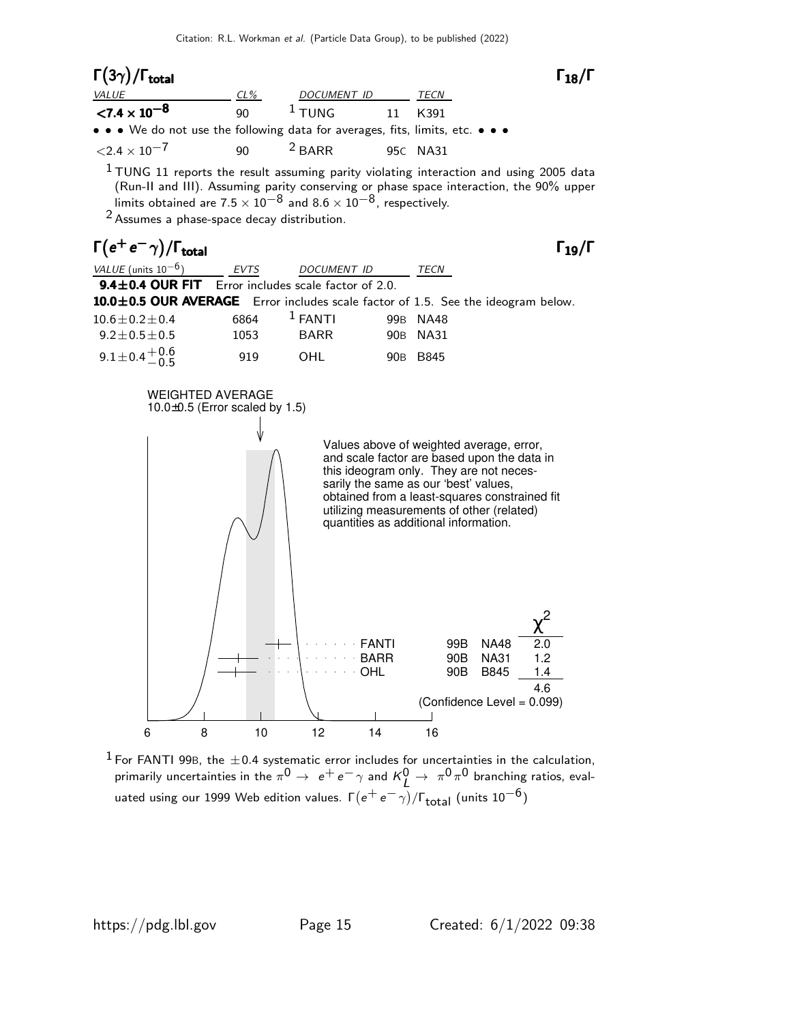#### Γ $(3\gamma)$ /Γ<sub>total</sub> Γ CL% DOCUMENT ID TECN  $< 7.4 \times 10^{-8}$ 90  $1$  TUNG 11 K391 • • • We do not use the following data for averages, fits, limits, etc. • • •  $\langle 2.4 \times 10^{-7}$  90  $^{2}$  BARR 95C NA31

 $1$  TUNG 11 reports the result assuming parity violating interaction and using 2005 data (Run-II and III). Assuming parity conserving or phase space interaction, the 90% upper limits obtained are  $7.5 \times 10^{-8}$  and  $8.6 \times 10^{-8}$ , respectively.

 $^2$  Assumes a phase-space decay distribution.

### $\Gamma(e^+e^-\gamma)/\Gamma_{\text{total}}$  Γ<sub>19</sub>/Γ

 $\Gamma_{18}/\Gamma$ 

| $\Gamma(e^+e^-\gamma)/\Gamma_{\rm total}$                                        |             |             |                 |             | $\Gamma_{19}/\Gamma$ |
|----------------------------------------------------------------------------------|-------------|-------------|-----------------|-------------|----------------------|
| VALUE (units $10^{-6}$ )                                                         | <b>EVTS</b> | DOCUMENT ID |                 | TECN        |                      |
| <b>9.4<math>\pm</math>0.4 OUR FIT</b> Error includes scale factor of 2.0.        |             |             |                 |             |                      |
| 10.0±0.5 OUR AVERAGE Error includes scale factor of 1.5. See the ideogram below. |             |             |                 |             |                      |
| $10.6 \pm 0.2 \pm 0.4$                                                           | 6864        | $1$ FANTI   | 99B             | <b>NA48</b> |                      |
| $9.2 \pm 0.5 \pm 0.5$                                                            | 1053        | <b>BARR</b> | 90B             | NA31        |                      |
| $9.1 \pm 0.4 \pm 0.6$                                                            | 919         | OHL         | 90 <sub>B</sub> | B845        |                      |



 $^1$  For FANTI 99B, the  $\pm$ 0.4 systematic error includes for uncertainties in the calculation, primarily uncertainties in the  $\pi^0\to~e^+e^-\gamma$  and  $\kappa_L^0\to~\pi^0\pi^0$  branching ratios, evaluated using our 1999 Web edition values.  $\mathsf{\Gamma}(e^+e^-\gamma)/\mathsf{\Gamma}_{\textsf{total}}$  (units  $10^{-6})$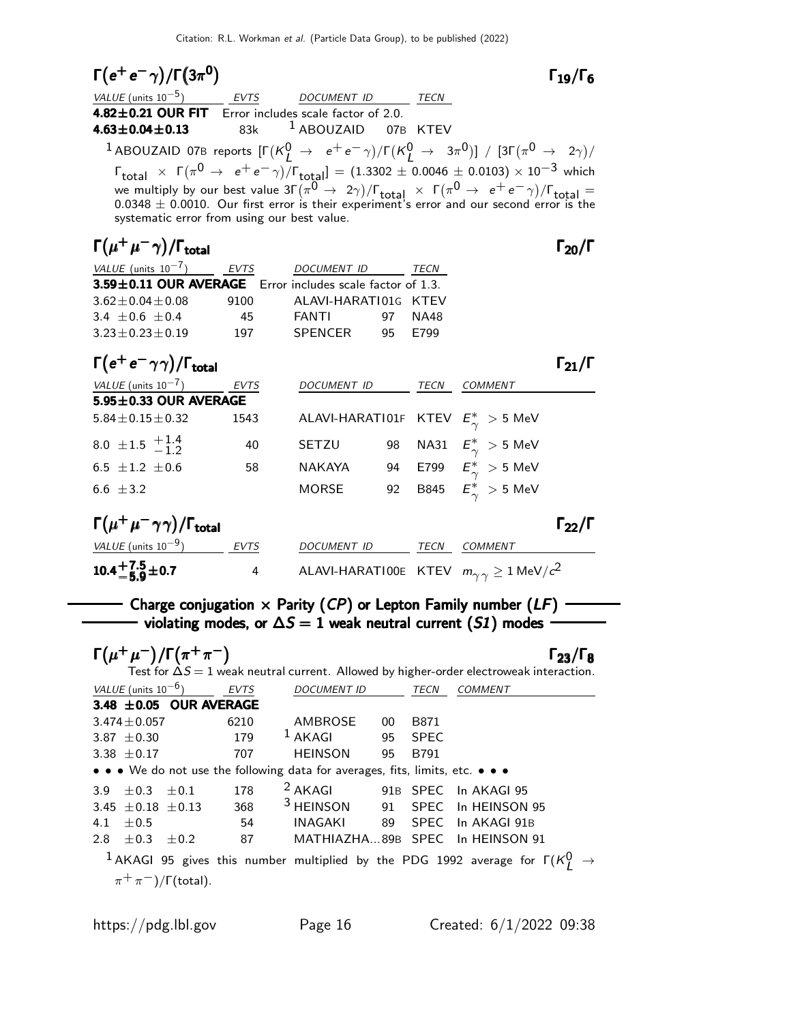$$
\Gamma(e^+e^-\gamma)/\Gamma(3\pi^0) \qquad \qquad \Gamma_{19}/\Gamma_6
$$

 $\Gamma_{19}/\Gamma_6$ 

| <i>VALUE</i> (units $10^{-5}$ )                                                                                                                                                                                                                                                                                                                                                                                                         | EVTS    | DOCUMENT ID                    | TECN |                      |
|-----------------------------------------------------------------------------------------------------------------------------------------------------------------------------------------------------------------------------------------------------------------------------------------------------------------------------------------------------------------------------------------------------------------------------------------|---------|--------------------------------|------|----------------------|
| 4.82 $\pm$ 0.21 OUR FIT Error includes scale factor of 2.0.                                                                                                                                                                                                                                                                                                                                                                             |         |                                |      |                      |
| 4.63 $\pm$ 0.04 $\pm$ 0.13                                                                                                                                                                                                                                                                                                                                                                                                              | 83k - 1 | <sup>1</sup> ABOUZAID 07B KTEV |      |                      |
| <sup>1</sup> ABOUZAID 07B reports $[\Gamma(K_f^0 \rightarrow e^+e^-\gamma)/\Gamma(K_f^0 \rightarrow 3\pi^0)] / [3\Gamma(\pi^0 \rightarrow 2\gamma)/$                                                                                                                                                                                                                                                                                    |         |                                |      |                      |
| $\Gamma_{\text{total}} \times \Gamma(\pi^0 \to e^+e^-\gamma)/\Gamma_{\text{total}}] = (1.3302 \pm 0.0046 \pm 0.0103) \times 10^{-3}$ which<br>we multiply by our best value $3\Gamma(\pi^0 \to 2\gamma)/\Gamma_{\text{total}} \times \Gamma(\pi^0 \to e^+e^-\gamma)/\Gamma_{\text{total}} = 0.0348 \pm 0.0010$ . Our first error is their experiment's error and our second error is the<br>systematic error from using our best value. |         |                                |      |                      |
| $\Gamma(\mu^+\mu^-\gamma)/\Gamma_{\rm total}$                                                                                                                                                                                                                                                                                                                                                                                           |         |                                |      | $\Gamma_{20}/\Gamma$ |

| <b>EVTS</b> | <b>DOCUMENT ID</b>    | TECN                                                      |
|-------------|-----------------------|-----------------------------------------------------------|
|             |                       |                                                           |
| 9100        | ALAVI-HARATI01G KTEV  |                                                           |
| 45          | <b>FANTI</b><br>97    | NA48                                                      |
| 197         | <b>SPENCER</b><br>95. | F799                                                      |
|             |                       | 3.59±0.11 OUR AVERAGE Error includes scale factor of 1.3. |

 $\Gamma(e^+e^-\gamma\gamma)/\Gamma_{\rm total}$ 

total  $\qquad \qquad$   $\qquad$   $\qquad$   $\qquad$   $\qquad$   $\qquad$   $\qquad$   $\qquad$   $\qquad$   $\qquad$   $\qquad$   $\qquad$   $\qquad$   $\qquad$   $\qquad$   $\qquad$   $\qquad$   $\qquad$   $\qquad$   $\qquad$   $\qquad$   $\qquad$   $\qquad$   $\qquad$   $\qquad$   $\qquad$   $\qquad$   $\qquad$   $\qquad$   $\qquad$   $\qquad$   $\qquad$   $\qquad$   $\qquad$   $\qquad$   $\$ 

| VALUE (units $10^{-7}$ )                            | <b>EVTS</b> | DOCUMENT ID        |    | TECN        | <b>COMMENT</b>                              |                      |
|-----------------------------------------------------|-------------|--------------------|----|-------------|---------------------------------------------|----------------------|
|                                                     |             |                    |    |             |                                             |                      |
| $5.95 \pm 0.33$ OUR AVERAGE                         |             |                    |    |             |                                             |                      |
| $5.84 \pm 0.15 \pm 0.32$                            | 1543        |                    |    |             | ALAVI-HARATI01F KTEV $E^*_{\gamma} > 5$ MeV |                      |
| 8.0 $\pm$ 1.5 $\frac{+1.4}{-1.2}$                   | 40          | SETZU              | 98 |             | NA31 $E^*_{\gamma} > 5$ MeV                 |                      |
| 6.5 $\pm 1.2$ $\pm 0.6$                             | 58          | <b>NAKAYA</b>      | 94 | E799        | $E_\gamma^*>5$ MeV                          |                      |
| 6.6 $\pm$ 3.2                                       |             | MORSE              | 92 |             | B845 $E_{\gamma}^*$ > 5 MeV                 |                      |
| $\Gamma(\mu^+\mu^-\gamma\gamma)/\Gamma_{\rm total}$ |             |                    |    |             |                                             | $\Gamma_{22}/\Gamma$ |
| VALUE (units $10^{-9}$ )                            | <b>EVTS</b> | <b>DOCUMENT ID</b> |    | <b>TECN</b> | <b>COMMENT</b>                              |                      |

|                      | - - - - | -----------                                              | . | ------------- |
|----------------------|---------|----------------------------------------------------------|---|---------------|
| $10.4 + 7.5 \pm 0.7$ |         | ALAVI-HARATIOOE KTEV $m_{\gamma\gamma} \ge 1$ MeV/ $c^2$ |   |               |
|                      |         |                                                          |   |               |

#### $\overline{\phantom{m}}$  Charge conjugation  $\times$  Parity (*CP*) or Lepton Family number (*LF*)  $\overline{\phantom{m}}$ wiolating modes, or  $\Delta S = 1$  weak neutral current (S1) modes

 $\Gamma(\mu^+\mu^-)/\Gamma(\pi^+\pi^-)$  Γ<sub>23</sub>/Γ<sub>8</sub> Γ23/ΓTest for  $\Delta S = 1$  weak neutral current. Allowed by higher-order electroweak interaction. VALUE (units 10<sup>-6</sup>) EVTS DOCUMENT ID TECN COMMENT  $3.48 \pm 0.05$  OUR AVERAGE  $3.474 \pm 0.057$  6210 AMBROSE 00 B871<br> $3.87 \pm 0.30$  179 <sup>1</sup> AKAGI 95 SPEC  $3.87 \pm 0.30$  179 <sup>1</sup> AKAGI 95 SPEC 3.38 ±0.17 707 HEINSON 95 B791 • • • We do not use the following data for averages, fits, limits, etc. • • • 3.9  $\pm$  0.3  $\pm$  0.1 178 <sup>2</sup> AKAGI 91B SPEC In AKAGI 95 3.45  $\pm$  0.18  $\pm$  0.13 368 <sup>3</sup> HEINSON 91 SPEC In HEINSON 95 4.1 ±0.5 54 INAGAKI 89 SPEC In AKAGI 91B  $2.8 \pm 0.3 \pm 0.2$  87 MATHIAZHA...89B SPEC In HEINSON 91  $^1$  AKAGI 95 gives this number multiplied by the PDG 1992 average for Γ( $\kappa_L^0$   $\rightarrow$  $(\pi^+\pi^-)/\Gamma$ (total).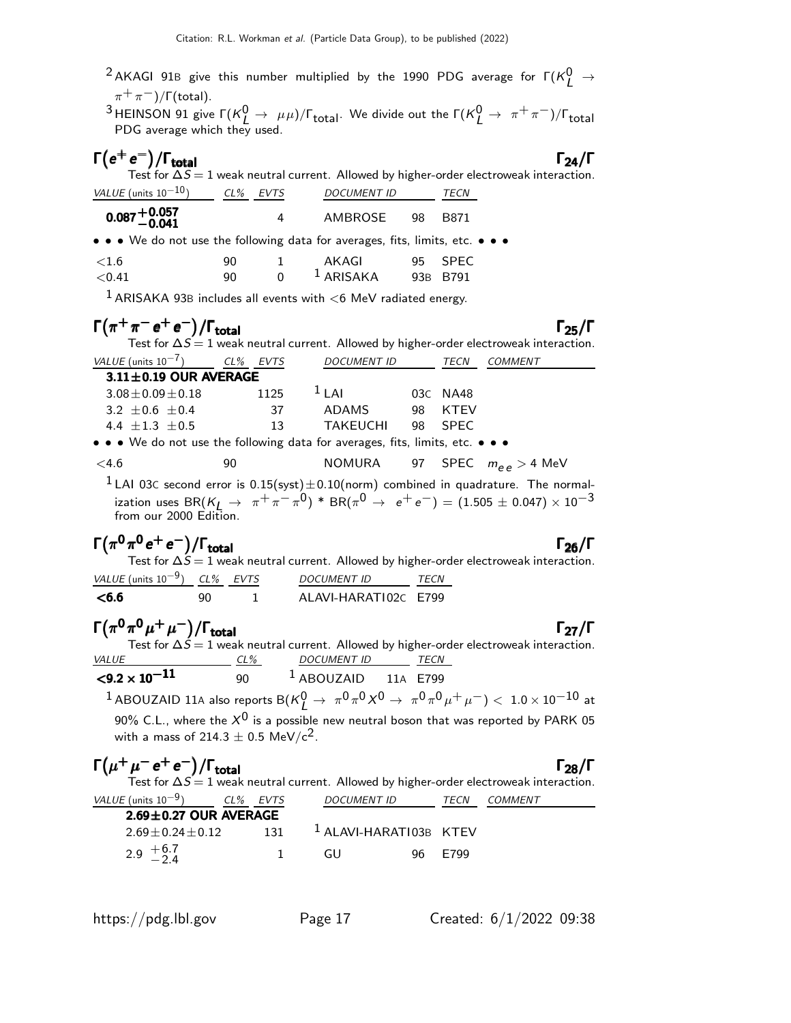$^2$  AKAGI 91B give this number multiplied by the 1990 PDG average for  $\mathsf{\Gamma}(K^0_L \rightarrow$  $\pi^+\pi^-)$ /Γ(total).  $^3$ HEINSON 91 give Γ( $\kappa_L^0 \to \mu\mu$ )/Γ<sub>total</sub>. We divide out the Γ( $\kappa_L^0 \to \pi^+\pi^-$ )/Γ<sub>total</sub> PDG average which they used.  $\Gamma(e^+e^-)/\Gamma_{\text{total}}$  Γ<sub>24</sub>/Γ Test for  $\Delta S = 1$  weak neutral current. Allowed by higher-order electroweak interaction. VALUE (units  $10^{-10}$ ) CL% EVTS DOCUMENT ID TECN <sup>0</sup>.087+0.<sup>057</sup> <sup>−</sup>0.<sup>041</sup> <sup>0</sup>.087+0.<sup>057</sup> <sup>−</sup>0.<sup>041</sup> <sup>0</sup>.087+0.<sup>057</sup> <sup>−</sup>0.<sup>041</sup> <sup>0</sup>.087+0.<sup>057</sup> −0.041 4 AMBROSE 98 B871 • • • We do not use the following data for averages, fits, limits, etc. • • •  $\lt1.6$  90 1 AKAGI 95 SPEC  $\leq$ 0.41 90 0  $^{1}$  ARISAKA 93B B791 <sup>1</sup> ARISAKA 93B includes all events with  $<$ 6 MeV radiated energy.  $\Gamma(\pi^+\pi^-e^+e^-)/\Gamma_{\rm total}$  Γ<sub>25</sub>/Γ Test for  $\Delta S = 1$  weak neutral current. Allowed by higher-order electroweak interaction. VALUE (unit<u>s 10<sup>-7</sup>) CL% EVTS</u> DOCUMENT ID TECN COMMENT  $3.11\pm0.19$  OUR AVERAGE  $3.08 \pm 0.09 \pm 0.18$  1125 <sup>1</sup> LAI 03C NA48  $3.2 \pm 0.6 \pm 0.4$  37 ADAMS 98 KTEV 4.4 ±1.3 ±0.5 13 TAKEUCHI 98 SPEC • • • We do not use the following data for averages, fits, limits, etc. • • •  $\langle 4.6$  90 90 NOMURA 97 SPEC  $m_{\rho, \rho} > 4$  MeV  $1$  LAI 03C second error is  $0.15$ (syst) $\pm 0.10$ (norm) combined in quadrature. The normalization uses BR( $K_L \rightarrow \pi^+ \pi^- \pi^0$ ) \* BR( $\pi^0 \rightarrow e^+ e^-$ ) = (1.505  $\pm$  0.047)  $\times$   $10^{-3}$ from our 2000 Edition.

$$
\Gamma(\pi^0 \pi^0 e^+ e^-)/\Gamma_{\text{total}}
$$

Test for  $\Delta S=1$  weak neutral current. Allowed by higher-order electroweak interaction. VALUE (units  $10^{-9}$ ) CL% EVTS DOCUMENT ID TECN <6.6 90 1 ALAVI-HARATI02C E799

 $\Gamma(\pi^0\pi^0\mu^+\mu^-)/\Gamma_{\rm total}$  $\Gamma_{27}/\Gamma$ Test for  $\Delta \acute{S}=1$  weak neutral current. Allowed by higher-order electroweak interaction. VALUE CL<sup>%</sup> DOCUMENT ID TECN  $\leq 9.2 \times 10^{-11}$  90 <sup>1</sup> ABOUZAID 11A E799

 $^1$  ABOUZAID 11A also reports B( $\kappa_L^0 \rightarrow \ \pi^0 \pi^0 \chi^0 \rightarrow \ \pi^0 \pi^0 \mu^+ \mu^-) <\ 1.0 \times 10^{-10}$  at 90% C.L., where the  $X^0$  is a possible new neutral boson that was reported by PARK 05 with a mass of 214.3  $\pm$  0.5 MeV/c<sup>2</sup>.

| $\Gamma(\mu^+\mu^ \mathrm{e^+}\,\mathrm{e^-})/\Gamma_{\mathrm{total}}$ | $\Gamma_{28}/\Gamma$ |
|------------------------------------------------------------------------|----------------------|
|                                                                        |                      |

Test for  $\Delta S = 1$  weak neutral current. Allowed by higher-order electroweak interaction. VALUE (units 10<sup>-9</sup>) CL% EVTS DOCUMENT ID TECN COMMENT

| VALUL TUNIUS IU             | CL/0 LVIJ |     | <i>D</i> UCUMLIVI ID              | 1.5.18  | CUMMENT |  |
|-----------------------------|-----------|-----|-----------------------------------|---------|---------|--|
| $2.69 \pm 0.27$ OUR AVERAGE |           |     |                                   |         |         |  |
| $2.69 \pm 0.24 \pm 0.12$    |           | 131 | <sup>1</sup> ALAVI-HARATI03B KTEV |         |         |  |
| 2.9 $\frac{+6.7}{-2.4}$     |           |     | GU.                               | 96 F799 |         |  |

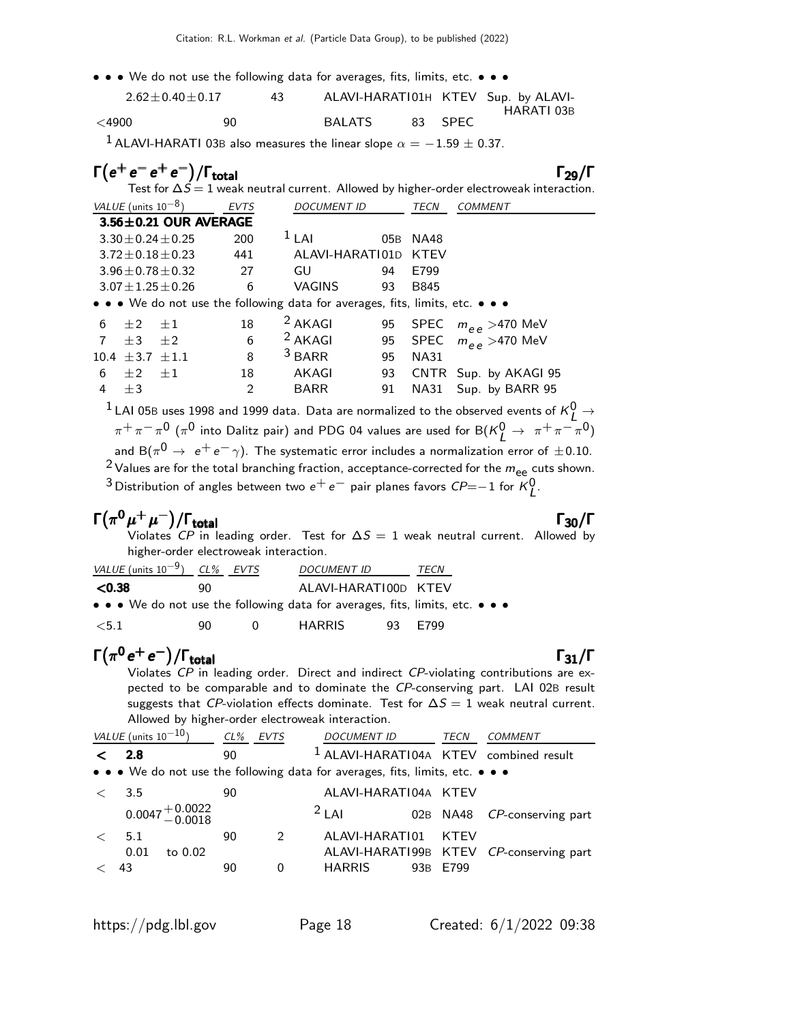• • • We do not use the following data for averages, fits, limits, etc. • • •

| $2.62 \pm 0.40 \pm 0.17$ |    | 43. |        |         | ALAVI-HARATI01H KTEV Sup. by ALAVI- |
|--------------------------|----|-----|--------|---------|-------------------------------------|
|                          |    |     |        |         | HARATI 03B                          |
| $<$ 4900                 | 90 |     | BALATS | 83 SPEC |                                     |

<sup>1</sup> ALAVI-HARATI 03B also measures the linear slope  $\alpha = -1.59 \pm 0.37$ .

| $\Gamma(e^+e^-e^+e^-)/\Gamma_{\text{total}}$ |      |         |                      |          | $\Gamma_{29}/\Gamma$<br>Test for $\Delta S = 1$ weak neutral current. Allowed by higher-order electroweak interaction. |
|----------------------------------------------|------|---------|----------------------|----------|------------------------------------------------------------------------------------------------------------------------|
| <i>VALUE</i> (units $10^{-8}$ )              | EVTS |         | <i>DOCUMENT ID</i>   | TECN     | COMMENT                                                                                                                |
| $3.56 \pm 0.21$ OUR AVERAGE                  |      |         |                      |          |                                                                                                                        |
| $3.30 + 0.24 + 0.25$                         | 200  | $11$ Al |                      | 05B NA48 |                                                                                                                        |
| $3.72 \pm 0.18 \pm 0.23$                     | 441  |         | ALAVI-HARATI01D KTEV |          |                                                                                                                        |

3.96±0.78±0.32 27 GU 94 E799

 $3.07 \pm 1.25 \pm 0.26$  6 VAGINS 93 B845 • • • We do not use the following data for averages, fits, limits, etc. • • •

| 6 $\pm 2$ $\pm 1$         |                          | $18 \t 2 AKAGI$   |         | 95 SPEC $m_{\rho\rho} > 470$ MeV |
|---------------------------|--------------------------|-------------------|---------|----------------------------------|
| $7 + 3 + 2$               |                          | $6\qquad 2$ AKAGI |         | 95 SPEC $m_{\rho\rho} > 470$ MeV |
| $10.4 \pm 3.7 \pm 1.1$    |                          | 8 $3$ BARR        | 95 NA31 |                                  |
| $6\quad \pm 2\quad \pm 1$ | 18 —                     | AKAGI             |         | 93 CNTR Sup. by AKAGI 95         |
| 4 $\pm 3$                 | $\overline{\phantom{a}}$ | BARR              |         | 91 NA31 Sup. by BARR 95          |

<sup>1</sup> LAI 05B uses 1998 and 1999 data. Data are normalized to the observed events of  $K^0_L \rightarrow$  $\pi^+\pi^-\pi^0$  ( $\pi^0$  into Dalitz pair) and PDG 04 values are used for B( $\kappa_L^0 \to \pi^+\pi^-\pi^0$ ) and B $(\pi^0\rightarrow\ e^+e^-\gamma)$ . The systematic error includes a normalization error of  $\pm$ 0.10.  $2$  Values are for the total branching fraction, acceptance-corrected for the  $m_{ee}$  cuts shown.

<sup>3</sup> Distribution of angles between two  $e^+e^-$  pair planes favors  $\mathit{CP} = −1$  for  $\mathit{K}_{L}^{0}.$ 

#### $\Gamma(\pi^0\mu^+\mu^-)/\Gamma_{\rm total}$  Γ<sub>30</sub>/Γ  $\int_{0}^{\infty}$  total  $\int_{0}^{\infty}$   $\int_{0}^{\infty}$   $\int_{0}^{\infty}$   $\int_{0}^{\infty}$   $\int_{0}^{\infty}$   $\int_{0}^{\infty}$   $\int_{0}^{\infty}$   $\int_{0}^{\infty}$   $\int_{0}^{\infty}$   $\int_{0}^{\infty}$   $\int_{0}^{\infty}$   $\int_{0}^{\infty}$   $\int_{0}^{\infty}$   $\int_{0}^{\infty}$   $\int_{0}^{\infty}$   $\int_{0}^$

Violates  ${\it CP}$  in leading order. Test for  $\Delta S=1$  weak neutral current. Allowed by higher-order electroweak interaction.

| VALUE (units $10^{-9}$ ) CL% EVTS                                             |    |  | <i>DOCUMENT ID</i>   | TECN |  |
|-------------------------------------------------------------------------------|----|--|----------------------|------|--|
| $<$ 0.38                                                                      | 90 |  | ALAVI-HARATI00D KTEV |      |  |
| • • • We do not use the following data for averages, fits, limits, etc. • • • |    |  |                      |      |  |

<5.1 90 0 HARRIS 93 E799

#### $\Gamma(\pi^0 e^+ e^-)/\Gamma_{\rm total}$  Γ<sub>31</sub>/Γ  $^{-})/\Gamma_{\text{total}}$ Γ<sub>31</sub>/Γ

Violates CP in leading order. Direct and indirect CP-violating contributions are expected to be comparable and to dominate the CP-conserving part. LAI 02B result suggests that CP-violation effects dominate. Test for  $\Delta S = 1$  weak neutral current. Allowed by higher-order electroweak interaction.

| VALUE (units $10^{-10}$ ) |                                | $CL\%$ | <b>EVTS</b>   | <b>DOCUMENT ID</b>                                                            | TECN     | COMMENT                                 |
|---------------------------|--------------------------------|--------|---------------|-------------------------------------------------------------------------------|----------|-----------------------------------------|
| 2.8                       |                                | 90     |               | <sup>1</sup> ALAVI-HARATI04A KTEV combined result                             |          |                                         |
|                           |                                |        |               | • • • We do not use the following data for averages, fits, limits, etc. • • • |          |                                         |
| 3.5                       |                                | 90     |               | ALAVI-HARATI04A KTEV                                                          |          |                                         |
|                           | $0.0047 + 0.0022$<br>$-0.0018$ |        |               | $2$ LAI                                                                       |          | 02B NA48 CP-conserving part             |
| 5.1                       |                                | 90     | $\mathcal{P}$ | ALAVI-HARATI01                                                                | KTFV     |                                         |
| 0.01                      | to 0.02                        |        |               |                                                                               |          | ALAVI-HARAT199B KTEV CP-conserving part |
| 43                        |                                | 90     | 0             | <b>HARRIS</b>                                                                 | 93B E799 |                                         |
|                           |                                |        |               |                                                                               |          |                                         |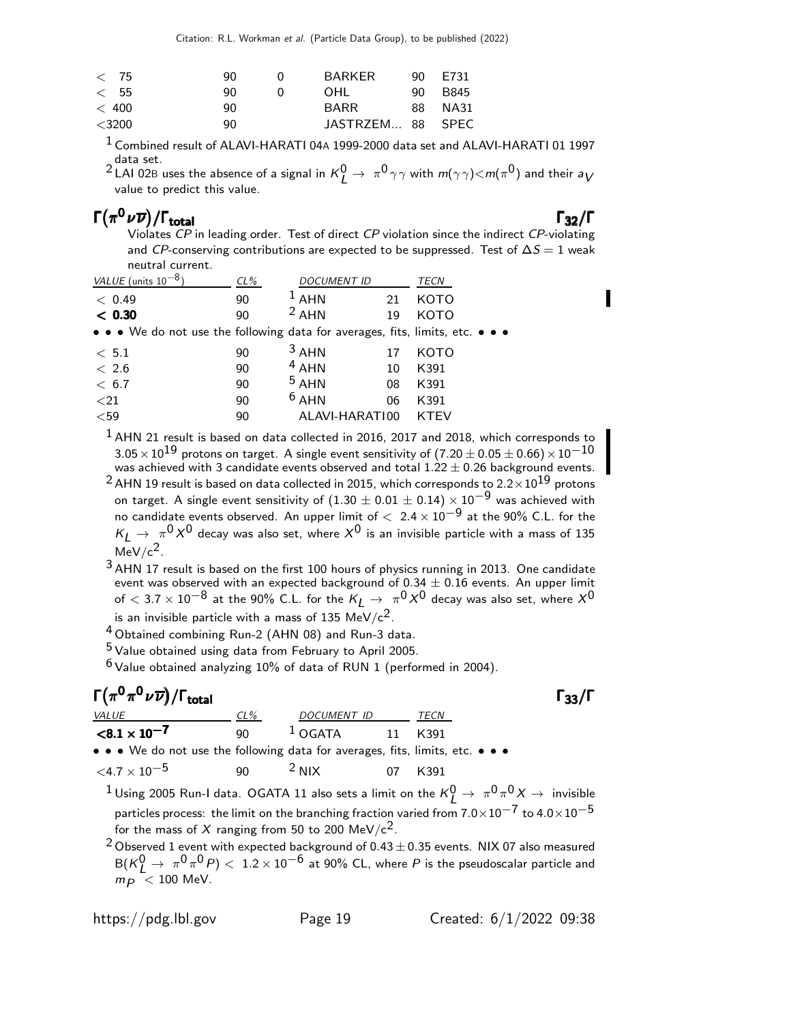| < 75     | 90 | $\mathbf{U}$ | BARKER           | 90 E731 |
|----------|----|--------------|------------------|---------|
| < 55     | ۹N |              | OHL              | 90 B845 |
| < 400    | 90 |              | <b>BARR</b>      | 88 NA31 |
| $<$ 3200 | 90 |              | JASTRZEM 88 SPEC |         |
|          |    |              |                  |         |

<sup>1</sup> Combined result of ALAVI-HARATI 04A 1999-2000 data set and ALAVI-HARATI 01 1997 data set.

 $^2$  LAI 02B uses the absence of a signal in  $K^0_L \to \pi^0 \gamma \gamma$  with  $m(\gamma \gamma)$   $<$   $m(\pi^0)$  and their  $a_V$ value to predict this value.

### Γ $(\pi^0 \nu \overline{\nu})/\Gamma_{\text{total}}$  Γ<sub>32</sub>/Γ

/Γ $_{\rm total}$ Γ<sub>32</sub>/Γ Violates CP in leading order. Test of direct CP violation since the indirect CP-violating and CP-conserving contributions are expected to be suppressed. Test of  $\Delta S = 1$  weak neutral current.

| VALUE (units $10^{-8}$ )                                                      | $CL\%$ | <b>DOCUMENT ID</b> |    | TECN        |
|-------------------------------------------------------------------------------|--------|--------------------|----|-------------|
| < 0.49                                                                        | 90     | $1$ AHN            | 21 | <b>KOTO</b> |
| < 0.30                                                                        | 90     | $2$ AHN            | 19 | KOTO        |
| • • • We do not use the following data for averages, fits, limits, etc. • • • |        |                    |    |             |
| < 5.1                                                                         | 90     | $3$ AHN            | 17 | KOTO        |
| < 2.6                                                                         | 90     | $4$ AHN            | 10 | K391        |
| < 6.7                                                                         | 90     | $5$ AHN            | 08 | K391        |
| $21$                                                                          | 90     | $6$ AHN            | 06 | K391        |
| $<$ 59                                                                        | 90     | ALAVI-HARATI00     |    | KTEV        |

 $1$  AHN 21 result is based on data collected in 2016, 2017 and 2018, which corresponds to  $3.05\times10^{19}$  protons on target. A single event sensitivity of (7.20  $\pm$  0.05  $\pm$  0.66)  $\times$   $10^{-10}$ was achieved with 3 candidate events observed and total  $1.22 \pm 0.26$  background events.

 $^{2}$  AHN 19 result is based on data collected in 2015, which corresponds to 2.2 $\times10^{19}$  protons on target. A single event sensitivity of  $(1.30 \pm 0.01 \pm 0.14) \times 10^{-9}$  was achieved with no candidate events observed. An upper limit of  $< 2.4 \times 10^{-9}$  at the 90% C.L. for the  $K_L \rightarrow \pi^0 \, X^0$  decay was also set, where  $X^0$  is an invisible particle with a mass of 135  $MeV/c<sup>2</sup>$ .

<sup>3</sup> AHN 17 result is based on the first 100 hours of physics running in 2013. One candidate event was observed with an expected background of  $0.34 \pm 0.16$  events. An upper limit of  $<$  3.7  $\times$  10 $^{-8}$  at the 90% C.L. for the  $K_{\rm L} \rightarrow \frac{\pi^0 X^0}$  decay was also set, where  $X^0$ is an invisible particle with a mass of 135 MeV/ $c^2$ .

<sup>4</sup> Obtained combining Run-2 (AHN 08) and Run-3 data.

 $5$  Value obtained using data from February to April 2005.

 $6$  Value obtained analyzing 10% of data of RUN 1 (performed in 2004).

### $\Gamma(\pi^0\pi^0\nu\overline{\nu})/\Gamma_{\rm total}$

| <i>VALUE</i>                                                                  | CL%          | DOCUMENT ID                    | TECN                                                                                                                          |
|-------------------------------------------------------------------------------|--------------|--------------------------------|-------------------------------------------------------------------------------------------------------------------------------|
| $\langle 8.1 \times 10^{-7} \rangle$                                          | $90^{\circ}$ | $^1$ OGATA                     | 11 K391                                                                                                                       |
| • • • We do not use the following data for averages, fits, limits, etc. • • • |              |                                |                                                                                                                               |
| ${<}4.7\times10^{-5}$                                                         |              | 90 $^2$ NIX<br>$\overline{07}$ | K391                                                                                                                          |
|                                                                               |              |                                | <sup>1</sup> Using 2005 Run-I data. OGATA 11 also sets a limit on the $K_I^0 \rightarrow \pi^0 \pi^0 X \rightarrow$ invisible |
|                                                                               |              |                                | particles process: the limit on the branching fraction varied from $7.0\times10^{-7}$ to $4.0\times10^{-5}$                   |

for the mass of X ranging from 50 to 200 MeV/ $c^2$ .

<sup>2</sup> Observed 1 event with expected background of  $0.43 \pm 0.35$  events. NIX 07 also measured  $B(K^0_L \to \pi^0 \pi^0 P) < 1.2 \times 10^{-6}$  at 90% CL, where P is the pseudoscalar particle and  $m_P$  < 100 MeV.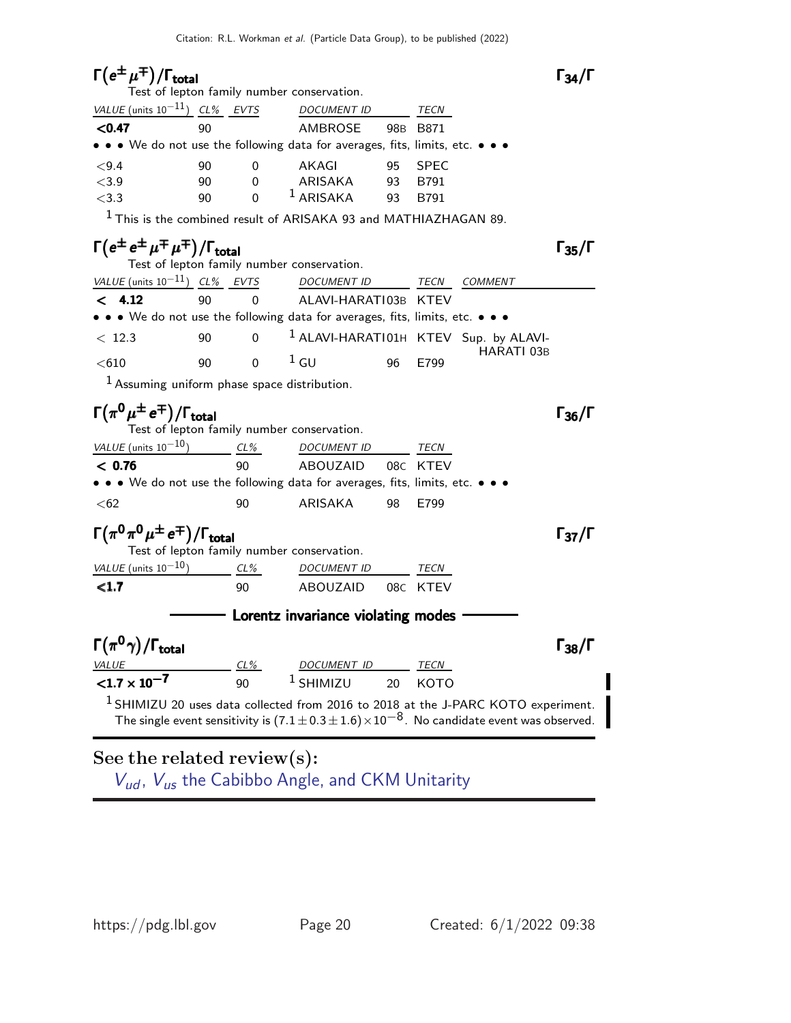## $\Gamma(e^{\pm}\mu^{\mp})/\Gamma_{\rm total}$  Γ<sub>34</sub>/Γ

| Test of lepton family number conservation. |    |   |                                                                               |    |             |  |  |  |  |  |
|--------------------------------------------|----|---|-------------------------------------------------------------------------------|----|-------------|--|--|--|--|--|
| VALUE (units $10^{-11}$ ) CL% EVTS         |    |   | <b>DOCUMENT ID</b>                                                            |    | TECN        |  |  |  |  |  |
| < 0.47                                     | 90 |   | AMBROSE                                                                       |    | 98B B871    |  |  |  |  |  |
|                                            |    |   | • • • We do not use the following data for averages, fits, limits, etc. • • • |    |             |  |  |  |  |  |
| ${<}9.4$                                   | 90 | 0 | AKAGI                                                                         | 95 | <b>SPFC</b> |  |  |  |  |  |
| < 3.9                                      | 90 | 0 | ARISAKA                                                                       | 93 | B791        |  |  |  |  |  |
| < 3.3                                      | 90 | 0 | $1$ ARISAKA                                                                   | 93 | <b>B791</b> |  |  |  |  |  |

 $1$  This is the combined result of ARISAKA 93 and MATHIAZHAGAN 89.

#### $\Gamma(e^{\pm}e^{\pm}\mu^{\mp}\mu^{\mp})/\Gamma_{\text{total}}$  Γ<sub>35</sub>/Γ Test of lepton family number conservation. VALUE (units 10<sup>-11</sup>) CL% EVTS DOCUMENT ID TECN COMMENT < 4.12 90 0 ALAVI-HARATI03B KTEV • • • We do not use the following data for averages, fits, limits, etc. • • •  $< 12.3$  90 0  $^1$  ALAVI-HARATI01H KTEV Sup. by ALAVI-HARATI 03B <610 90 0 1 GU 96 E799

1 Assuming uniform phase space distribution.

#### $\Gamma(\pi^0 \mu^{\pm} e^{\mp})/\Gamma_{\text{total}}$  Γ<sub>36</sub>/Γ /Γ $_{\rm total}$ Γ<sub>36</sub>/Γ

| Test of lepton family number conservation. |  |  |
|--------------------------------------------|--|--|
|--------------------------------------------|--|--|

| VALUE (units $10^{-10}$ )                                                                                             | $CL\%$ | <b>DOCUMENT ID</b> |     | <i>TECN</i> |
|-----------------------------------------------------------------------------------------------------------------------|--------|--------------------|-----|-------------|
| < 0.76                                                                                                                | 90.    | ABOUZAID           |     | 08C KTEV    |
| $\bullet \bullet \bullet$ We do not use the following data for averages, fits, limits, etc. $\bullet \bullet \bullet$ |        |                    |     |             |
| < 62                                                                                                                  | 90     | ARISAKA            | 98. | F799        |

### $\Gamma(\pi^0\pi^0\mu^{\pm}\,e^{\mp})/\Gamma_{\text{total}}$  Γ37/Γ

| Test of lepton family number conservation. |     |                    |  |          |  |  |  |  |  |
|--------------------------------------------|-----|--------------------|--|----------|--|--|--|--|--|
| VALUE (units $10^{-10}$ )                  | CL% | <i>DOCUMENT ID</i> |  | TECN     |  |  |  |  |  |
| $\langle 1.7$                              | 90  | ABOUZAID           |  | 08C KTEV |  |  |  |  |  |

 $-$  Lorentz invariance violating modes  $-$ 

| $\Gamma(\pi^0\gamma)/\Gamma_{\rm total}$ |     |                      |         | $\Gamma_{38}/\Gamma$ |
|------------------------------------------|-----|----------------------|---------|----------------------|
| <i>VALUE</i>                             | CL% | DOCUMENT ID          | TECN    |                      |
| $< 1.7 \times 10^{-7}$                   | 90  | <sup>1</sup> SHIMIZU | 20 KOTO |                      |

<sup>1</sup> SHIMIZU 20 uses data collected from 2016 to 2018 at the J-PARC KOTO experiment. The single event sensitivity is  $(7.1 \pm 0.3 \pm 1.6) \times 10^{-8}$ . No candidate event was observed.

#### See the related review(s):

 $V_{ud}$ ,  $V_{us}$  [the Cabibbo Angle, and CKM Unitarity](http://pdg.lbl.gov/2022/reviews/rpp2021-rev-vud-vus.pdf)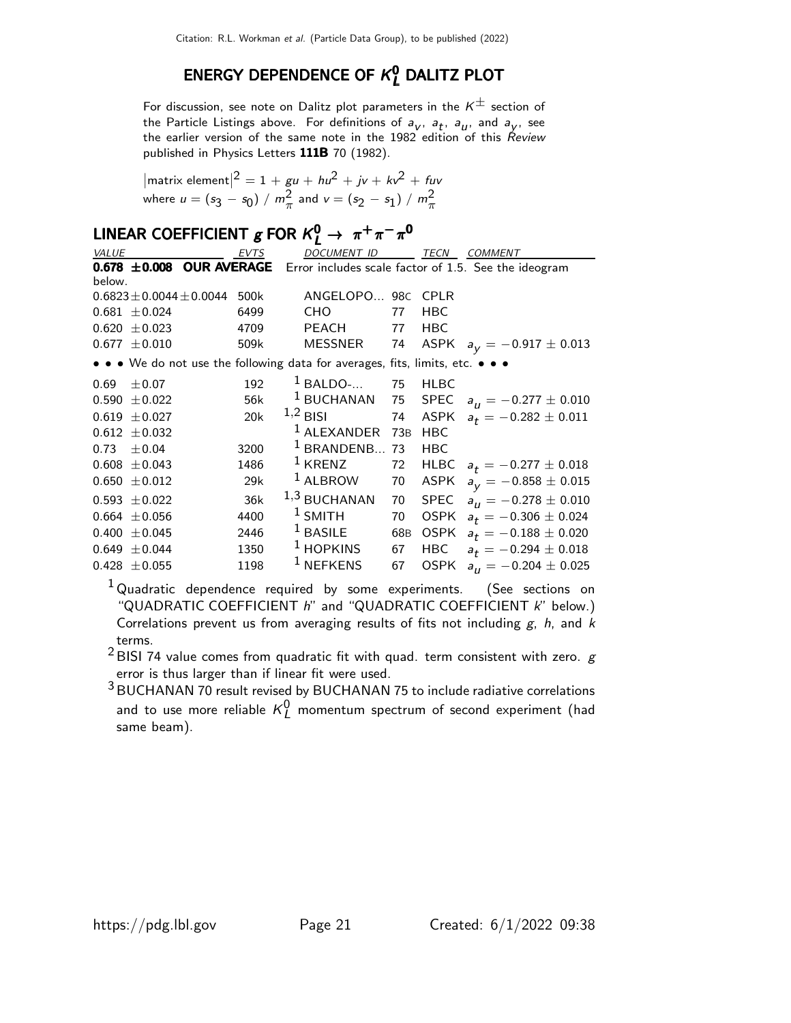### ENERGY DEPENDENCE OF  $\kappa_{\bm{l}}^{\bm{0}}$  dalitz plot

For discussion, see note on Dalitz plot parameters in the  $K^{\pm}$  section of the Particle Listings above. For definitions of  $a_{V}$ ,  $a_{t}$ ,  $a_{U}$ , and  $a_{V}$ , see the earlier version of the same note in the  $1982$  edition of this  $\overrightarrow{Review}$ published in Physics Letters 111B 70 (1982).

$$
|\text{matrix element}|^2 = 1 + gu + hu^2 + jv + kv^2 + fuv
$$
  
where  $u = (s_3 - s_0) / m_{\pi}^2$  and  $v = (s_2 - s_1) / m_{\pi}^2$ 

## LINEAR COEFFICIENT  $g$  FOR  $K^0_L \rightarrow \pi^+ \pi^- \pi^0$

| VALUE  |                                | EVTS      | DOCUMENT ID                                                                   |     | TECN        | <b>COMMENT</b>                                                                |
|--------|--------------------------------|-----------|-------------------------------------------------------------------------------|-----|-------------|-------------------------------------------------------------------------------|
|        |                                |           |                                                                               |     |             | 0.678 ±0.008 OUR AVERAGE Error includes scale factor of 1.5. See the ideogram |
| below. |                                |           |                                                                               |     |             |                                                                               |
|        | $0.6823 \pm 0.0044 \pm 0.0044$ | 500k      | ANGELOPO 98C CPLR                                                             |     |             |                                                                               |
|        | $0.681 \pm 0.024$              | 6499      | CHO.                                                                          | 77  | <b>HBC</b>  |                                                                               |
|        | $0.620 \pm 0.023$              | 4709 — 17 | PEACH 77                                                                      |     | <b>HBC</b>  |                                                                               |
|        | $0.677 \pm 0.010$              | 509k      | MESSNER                                                                       |     |             | 74 ASPK $a_V = -0.917 \pm 0.013$                                              |
|        |                                |           | • • • We do not use the following data for averages, fits, limits, etc. • • • |     |             |                                                                               |
| 0.69   | $\pm 0.07$                     | 192       | $1$ BALDO- 75                                                                 |     | <b>HLBC</b> |                                                                               |
|        | $0.590 \pm 0.022$              | 56k       |                                                                               |     |             | <sup>1</sup> BUCHANAN 75 SPEC $a_{11} = -0.277 \pm 0.010$                     |
|        | $0.619 \pm 0.027$              | 20k       | $1,2$ BISI 74                                                                 |     |             | ASPK $a_t = -0.282 \pm 0.011$                                                 |
|        | $0.612 \pm 0.032$              |           | <sup>1</sup> ALEXANDER 73B                                                    |     | <b>HBC</b>  |                                                                               |
| 0.73   | ±0.04                          | 3200      | $1$ BRANDENB 73                                                               |     | <b>HBC</b>  |                                                                               |
|        | $0.608 \pm 0.043$              | 1486      | $\frac{1}{2}$ KRENZ                                                           | 72  |             | HLBC $a_t = -0.277 \pm 0.018$                                                 |
|        | $0.650 \pm 0.012$              | 29k       | $1$ ALBROW                                                                    | 70  |             | ASPK $a_V = -0.858 \pm 0.015$                                                 |
|        | $0.593 \pm 0.022$              | 36k       | $1,3$ BUCHANAN                                                                | 70  | SPEC        | $a_{II} = -0.278 \pm 0.010$                                                   |
|        | $0.664 \pm 0.056$              | 4400      | $1$ SMITH                                                                     | 70  |             | OSPK $a_t = -0.306 \pm 0.024$                                                 |
|        | $0.400 \pm 0.045$              | 2446      | $1$ BASILE                                                                    | 68B |             | OSPK $a_t = -0.188 \pm 0.020$                                                 |
|        | $0.649 \pm 0.044$              | 1350      | $1$ HOPKINS                                                                   | 67  |             | HBC $a_t = -0.294 \pm 0.018$                                                  |
|        | $0.428 \pm 0.055$              | 1198      | <sup>1</sup> NEFKENS                                                          | 67  |             | OSPK $a_{II} = -0.204 \pm 0.025$                                              |

<sup>1</sup> Quadratic dependence required by some experiments. (See sections on "QUADRATIC COEFFICIENT  $h$ " and "QUADRATIC COEFFICIENT  $k$ " below.) Correlations prevent us from averaging results of fits not including  $g$ ,  $h$ , and  $k$ terms.

 $2$ BISI 74 value comes from quadratic fit with quad. term consistent with zero.  $g$ error is thus larger than if linear fit were used.

 $3$ BUCHANAN 70 result revised by BUCHANAN 75 to include radiative correlations and to use more reliable  $\kappa_L^0$  momentum spectrum of second experiment (had same beam).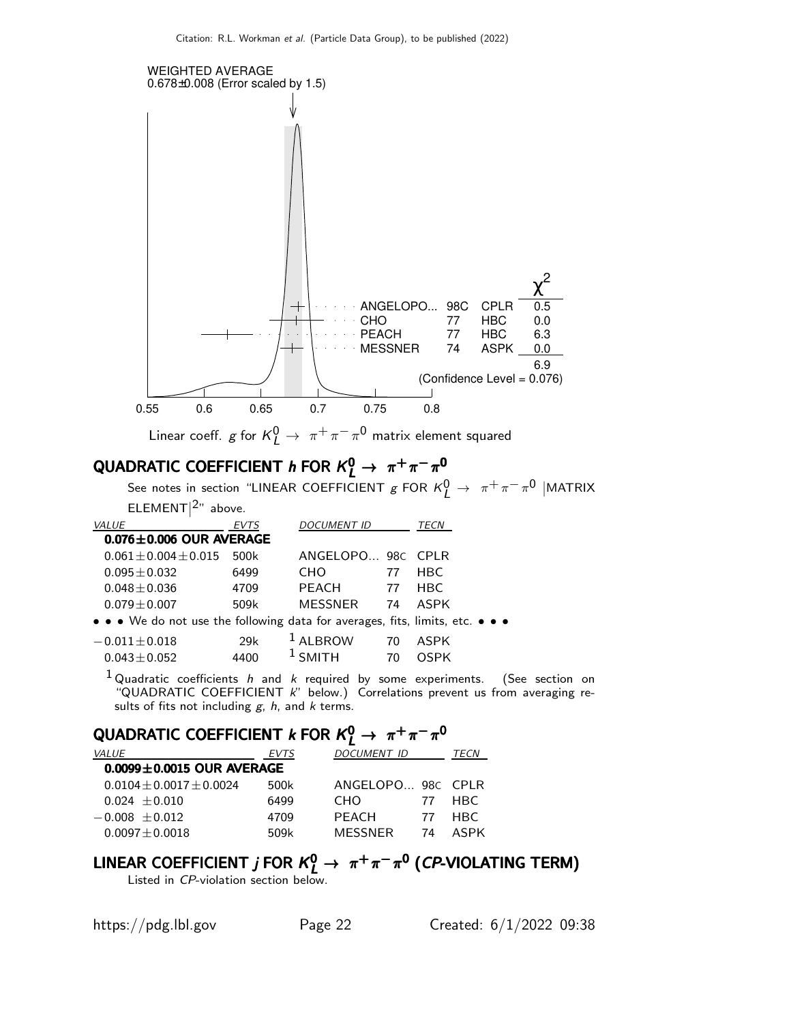

## QUADRATIC COEFFICIENT  $k$  for  $K^0_L \rightarrow \pi^+ \pi^- \pi^0$

| <b>VALUE</b>                    | <b>EVTS</b> | <b>DOCUMENT ID</b> |    | TECN |
|---------------------------------|-------------|--------------------|----|------|
| $0.0099 \pm 0.0015$ OUR AVERAGE |             |                    |    |      |
| $0.0104 \pm 0.0017 \pm 0.0024$  | 500k        | ANGELOPO 98C CPLR  |    |      |
| $0.024 + 0.010$                 | 6499        | <b>CHO</b>         | 77 | HRC. |
| $-0.008 \pm 0.012$              | 4709        | PFACH              | 77 | HBC. |
| $0.0097 \pm 0.0018$             | 509k        | MESSNER            | 74 | ASPK |

## LINEAR COEFFICIENT *j* FOR  $K^0_L \rightarrow \pi^+\pi^-\pi^0$  (*CP*-VIOLATING TERM)

Listed in CP-violation section below.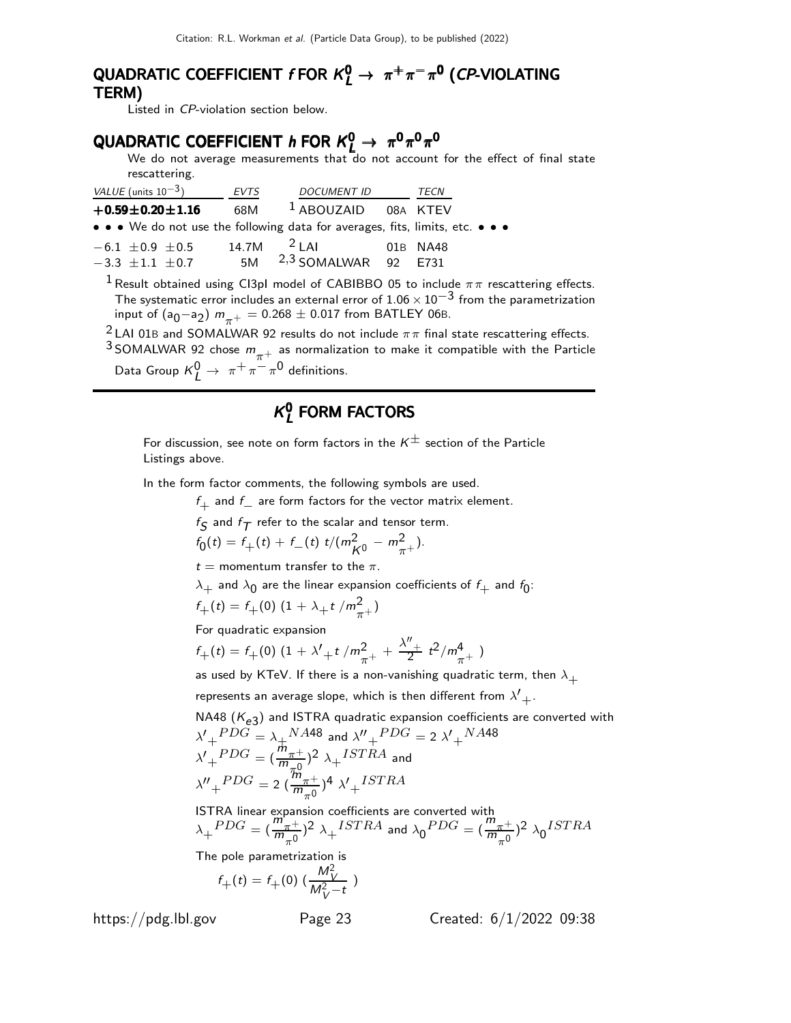#### QUADRATIC COEFFICIENT  $f$  FOR  $K_L^0 \rightarrow \pi^+ \pi^- \pi^0$  (CP-VIOLATING TERM) TERM)

Listed in CP-violation section below.

### QUADRATIC COEFFICIENT  $h$  FOR  $K^0_L \rightarrow \pi^0 \pi^0 \pi^0$

We do not average measurements that do not account for the effect of final state rescattering.

| VALUE (units $10^{-3}$ )                                                      | <b>EVTS</b> | <b>DOCUMENT ID</b>                 | TECN     |
|-------------------------------------------------------------------------------|-------------|------------------------------------|----------|
| $+0.59 \pm 0.20 \pm 1.16$                                                     |             | 68M <sup>1</sup> ABOUZAID 08A KTEV |          |
| • • • We do not use the following data for averages, fits, limits, etc. • • • |             |                                    |          |
| $-6.1 \pm 0.9 \pm 0.5$                                                        |             | 14.7M $^2$ LAI                     | 01B NA48 |
| $-3.3 \pm 1.1 \pm 0.7$                                                        | 5M          | $2,3$ SOMALWAR 92 E731             |          |

<sup>1</sup> Result obtained using CI3pI model of CABIBBO 05 to include  $\pi\pi$  rescattering effects. The systematic error includes an external error of  $1.06 \times 10^{-3}$  from the parametrization input of  $(a_0-a_2)$   $m_{\pi^+} = 0.268 \pm 0.017$  from BATLEY 06B.

<sup>2</sup> LAI 01B and SOMALWAR 92 results do not include  $\pi\pi$  final state rescattering effects.

<sup>3</sup> SOMALWAR 92 chose  $m_{\pi^+}$  as normalization to make it compatible with the Particle Data Group  $K^0_L \rightarrow \pi^+ \pi^- \pi^0$  definitions.

#### $\kappa$ o  $_{\rm L}^{\rm o}$  FORM FACTORS

For discussion, see note on form factors in the  $K^{\pm}$  section of the Particle Listings above.

In the form factor comments, the following symbols are used.

 $f_+$  and  $f_-$  are form factors for the vector matrix element.

$$
f_{\mathcal{S}} \text{ and } f_{\mathcal{T}} \text{ refer to the scalar and tensor term.}
$$

$$
f_0(t) = f_+(t) + f_-(t) t/(m_{K^0}^2 - m_{\pi^+}^2).
$$

 $t =$  momentum transfer to the  $\pi$ .

$$
\lambda_+
$$
 and  $\lambda_0$  are the linear expansion coefficients of  $f_+$  and  $f_0$ :

$$
f_{+}(t) = f_{+}(0) \left(1 + \lambda_{+} t / m_{\pi^{+}}^{2}\right)
$$

For quadratic expansion

$$
f_{+}(t) = f_{+}(0) \left(1 + \lambda'_{+} t / m_{\pi^{+}}^{2} + \frac{\lambda''_{+}}{2} t^{2} / m_{\pi^{+}}^{4} \right)
$$

as used by KTeV. If there is a non-vanishing quadratic term, then  $\lambda_+$ 

represents an average slope, which is then different from  $\lambda'+$ 

NA48 (
$$
K_{e3}
$$
) and ISTRA quadratic expansion coefficients are converted with  
\n $\lambda'_{+}^{PDG} = \lambda_{+}^{NA48}$  and  $\lambda''_{+}^{PDG} = 2 \lambda'_{+}^{NA48}$   
\n $\lambda'_{+}^{PDG} = (\frac{m_{\pi^{+}}}{m_{\pi^{0}}})^2 \lambda_{+}^{ISTRA}$  and  
\n $\lambda''_{+}^{PDG} = 2 (\frac{m_{\pi^{+}}}{m_{\pi^{0}}})^4 \lambda'_{+}^{ISTRA}$ 

ISTRA linear expansion coefficients are converted with  $\lambda_+{}^{PDG} = (\frac{m_{\pi^+}}{m_{-0}})$  $\frac{m_{\pi^+}}{m_{\pi^0}}$ )<sup>2</sup>  $\lambda_+$ <sup>ISTRA</sup> and  $\lambda_0$ <sup>PDG</sup> =  $(\frac{m_{\pi^+}}{m_{\pi^0}})$  $\frac{m_{\pi^+}}{m_{\pi^0}}$ <sup>2</sup>  $\lambda_0^{ISTRA}$ 

The pole parametrization is

$$
f_{+}(t) = f_{+}(0) \left( \frac{M_V^2}{M_V^2 - t} \right)
$$

https://pdg.lbl.gov Page 23 Created: 6/1/2022 09:38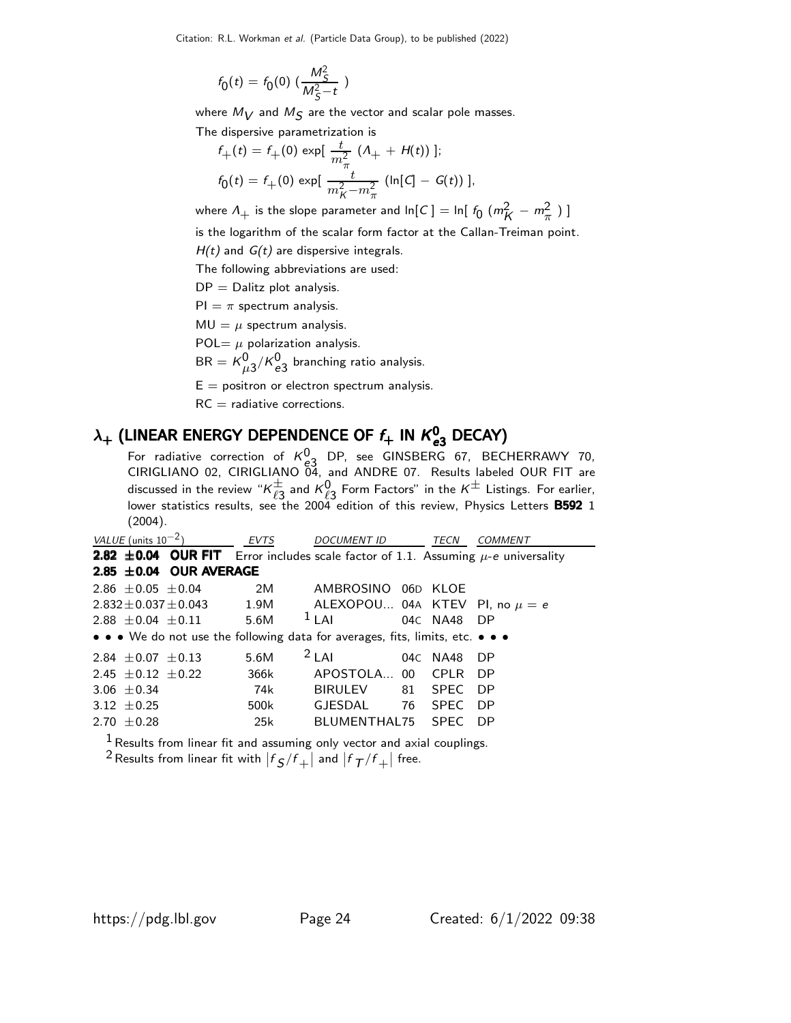Citation: R.L. Workman et al. (Particle Data Group), to be published (2022)

$$
f_0(t) = f_0(0) \; (\frac{M_S^2}{M_S^2 - t} \; )
$$

where  $M_{\bigvee}$  and  $M_{\bigvee}$  are the vector and scalar pole masses.

The dispersive parametrization is

$$
f_{+}(t) = f_{+}(0) \exp[\frac{t}{m_{\pi}^{2}} (A_{+} + H(t))];
$$
  

$$
f_{0}(t) = f_{+}(0) \exp[\frac{t}{m_{K}^{2} - m_{\pi}^{2}} (\ln[C] - G(t))];
$$

where  $\Lambda_+$  is the slope parameter and ln[C]  $=$  ln[  $f_0$   $(m_K^2 - m_\pi^2$   $)$  ]

is the logarithm of the scalar form factor at the Callan-Treiman point.

 $H(t)$  and  $G(t)$  are dispersive integrals.

The following abbreviations are used:

 $DP = Dalitz plot analysis.$ 

 $PI = \pi$  spectrum analysis.

 $MU = \mu$  spectrum analysis.

POL=  $\mu$  polarization analysis.

 $\mathsf{BR} = \mathsf{K}^{\mathsf{0}}_{\mu 3} / \mathsf{K}^{\mathsf{0}}_{\mathsf{e} 3}$  branching ratio analysis.

 $E =$  positron or electron spectrum analysis.

 $RC =$  radiative corrections.

### $\lambda_+$  (LINEAR ENERGY DEPENDENCE OF  $f_+$  in  $\mathcal{K}^0_{\bm{e}3}$  DECAY)

For radiative correction of  $K_{e3}^{0}$  DP, see GINSBERG 67, BECHERRAWY 70, CIRIGLIANO 02, CIRIGLIANO 04, and ANDRE 07. Results labeled OUR FIT are discussed in the review " $\kappa^{\pm}_{\ell^{\gamma}}$  $\frac{1}{\ell 3}$  and  $\kappa_{{\ell 3}}^{0}$  Form Factors" in the  $\kappa^{\pm}$  Listings. For earlier, lower statistics results, see the 2004 edition of this review, Physics Letters B592 1 (2004).

| VALUE (units $10^{-2}$ )                                                                     | EVTS | <b>DOCUMENT ID</b>               | TECN              | COMMENT |
|----------------------------------------------------------------------------------------------|------|----------------------------------|-------------------|---------|
| <b>2.82 ±0.04 OUR FIT</b> Error includes scale factor of 1.1. Assuming $\mu$ -e universality |      |                                  |                   |         |
| 2.85 $\pm$ 0.04 OUR AVERAGE                                                                  |      |                                  |                   |         |
| $2.86 + 0.05 + 0.04$                                                                         | 2M   | AMBROSINO 06D KLOE               |                   |         |
| $2.832 \pm 0.037 \pm 0.043$                                                                  | 1.9M | ALEXOPOU 04A KTEV PI, no $\mu=e$ |                   |         |
| $2.88 + 0.04 + 0.11$                                                                         | 5.6M | $1$ LAI                          | 04C NA48 DP       |         |
| • • • We do not use the following data for averages, fits, limits, etc. • • •                |      |                                  |                   |         |
| 2.84 $\pm$ 0.07 $\pm$ 0.13                                                                   | 5.6M | $2$ LAI                          | 04C NA48          | - DP    |
| 2.45 $\pm$ 0.12 $\pm$ 0.22                                                                   | 366k | APOSTOLA 00                      | CPI R             | - DP    |
| $3.06 + 0.34$                                                                                | 74k  | BIRULEV                          | <b>SPEC</b><br>81 | - DP    |
| 3.12 $\pm$ 0.25                                                                              | 500k | GJESDAL                          | 76<br><b>SPFC</b> | DP.     |
| $2.70 + 0.28$                                                                                | 25k  | BLUMENTHAL75 SPEC                |                   | DP.     |

 $<sup>1</sup>$  Results from linear fit and assuming only vector and axial couplings.</sup>

 $^2$  Results from linear fit with  $\left| f_{\cal S}/f_+\right|$  and  $\left| f_{\cal T}/f_+\right|$  free.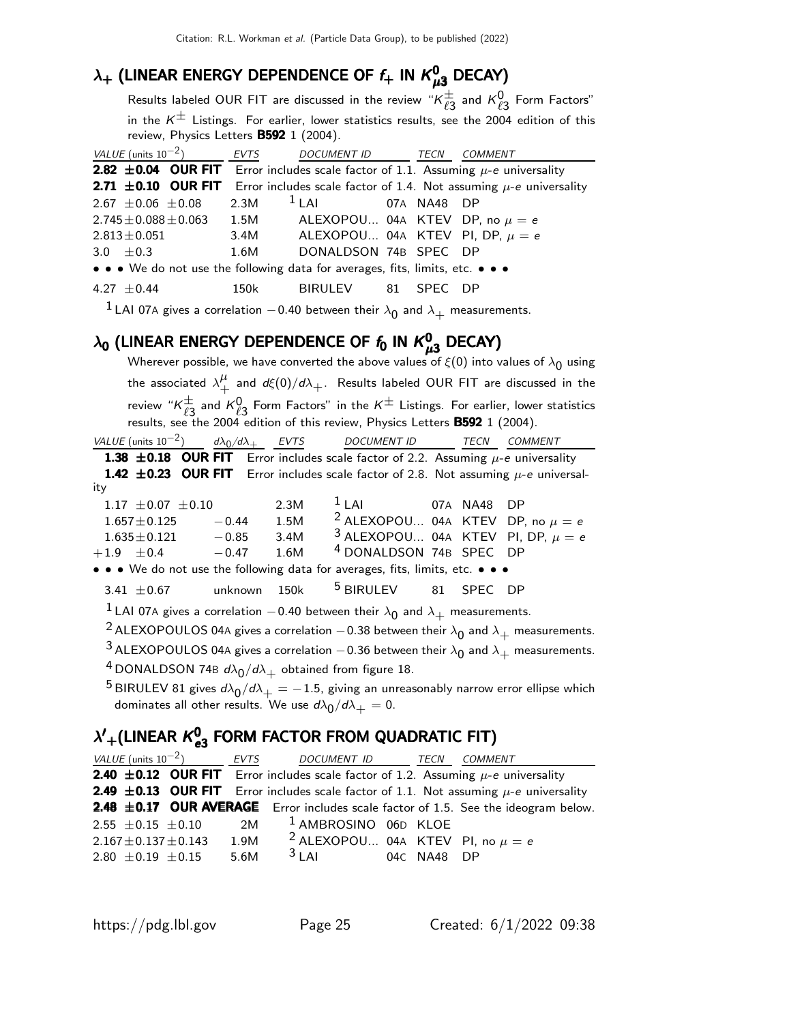### $\lambda_+$  (linear energy dependence of  $f_+$  in  $\mathcal{K}^0_{\mu 3}$  decay)

Results labeled OUR FIT are discussed in the review " $K^{\pm}_{\ell^2}$  $_{\ell3}^{\pm}$  and  $\kappa_{\ell3}^0$  Form Factors" in the  $K^{\pm}$  Listings. For earlier, lower statistics results, see the 2004 edition of this review, Physics Letters **B592** 1 (2004).

| VALUE (units $10^{-2}$ )                                                                                        | EVTS | DOCUMENT ID TECN COMMENT            |             |      |
|-----------------------------------------------------------------------------------------------------------------|------|-------------------------------------|-------------|------|
| <b>2.82 ±0.04 OUR FIT</b> Error includes scale factor of 1.1. Assuming $\mu$ -e universality                    |      |                                     |             |      |
| <b>2.71 <math>\pm</math>0.10 OUR FIT</b> Error includes scale factor of 1.4. Not assuming $\mu$ -e universality |      |                                     |             |      |
| $2.67 \pm 0.06 \pm 0.08$                                                                                        | 2.3M | $1$ LAI                             | 07A NA48 DP |      |
| 2.745 $\pm$ 0.088 $\pm$ 0.063 1.5M ALEXOPOU 04A KTEV DP, no $\mu = e$                                           |      |                                     |             |      |
| $2.813 \!\pm\! 0.051$                                                                                           | 3.4M | ALEXOPOU 04A KTEV PI, DP, $\mu = e$ |             |      |
| $3.0 + 0.3$                                                                                                     | 1.6M | DONALDSON 74B SPEC DP               |             |      |
| • • • We do not use the following data for averages, fits, limits, etc. • • •                                   |      |                                     |             |      |
| $4.27 + 0.44$                                                                                                   | 150k | BIRULEV 81 SPEC                     |             | - DP |

 $^1$  LAI 07A gives a correlation  $-$  0.40 between their  $\lambda_{\mathbf{0}}$  and  $\lambda_{+}$  measurements.

### $\lambda_{\mathbf{0}}$  (LINEAR ENERGY DEPENDENCE OF  $\mathit{f}_{\mathbf{0}}$  IN  $\mathcal{K}_{\mu 3}^{0}$  DECAY)

Wherever possible, we have converted the above values of  $\xi(0)$  into values of  $\lambda_{\mathbf{0}}$  using the associated  $\lambda^{\mu}_{\perp}$  $^{\mu}_{+}$  and  $d\xi(0)/d\lambda_{+}.$  Results labeled OUR FIT are discussed in the review " $\kappa^\pm_{\ell^{\tau}}$  $\frac{\pm}{\ell}$  and  $K^0$  Form Factors" in the  $K^{\pm}$  Listings. For earlier, lower statistics results, see the 2004 edition of this review, Physics Letters **B592** 1 (2004). VALUE (units  $10^{-2}$ )

 $\frac{d\lambda_0}{d\lambda_+}$  EVTS DOCUMENT ID TECN COMMENT 1.38  $\pm$ 0.18 OUR FIT Error includes scale factor of 2.2. Assuming  $\mu$ -e universality

1.42  $\pm$ 0.23 OUR FIT Error includes scale factor of 2.8. Not assuming  $\mu$ -e universal-

| itv |                          |              |      |                                                 |  |  |
|-----|--------------------------|--------------|------|-------------------------------------------------|--|--|
|     | $1.17 \pm 0.07 \pm 0.10$ |              | 2.3M | $1$ LAI 67A NA48 DP                             |  |  |
|     | $1.657 + 0.125$          | $-0.44$      | 1.5M | <sup>2</sup> ALEXOPOU 04A KTEV DP, no $\mu = e$ |  |  |
|     | $1.635 + 0.121$          | $-0.85$      | 3.4M | $3$ ALEXOPOU 04A KTEV PI, DP, $\mu = e$         |  |  |
|     | $+1.9 + 0.4$             | $-0.47$ 1.6M |      | <sup>4</sup> DONALDSON 74B SPEC DP              |  |  |
|     |                          |              |      |                                                 |  |  |

• • • We do not use the following data for averages, fits, limits, etc. • • •

```
3.41 \pm 0.67 unknown 150k 5 BIRULEV 81 SPEC DP
```
 $\frac{1}{2}$  LAI 07A gives a correlation  $-$  0.40 between their  $\lambda_{\mathbf{0}}$  and  $\lambda_{+}$  measurements.

 $^2$ ALEXOPOULOS 04A gives a correlation  $-$  0.38 between their  $\lambda_{\textsf{0}}$  and  $\lambda_{+}$  measurements.

 $^3$ ALEXOPOULOS 04A gives a correlation  $-$  0.36 between their  $\lambda_{\textsf{0}}$  and  $\lambda_{+}$  measurements.  $^4$ DONALDSON 74B  $d\lambda_0/d\lambda_+$  obtained from figure 18.

 $^5$ BIRULEV 81 gives  $d\lambda_{\mathrm{0}}/d\lambda_{+}=-1.5$ , giving an unreasonably narrow error ellipse which dominates all other results. We use  $d\lambda_{\mathsf{0}}/d\lambda_+=0.$ 

#### $\lambda^{\prime}{}_{+}$ (LINEAR  $\kappa^{\mathsf{0}}_{\bm{e}}$  $\lambda^\prime{}_{+}$ (LINEAR  $\kappa^{\bm 0}_{\bm e 3}$  FORM FACTOR FROM QUADRATIC FIT)

|  | <i>VALUE</i> (units $10^{-2}$ ) | EVTS | DOCUMENT ID                                                                                  | <b>TECN</b> | <i>COMMENT</i>                                                                                   |
|--|---------------------------------|------|----------------------------------------------------------------------------------------------|-------------|--------------------------------------------------------------------------------------------------|
|  |                                 |      | <b>2.40 ±0.12 OUR FIT</b> Error includes scale factor of 1.2. Assuming $\mu$ -e universality |             |                                                                                                  |
|  |                                 |      |                                                                                              |             | <b>2.49 ±0.13 OUR FIT</b> Error includes scale factor of 1.1. Not assuming $\mu$ -e universality |
|  |                                 |      |                                                                                              |             | 2.48 ±0.17 OUR AVERAGE Error includes scale factor of 1.5. See the ideogram below.               |
|  | $2.55 \pm 0.15 \pm 0.10$        | 2M   | <sup>1</sup> AMBROSINO 06D KLOE                                                              |             |                                                                                                  |
|  | $2.167 \pm 0.137 \pm 0.143$     | 1.9M | <sup>2</sup> ALEXOPOU 04A KTEV PI, no $\mu = e$                                              |             |                                                                                                  |
|  | $2.80 \pm 0.19 \pm 0.15$        | 5.6M | $3$ LAI                                                                                      | 04C NA48 DP |                                                                                                  |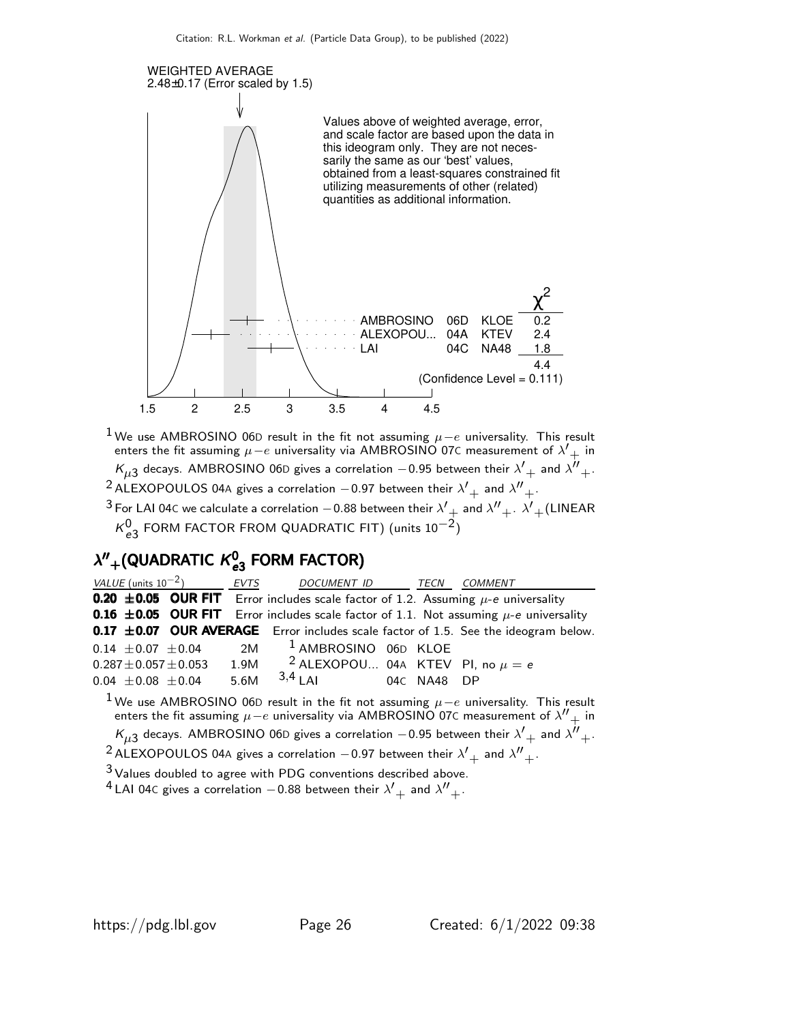

 $^1$ We use AMBROSINO 06D result in the fit not assuming  $\mu-e$  universality. This result enters the fit assuming  $\mu - e$  universality via AMBROSINO 07C measurement of  $\lambda'_{+}$  in  $\kappa_{\mu 3}$  decays. AMBROSINO 06D gives a correlation  $-$  0.95 between their  $\lambda'_{\phantom{\mu}+}$  and  $\lambda''_{\phantom{\mu}+}$ <sup>2</sup> ALEXOPOULOS 04A gives a correlation  $-0.97$  between their  $\lambda'_{+}$  and  $\lambda''_{+}$ .  $^3$  For LAI 04C we calculate a correlation  $-$  0.88 between their  $\lambda'+$  and  $\lambda''_{-+}$  .  $\lambda'+$  (LINEAR

 $\kappa_{e3}^0$  FORM FACTOR FROM QUADRATIC FIT) (units  $10^{-2}$ )

#### $\lambda''_{+}$ (QUADRATIC  $\kappa_{\bm{e}}^{0}$  $\lambda''_{+}$ (QUADRATIC  $\kappa^{0}_{\bf e3}$  FORM FACTOR)

| <i>VALUE</i> (units $10^{-2}$ )                                                                             | EVTS | DOCUMENT ID TECN                                |             | COMMENT                                                                                                  |
|-------------------------------------------------------------------------------------------------------------|------|-------------------------------------------------|-------------|----------------------------------------------------------------------------------------------------------|
| <b>0.20 <math>\pm</math>0.05 OUR FIT</b> Error includes scale factor of 1.2. Assuming $\mu$ -e universality |      |                                                 |             |                                                                                                          |
| <b>0.16 ±0.05 OUR FIT</b> Error includes scale factor of 1.1. Not assuming $\mu$ -e universality            |      |                                                 |             |                                                                                                          |
|                                                                                                             |      |                                                 |             | <b>0.17 <math>\pm</math>0.07 OUR AVERAGE</b> Error includes scale factor of 1.5. See the ideogram below. |
| $0.14 \pm 0.07 \pm 0.04$                                                                                    | 2M   | <sup>1</sup> AMBROSINO 06D KLOE                 |             |                                                                                                          |
| $0.287 \pm 0.057 \pm 0.053$                                                                                 | 1.9M | <sup>2</sup> ALEXOPOU 04A KTEV PI, no $\mu = e$ |             |                                                                                                          |
| $0.04 \pm 0.08 \pm 0.04$                                                                                    | 5.6M | $3,4$ LAI                                       | 04C NA48 DP |                                                                                                          |

 $^{\textup{1}}$  We use AMBROSINO 06D result in the fit not assuming  $\mu-e$  universality. This result enters the fit assuming  $\mu-e$  universality via <code>AMBROSINO</code> 07C measurement of  $\lambda''\pm$  in  $\kappa_{\mu 3}$  decays. AMBROSINO 06D gives a correlation  $-$  0.95 between their  $\lambda'+$  and  $\lambda''_+$ .

 $^2$ ALEXOPOULOS 04A gives a correlation  $-$  0.97 between their  $\lambda'+$  and  $\lambda''_+$ .

 $3$  Values doubled to agree with PDG conventions described above.

 $^4$  LAI 04c gives a correlation  $-0.88$  between their  $\lambda'+$  and  $\lambda''_+$ .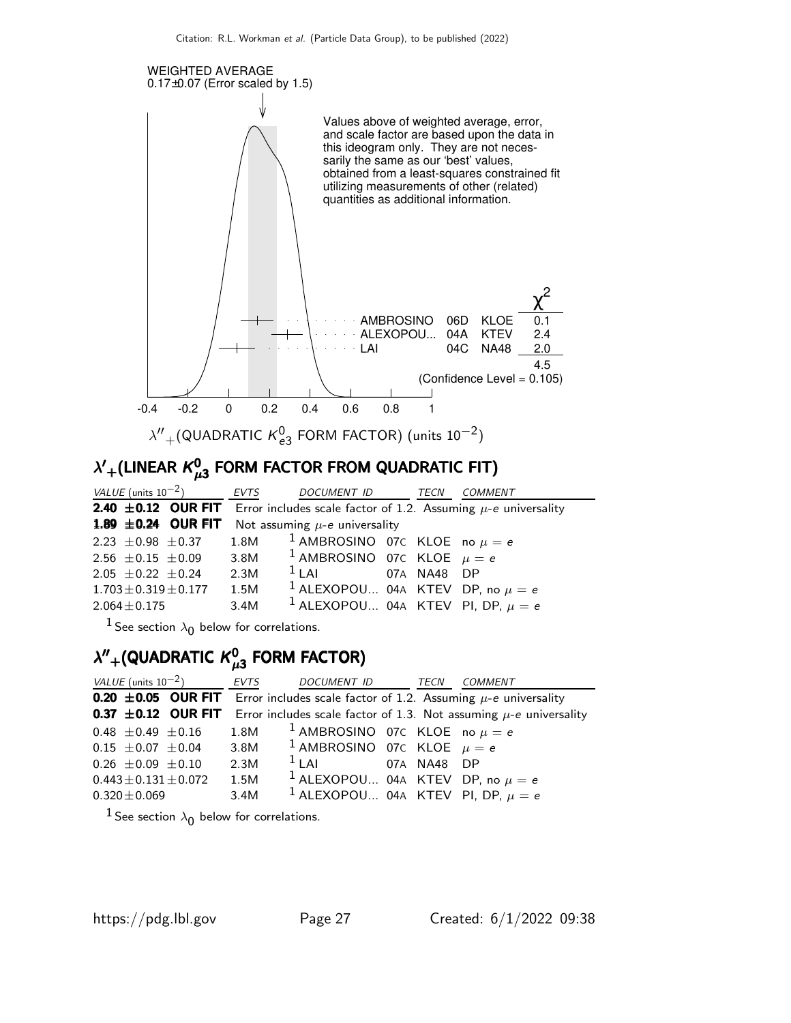

#### $\lambda^\prime{}_{+}$ (LINEAR  $\kappa_\mu^0$  $\lambda^\prime{}_{+}$ (LINEAR  $\kappa^0_{\mu 3}$  FORM FACTOR FROM QUADRATIC FIT)

| VALUE (units $10^{-2}$ ) EVTS                                                                |      | DOCUMENT ID TECN                                                            |  | COMMENT |  |  |  |
|----------------------------------------------------------------------------------------------|------|-----------------------------------------------------------------------------|--|---------|--|--|--|
| <b>2.40 ±0.12 OUR FIT</b> Error includes scale factor of 1.2. Assuming $\mu$ -e universality |      |                                                                             |  |         |  |  |  |
|                                                                                              |      | <b>1.89 <math>\pm</math>0.24 OUR FIT</b> Not assuming $\mu$ -e universality |  |         |  |  |  |
| 2.23 $\pm$ 0.98 $\pm$ 0.37 1.8M <sup>1</sup> AMBROSINO 07C KLOE no $\mu = e$                 |      |                                                                             |  |         |  |  |  |
| 2.56 $\pm$ 0.15 $\pm$ 0.09 3.8M <sup>1</sup> AMBROSINO 07C KLOE $\mu = e$                    |      |                                                                             |  |         |  |  |  |
| $2.05 \pm 0.22 \pm 0.24$                                                                     | 2.3M | $1$ LAI 07A NA48 DP                                                         |  |         |  |  |  |
| $1.703 \pm 0.319 \pm 0.177$                                                                  | 1.5M | <sup>1</sup> ALEXOPOU 04A KTEV DP, no $\mu = e$                             |  |         |  |  |  |
| $2.064 \pm 0.175$                                                                            | 3.4M | <sup>1</sup> ALEXOPOU 04A KTEV PI, DP, $\mu = e$                            |  |         |  |  |  |

 $^1$  See section  $\lambda _0$  below for correlations.

#### $\lambda''_{+}$ (QUADRATIC  $\kappa^0_\mu$  $\lambda''_{+}$ (QUADRATIC  $\kappa_{\mu 3}^{0}$  FORM FACTOR)

| VALUE (units $10^{-2}$ ) EVTS                                                                               |      | DOCUMENT ID TECN COMMENT                          |  |  |
|-------------------------------------------------------------------------------------------------------------|------|---------------------------------------------------|--|--|
| <b>0.20 <math>\pm</math>0.05 OUR FIT</b> Error includes scale factor of 1.2. Assuming $\mu$ -e universality |      |                                                   |  |  |
| <b>0.37 ±0.12 OUR FIT</b> Error includes scale factor of 1.3. Not assuming $\mu$ -e universality            |      |                                                   |  |  |
| $0.48 \pm 0.49 \pm 0.16$                                                                                    |      | 1.8M <sup>1</sup> AMBROSINO 07C KLOE no $\mu = e$ |  |  |
| $0.15 \pm 0.07 \pm 0.04$                                                                                    |      | 3.8M <sup>1</sup> AMBROSINO 07C KLOE $\mu = e$    |  |  |
| $0.26 \pm 0.09 \pm 0.10$                                                                                    | 2.3M | $1$ LAI 07A NA48 DP                               |  |  |
| $0.443 \pm 0.131 \pm 0.072$                                                                                 | 1.5M | <sup>1</sup> ALEXOPOU 04A KTEV DP, no $\mu = e$   |  |  |
| $0.320 \pm 0.069$                                                                                           | 3.4M | $^{-1}$ ALEXOPOU 04A KTEV PI, DP, $\mu = e$       |  |  |

 $^1$  See section  $\lambda _0$  below for correlations.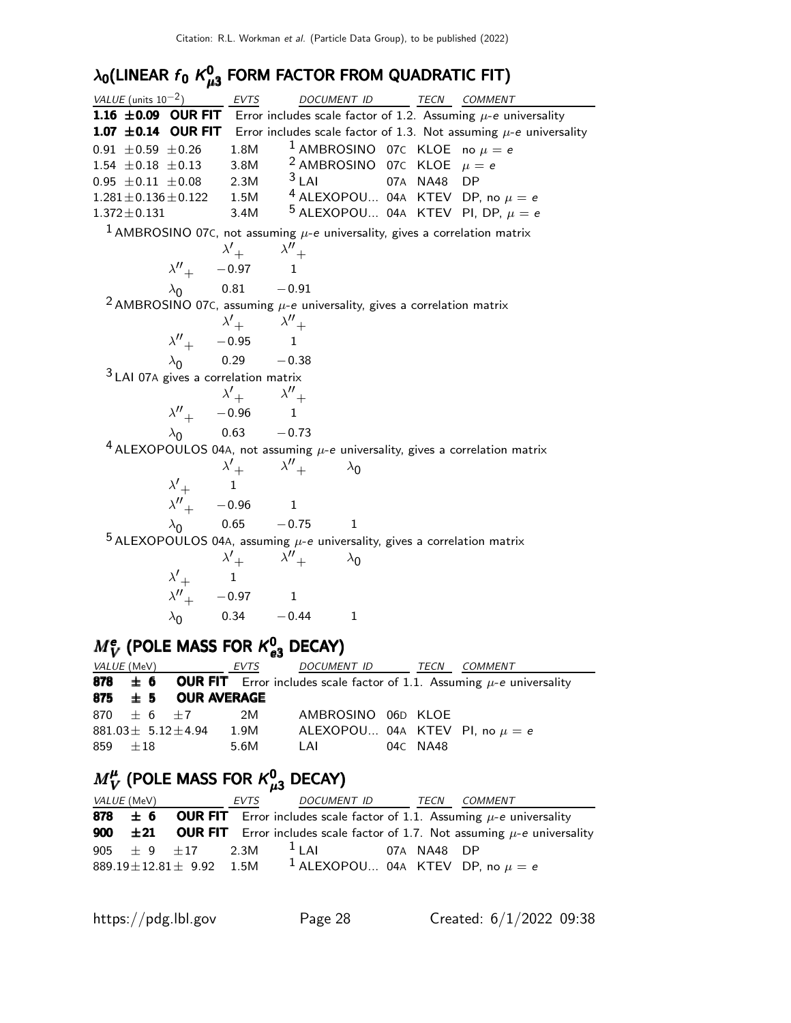#### $\lambda_{\mathbf{0}}$ (LINEAR  $f_{\mathbf{0}}$  K $_{\mu}^{\mathbf{0}}$  $\lambda_{\mathbf{0}}$ (LINEAR  $f_{\mathbf{0}}$   $\mathcal{K}_{\boldsymbol{\mu} \mathbf{3}}^{\mathbf{0}}$  FORM FACTOR FROM QUADRATIC FIT)

| VALUE (units $10^{-2}$ )                                                                                                                           | EVTS                                                                                      |                                                            |  | DOCUMENT ID TECN COMMENT                                                                         |
|----------------------------------------------------------------------------------------------------------------------------------------------------|-------------------------------------------------------------------------------------------|------------------------------------------------------------|--|--------------------------------------------------------------------------------------------------|
| <b>1.16 ±0.09 OUR FIT</b> Error includes scale factor of 1.2. Assuming $\mu$ -e universality                                                       |                                                                                           |                                                            |  |                                                                                                  |
|                                                                                                                                                    |                                                                                           |                                                            |  | <b>1.07 ±0.14 OUR FIT</b> Error includes scale factor of 1.3. Not assuming $\mu$ -e universality |
| $0.91 \pm 0.59 \pm 0.26$                                                                                                                           | 1.8M                                                                                      |                                                            |  | <sup>1</sup> AMBROSINO 07C KLOE no $\mu = e$                                                     |
| 1.54 ± 0.18 ± 0.13 3.8M $\frac{2}{3}$ AMBROSINO 07C KLOE $\mu = e$                                                                                 |                                                                                           |                                                            |  |                                                                                                  |
| 0.95 $\pm$ 0.11 $\pm$ 0.08 2.3M <sup>3</sup> LAI 07A NA48 DP<br>1.281 $\pm$ 0.136 $\pm$ 0.122 1.5M <sup>4</sup> ALEXOPOU 04A KTEV DP, no $\mu = e$ |                                                                                           | $3$ LAI                                                    |  |                                                                                                  |
|                                                                                                                                                    |                                                                                           |                                                            |  |                                                                                                  |
| $1.372 \pm 0.131$                                                                                                                                  |                                                                                           |                                                            |  | 3.4M $5$ ALEXOPOU 04A KTEV PI, DP, $\mu = e$                                                     |
| $^1$ AMBROSINO 07C, not assuming $\mu$ -e universality, gives a correlation matrix                                                                 |                                                                                           |                                                            |  |                                                                                                  |
|                                                                                                                                                    | $\begin{matrix} &\lambda'_{+} &\lambda''_{+}\\ \lambda''_{+} &-0.97 &1 \end{matrix}$      |                                                            |  |                                                                                                  |
|                                                                                                                                                    | $\lambda_0$ 0.81 - 0.91                                                                   |                                                            |  |                                                                                                  |
| <sup>2</sup> AMBROSINO 07C, assuming $\mu$ -e universality, gives a correlation matrix                                                             |                                                                                           |                                                            |  |                                                                                                  |
|                                                                                                                                                    |                                                                                           |                                                            |  |                                                                                                  |
|                                                                                                                                                    | $\begin{array}{ccc} &\lambda'_{+} &\lambda''_{+}\\ \lambda''_{+} &-0.95 & 1 \end{array}$  |                                                            |  |                                                                                                  |
|                                                                                                                                                    | $\lambda_0$ 0.29 -0.38                                                                    |                                                            |  |                                                                                                  |
| $3$ LAI 07A gives a correlation matrix                                                                                                             |                                                                                           |                                                            |  |                                                                                                  |
|                                                                                                                                                    |                                                                                           |                                                            |  |                                                                                                  |
|                                                                                                                                                    | $\begin{array}{ccc} &\lambda'_{+} &\lambda''_{+}\\ \lambda''_{+} & -0.96 & 1 \end{array}$ |                                                            |  |                                                                                                  |
|                                                                                                                                                    | $\lambda_0$ 0.63 - 0.73                                                                   |                                                            |  |                                                                                                  |
| $4$ ALEXOPOULOS 04A, not assuming $\mu$ -e universality, gives a correlation matrix                                                                |                                                                                           |                                                            |  |                                                                                                  |
|                                                                                                                                                    |                                                                                           |                                                            |  |                                                                                                  |
|                                                                                                                                                    |                                                                                           | $\lambda'_{+}$ $\lambda''_{+}$ $\lambda''_{+}$ $\lambda_0$ |  |                                                                                                  |
|                                                                                                                                                    | $\begin{array}{ccc}\n\gamma & & 1 \\ \lambda'' & -0.96 & 1\n\end{array}$                  |                                                            |  |                                                                                                  |
|                                                                                                                                                    |                                                                                           | $\lambda_0$ 0.65 - 0.75 1                                  |  |                                                                                                  |
| $^5$ ALEXOPOULOS 04A, assuming $\mu$ -e universality, gives a correlation matrix                                                                   |                                                                                           |                                                            |  |                                                                                                  |
|                                                                                                                                                    |                                                                                           | $\lambda'_{+}$ $\lambda''_{+}$ $\lambda_{0}$               |  |                                                                                                  |
|                                                                                                                                                    | $\lambda'_{+}$ 1                                                                          |                                                            |  |                                                                                                  |
|                                                                                                                                                    | $\lambda''_+$ - 0.97 1                                                                    |                                                            |  |                                                                                                  |
|                                                                                                                                                    |                                                                                           | $\lambda_0$ 0.34 - 0.44 1                                  |  |                                                                                                  |
|                                                                                                                                                    |                                                                                           |                                                            |  |                                                                                                  |

### $M_{V}^{\text{e}}$  (POLE MASS FOR  $\kappa_{e3}^{0}$  DECAY)

| <i>VALUE</i> (MeV) |                            | EVTS | DOCUMENT ID TECN COMMENT                                                                      |          |  |
|--------------------|----------------------------|------|-----------------------------------------------------------------------------------------------|----------|--|
|                    |                            |      | <b>878</b> $\pm$ 6 OUR FIT Error includes scale factor of 1.1. Assuming $\mu$ -e universality |          |  |
|                    | 875 $\pm$ 5 OUR AVERAGE    |      |                                                                                               |          |  |
|                    | 870 $\pm$ 6 $\pm$ 7        | 2M   | AMBROSINO 06D KLOE                                                                            |          |  |
|                    | $881.03 \pm 5.12 \pm 4.94$ | 1.9M | ALEXOPOU 04A KTEV PI, no $\mu = e$                                                            |          |  |
| 859 $\pm 18$       |                            | 5.6M | LAI                                                                                           | 04C NA48 |  |

#### $M^{\mu}_{V}$  $M^{\mu}_{V}$  (POLE MASS FOR  $\kappa^{0}_{\mu 3}$  DECAY)

| <i>VALUE (</i> MeV) |                                  | EVTS | DOCUMENT ID                                     | TECN        | <i>COMMENT</i>                                                                                     |
|---------------------|----------------------------------|------|-------------------------------------------------|-------------|----------------------------------------------------------------------------------------------------|
|                     |                                  |      |                                                 |             | <b>878</b> $\pm$ 6 OUR FIT Error includes scale factor of 1.1. Assuming $\mu$ -e universality      |
|                     |                                  |      |                                                 |             | <b>900</b> $\pm$ 21 OUR FIT Error includes scale factor of 1.7. Not assuming $\mu$ -e universality |
|                     | 905 $\pm$ 9 $\pm$ 17 2.3M        |      | $1$ $\vert$ Al                                  | 07A NA48 DP |                                                                                                    |
|                     | $889.19 \pm 12.81 \pm 9.92$ 1.5M |      | <sup>1</sup> ALEXOPOU 04A KTEV DP, no $\mu = e$ |             |                                                                                                    |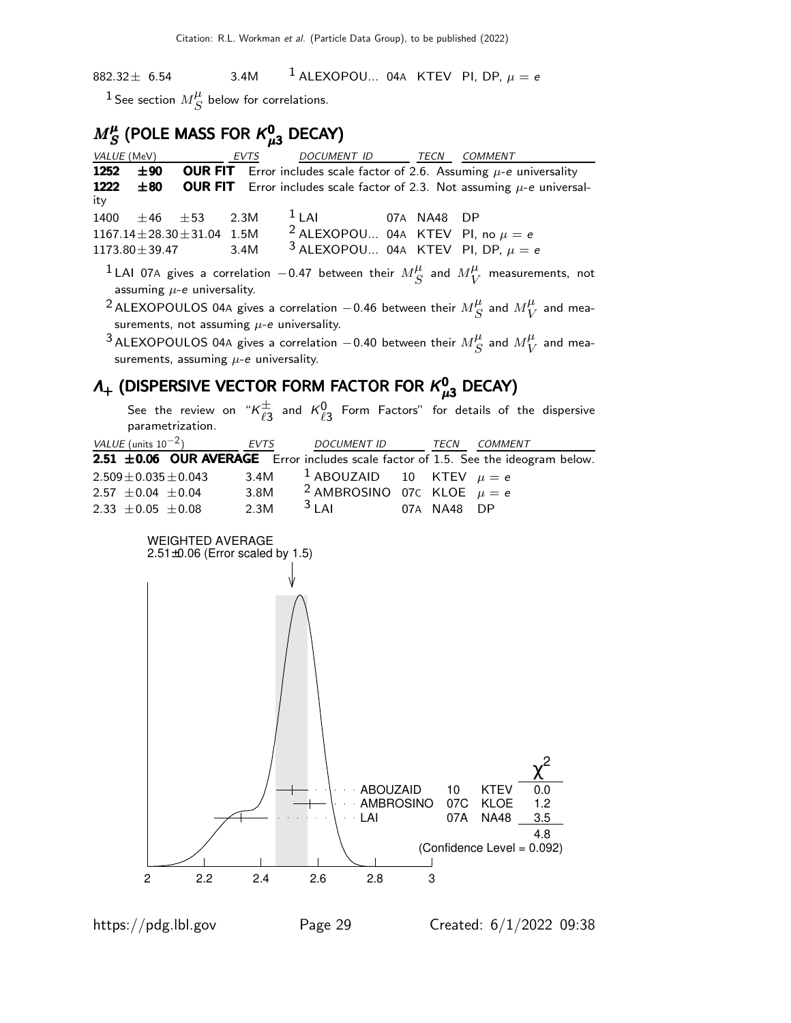882.32 $\pm$  6.54 3.4M <sup>1</sup> ALEXOPOU... 04A KTEV PI, DP,  $\mu = e$ 

<sup>1</sup> See section  $M_\mathcal{S}^\mu$  $S<sup>\mu</sup>$  below for correlations.

#### $M_S^{\mu}$  $M_S^{\mu}$  (POLE MASS FOR  $\kappa_{\mu 3}^0$  DECAY)

| VALUE (MeV)                                                            | EVTS            |                                            | DOCUMENT ID TECN COMMENT                                                                                                   |
|------------------------------------------------------------------------|-----------------|--------------------------------------------|----------------------------------------------------------------------------------------------------------------------------|
| 1252<br>士90                                                            |                 |                                            | <b>OUR FIT</b> Error includes scale factor of 2.6. Assuming $\mu$ -e universality                                          |
| 1222<br>±80<br>ity                                                     |                 |                                            | <b>OUR FIT</b> Error includes scale factor of 2.3. Not assuming $\mu$ -e universal-                                        |
| 1400<br>$\pm 46$ $\pm 53$                                              | $1$ LAI<br>2.3M |                                            | 07A NA48 DP                                                                                                                |
| $1167.14 \pm 28.30 \pm 31.04$ 1.5M                                     |                 |                                            | <sup>2</sup> ALEXOPOU 04A KTEV PI, no $\mu = e$                                                                            |
| $1173.80 \pm 39.47$                                                    | 3.4M            |                                            | <sup>3</sup> ALEXOPOU 04A KTEV PI, DP, $\mu = e$                                                                           |
| assuming $\mu$ -e universality.                                        |                 |                                            | $^{-1}$ LAI 07A gives a correlation $-0.47$ between their $M_{\;\;S}^{\mu}$ and $M_{\;\;V}^{\mu}$ measurements, not        |
| surements, not assuming $\mu$ -e universality.                         |                 |                                            | $^2$ ALEXOPOULOS 04A gives a correlation $-$ 0.46 between their $M_{\;\;S}^{\mu}$ and $M_{\;\;V}^{\mu}$ and mea-           |
|                                                                        |                 |                                            |                                                                                                                            |
| surements, assuming $\mu$ -e universality.                             |                 |                                            | $^3$ ALEXOPOULOS 04A gives a correlation $-$ 0.40 between their $M^\mu_{\overline{S}}$ and $M^\mu_{\overline{V}}$ and mea- |
| $\Lambda_{+}$ (DISPERSIVE VECTOR FORM FACTOR FOR $K_{\mu3}^{0}$ DECAY) |                 |                                            |                                                                                                                            |
| parametrization.                                                       |                 |                                            | See the review on " $K_{\ell,3}^{\pm}$ and $K_{\ell,3}^{0}$ Form Factors" for details of the dispersive                    |
| VALUE (units $10^{-2}$ )                                               | EVTS            | DOCUMENT ID TECN                           | <b>COMMENT</b>                                                                                                             |
|                                                                        |                 |                                            | 2.51 ±0.06 OUR AVERAGE Error includes scale factor of 1.5. See the ideogram below.                                         |
| $2.509 \pm 0.035 \pm 0.043$                                            | 3.4M            | $1$ ABOUZAID<br>10                         | KTEV $\mu = e$                                                                                                             |
| $2.57 \pm 0.04 \pm 0.04$                                               | 3.8M            |                                            | <sup>2</sup> AMBROSINO 07C KLOE $\mu = e$                                                                                  |
| 2.33 $\pm$ 0.05 $\pm$ 0.08                                             | $3$ LAI<br>2.3M |                                            | 07A NA48 DP                                                                                                                |
| <b>WEIGHTED AVERAGE</b><br>$2.51\pm0.06$ (Error scaled by 1.5)         |                 | <b>ABOUZAID</b><br><b>AMBROSINO</b><br>LAI | 10<br><b>KTEV</b><br>0.0<br>07C<br>1.2<br><b>KLOE</b><br>07A<br>3.5<br><b>NA48</b><br>4.8<br>(Confidence Level = 0.092)    |
|                                                                        |                 |                                            |                                                                                                                            |

2 2.2 2.4 2.6 2.8 3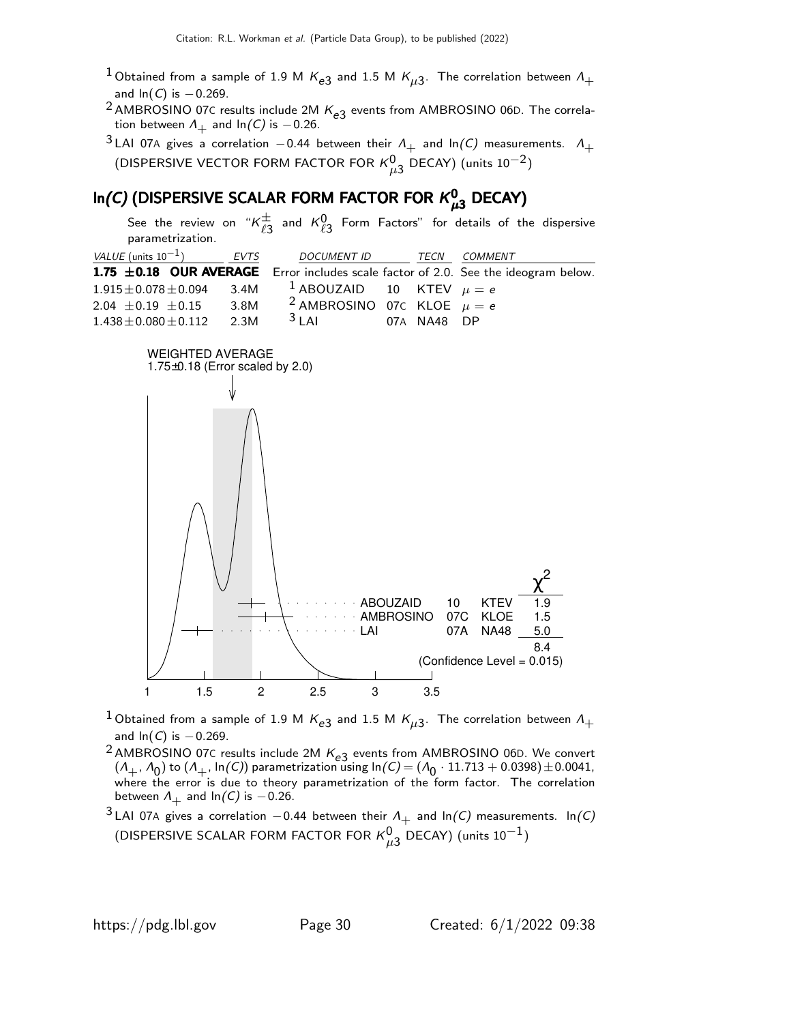- $^1$ Obtained from a sample of 1.9 M  $\mathsf{K}_{e3}$  and 1.5 M  $\mathsf{K}_{\mu 3}$ . The correlation between  $\mathsf{\Lambda}_{+}$ and  $ln(C)$  is  $-0.269$ .
- <sup>2</sup> AMBROSINO 07C results include 2M  $K_{e3}$  events from AMBROSINO 06D. The correlation between  $\Lambda_+$  and ln $(C)$  is  $-0.26$ .
- $3$  LAI 07A gives a correlation  $-0.44$  between their  $\Lambda_+$  and ln(C) measurements.  $\Lambda_+$ (DISPERSIVE VECTOR FORM FACTOR FOR  $\kappa_{\mu 3}^0$  DECAY) (units  $10^{-2}$ )

### In(C) (DISPERSIVE SCALAR FORM FACTOR FOR  $\kappa_{\mu 3}^0$  DECAY)

See the review on " $\kappa^\pm_{\ell^{\alpha}}$  $_{\ell3}^\pm$  and  $\mathcal{K}_{\ell3}^0$  Form Factors" for details of the dispersive parametrization.

| <i>VALUE</i> (units $10^{-1}$ )  | EVTS | DOCUMENT ID                               | TECN        | COMMENT                                                                            |
|----------------------------------|------|-------------------------------------------|-------------|------------------------------------------------------------------------------------|
|                                  |      |                                           |             | 1.75 ±0.18 OUR AVERAGE Error includes scale factor of 2.0. See the ideogram below. |
| $1.915 \pm 0.078 \pm 0.094$ 3.4M |      | <sup>1</sup> ABOUZAID 10 KTEV $\mu = e$   |             |                                                                                    |
| $2.04 \pm 0.19 \pm 0.15$         | 3.8M | <sup>2</sup> AMBROSINO 07C KLOE $\mu = e$ |             |                                                                                    |
| $1.438 \pm 0.080 \pm 0.112$ 2.3M |      | $3$   Al                                  | 07A NA48 DP |                                                                                    |



- $^1$ Obtained from a sample of 1.9 M  $\mathsf{K}_{e3}$  and 1.5 M  $\mathsf{K}_{\mu 3}$ . The correlation between  $\mathsf{\Lambda}_{+}$ and  $ln(C)$  is  $-0.269$ .
- <sup>2</sup> AMBROSINO 07C results include 2M  $K_{e3}$  events from AMBROSINO 06D. We convert  $(\Lambda_+, \Lambda_0)$  to  $(\Lambda_+, \ln(C))$  parametrization using  $\ln(C) = (\Lambda_0 \cdot 11.713 + 0.0398) \pm 0.0041$ , where the error is due to theory parametrization of the form factor. The correlation between  $\Lambda_+$  and ln(C) is -0.26.
- <sup>3</sup> LAI 07A gives a correlation −0.44 between their  $\Lambda_+$  and ln(C) measurements. ln(C) (DISPERSIVE SCALAR FORM FACTOR FOR  $\kappa_{\mu 3}^0$  DECAY) (units  $10^{-1})$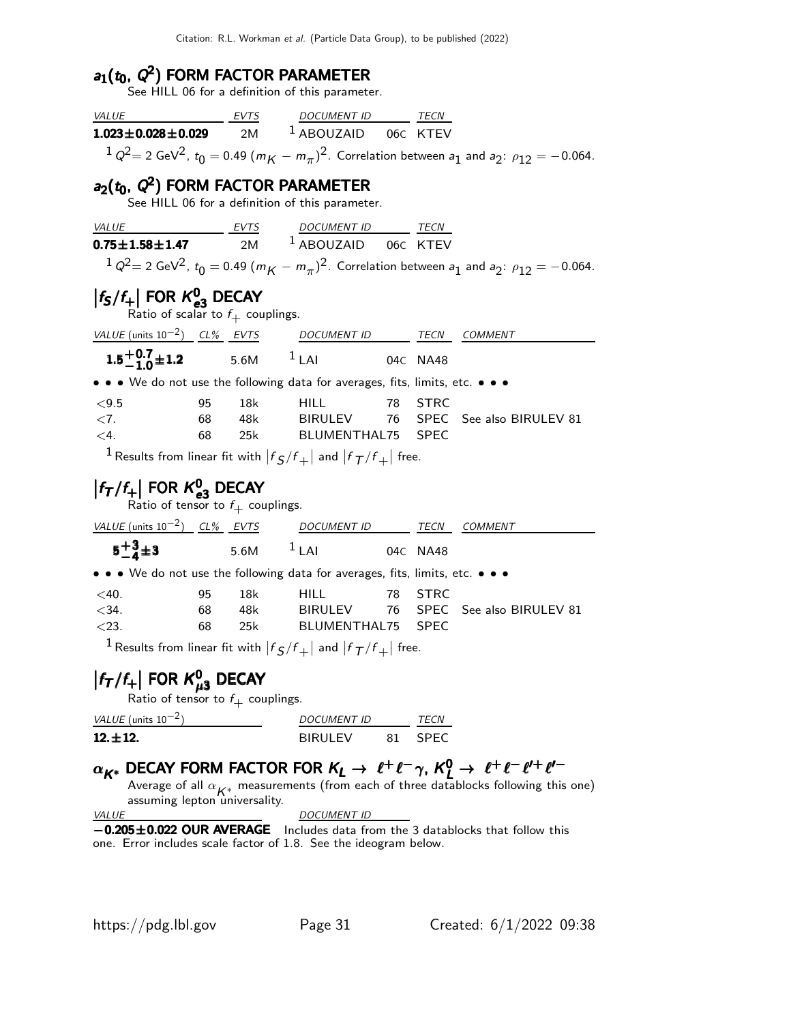# $a_1(t_0, Q^2)$  FORM FACTOR PARAMETER<br>See HILL 06 for a definition of this parameter.

| $\frac{VALUE}{1.023 \pm 0.028 \pm 0.029}$ $\frac{EVTS}{2M}$ $\frac{DOCUMENTID}{1.023 \pm 0.028 \pm 0.029}$ $\frac{FVTS}{1.0020 \pm 0.028 \pm 0.029}$ |    |     |                                                      |    |             |                                                                                                                                                 |
|------------------------------------------------------------------------------------------------------------------------------------------------------|----|-----|------------------------------------------------------|----|-------------|-------------------------------------------------------------------------------------------------------------------------------------------------|
|                                                                                                                                                      |    |     |                                                      |    |             | $1 Q^2 = 2$ GeV <sup>2</sup> , $t_0 = 0.49 (m_K - m_\pi)^2$ . Correlation between $a_1$ and $a_2$ : $\rho_{12} = -0.064$ .                      |
| $a_2(t_0, Q^2)$ FORM FACTOR PARAMETER                                                                                                                |    |     |                                                      |    |             |                                                                                                                                                 |
|                                                                                                                                                      |    |     | See HILL 06 for a definition of this parameter.      |    |             |                                                                                                                                                 |
|                                                                                                                                                      |    |     |                                                      |    |             |                                                                                                                                                 |
| $\underbrace{VALUE}$ EVTS DOCUMENT ID TECN<br><b>0.75±1.58±1.47</b> 2M <sup>1</sup> ABOUZAID 06C KTEV                                                |    |     |                                                      |    |             |                                                                                                                                                 |
|                                                                                                                                                      |    |     |                                                      |    |             | $1 Q^2 = 2 \text{ GeV}^2$ , $t_0 = 0.49 (m_K - m_\pi)^2$ . Correlation between $a_1$ and $a_2$ : $\rho_{12} = -0.064$ .                         |
| $ f_{\mathsf{S}}/f_{+} $ FOR $\mathcal{K}_{e3}^0$ DECAY<br>Ratio of scalar to $f_+$ couplings.                                                       |    |     |                                                      |    |             |                                                                                                                                                 |
| $VALUE$ (units $10^{-2}$ ) CL% EVTS DOCUMENT ID TECN COMMENT                                                                                         |    |     |                                                      |    |             |                                                                                                                                                 |
| 1.5 <sup>+</sup> 0.7 <sup>+</sup> 1.2 5.6M <sup>1</sup> LAI 04C NA48                                                                                 |    |     |                                                      |    |             |                                                                                                                                                 |
| • • • We do not use the following data for averages, fits, limits, etc. • • •                                                                        |    |     |                                                      |    |             |                                                                                                                                                 |
| < 9.5                                                                                                                                                | 95 | 18k | <b>HILL</b>                                          |    | 78 STRC     |                                                                                                                                                 |
| $\langle 7.$                                                                                                                                         |    |     |                                                      |    |             | 68 48k BIRULEV 76 SPEC See also BIRULEV 81<br>68 25k BLUMENTHAL75 SPEC                                                                          |
| $\leq 4$ .                                                                                                                                           |    |     |                                                      |    |             |                                                                                                                                                 |
| <sup>1</sup> Results from linear fit with $ f_S/f_+ $ and $ f_T/f_+ $ free.                                                                          |    |     |                                                      |    |             |                                                                                                                                                 |
| $ f_T/f_+ $ FOR $K_{e3}^0$ DECAY<br>Ratio of tensor to $f_+$ couplings.                                                                              |    |     |                                                      |    |             |                                                                                                                                                 |
| $VALUE (units 10-2)$ $CL%$ <i>EVTS</i> DOCUMENT ID TECN COMMENT                                                                                      |    |     |                                                      |    |             |                                                                                                                                                 |
|                                                                                                                                                      |    |     | $5-\frac{3}{4} \pm 3$ 5.6M <sup>1</sup> LAI 04C NA48 |    |             |                                                                                                                                                 |
| • • • We do not use the following data for averages, fits, limits, etc. • • •                                                                        |    |     |                                                      |    |             |                                                                                                                                                 |
| $<$ 40.                                                                                                                                              | 95 | 18k | <b>HILL</b>                                          | 78 | <b>STRC</b> |                                                                                                                                                 |
| $<$ 34.                                                                                                                                              |    |     |                                                      |    |             | 68 48k BIRULEV 76 SPEC See also BIRULEV 81                                                                                                      |
| < 23.                                                                                                                                                |    |     | 68 25k BLUMENTHAL75 SPEC                             |    |             |                                                                                                                                                 |
| $^{-1}$ Results from linear fit with $\left  f_{\cal S}/f_+\right $ and $\left  f_{\cal T}/f_+\right $ free.                                         |    |     |                                                      |    |             |                                                                                                                                                 |
| $ f_T/f_+ $ FOR $\kappa_{\mu 3}^0$ DECAY                                                                                                             |    |     |                                                      |    |             |                                                                                                                                                 |
| Ratio of tensor to $f_+$ couplings.                                                                                                                  |    |     |                                                      |    |             |                                                                                                                                                 |
| VALUE (units $10^{-2}$ )                                                                                                                             |    |     | DOCUMENT ID                                          |    | TECN        |                                                                                                                                                 |
| $12. \pm 12.$                                                                                                                                        |    |     | BIRULEV                                              | 81 | <b>SPEC</b> |                                                                                                                                                 |
|                                                                                                                                                      |    |     |                                                      |    |             | $\alpha_{K^*}$ DECAY FORM FACTOR FOR $K_L \rightarrow \ell^+ \ell^- \gamma$ , $K_L^0 \rightarrow \ell^+ \ell^- \ell^{\prime +} \ell^{\prime -}$ |
|                                                                                                                                                      |    |     |                                                      |    |             | Average of all $\alpha_{K^*}$ measurements (from each of three datablocks following this one)                                                   |
| assuming lepton universality.                                                                                                                        |    |     |                                                      |    |             |                                                                                                                                                 |
| <b>VALUE</b><br>$-0.205 \pm 0.022$ OUR AVERAGE                                                                                                       |    |     | <b>DOCUMENT ID</b>                                   |    |             | Includes data from the 3 datablocks that follow this                                                                                            |
| one. Error includes scale factor of 1.8. See the ideogram below.                                                                                     |    |     |                                                      |    |             |                                                                                                                                                 |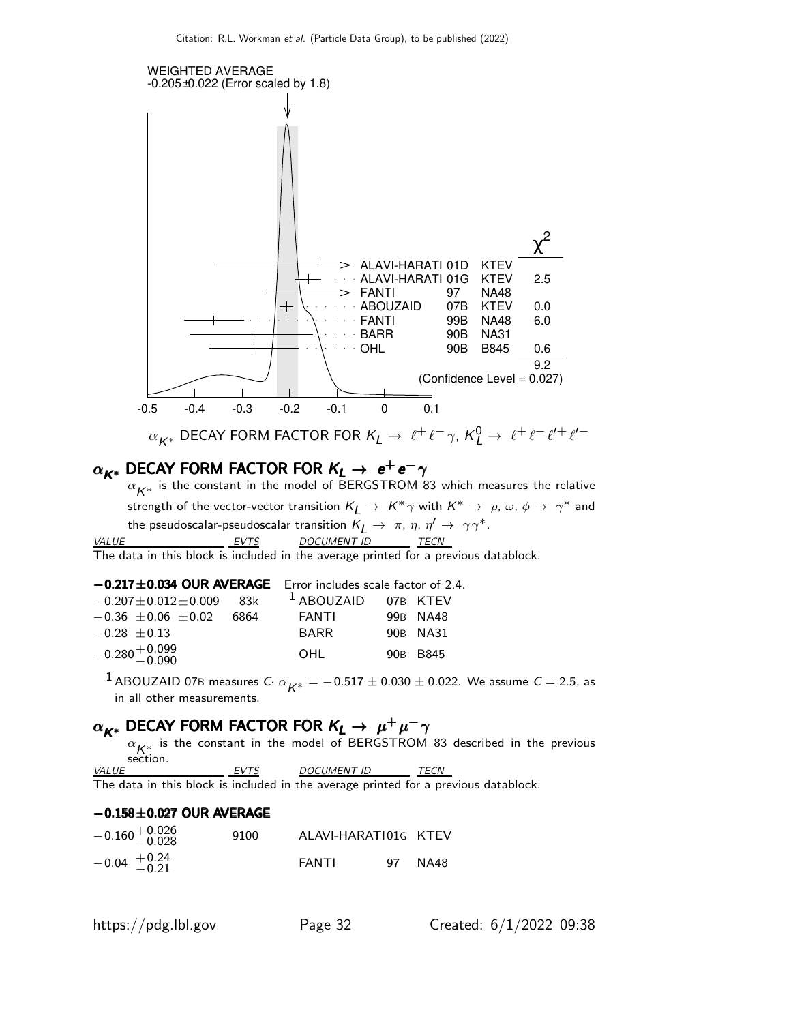

 $\alpha_{\boldsymbol{K}^*}$  is the constant in the model of BERGSTROM 83 which measures the relative strength of the vector-vector transition  $K_L \to K^* \gamma$  with  $K^* \to \rho, \omega, \phi \to \gamma^*$  and the pseudoscalar-pseudoscalar transition  $\mathsf{K}_L \rightarrow~\pi$ ,  $\eta$ ,  $\eta' \rightarrow~\gamma\gamma^*.$ VALUE EVTS DOCUMENT ID TECN

The data in this block is included in the average printed for a previous datablock.

| $-0.217 \pm 0.034$ OUR AVERAGE Error includes scale factor of 2.4. |                       |          |
|--------------------------------------------------------------------|-----------------------|----------|
| $-0.207 \pm 0.012 \pm 0.009$ 83k                                   | $1$ ABOUZAID 07B KTEV |          |
| $-0.36 \pm 0.06 \pm 0.02$ 6864                                     | FANTI                 | 99B NA48 |
| $-0.28 + 0.13$                                                     | <b>BARR</b>           | 90B NA31 |
| $-0.280 + 0.099$<br>$-0.090$                                       | OHI                   | 90B B845 |

 $^1$  ABOUZAID 07B measures  $C \cdot \alpha_{K^*} = -0.517 \pm 0.030 \pm 0.022$ . We assume  $C = 2.5$ , as in all other measurements.

## $\alpha_{K^*}$  DECAY FORM FACTOR FOR  $K_L \rightarrow \mu^+ \mu^- \gamma$

 $\alpha_{\mathcal{K}^*_{\cdot \cdot}}$  is the constant in the model of BERGSTROM 83 described in the previous section.

VALUE EVTS DOCUMENT ID TECN The data in this block is included in the average printed for a previous datablock.

#### $-0.158\pm0.027$  OUR AVERAGE

| $-0.160 + 0.026$<br>$-0.028$ | 9100 | ALAVI-HARATI01G KTEV |    |      |
|------------------------------|------|----------------------|----|------|
| $-0.04$ $+0.24$<br>$-0.21$   |      | FANTI                | Q7 | NA48 |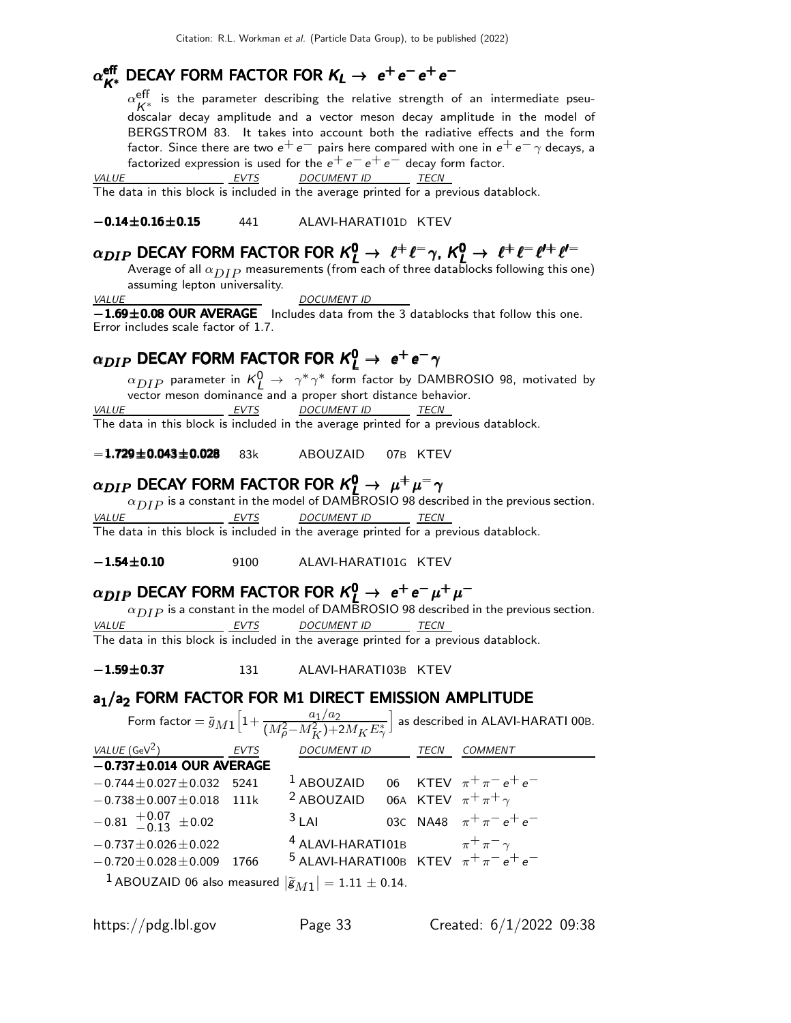## $\alpha_{K^*}^{\text{eff}}$  DECAY FORM FACTOR FOR  $K_L \rightarrow e^+e^-e^+e^-$

 $\alpha_{\nu}^{\sf eff}$  $K^*$  is the parameter describing the relative strength of an intermediate pseu-<br> $K^*$ doscalar decay amplitude and a vector meson decay amplitude in the model of BERGSTROM 83. It takes into account both the radiative effects and the form factor. Since there are two  $e^+e^-$  pairs here compared with one in  $e^+e^-\gamma$  decays, a factorized expression is used for the  $e^+e^-e^+e^-$  decay form factor.<br>VALUE EVTS DOCUMENT ID TECN

<u>EVTS DOCUMENT ID TECN</u>

The data in this block is included in the average printed for a previous datablock.

−0.14±0.16±0.15 441 ALAVI-HARATI01D KTEV

## $\alpha_{DIP}$  DECAY FORM FACTOR FOR  $\kappa_l^0 \rightarrow \ell^+ \ell^- \gamma$ ,  $\kappa_l^0 \rightarrow \ell^+ \ell^- \ell^{\prime +} \ell^{\prime -}$

Average of all  $\alpha_{DIP}$  measurements (from each of three datablocks following this one) assuming lepton universality.

VALUE DOCUMENT ID

−1.69±0.08 OUR AVERAGE Includes data from the 3 datablocks that follow this one. Error includes scale factor of 1.7.

## $\alpha_{DIP}$  DECAY FORM FACTOR FOR  $\kappa_{L}^{0}\rightarrow\; e^{+}\,e^{-}\,\gamma$

 $\alpha_{DIP}$  parameter in  $\kappa_L^0 \rightarrow \ \ \gamma^* \, \gamma^*$  form factor by DAMBROSIO 98, motivated by vector meson dominance and a proper short distance behavior. VALUE EVTS DOCUMENT ID TECN

The data in this block is included in the average printed for a previous datablock.

−1.729±0.043±0.028 83k ABOUZAID 07B KTEV

## $\alpha_{DIP}$  DECAY FORM FACTOR FOR  $\kappa_{L}^{0}\rightarrow\mu^{+}\mu^{-}\gamma$

 $\alpha_{DIP}$  is a constant in the model of DAMBROSIO 98 described in the previous section.<br> $\frac{EVTS}{ECN}$  DOCUMENT ID TECN DOCUMENT ID The data in this block is included in the average printed for a previous datablock.

−1.54±0.10 9100 ALAVI-HARATI01G KTEV

## $\alpha_{DIP}$  DECAY FORM FACTOR FOR  $K^0_L \rightarrow e^+e^-\mu^+\mu^-$

 $\alpha_{DIP}$  is a constant in the model of DAMBROSIO 98 described in the previous section.

EVTS DOCUMENT ID TECN

The data in this block is included in the average printed for a previous datablock.

−1.59±0.37 131 ALAVI-HARATI 03B KTEV

#### a<sub>1</sub>/a<sub>2</sub> FORM FACTOR FOR M1 DIRECT EMISSION AMPLITUDE

|                                                                             |      |                                                                                                         |      | Form factor $=\tilde{g}_{M1}\Big[1+\frac{a_1/a_2}{(M_o^2-M_K^2)+2M_KE^*_\gamma}\Big]$ as described in ALAVI-HARATI 00B. |
|-----------------------------------------------------------------------------|------|---------------------------------------------------------------------------------------------------------|------|-------------------------------------------------------------------------------------------------------------------------|
| VALUE $(\text{GeV}^2)$ EVTS                                                 |      | <b>DOCUMENT ID</b>                                                                                      | TECN | COMMENT                                                                                                                 |
| $-0.737 \pm 0.014$ OUR AVERAGE                                              |      |                                                                                                         |      |                                                                                                                         |
| $-0.744 \pm 0.027 \pm 0.032$ 5241                                           |      | <sup>1</sup> ABOUZAID 06 KTEV $\pi^{+}\pi^{-}e^{+}e^{-}$                                                |      |                                                                                                                         |
| $-0.738 \pm 0.007 \pm 0.018$ 111k                                           |      | <sup>2</sup> ABOUZAID 06A KTEV $\pi^{+} \pi^{+} \gamma$                                                 |      |                                                                                                                         |
| $-0.81$ $+0.07$ $\pm 0.02$                                                  |      | $3$ LAI                                                                                                 |      | 03C NA48 $\pi^{+}\pi^{-}e^{+}e^{-}$                                                                                     |
| $-0.737 \pm 0.026 \pm 0.022$                                                |      | <sup>4</sup> ALAVI-HARATI01B $\pi^+\pi^-\gamma$<br><sup>5</sup> ALAVI-HARATI00B KTEV $\pi^+\pi^-e^+e^-$ |      |                                                                                                                         |
| $-0.720 \pm 0.028 \pm 0.009$                                                | 1766 |                                                                                                         |      |                                                                                                                         |
| <sup>1</sup> ABOUZAID 06 also measured $ \tilde{g}_{M1}  = 1.11 \pm 0.14$ . |      |                                                                                                         |      |                                                                                                                         |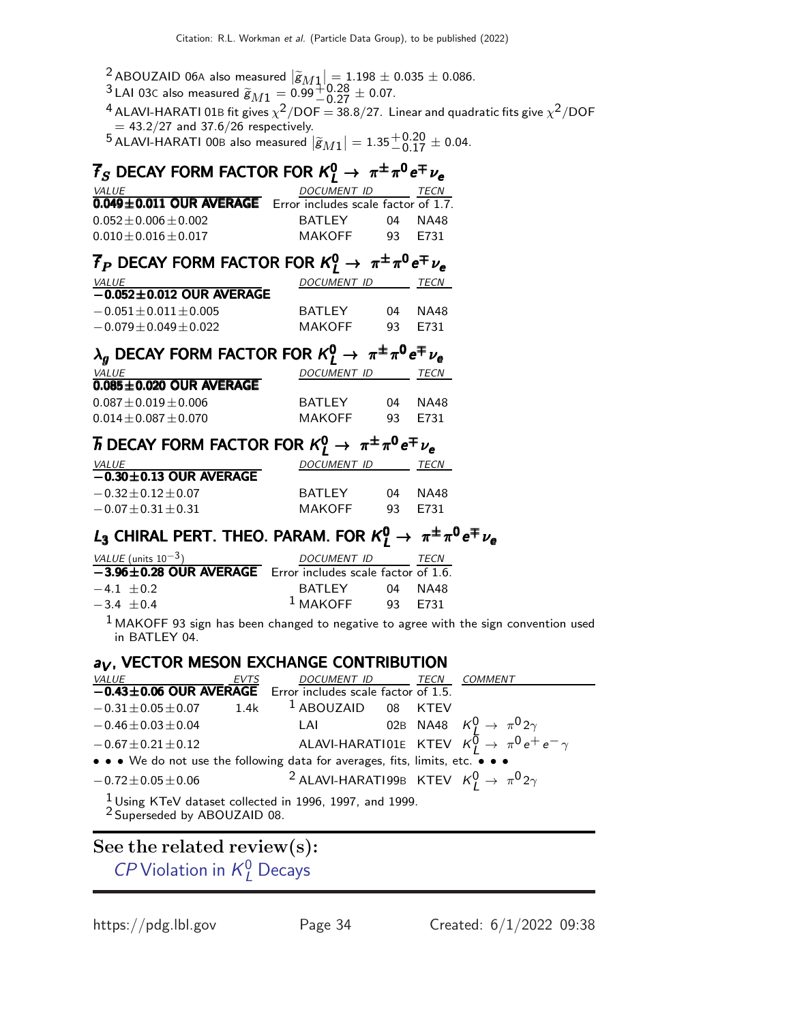<sup>2</sup> ABOUZAID 06A also measured  $|\tilde{g}_{M1}| = 1.198 \pm 0.035 \pm 0.086$ .

- $^{3}$  LAI 03c also measured  $\widetilde{g}_{M1} = 0.99^{+0.28}_{-0.27} \pm 0.07.$
- $^4$  ALAVI-HARATI 01B fit gives  $\chi^2/\text{DOF} = 38.8/27$ . Linear and quadratic fits give  $\chi^2/\text{DOF}$  $= 43.2/27$  and 37.6/26 respectively.

 $^5$ ALAVI-HARATI 00B also measured  $|\widetilde{g}_{M1}| = 1.35^{+0.20}_{-0.17} \pm$  0.04.

## $\overline{f}_S$  DECAY FORM FACTOR FOR  $\mathcal{K}^0_L \rightarrow \; \pi^{\pm} \pi^0 \, e^{\mp} \, \nu_e$

| <i>VALUE</i>                                                | DOCUMENT ID |     | TECN |
|-------------------------------------------------------------|-------------|-----|------|
| 0.049±0.011 OUR AVERAGE Error includes scale factor of 1.7. |             |     |      |
| $0.052 \pm 0.006 \pm 0.002$                                 | BATI FY     | 04  | NA48 |
| $0.010 + 0.016 + 0.017$                                     | MAKOFF      | Q3. | F731 |

## $\overline{f}_P$  DECAY FORM FACTOR FOR  $\kappa_L^0 \rightarrow \ \pi^{\pm} \pi^0 \, e^{\mp} \, \nu_e$

| <i>VALUE</i>                   | <i>DOCUMENT ID</i> |     | TECN |
|--------------------------------|--------------------|-----|------|
| $-0.052 \pm 0.012$ OUR AVERAGE |                    |     |      |
| $-0.051 + 0.011 + 0.005$       | <b>BATI FY</b>     | 04  | NA48 |
| $-0.079 + 0.049 + 0.022$       | MAKOFF             | 93. | F731 |

| $\lambda_q$ DECAY FORM FACTOR FOR $K_l^0 \rightarrow \pi^{\pm} \pi^0 e^{\mp} \nu_e$ |                  |    |         |
|-------------------------------------------------------------------------------------|------------------|----|---------|
| <i>VALUE</i>                                                                        | DOCUMENT ID TECN |    |         |
| $0.085 \pm 0.020$ OUR AVERAGE                                                       |                  |    |         |
| $0.087 \pm 0.019 \pm 0.006$                                                         | BATI FY          | 04 | NA48    |
| $0.014 \pm 0.087 \pm 0.070$                                                         | <b>MAKOFF</b>    |    | 93 F731 |

## $\overline{h}$  DECAY FORM FACTOR FOR  $\mathcal{K}^0_L \rightarrow \ \pi^{\pm} \pi^0 \, e^{\mp} \, \nu_e$

| <i>VALUE</i>                 | DOCUMENT ID    |    | TECN    |
|------------------------------|----------------|----|---------|
| $-0.30 \pm 0.13$ OUR AVERAGE |                |    |         |
| $-0.32 + 0.12 + 0.07$        | <b>BATI FY</b> | 04 | NA48    |
| $-0.07 \pm 0.31 \pm 0.31$    | MAKOFF         |    | 93 F731 |

## L<sub>3</sub> CHIRAL PERT. THEO. PARAM. FOR  $K^0_L \rightarrow \pi^{\pm} \pi^0 e^{\mp} \nu_e$

| VALUE (units $10^{-3}$ )                                                   | <i>DOCUMENT ID</i> |         | <i>TECN</i> |
|----------------------------------------------------------------------------|--------------------|---------|-------------|
| $\overline{-3.96\pm 0.28}$ OUR AVERAGE Error includes scale factor of 1.6. |                    |         |             |
| $-4.1 + 0.2$                                                               | BATI FY            |         | 04 NA48     |
| $-3.4 + 0.4$                                                               | $1$ MAKOFF         | 93 F731 |             |
|                                                                            |                    |         |             |

 $<sup>1</sup>$  MAKOFF 93 sign has been changed to negative to agree with the sign convention used</sup> in BATLEY 04.

#### $a_V$ , VECTOR MESON EXCHANGE CONTRIBUTION

| <i>VALUE</i>                                                                                                   | EVTS | DOCUMENT ID TECN COMMENT |  |                                                                                                                 |  |
|----------------------------------------------------------------------------------------------------------------|------|--------------------------|--|-----------------------------------------------------------------------------------------------------------------|--|
| $\overline{-0.43 \pm 0.06}$ OUR AVERAGE Error includes scale factor of 1.5.                                    |      |                          |  |                                                                                                                 |  |
| $-0.31 \pm 0.05 \pm 0.07$ 1.4k <sup>1</sup> ABOUZAID 08 KTEV                                                   |      |                          |  |                                                                                                                 |  |
| $-0.46 \pm 0.03 \pm 0.04$                                                                                      |      |                          |  |                                                                                                                 |  |
| $-0.67 \pm 0.21 \pm 0.12$                                                                                      |      |                          |  | LAI 02B NA48 $K^0_l \rightarrow \pi^0 2\gamma$<br>ALAVI-HARATI01E KTEV $K^0_l \rightarrow \pi^0 e^+ e^- \gamma$ |  |
| • • • We do not use the following data for averages, fits, limits, etc. • • •                                  |      |                          |  |                                                                                                                 |  |
| $-0.72 \pm 0.05 \pm 0.06$                                                                                      |      |                          |  | <sup>2</sup> ALAVI-HARATI99B KTEV $K_I^0 \rightarrow \pi^0 2\gamma$                                             |  |
| $\frac{1}{2}$ Using KTeV dataset collected in 1996, 1997, and 1999.<br><sup>2</sup> Superseded by ABOUZAID 08. |      |                          |  |                                                                                                                 |  |

#### See the related review(s):

CP [Violation in](http://pdg.lbl.gov/2022/reviews/rpp2021-rev-cp-viol-kl-decays.pdf)  $K^0_L$  Decays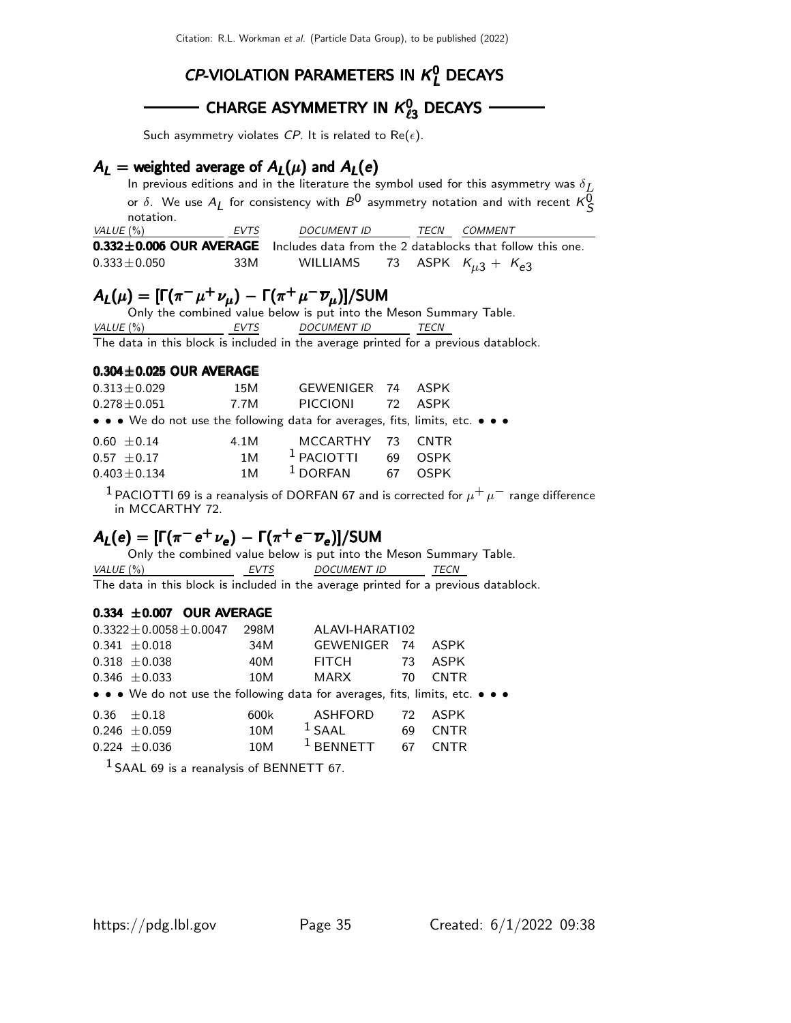### $CP$ -VIOLATION PARAMETERS IN  $K<sup>0</sup><sub>L</sub>$  DECAYS

## CHARGE ASYMMETRY IN  $\mathcal{K}_{\ell3}^0$  decays

Such asymmetry violates CP. It is related to Re( $\epsilon$ ).

#### $A_L$  = weighted average of  $A_L(\mu)$  and  $A_L(e)$

In previous editions and in the literature the symbol used for this asymmetry was  $\delta_{\c{L}}$ or  $\delta$ . We use  $A_L$  for consistency with  $B^0$  asymmetry notation and with recent  $\kappa_S^0$ notation. VALUE (%) EVTS DOCUMENT ID TECN COMMENT

| $0.332 \pm 0.006$ OUR AVERAGE Includes data from the 2 datablocks that follow this one. |  |                                      |  |  |
|-----------------------------------------------------------------------------------------|--|--------------------------------------|--|--|
| 33M<br>$0.333 \pm 0.050$                                                                |  | WILLIAMS 73 ASPK $K_{\mu3} + K_{e3}$ |  |  |

#### $A_{L}(\mu) = [\Gamma(\pi^{-} \mu^{+} \nu_{\mu}) - \Gamma(\pi^{+} \mu^{-} \overline{\nu}_{\mu})] /$ SUM

Only the combined value below is put into the Meson Summary Table. VALUE (%) FVTS DOCUMENT ID TECN The data in this block is included in the average printed for a previous datablock.

#### $0.304\pm0.025$  OUR AVERAGE

| $0.313 \pm 0.029$                                                             | 15M  | GEWENIGER 74 ASPK |    |             |
|-------------------------------------------------------------------------------|------|-------------------|----|-------------|
| $0.278 \!\pm\! 0.051$                                                         | 7.7M | PICCIONI          |    | 72 ASPK     |
| • • • We do not use the following data for averages, fits, limits, etc. • • • |      |                   |    |             |
| $0.60 \pm 0.14$                                                               | 4.1M | MCCARTHY 73 CNTR  |    |             |
| $0.57 + 0.17$                                                                 | 1M   | $1$ PACIOTTI      | 69 | <b>OSPK</b> |
| $0.403 \pm 0.134$                                                             | 1 M  | $1$ DORFAN        | 67 | <b>OSPK</b> |

<sup>1</sup> PACIOTTI 69 is a reanalysis of DORFAN 67 and is corrected for  $\mu^+ \mu^-$  range difference in MCCARTHY 72.

#### $A_L(e) = [\Gamma(\pi^- e^+ \nu_e) - \Gamma(\pi^+ e^- \overline{\nu}_e)]$ /SUM

Only the combined value below is put into the Meson Summary Table. VALUE (%)  $EVTS$  DOCUMENT ID TECN

The data in this block is included in the average printed for a previous datablock.

#### $0.334 \pm 0.007$  OUR AVERAGE

| $0.3322 \pm 0.0058 \pm 0.0047$                                                | 298M | ALAVI-HARATI02   |    |             |  |
|-------------------------------------------------------------------------------|------|------------------|----|-------------|--|
| $0.341 \pm 0.018$                                                             | 34M  | <b>GEWENIGER</b> | 74 | ASPK        |  |
| $0.318 \pm 0.038$                                                             | 40M  | <b>FITCH</b>     | 73 | <b>ASPK</b> |  |
| $0.346 \pm 0.033$                                                             | 10M  | <b>MARX</b>      | 70 | <b>CNTR</b> |  |
| • • • We do not use the following data for averages, fits, limits, etc. • • • |      |                  |    |             |  |
| $0.36 \pm 0.18$                                                               | 600k | <b>ASHFORD</b>   | 72 | <b>ASPK</b> |  |
| $0.246 \pm 0.059$                                                             | 10M  | $1$ SAAL         | 69 | <b>CNTR</b> |  |
| $0.224 + 0.036$                                                               | 10M  |                  | 67 | CNTR        |  |

 $1$  SAAL 69 is a reanalysis of BENNETT 67.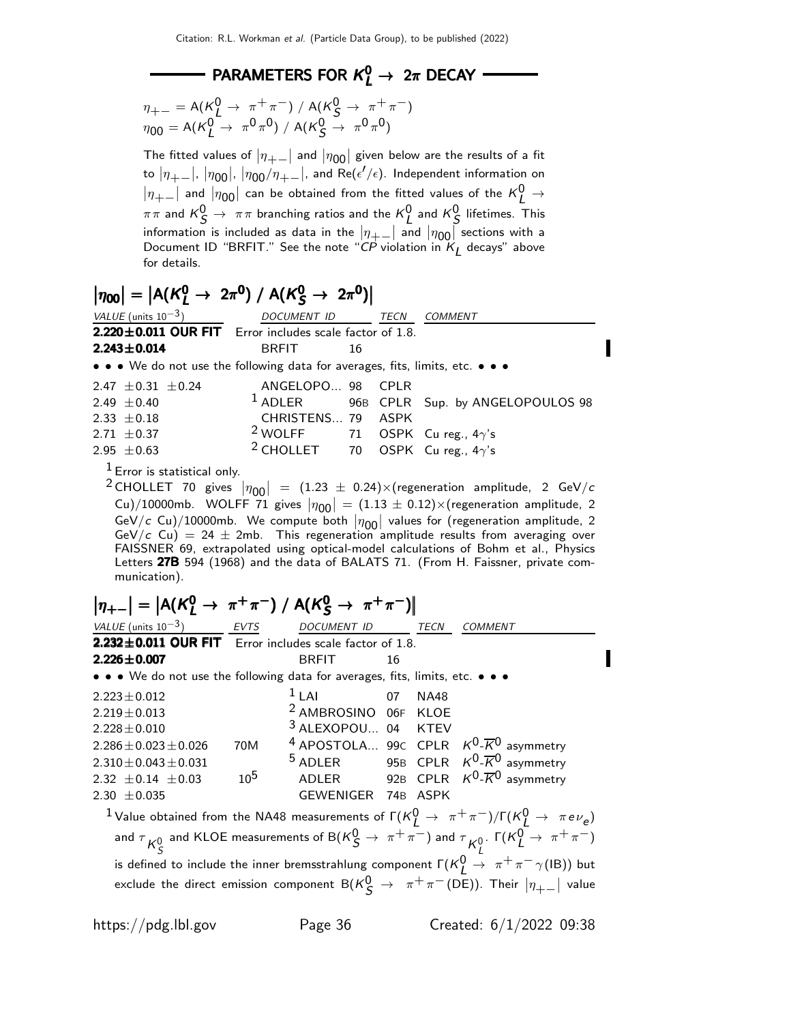## PARAMETERS FOR  $K^0_L \rightarrow 2\pi$  DECAY

$$
\eta_{+-} = A(\kappa_L^0 \to \pi^+ \pi^-) / A(\kappa_S^0 \to \pi^+ \pi^-)
$$
  

$$
\eta_{00} = A(\kappa_L^0 \to \pi^0 \pi^0) / A(\kappa_S^0 \to \pi^0 \pi^0)
$$

The fitted values of  $|\eta_{+-}|$  and  $|\eta_{00}|$  given below are the results of a fit to  $|\eta_{+-}|$ ,  $|\eta_{00}|$ ,  $|\eta_{00}/\eta_{+-}|$ , and Re( $\epsilon'/\epsilon$ ). Independent information on  $|\eta_{+-}|$  and  $|\eta_{00}|$  can be obtained from the fitted values of the  $K^0_L \rightarrow$  $\pi\pi$  and  $\kappa_S^0 \rightarrow \ \pi\pi$  branching ratios and the  $\kappa_L^0$  and  $\kappa_S^0$  lifetimes. This information is included as data in the  $|\eta_{+} -|$  and  $|\eta_{00}|$  sections with a Document ID "BRFIT." See the note "CP violation in  $K_L$  decays" above for details.

## $|\eta_{00}| = |A(K_L^0 \to 2\pi^0) / A(K_S^0 \to 2\pi^0)|$

| VALUE (units $10^{-3}$ )                                                      | DOCUMENT ID                                        |    | TECN | <i>COMMENT</i>                                      |
|-------------------------------------------------------------------------------|----------------------------------------------------|----|------|-----------------------------------------------------|
| $2.220 \pm 0.011$ OUR FIT Error includes scale factor of 1.8.                 |                                                    |    |      |                                                     |
| $2.243 \pm 0.014$                                                             | <b>BRFIT</b>                                       | 16 |      |                                                     |
| • • • We do not use the following data for averages, fits, limits, etc. • • • |                                                    |    |      |                                                     |
| 2.47 $\pm$ 0.31 $\pm$ 0.24                                                    | ANGELOPO 98 CPLR                                   |    |      |                                                     |
| 2.49 $\pm$ 0.40                                                               |                                                    |    |      | <sup>1</sup> ADLER 96B CPLR Sup. by ANGELOPOULOS 98 |
| 2.33 $\pm$ 0.18                                                               | CHRISTENS 79 ASPK                                  |    |      |                                                     |
| 2.71 $\pm$ 0.37                                                               | <sup>2</sup> WOLFF 71 OSPK Cu reg., $4\gamma$ 's   |    |      |                                                     |
| 2.95 $\pm$ 0.63                                                               | <sup>2</sup> CHOLLET 70 OSPK Cu reg., $4\gamma$ 's |    |      |                                                     |

 $<sup>1</sup>$  Error is statistical only.</sup>

 $2$  CHOLLET 70 gives  $|\eta_{00}| = (1.23 \pm 0.24) \times (regeneration$  amplitude, 2 GeV/c Cu)/10000mb. WOLFF 71 gives  $|\eta_{00}| = (1.13 \pm 0.12) \times (regeneration amplitude, 2)$ GeV/c Cu)/10000mb. We compute both  $|\eta_{00}|$  values for (regeneration amplitude, 2 GeV/c Cu) = 24  $\pm$  2mb. This regeneration amplitude results from averaging over FAISSNER 69, extrapolated using optical-model calculations of Bohm et al., Physics Letters 27B 594 (1968) and the data of BALATS 71. (From H. Faissner, private communication).

> Ï I

Í I

$$
|\eta_{+-}| = |A(K_L^0 \rightarrow \pi^+\pi^-) / A(K_S^0 \rightarrow \pi^+\pi^-)|
$$

| VALUE (units $10^{-3}$ ) EVTS                                                 |          | DOCUMENT ID                     |    | TECN        | <b>COMMENT</b>                                                                                                                |
|-------------------------------------------------------------------------------|----------|---------------------------------|----|-------------|-------------------------------------------------------------------------------------------------------------------------------|
| $2.232 \pm 0.011$ OUR FIT Error includes scale factor of 1.8.                 |          |                                 |    |             |                                                                                                                               |
| $2.226 \pm 0.007$                                                             |          | <b>BRFIT</b>                    | 16 |             |                                                                                                                               |
| • • • We do not use the following data for averages, fits, limits, etc. • • • |          |                                 |    |             |                                                                                                                               |
| $2.223 \pm 0.012$                                                             |          | $11$ Al<br>$\sim$ 07            |    | <b>NA48</b> |                                                                                                                               |
| $2.219 \pm 0.013$                                                             |          | <sup>2</sup> AMBROSINO 06F KLOE |    |             |                                                                                                                               |
| $2.228 \pm 0.010$                                                             |          | 3 ALEXOPOU 04 KTEV              |    |             |                                                                                                                               |
| $2.286 \pm 0.023 \pm 0.026$                                                   | 70M      |                                 |    |             | <sup>4</sup> APOSTOLA 99 $c$ CPLR $K^0$ - $\overline{K}^0$ asymmetry                                                          |
| $2.310 \pm 0.043 \pm 0.031$                                                   |          |                                 |    |             | <sup>5</sup> ADLER 95B CPLR $K^0$ - $\overline{K}^0$ asymmetry                                                                |
| 2.32 $\pm$ 0.14 $\pm$ 0.03                                                    | $10^{5}$ |                                 |    |             | ADLER 92B CPLR $K^0$ - $\overline{K}^0$ asymmetry                                                                             |
| 2.30 $\pm$ 0.035                                                              |          | GEWENIGER 74B ASPK              |    |             |                                                                                                                               |
|                                                                               |          |                                 |    |             | <sup>1</sup> Value obtained from the NA48 measurements of $\Gamma(K_I^0 \to \pi^+ \pi^-)/\Gamma(K_I^0 \to \pi e \nu_e)$       |
|                                                                               |          |                                 |    |             | and $\tau_{K^0_S}$ and KLOE measurements of B( $K^0_S \to \pi^+ \pi^-$ ) and $\tau_{K^0_L}$ . $\Gamma(K^0_L \to \pi^+ \pi^-)$ |
|                                                                               |          |                                 |    |             | is defined to include the inner bremsstrahlung component $\Gamma(K_f^0 \to \pi^+ \pi^- \gamma(IB))$ but                       |
|                                                                               |          |                                 |    |             | exclude the direct emission component $B(K_S^0 \rightarrow \pi^+ \pi^- (DE))$ . Their $ \eta_{+-} $ value                     |

П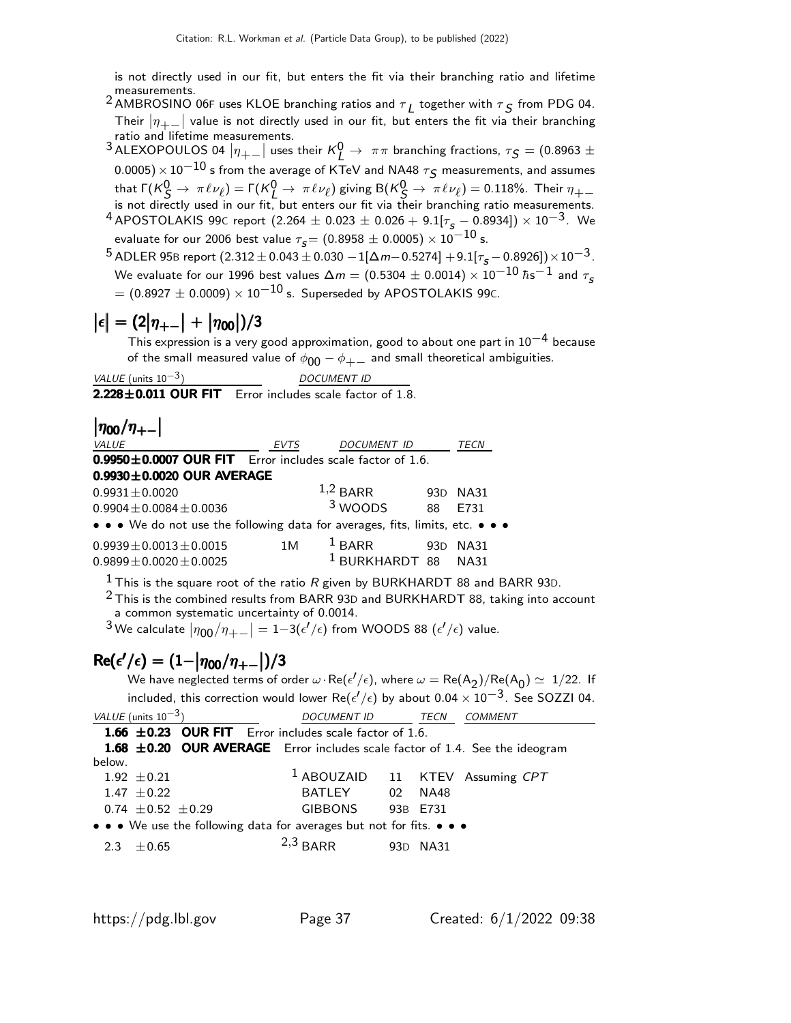is not directly used in our fit, but enters the fit via their branching ratio and lifetime measurements.

- $^2$  AMBROSINO 06F uses KLOE branching ratios and  $\tau_L$  together with  $\tau_S$  from PDG 04. Their  $|\eta_{+-}|$  value is not directly used in our fit, but enters the fit via their branching ratio and lifetime measurements.
- 3 ALEXOPOULOS 04  $|\eta_{+-}|$  uses their  $K^0_L \to \pi\pi$  branching fractions,  $\tau_S = (0.8963 \pm 1)$  $(0.0005)\times 10^{-10}$  s from the average of KTeV and NA48  $\tau$ s measurements, and assumes that  $\Gamma(K^0_S \to \pi \ell \nu_\ell) = \Gamma(K^0_L \to \pi \ell \nu_\ell)$  giving  $B(K^0_S \to \pi \ell \nu_\ell) = 0.118\%$ . Their  $\eta_{+-}$ is not directly used in our fit, but enters our fit via their branching ratio measurements.
- $^{4}$  APOSTOLAKIS 99C report (2.264  $\pm$  0.023  $\pm$  0.026 + 9.1[ $\tau_{\sf s}$  0.8934])  $\times$  10<sup>-3</sup>. We evaluate for our 2006 best value  $\tau_{\rm s}$  = (0.8958  $\pm$  0.0005)  $\times\,10^{-10}$  s.
- $^{5}$  ADLER 95B report  $(2.312 \pm 0.043 \pm 0.030 1[\Delta m 0.5274] + 9.1[\tau_{\rm s} 0.8926]) \times 10^{-3}$ . We evaluate for our 1996 best values  $\Delta m = (0.5304\pm0.0014)\times10^{-10}\:\hbar\text{s}^{-1}$  and  $\tau_{\text{s}}$  $=(0.8927\pm0.0009)\times 10^{-10}$  s. Superseded by APOSTOLAKIS 99C.

## $\left|\epsilon\right| = (2\left|\eta_{+-}\right| + \left|\eta_{00}\right|)/3$

This expression is a very good approximation, good to about one part in  $10^{-4}$  because of the small measured value of  $\phi_{00} - \phi_{+-}$  and small theoretical ambiguities.

| <i>VALUE</i> (units $10^{-3}$ ) | <b>DOCUMENT ID</b> |
|---------------------------------|--------------------|
|---------------------------------|--------------------|

 $2.228 \pm 0.011$  OUR FIT Error includes scale factor of 1.8.

 $|\eta_{00}/\eta_{+-}|$ 

| <i>VALUE</i>                                                                  | <b>EVTS</b> | <b>DOCUMENT ID</b>             |     | TECN        |
|-------------------------------------------------------------------------------|-------------|--------------------------------|-----|-------------|
| $0.9950 \pm 0.0007$ OUR FIT Error includes scale factor of 1.6.               |             |                                |     |             |
| $0.9930 \pm 0.0020$ OUR AVERAGE                                               |             |                                |     |             |
| $0.9931 \pm 0.0020$                                                           |             | $1,2$ BARR                     |     | 93D NA31    |
| $0.9904 \pm 0.0084 \pm 0.0036$                                                |             | $3$ WOODS                      | 88  | F731        |
| • • • We do not use the following data for averages, fits, limits, etc. • • • |             |                                |     |             |
| $0.9939 \pm 0.0013 \pm 0.0015$                                                | 1 M         | $1$ BARR                       | 93D | <b>NA31</b> |
| $0.9899 \pm 0.0020 \pm 0.0025$                                                |             | <sup>1</sup> BURKHARDT 88 NA31 |     |             |

<sup>1</sup> This is the square root of the ratio R given by BURKHARDT 88 and BARR 93D.

 $2$  This is the combined results from BARR 93D and BURKHARDT 88, taking into account a common systematic uncertainty of 0.0014.

 $^3$ We calculate  $|\eta_{00}/\eta_{+-}|=1{-}3(\epsilon'/\epsilon)$  from WOODS 88  $(\epsilon'/\epsilon)$  value.

## $Re(\epsilon'/\epsilon) = (1 - |\eta_{00}/\eta_{+-}|)/3$

We have neglected terms of order  $\omega \cdot \text{Re}(\epsilon'/\epsilon)$ , where  $\omega = \text{Re}(A_2)/\text{Re}(A_0) \simeq 1/22$ . If included, this correction would lower Re( $\epsilon'/\epsilon$ ) by about 0.04  $\times$  10 $^{-3}$ . See SOZZI 04.

| VALUE (units $10^{-3}$ )                                                    | <i>DOCUMENT ID</i>                         |  | TECN     | <b>COMMENT</b> |  |  |
|-----------------------------------------------------------------------------|--------------------------------------------|--|----------|----------------|--|--|
| 1.66 $\pm$ 0.23 OUR FIT Error includes scale factor of 1.6.                 |                                            |  |          |                |  |  |
| 1.68 ±0.20 OUR AVERAGE Error includes scale factor of 1.4. See the ideogram |                                            |  |          |                |  |  |
| below.                                                                      |                                            |  |          |                |  |  |
| $1.92 \pm 0.21$                                                             | <sup>1</sup> ABOUZAID 11 KTEV Assuming CPT |  |          |                |  |  |
| 1.47 $\pm$ 0.22                                                             | BATLEY 02 NA48                             |  |          |                |  |  |
| $0.74 \pm 0.52 \pm 0.29$                                                    | <b>GIBBONS</b>                             |  | 93B E731 |                |  |  |
| • • • We use the following data for averages but not for fits. • • •        |                                            |  |          |                |  |  |
| $+0.65$<br>2.3                                                              | $2,3$ BARR                                 |  | 93D NA31 |                |  |  |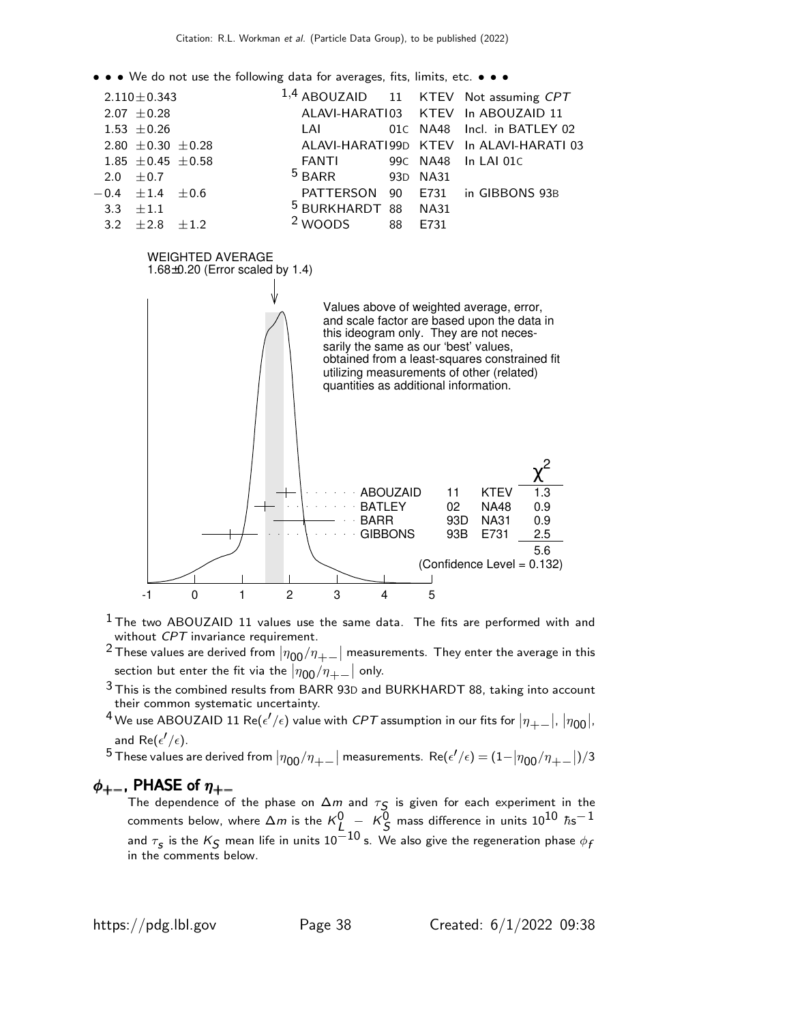• • • We do not use the following data for averages, fits, limits, etc. • • •



 $<sup>1</sup>$  The two ABOUZAID 11 values use the same data. The fits are performed with and</sup> without CPT invariance requirement.

-1 0 1 2 3 4 5

- $^2$ These values are derived from  $|\eta_{00}/\eta_{+-}|$  measurements. They enter the average in this section but enter the fit via the  $|\eta_{00}/\eta_{+-}|$  only.
- $3$  This is the combined results from BARR 93D and BURKHARDT 88, taking into account their common systematic uncertainty.
- $^4$  We use ABOUZAID 11 Re( $\epsilon'/\epsilon)$  value with  ${\it CPT}$  assumption in our fits for  $|\eta_{+-}|$ ,  $|\eta_{00}|$ , and Re $(\epsilon'/\epsilon)$ .

 $^5$  These values are derived from  $|\eta_{00}/\eta_{+-}|$  measurements.  $\text{Re}(\epsilon'/\epsilon)=(1-|\eta_{00}/\eta_{+-}|)/3$ 

#### $\phi_{+-}$ , PHASE of  $\eta_{+-}$

The dependence of the phase on  $\Delta m$  and  $\tau_{\mathcal{S}}$  is given for each experiment in the comments below, where  $\Delta m$  is the  ${\sf K}^0_L\;{-}\;$   ${\sf K}^{\overline 0}_S$  mass difference in units  $10^{10}\;{\hbar}{\rm s}^{-1}$ and  $\tau_{\bm{s}}$  is the  $\mathcal{K}_{\bm{\mathcal{S}}}$  mean life in units  $10^{-10}$  s. We also give the regeneration phase  $\phi_{\bm{f}}$ in the comments below.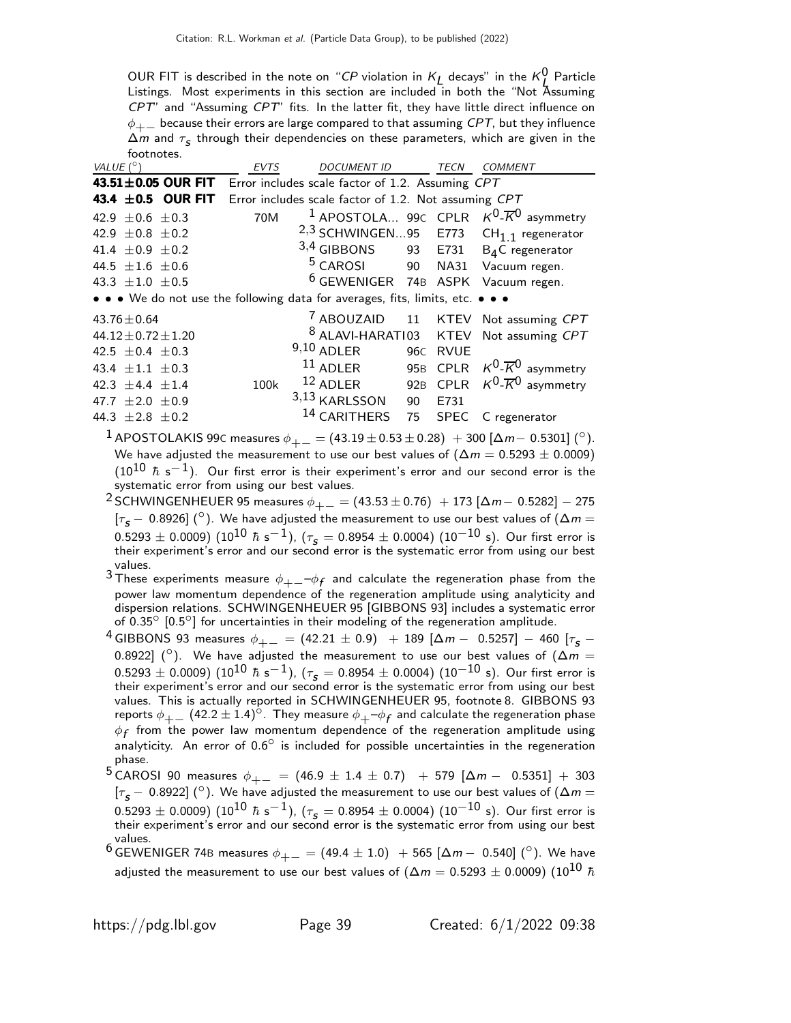OUR FIT is described in the note on "CP violation in  $K_L$  decays" in the  $K_L^0$  Particle L Listings. Most experiments in this section are included in both the "Not Assuming CPT" and "Assuming CPT" fits. In the latter fit, they have little direct influence on  $\phi_{+-}$  because their errors are large compared to that assuming CPT, but they influence  $\Delta m$  and  $\tau_{\mathcal{S}}$  through their dependencies on these parameters, which are given in the footnotes.

| VALUE $(^\circ)$                                                              | <b>EVTS</b> | <b>DOCUMENT ID</b>                                   |    | <b>TECN</b> | <b>COMMENT</b>                                                              |
|-------------------------------------------------------------------------------|-------------|------------------------------------------------------|----|-------------|-----------------------------------------------------------------------------|
| 43.51 $\pm$ 0.05 OUR FIT                                                      |             | Error includes scale factor of 1.2. Assuming CPT     |    |             |                                                                             |
| 43.4 $\pm$ 0.5 OUR FIT                                                        |             | Error includes scale factor of 1.2. Not assuming CPT |    |             |                                                                             |
| 42.9 $\pm$ 0.6 $\pm$ 0.3                                                      | 70M         |                                                      |    |             | <sup>1</sup> APOSTOLA 99 $\epsilon$ CPLR $K^0$ - $\overline{K}^0$ asymmetry |
| 42.9 $\pm$ 0.8 $\pm$ 0.2                                                      |             |                                                      |    |             | <sup>2,3</sup> SCHWINGEN95 E773 CH <sub>1.1</sub> regenerator               |
| 41.4 $\pm$ 0.9 $\pm$ 0.2                                                      |             | $3,4$ GIBBONS 93 E731 B <sub>4</sub> C regenerator   |    |             |                                                                             |
| 44.5 $\pm 1.6 \pm 0.6$                                                        |             | <sup>5</sup> CAROSI 90 NA31 Vacuum regen.            |    |             |                                                                             |
| 43.3 $\pm 1.0 \pm 0.5$                                                        |             | <sup>6</sup> GEWENIGER 74B ASPK Vacuum regen.        |    |             |                                                                             |
| • • • We do not use the following data for averages, fits, limits, etc. • • • |             |                                                      |    |             |                                                                             |
| $43.76 \pm 0.64$                                                              |             |                                                      |    |             | <sup>7</sup> ABOUZAID 11 KTEV Not assuming CPT                              |
| $44.12 \pm 0.72 \pm 1.20$                                                     |             |                                                      |    |             | 8 ALAVI-HARATI03 KTEV Not assuming CPT                                      |
| 42.5 $\pm$ 0.4 $\pm$ 0.3                                                      |             | $9,10$ ADLER                                         |    | 96C RVUE    |                                                                             |
| 43.4 $\pm$ 1.1 $\pm$ 0.3                                                      |             | $11$ ADLER                                           |    |             | 95B CPLR $K^0$ - $\overline{K}^0$ asymmetry                                 |
| 42.3 $\pm$ 4.4 $\pm$ 1.4                                                      | 100k        | $12$ ADLER                                           |    |             | 92B CPLR $K^0$ - $\overline{K}^0$ asymmetry                                 |
| 47.7 $\pm 2.0 \pm 0.9$                                                        |             | $3,13$ KARLSSON                                      | 90 | E731        |                                                                             |
| 44.3 $\pm 2.8 \pm 0.2$                                                        |             | 14 CARITHERS                                         | 75 | <b>SPEC</b> | C regenerator                                                               |

 $1$  APOSTOLAKIS 99 $\text{C}$  measures  $\phi_{+-} = (43.19 \pm 0.53 \pm 0.28) + 300$  [Δm− 0.5301] ( $^\circ$ ). We have adjusted the measurement to use our best values of  $(\Delta m = 0.5293 \pm 0.0009)$ (10<sup>10</sup>  $\hbar$  s<sup>-1</sup>). Our first error is their experiment's error and our second error is the systematic error from using our best values.

- <sup>2</sup> SCHWINGENHEUER 95 measures  $\phi_{+-}$  = (43.53 ± 0.76) + 173 [Δm − 0.5282] − 275 [ $\tau_S$  – 0.8926] ( $\circ$ ). We have adjusted the measurement to use our best values of ( $\Delta m =$  $0.5293 \pm 0.0009)~(10^{10}~\hbar~{\rm s}^{-1})$ ,  $(\tau_{\sf s}=0.8954 \pm 0.0004)~(10^{-10}~{\rm s})$ . Our first error is<br>their experiment's error and our second error is the systematic error from using our best values.
- $^3$ These experiments measure  $\phi_{+-}$   $\!\!-\!\!\phi_f$  and calculate the regeneration phase from the power law momentum dependence of the regeneration amplitude using analyticity and dispersion relations. SCHWINGENHEUER 95 [GIBBONS 93] includes a systematic error of 0.35<sup>°</sup> [0.5<sup>°</sup>] for uncertainties in their modeling of the regeneration amplitude.
- 4 GIBBONS 93 measures  $\phi_{+-} = (42.21 \pm 0.9) + 189 [\Delta m 0.5257] 460 [\tau_s -$ 0.8922] ( $\circ$ ). We have adjusted the measurement to use our best values of ( $\Delta m =$  $0.5293 \pm 0.0009)~(10^{10}~\hbar~{\rm s}^{-1})$ ,  $(\tau_{\sf s}=0.8954 \pm 0.0004)~(10^{-10}~{\rm s})$ . Our first error is their experiment's error and our second error is the systematic error from using our best values. This is actually reported in SCHWINGENHEUER 95, footnote 8. GIBBONS 93 reports  $\phi_{+-}$  (42.2 ± 1.4)<sup>o</sup>. They measure  $\phi_{+-}\phi_f$  and calculate the regeneration phase  $\phi_f$  from the power law momentum dependence of the regeneration amplitude using analyticity. An error of 0.6° is included for possible uncertainties in the regeneration phase.
- 5 CAROSI 90 measures  $\phi_{+-} = (46.9 \pm 1.4 \pm 0.7)$  + 579 [ $\Delta m 0.5351$ ] + 303 [ $\tau_s$  – 0.8922] ( $\circ$ ). We have adjusted the measurement to use our best values of ( $\Delta m =$  $(0.5293 \pm 0.0009)$   $(10^{10}$   $\hbar$  s<sup>-1</sup>),  $(\tau_s = 0.8954 \pm 0.0004)$   $(10^{-10}$  s). Our first error is their experiment's error and our second error is the systematic error from using our best values.
- $^6$  GEWENIGER 74B measures  $\phi_{+-} = (49.4 \pm 1.0)$  + 565 [ $\Delta m -$  0.540] ( $^{\circ}$ ). We have adjusted the measurement to use our best values of ( $\Delta m = 0.5293 \pm 0.0009$ ) (10<sup>10</sup>  $\hbar$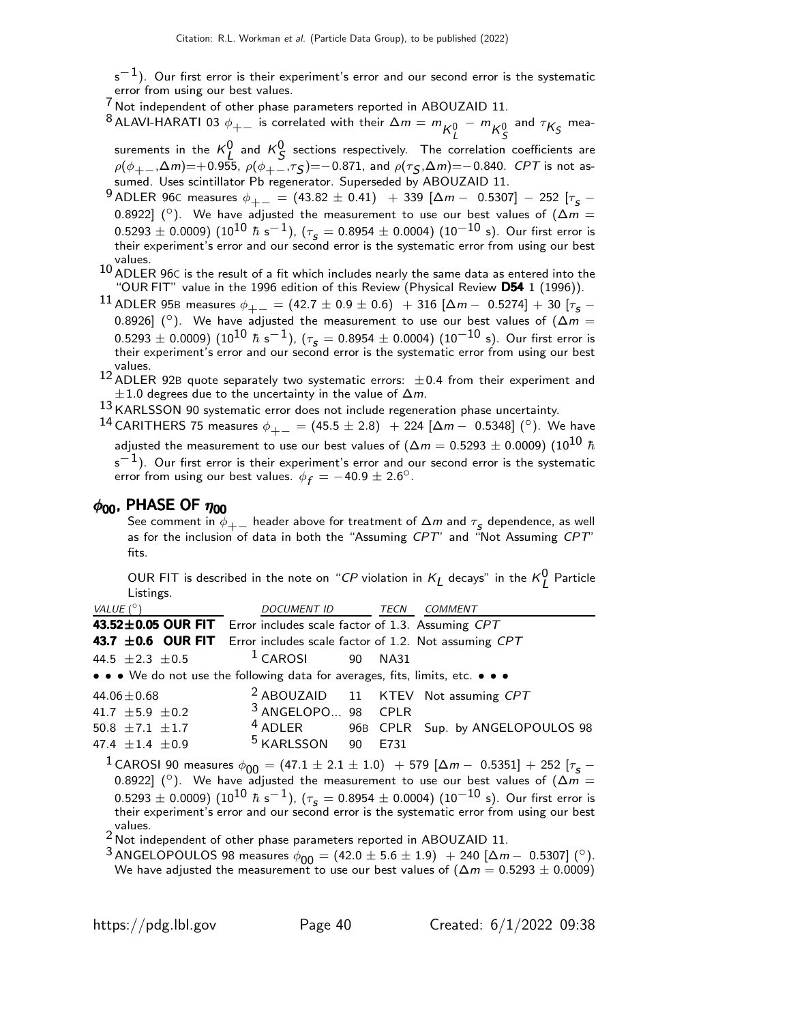$s^{-1}$ ). Our first error is their experiment's error and our second error is the systematic error from using our best values.

 $7$  Not independent of other phase parameters reported in ABOUZAID 11.

 $^8$ ALAVI-HARATI 03  $\phi_{+-}$  is correlated with their  $\Delta m = m \frac{1}{K_L^0} - m \frac{1}{K_S^0}$  and  $\tau_{K_S}$  mea-

surements in the  $K^0$  and  $K^0$  sections respectively. The correlation coefficients are  $\rho(\phi_{+-},\!\Delta m)\! =\! +0.955,\ \rho(\phi_{+-},\!\tau_{\mathcal{S}})\! =\! -0.871$ , and  $\rho(\tau_{\mathcal{S}},\!\Delta m)\! =\! -0.840.$  CPT is not assumed. Uses scintillator Pb regenerator. Superseded by ABOUZAID 11.

9 ADLER 96C measures  $\phi_{+-} = (43.82 \pm 0.41) + 339 [\Delta m - 0.5307] - 252 [\tau_s -$ 0.8922] ( $^{\circ}$ ). We have adjusted the measurement to use our best values of  $(\Delta m =$  $0.5293 \pm 0.0009)~(10^{10}~\hbar~{\rm s}^{-1})$ ,  $(\tau_{\sf s}=0.8954 \pm 0.0004)~(10^{-10}~{\rm s})$ . Our first error is their experiment's error and our second error is the systematic error from using our best values.

10 ADLER 96C is the result of a fit which includes nearly the same data as entered into the "OUR FIT" value in the 1996 edition of this Review (Physical Review D54 1 (1996)).

<sup>11</sup> ADLER 95B measures  $\phi_{+-} = (42.7 \pm 0.9 \pm 0.6)$  + 316 [ $\Delta m - 0.5274$ ] + 30 [ $\tau_{\rm s}$  – 0.8926] ( $\degree$ ). We have adjusted the measurement to use our best values of ( $\Delta m =$  $(0.5293 \pm 0.0009)$   $(10^{10}$   $\hbar$  s<sup>-1</sup>),  $(\tau_s = 0.8954 \pm 0.0004)$   $(10^{-10}$  s). Our first error is their experiment's error and our second error is the systematic error from using our best values.

 $12$  ADLER 92B quote separately two systematic errors:  $\pm 0.4$  from their experiment and  $\pm 1.0$  degrees due to the uncertainty in the value of  $\Delta m$ .

 $13$  KARLSSON 90 systematic error does not include regeneration phase uncertainty.

 $^{14}$  CARITHERS 75 measures  $\phi_{+-} = (45.5 \pm 2.8)$  + 224 [ $\Delta m - 0.5348$ ] ( $^{\circ}$ ). We have adjusted the measurement to use our best values of ( $\Delta m = 0.5293 \pm 0.0009$ ) (10<sup>10</sup>  $\hbar$  $s^{-1}$ ). Our first error is their experiment's error and our second error is the systematic error from using our best values.  $\phi_f = -40.9 \pm 2.6^\circ$ .

#### $\phi_{00}$ , PHASE OF  $\eta_{00}$

See comment in  $\phi_{+-}$  header above for treatment of  $\Delta m$  and  $\tau_{\mathcal{S}}$  dependence, as well as for the inclusion of data in both the "Assuming CPT" and "Not Assuming CPT" fits.

OUR FIT is described in the note on "CP violation in  $K_L$  decays" in the  $K_L^0$  Particle Listings.

| VALUE $(^\circ)$                                                              | DOCUMENT ID TECN COMMENT    |                   |                                                |
|-------------------------------------------------------------------------------|-----------------------------|-------------------|------------------------------------------------|
| 43.52±0.05 OUR FIT Error includes scale factor of 1.3. Assuming CPT           |                             |                   |                                                |
| 43.7 ±0.6 OUR FIT Error includes scale factor of 1.2. Not assuming CPT        |                             |                   |                                                |
| 44.5 $\pm 2.3 \pm 0.5$                                                        | $1$ CAROSI                  | 90<br><b>NA31</b> |                                                |
| • • • We do not use the following data for averages, fits, limits, etc. • • • |                             |                   |                                                |
| 44.06 $\pm$ 0.68                                                              |                             |                   | <sup>2</sup> ABOUZAID 11 KTEV Not assuming CPT |
| 41.7 $\pm$ 5.9 $\pm$ 0.2                                                      | 3 ANGELOPO 98 CPLR          |                   |                                                |
| 50.8 $\pm$ 7.1 $\pm$ 1.7                                                      | $4$ ADLER                   |                   | 96B CPLR Sup. by ANGELOPOULOS 98               |
| 47.4 $\pm$ 1.4 $\pm$ 0.9                                                      | <sup>5</sup> KARLSSON<br>90 | E731              |                                                |

<sup>1</sup> CAROSI 90 measures  $\phi_{00} = (47.1 \pm 2.1 \pm 1.0)$  + 579 [ $\Delta m - 0.5351$ ] + 252 [ $\tau_s$  – 0.8922] ( $\circ$ ). We have adjusted the measurement to use our best values of  $(\Delta m =$  $0.5293\pm0.0009)~(10^{10}~\hbar~{\rm s}^{-1}),~(\tau_{_{\cal S}}=0.8954\pm0.0004)~(10^{-10}~{\rm s}) .$  Our first error is their experiment's error and our second error is the systematic error from using our best values.

 $2$  Not independent of other phase parameters reported in ABOUZAID 11.

<sup>3</sup> ANGELOPOULOS 98 measures  $\phi_{00} = (42.0 \pm 5.6 \pm 1.9) + 240 [\Delta m - 0.5307]$  ( $^{\circ}$ ). We have adjusted the measurement to use our best values of  $(\Delta m = 0.5293 \pm 0.0009)$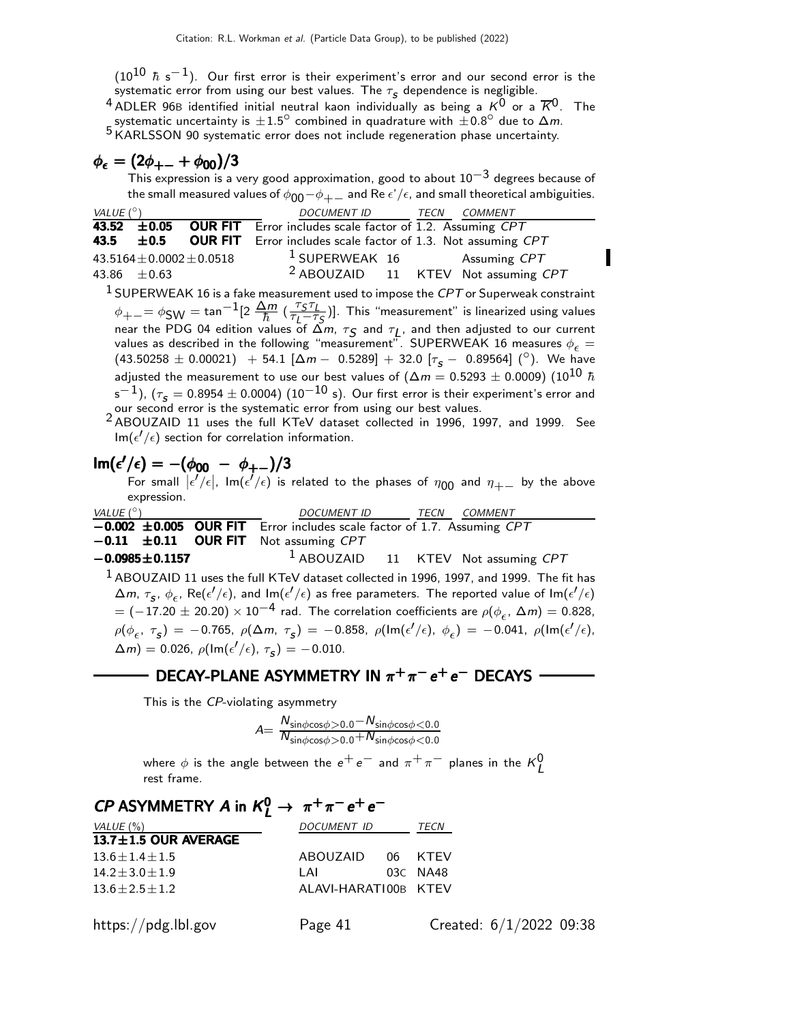$(10^{10}$   $\hbar$  s $^{-1})$ . Our first error is their experiment's error and our second error is the systematic error from using our best values. The  $\tau_{\bm{s}}$  dependence is negligible.

 $^4$  ADLER 96B identified initial neutral kaon individually as being a  $\mathrm{K}^0$  or a  $\overline{\mathrm{K}}{}^0$ . The systematic uncertainty is  $\pm 1.5^{\circ}$  combined in quadrature with  $\pm 0.8^{\circ}$  due to  $\Delta m$ . Systematic uncertainty is  $\pm 1.5$  complied in positions. Example 18 KARLSSON 90 systematic error does not include regeneration phase uncertainty.

$$
\phi_{\epsilon}=(2\phi_{+-}+\phi_{00})/3
$$

This expression is a very good approximation, good to about  $10^{-3}$  degrees because of the small measured values of  $\phi_{00} - \phi_{+-}$  and Re  $\epsilon'/\epsilon$ , and small theoretical ambiguities.

| VALUE $(^\circ)$                      | DOCUMENT ID TECN                                                                                                                                      | <b>COMMENT</b> |
|---------------------------------------|-------------------------------------------------------------------------------------------------------------------------------------------------------|----------------|
| <b>OUR FIT</b><br>43.52<br>$\pm$ 0.05 | Error includes scale factor of 1.2. Assuming CPT                                                                                                      |                |
| <b>OUR FIT</b><br>43.5<br>$\pm 0.5$   | Error includes scale factor of 1.3. Not assuming CPT                                                                                                  |                |
| $43.5164 \pm 0.0002 \pm 0.0518$       | <sup>1</sup> SUPERWEAK 16 Assuming CPT                                                                                                                |                |
| 43.86 $\pm 0.63$                      | <sup>2</sup> ABOUZAID 11 KTEV Not assuming CPT                                                                                                        |                |
|                                       | $1$ SUPERWEAK 16 is a fake measurement used to impose the CPT or Superweak constraint                                                                 |                |
|                                       | $\phi_{+-} = \phi_{SW} = \tan^{-1}[2 \frac{\Delta m}{\hbar} (\frac{\tau_S \tau_L}{\tau_I - \tau_S})]$ . This "measurement" is linearized using values |                |
|                                       | near the PDG 04 edition values of $\tilde{\Delta}m$ , $\tau_{\mathcal{S}}$ and $\tau_{\mathcal{I}}$ , and then adjusted to our current                |                |
|                                       | values as described in the following "measurement". SUPERWEAK 16 measures $\phi_{\epsilon} =$                                                         |                |
|                                       | $(43.50258 \pm 0.00021)$ + 54.1 $[\Delta m - 0.5289] + 32.0$ $[\tau_S - 0.89564]$ (°). We have                                                        |                |
|                                       | adjusted the measurement to use our best values of ( $\Delta m = 0.5293 \pm 0.0009$ ) ( $10^{10}$ $\hbar$                                             |                |
|                                       | $s^{-1}$ ), ( $\tau_s = 0.8954 \pm 0.0004$ ) (10 $^{-10}$ s). Our first error is their experiment's error and                                         |                |
|                                       | our second error is the systematic error from using our best values.                                                                                  |                |
|                                       | $2$ ADOUZAID 11 uses the full KTeV detect collected in 1006 1007 and 1000 See                                                                         |                |

2 ABOUZAID 11 uses the full KTeV dataset collected in 1996, 1997, and 1999. See  $\textsf{Im}(\epsilon'/\epsilon)$  section for correlation information.

$$
\operatorname{Im}(\epsilon'/\epsilon) = -(\phi_{00} - \phi_{+-})/3
$$

For small  $|\epsilon'/\epsilon|$ ,  ${\sf Im}(\epsilon'/\epsilon)$  is related to the phases of  $\eta_{00}$  and  $\eta_{+-}$  by the above expression.

| VALUE (°)                                                                           | DOCUMENT ID | <i>TECN COMMENT</i>                   |
|-------------------------------------------------------------------------------------|-------------|---------------------------------------|
| $\overline{-0.002}$ ±0.005 OUR FIT Error includes scale factor of 1.7. Assuming CPT |             |                                       |
| $-0.11$ $\pm 0.11$ OUR FIT Not assuming CPT                                         |             |                                       |
| $-0.0985 \pm 0.1157$                                                                |             | $1$ ABOUZAID 11 KTEV Not assuming CPT |

1 ABOUZAID 11 uses the full KTeV dataset collected in 1996, 1997, and 1999. The fit has  $\Delta m$ ,  $\tau_{s}$ ,  $\phi_{\epsilon}$ , Re( $\epsilon'/\epsilon$ ), and Im( $\epsilon'/\epsilon$ ) as free parameters. The reported value of Im( $\epsilon'/\epsilon$ )  $= (-17.20 \pm 20.20) \times 10^{-4}$  rad. The correlation coefficients are  $\rho(\phi_{\epsilon},\,\Delta m) = 0.828,$  $\rho(\phi_{\epsilon}, \tau_{\mathcal{S}}) = -0.765$ ,  $\rho(\Delta m, \tau_{\mathcal{S}}) = -0.858$ ,  $\rho(\text{Im}(\epsilon'/\epsilon), \phi_{\epsilon}) = -0.041$ ,  $\rho(\text{Im}(\epsilon'/\epsilon),$  $(\Delta m) = 0.026, \ \rho(\text{Im}(\epsilon'/\epsilon), \ \tau_{\mathcal{S}}) = -0.010.$ 

#### DECAY-PLANE ASYMMETRY IN  $\pi^+\pi^-e^+e^-$  DECAYS

This is the CP-violating asymmetry

$$
A = \frac{N_{\text{sin}\phi\cos\phi} > 0.0 - N_{\text{sin}\phi\cos\phi} < 0.0}{N_{\text{sin}\phi\cos\phi} > 0.0 + N_{\text{sin}\phi\cos\phi} < 0.0}
$$

where  $\phi$  is the angle between the  $e^+e^-$  and  $\pi^+\pi^-$  planes in the  ${\sf K}^{\sf O}_{\sf L}$ rest frame.

## CP ASYMMETRY A in  $K^0_L \rightarrow \pi^+\pi^-e^+e^-$

| VALUE $(\%)$               | <i>DOCUMENT ID</i>   |  | TECN       |
|----------------------------|----------------------|--|------------|
| $13.7 \pm 1.5$ OUR AVERAGE |                      |  |            |
| $13.6 + 1.4 + 1.5$         | ABOUZAID             |  | 06 KTFV    |
| $14.2 + 3.0 + 1.9$         | I AI                 |  | $03C$ NA48 |
| $13.6 + 2.5 + 1.2$         | ALAVI-HARATIOOB KTEV |  |            |
|                            |                      |  |            |

https://pdg.lbl.gov Page 41 Created: 6/1/2022 09:38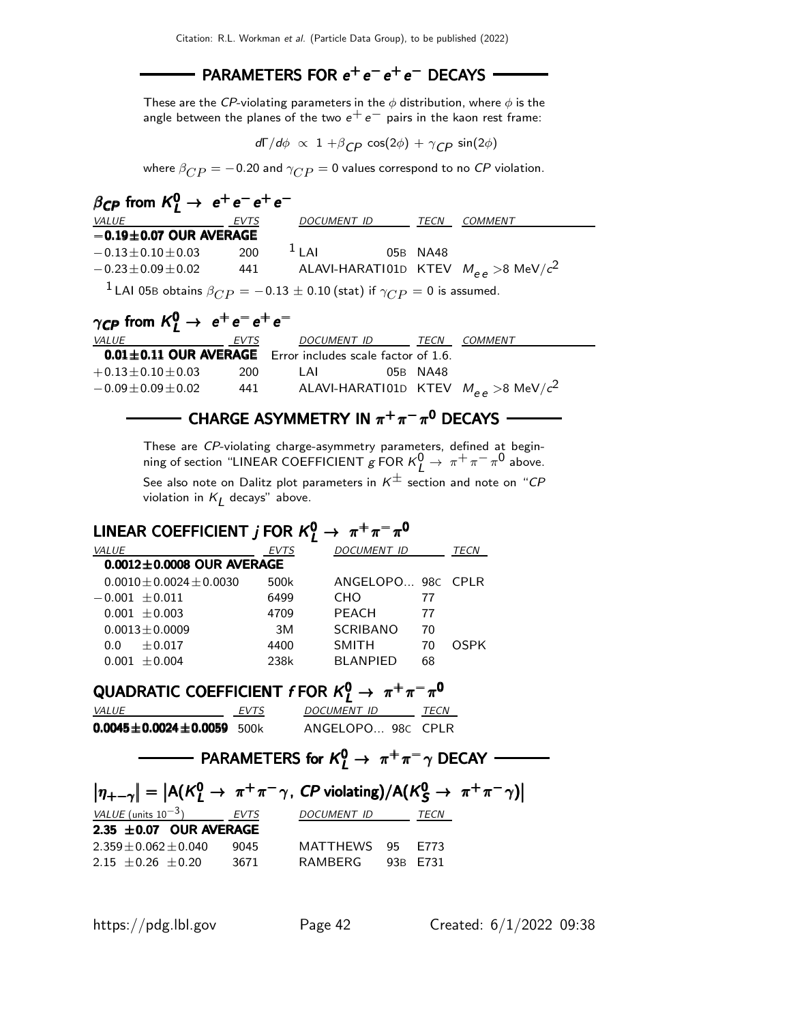#### $PARAMETERS FOR e<sup>+</sup>e<sup>-</sup>e<sup>+</sup>e<sup>-</sup>$  DECAYS

These are the CP-violating parameters in the  $\phi$  distribution, where  $\phi$  is the angle between the planes of the two  $e^+e^-$  pairs in the kaon rest frame:

 $d\Gamma/d\phi \propto 1 + \beta_{CP} \cos(2\phi) + \gamma_{CP} \sin(2\phi)$ 

where  $\beta_{CP}$  = -0.20 and  $\gamma_{CP}$  = 0 values correspond to no CP violation.

| $\beta_{CP}$ from $K_I^0 \rightarrow e^+e^-e^+e^-$                                                 |      |         |             |          |                                                             |
|----------------------------------------------------------------------------------------------------|------|---------|-------------|----------|-------------------------------------------------------------|
| <i>VALUE</i>                                                                                       | EVTS |         | DOCUMENT ID | TECN     | <i>COMMENT</i>                                              |
| $-0.19 \pm 0.07$ OUR AVERAGE                                                                       |      |         |             |          |                                                             |
| $-0.13 \pm 0.10 \pm 0.03$                                                                          | 200  | $11$ Al |             | 05B NA48 |                                                             |
| $-0.23 \pm 0.09 \pm 0.02$                                                                          |      |         |             |          | 441 ALAVI-HARATI01D KTEV $M_{\rho\rho} > 8 \text{ MeV}/c^2$ |
| <sup>1</sup> LAI 05B obtains $\beta_{CP} = -0.13 \pm 0.10$ (stat) if $\gamma_{CP} = 0$ is assumed. |      |         |             |          |                                                             |
|                                                                                                    |      |         |             |          |                                                             |

## $\gamma_{\text{\textsf{CP}}}$  from  $\text{\textsf{K}}_{\text{\textsf{L}}}^{0} \rightarrow \text{ } \text{e}^{+} \text{e}^{-} \text{e}^{+} \text{e}^{-}$

| <i>VALUE</i>                                                    | EVTS | DOCUMENT ID | TECN     | <i>COMMENT</i>                                          |
|-----------------------------------------------------------------|------|-------------|----------|---------------------------------------------------------|
| $0.01 \pm 0.11$ OUR AVERAGE Error includes scale factor of 1.6. |      |             |          |                                                         |
| $+0.13\!\pm\!0.10\!\pm\!0.03$                                   | 200. | I AI        | 05B NA48 |                                                         |
| $-0.09\!\pm\!0.09\!\pm\!0.02$                                   | 441  |             |          | ALAVI-HARATIO1D KTEV $M_{\rho\rho} > 8 \text{ MeV}/c^2$ |

#### CHARGE ASYMMETRY IN  $\pi^+\pi^-\pi^0$  DECAYS

These are CP-violating charge-asymmetry parameters, defined at beginning of section "LINEAR COEFFICIENT  $g$  FOR  $K^0_L \rightarrow \pi^+ \pi^- \pi^0$  above.

See also note on Dalitz plot parameters in  $K^{\pm}$  section and note on "CP violation in  $\kappa_L$  decays" above.

## LINEAR COEFFICIENT  $j$  FOR  $K^0_L \rightarrow \pi^+\pi^-\pi^0$

| <b>VALUE</b>                    | EVTS | DOCUMENT ID            | TECN |
|---------------------------------|------|------------------------|------|
| $0.0012 \pm 0.0008$ OUR AVERAGE |      |                        |      |
| $0.0010 + 0.0024 + 0.0030$      | 500k | ANGELOPO 98C CPLR      |      |
| $-0.001 \pm 0.011$              | 6499 | CHO <sup>-</sup><br>77 |      |
| $0.001 + 0.003$                 | 4709 | <b>PFACH</b><br>77     |      |
| $0.0013 + 0.0009$               | 3M   | <b>SCRIBANO</b><br>70  |      |
| $+0.017$<br>0.0                 | 4400 | <b>SMITH</b><br>70     | OSPK |
| $0.001 + 0.004$                 | 238k | <b>BLANPIFD</b><br>68  |      |

## QUADRATIC COEFFICIENT  $f$  FOR  $K^0_L \rightarrow \pi^+\pi^-\pi^0$

| <i>VALUE</i>                        | <b>EVTS</b> | DOCUMENT ID       | <b>TFCN</b> |
|-------------------------------------|-------------|-------------------|-------------|
| $0.0045 \pm 0.0024 \pm 0.0059$ 500k |             | ANGELOPO 98C CPLR |             |

## $\mathsf{PARAMETERS}$  for  $\mathcal{K}_L^0 \rightarrow \pi^+\pi^-\gamma$  DECAY

| $ \eta_{+-\gamma}  =  A(K^0_I \rightarrow \pi^+\pi^-\gamma, CP \text{ violating})/A(K^0_S \rightarrow \pi^+\pi^-\gamma) $ |        |                  |  |  |
|---------------------------------------------------------------------------------------------------------------------------|--------|------------------|--|--|
| VALUE (units $10^{-3}$ ) EVTS                                                                                             |        | DOCUMENT ID TECN |  |  |
| $2.35 \pm 0.07$ OUR AVERAGE                                                                                               |        |                  |  |  |
| $2.359 \pm 0.062 \pm 0.040$                                                                                               | - 9045 | MATTHEWS 95 E773 |  |  |
| $2.15 \pm 0.26 \pm 0.20$                                                                                                  | 3671   | RAMBERG 93B E731 |  |  |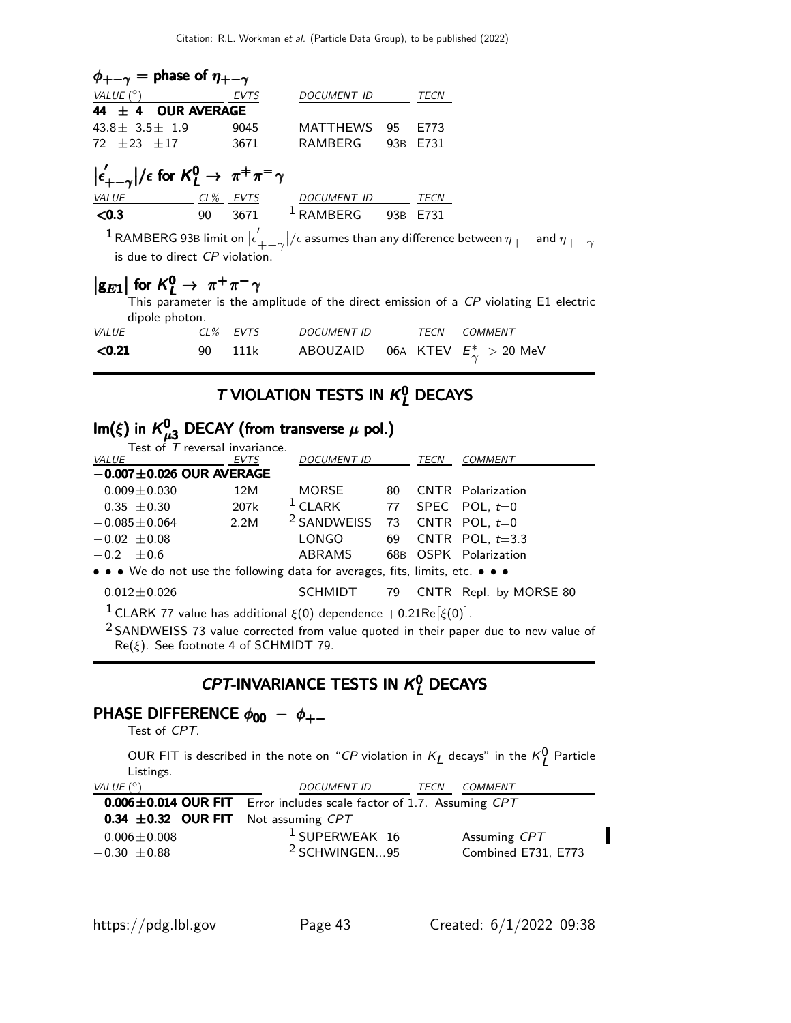| $\phi_{+-\gamma}$ = phase of $\eta_{+-\gamma}$                                                                                                                       |  |  |  |                                       |  |                                                                                      |  |  |  |
|----------------------------------------------------------------------------------------------------------------------------------------------------------------------|--|--|--|---------------------------------------|--|--------------------------------------------------------------------------------------|--|--|--|
| VALUE $(^\circ)$ EVTS                                                                                                                                                |  |  |  | DOCUMENT ID TECN                      |  |                                                                                      |  |  |  |
| 44 $\pm$ 4 OUR AVERAGE                                                                                                                                               |  |  |  |                                       |  |                                                                                      |  |  |  |
| $43.8 \pm 3.5 \pm 1.9$ 9045 MATTHEWS 95 E773                                                                                                                         |  |  |  |                                       |  |                                                                                      |  |  |  |
| 72 ± 23 ± 17 3671 RAMBERG 93B E731                                                                                                                                   |  |  |  |                                       |  |                                                                                      |  |  |  |
| $ \epsilon'_{+-\gamma} /\epsilon$ for $K^0_L \to \pi^+\pi^-\gamma$                                                                                                   |  |  |  |                                       |  |                                                                                      |  |  |  |
| VALUE <u>CL% EVTS</u> DOCUMENT ID TECN                                                                                                                               |  |  |  |                                       |  |                                                                                      |  |  |  |
| $<$ 0.3                                                                                                                                                              |  |  |  | 90 3671 <sup>1</sup> RAMBERG 93B E731 |  |                                                                                      |  |  |  |
| $1$ RAMBERG 93B limit on $ \epsilon'_{+ - \gamma} /\epsilon$ assumes than any difference between $\eta_{+-}$ and $\eta_{+-\gamma}$<br>is due to direct CP violation. |  |  |  |                                       |  |                                                                                      |  |  |  |
| $ g_{E1} $ for $K_I^0 \rightarrow \pi^+\pi^-\gamma$<br>dipole photon.                                                                                                |  |  |  |                                       |  | This parameter is the amplitude of the direct emission of a CP violating E1 electric |  |  |  |

| <b>VALUE</b> | CL% EVTS | <i>DOCUMENT ID</i> | TECN | COMMENT                                 |
|--------------|----------|--------------------|------|-----------------------------------------|
| < 0.21       | 90 111k  |                    |      | ABOUZAID 06A KTEV $E^*_{\sim} > 20$ MeV |

### T VIOLATION TESTS IN  $K<sub>L</sub><sup>0</sup>$  DECAYS

#### $\mathsf{Im}(\xi)$  in  $K_u^0$  $\mathsf{Im}(\xi)$  in  $\mathcal{K}_{\mu 3}^0$  DECAY (from transverse  $\mu$  pol.)

| Test of $T$ reversal invariance.                                                       |             |                        |      |      |                          |
|----------------------------------------------------------------------------------------|-------------|------------------------|------|------|--------------------------|
| VALUE                                                                                  | <b>EVTS</b> | <b>DOCUMENT ID</b>     |      | TECN | <b>COMMENT</b>           |
| $-0.007 \pm 0.026$ OUR AVERAGE                                                         |             |                        |      |      |                          |
| $0.009 \pm 0.030$                                                                      | 12M         | MORSE                  | 80 — |      | <b>CNTR</b> Polarization |
| $0.35 \pm 0.30$                                                                        | 207k        | $1$ CLARK              |      |      | 77 SPEC POL, $t=0$       |
| $-0.085 \pm 0.064$                                                                     | 2.2M        | <sup>2</sup> SANDWEISS |      |      | 73 CNTR POL, $t=0$       |
| $-0.02 \pm 0.08$                                                                       |             | LONGO                  |      |      | 69 CNTR POL, $t=3.3$     |
| $-0.2 + 0.6$                                                                           |             | ABRAMS                 |      |      | 68B OSPK Polarization    |
| • • • We do not use the following data for averages, fits, limits, etc. • • •          |             |                        |      |      |                          |
| $0.012 \pm 0.026$                                                                      |             | SCHMIDT                | 79   |      | CNTR Repl. by MORSE 80   |
| <sup>1</sup> CLARK 77 value has additional $\xi(0)$ dependence $+0.21$ Re $[\xi(0)]$ . |             |                        |      |      |                          |

<sup>2</sup> SANDWEISS 73 value corrected from value quoted in their paper due to new value of  $\text{Re}(\xi)$ . See footnote 4 of SCHMIDT 79.

### $CPT$ -INVARIANCE TESTS IN  $K_L^0$  DECAYS

#### PHASE DIFFERENCE  $\phi_{00} - \phi_{+-}$

Test of CPT.

OUR FIT is described in the note on "CP violation in  $K_L$  decays" in the  $K_L^0$  Particle Listings.

| VALUE $(^\circ)$                                          | <b>DOCUMENT ID</b>                                                   | <b>COMMENT</b><br>TECN |  |  |  |  |
|-----------------------------------------------------------|----------------------------------------------------------------------|------------------------|--|--|--|--|
|                                                           | 0.006±0.014 OUR FIT Error includes scale factor of 1.7. Assuming CPT |                        |  |  |  |  |
| <b>0.34 <math>\pm</math>0.32 OUR FIT</b> Not assuming CPT |                                                                      |                        |  |  |  |  |
| $0.006 \pm 0.008$                                         | $1$ SUPERWEAK 16                                                     | Assuming CPT           |  |  |  |  |
| $-0.30 \pm 0.88$                                          | <sup>2</sup> SCHWINGEN95                                             | Combined E731, E773    |  |  |  |  |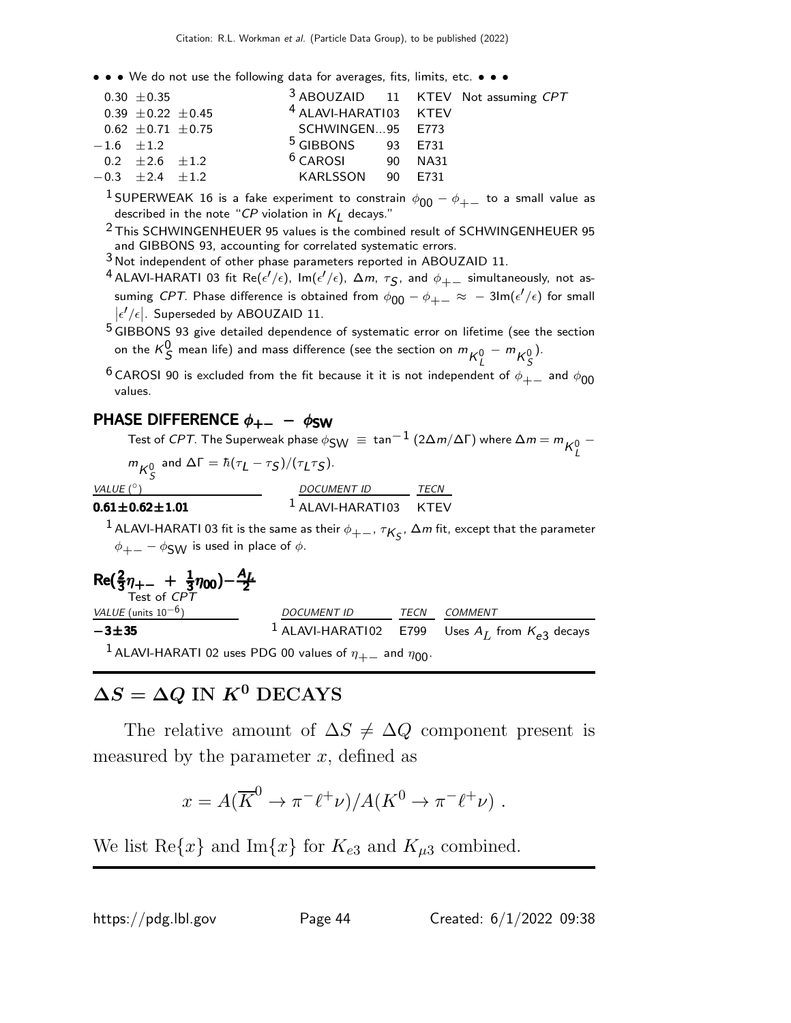• • • We do not use the following data for averages, fits, limits, etc. • • •

|                         | $0.30 \pm 0.35$          |                                  |  | <sup>3</sup> ABOUZAID 11 KTEV Not assuming CPT |
|-------------------------|--------------------------|----------------------------------|--|------------------------------------------------|
|                         | $0.39 \pm 0.22 \pm 0.45$ | <sup>4</sup> ALAVI-HARATI03 KTEV |  |                                                |
|                         | $0.62 \pm 0.71 \pm 0.75$ | SCHWINGEN95 E773                 |  |                                                |
| $-1.6 \pm 1.2$          |                          | $5$ GIBBONS 93 E731              |  |                                                |
| 0.2 $\pm 2.6$ $\pm 1.2$ |                          | $6$ CAROSI 90 NA31               |  |                                                |
| $-0.3 +2.4 +1.2$        |                          | KARLSSON 90 E731                 |  |                                                |
|                         |                          |                                  |  |                                                |

<sup>1</sup> SUPERWEAK 16 is a fake experiment to constrain  $\phi_{00} - \phi_{+-}$  to a small value as described in the note "CP violation in  $K_{\cancel{L}}$  decays."

<sup>2</sup> This SCHWINGENHEUER 95 values is the combined result of SCHWINGENHEUER 95 and GIBBONS 93, accounting for correlated systematic errors.

3 Not independent of other phase parameters reported in ABOUZAID 11.

 $^4$  ALAVI-HARATI 03 fit Re( $\epsilon'/\epsilon$ ),  ${\sf Im}(\epsilon'/\epsilon)$ ,  $\Delta m$ ,  $\tau_{\cal S}$ , and  $\phi_{+-}$  simultaneously, not assuming CPT. Phase difference is obtained from  $\phi_{00} - \phi_{+-} \approx -3$ lm $(\epsilon'/\epsilon)$  for small  $\left|\epsilon'/\epsilon\right|$ . Superseded by ABOUZAID 11.

 $5$  GIBBONS 93 give detailed dependence of systematic error on lifetime (see the section on the  $\kappa_S^0$  mean life) and mass difference (see the section on  $m_{\bm{\mathcal{K}}^0_L} - m_{\bm{\mathcal{K}}^0_S}$ ).

<sup>6</sup> CAROSI 90 is excluded from the fit because it it is not independent of  $\phi_{+-}$  and  $\phi_{00}$ values.

#### PHASE DIFFERENCE  $\phi_{+-} - \phi_{SW}$

Test of *CPT*. The Superweak phase  $\phi_{\textsf{SW}}\ \equiv\ \tan^{-1}\left(2\Delta m/\Delta\Gamma\right)$  where  $\Delta m=m\frac{1}{K^0_L}$ −

 $m_{K^0_S}$  and  $\Delta\Gamma = \hbar(\tau_L - \tau_S)/(\tau_L \tau_S)$ .

VALUE  $(^\circ)$ 

#### $\circ$ ) DOCUMENT ID TECN  $0.61\pm0.62\pm1.01$   $1$  ALAVI-HARATI03 KTEV

 $^1$  ALAVI-HARATI 03 fit is the same as their  $\phi_{+-}$ ,  $\tau_{K_S}$ ,  $\Delta m$  fit, except that the parameter  $\phi_{+-} - \phi_{\text{SW}}$  is used in place of  $\phi$ .

$$
\text{Re}(\frac{2}{3}\eta_{+-} + \frac{1}{3}\eta_{00}) - \frac{A_L}{2}
$$
\n
$$
\xrightarrow{-3\pm 35} 1
$$
\n
$$
\xrightarrow{DOCUMENT ID} \xrightarrow{TECN} \xrightarrow{COMMENT}
$$
\n
$$
\xrightarrow{-3\pm 35} 1
$$
\n
$$
\xrightarrow{LAVI-HARAT102} 1
$$
\n
$$
\xrightarrow{TECN} \xrightarrow{COMMENT}
$$
\n
$$
\xrightarrow{L} \xrightarrow{MCF} 1
$$
\n
$$
\xrightarrow{L} \xrightarrow{L} \xrightarrow{L} \xrightarrow{L} \xrightarrow{L} \xrightarrow{L} \xrightarrow{L} \xrightarrow{L} \xrightarrow{L} \xrightarrow{L} \xrightarrow{L} \xrightarrow{L} \xrightarrow{L} \xrightarrow{L} \xrightarrow{L} \xrightarrow{L} \xrightarrow{L} \xrightarrow{L} \xrightarrow{L} \xrightarrow{L} \xrightarrow{L} \xrightarrow{L} \xrightarrow{L} \xrightarrow{L} \xrightarrow{L} \xrightarrow{L} \xrightarrow{L} \xrightarrow{L} \xrightarrow{L} \xrightarrow{L} \xrightarrow{L} \xrightarrow{L} \xrightarrow{L} \xrightarrow{L} \xrightarrow{L} \xrightarrow{L} \xrightarrow{L} \xrightarrow{L} \xrightarrow{L} \xrightarrow{L} \xrightarrow{L} \xrightarrow{L} \xrightarrow{L} \xrightarrow{L} \xrightarrow{L} \xrightarrow{L} \xrightarrow{L} \xrightarrow{L} \xrightarrow{L} \xrightarrow{L} \xrightarrow{L} \xrightarrow{L} \xrightarrow{L} \xrightarrow{L} \xrightarrow{L} \xrightarrow{L} \xrightarrow{L} \xrightarrow{L} \xrightarrow{L} \xrightarrow{L} \xrightarrow{L} \xrightarrow{L} \xrightarrow{L} \xrightarrow{L} \xrightarrow{L} \xrightarrow{L} \xrightarrow{L} \xrightarrow{L} \xrightarrow{L} \xrightarrow{L} \xrightarrow{L} \xrightarrow{L} \xrightarrow{L} \xrightarrow{L} \xrightarrow{L} \xrightarrow{L} \xrightarrow{L} \xrightarrow{L} \xrightarrow{L} \xrightarrow{L} \xrightarrow{L} \xrightarrow{L} \xrightarrow{L} \xrightarrow{L} \xrightarrow{L} \xrightarrow{L} \xrightarrow{L} \xrightarrow{L} \xrightarrow{L} \xrightarrow{L} \xrightarrow{L} \xrightarrow{L} \xrightarrow{L} \xrightarrow{L} \xrightarrow
$$

## $\Delta S = \Delta Q$  IN  $K^0$  DECAYS

The relative amount of  $\Delta S \neq \Delta Q$  component present is measured by the parameter  $x$ , defined as

$$
x = A(\overline{K}^0 \to \pi^- \ell^+ \nu) / A(K^0 \to \pi^- \ell^+ \nu) .
$$

We list Re $\{x\}$  and Im $\{x\}$  for  $K_{e3}$  and  $K_{\mu 3}$  combined.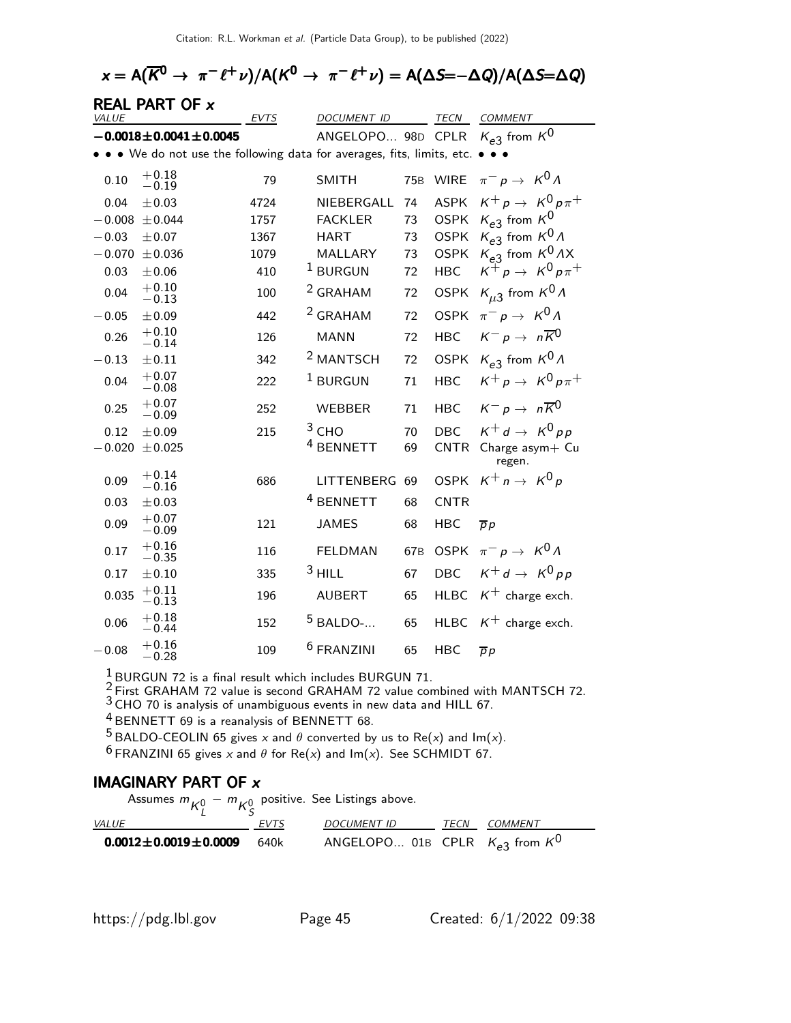## $\alpha = \mathsf{A}(\overline{\mathsf{K}}^0 \to \pi^- \ell^+ \nu) / \mathsf{A}(\mathsf{K}^0 \to \pi^- \ell^+ \nu) = \mathsf{A}(\Delta \mathsf{S} = - \Delta Q) / \mathsf{A}(\Delta \mathsf{S} = \Delta Q)$

| VALUE    | <b>REAL PART OF x</b>                                               | <b>EVTS</b> | <i>DOCUMENT ID</i>    |                 | TECN        | <b>COMMENT</b>                       |
|----------|---------------------------------------------------------------------|-------------|-----------------------|-----------------|-------------|--------------------------------------|
|          | $-0.0018 \pm 0.0041 \pm 0.0045$                                     |             | ANGELOPO 98D CPLR     |                 |             | $K_{e3}$ from $K^0$                  |
|          | . We do not use the following data for averages, fits, limits, etc. |             |                       |                 |             |                                      |
|          | $+0.18$                                                             |             |                       |                 |             |                                      |
| 0.10     | $-0.19$                                                             | 79          | <b>SMITH</b>          | <b>75B</b>      | <b>WIRE</b> | $\pi^- p \to K^0 \Lambda$            |
| 0.04     | ±0.03                                                               | 4724        | NIEBERGALL            | 74              | <b>ASPK</b> | $K^+ p \rightarrow K^0 p \pi^+$      |
| $-0.008$ | ± 0.044                                                             | 1757        | <b>FACKLER</b>        | 73              | <b>OSPK</b> | $K_{e3}$ from $K^0$                  |
| $-0.03$  | ±0.07                                                               | 1367        | <b>HART</b>           | 73              | <b>OSPK</b> | $K_{e3}$ from $K^0\Lambda$           |
| $-0.070$ | ± 0.036                                                             | 1079        | MALLARY               | 73              | <b>OSPK</b> | $K_{e3}$ from $K^0AX$                |
| 0.03     | $\pm 0.06$                                                          | 410         | $1$ BURGUN            | 72              | <b>HBC</b>  | $K^+ p \rightarrow K^0 p \pi^+$      |
| 0.04     | $+0.10$<br>$-0.13$                                                  | 100         | <sup>2</sup> GRAHAM   | 72              | <b>OSPK</b> | $K_{\mu 3}$ from $K^0 \Lambda$       |
| $-0.05$  | ±0.09                                                               | 442         | <sup>2</sup> GRAHAM   | 72              | <b>OSPK</b> | $\pi^- p \to K^0 \Lambda$            |
| 0.26     | $+0.10$<br>$-0.14$                                                  | 126         | <b>MANN</b>           | 72              | <b>HBC</b>  | $K^- p \rightarrow n \overline{K}^0$ |
| $-0.13$  | $\pm 0.11$                                                          | 342         | <sup>2</sup> MANTSCH  | 72              | <b>OSPK</b> | $K_{e3}$ from $K^0 \Lambda$          |
| 0.04     | $+0.07$<br>$-0.08$                                                  | 222         | $1$ BURGUN            | 71              | <b>HBC</b>  | $K^+ p \rightarrow K^0 p \pi^+$      |
| 0.25     | $+0.07$<br>$-0.09$                                                  | 252         | <b>WEBBER</b>         | 71              | <b>HBC</b>  | $K^- p \rightarrow n \overline{K}^0$ |
| 0.12     | ±0.09                                                               | 215         | $3$ CHO               | 70              | <b>DBC</b>  | $K^+ d \rightarrow K^0 p p$          |
| $-0.020$ | ± 0.025                                                             |             | <sup>4</sup> BENNETT  | 69              | <b>CNTR</b> | Charge asym+ Cu<br>regen.            |
| 0.09     | $+0.14$<br>$-0.16$                                                  | 686         | LITTENBERG            | 69              | <b>OSPK</b> | $K^+ n \rightarrow K^0 p$            |
| 0.03     | ±0.03                                                               |             | <sup>4</sup> BENNETT  | 68              | <b>CNTR</b> |                                      |
| 0.09     | $+0.07$<br>$-0.09$                                                  | 121         | <b>JAMES</b>          | 68              | <b>HBC</b>  | $\overline{p}p$                      |
| 0.17     | $+0.16$<br>$-0.35$                                                  | 116         | <b>FELDMAN</b>        | 67 <sub>B</sub> | <b>OSPK</b> | $\pi^- p \to K^0 \Lambda$            |
| 0.17     | $\pm 0.10$                                                          | 335         | $3$ HILL              | 67              | <b>DBC</b>  | $K^+ d \rightarrow K^0 p p$          |
| 0.035    | $+0.11$<br>$-0.13$                                                  | 196         | <b>AUBERT</b>         | 65              | <b>HLBC</b> | $K^+$ charge exch.                   |
| 0.06     | $+0.18$<br>$-0.44$                                                  | 152         | $5$ BALDO-            | 65              | <b>HLBC</b> | $K^+$ charge exch.                   |
| $-0.08$  | $+0.16$<br>$-0.28$                                                  | 109         | <sup>6</sup> FRANZINI | 65              | <b>HBC</b>  | $\overline{p}p$                      |

 $\frac{1}{6}$  BURGUN 72 is a final result which includes BURGUN 71.

 $^{2}$  First GRAHAM 72 value is second GRAHAM 72 value combined with MANTSCH 72.

 $3$  CHO 70 is analysis of unambiguous events in new data and HILL 67.

4 BENNETT 69 is a reanalysis of BENNETT 68.

<sup>5</sup> BALDO-CEOLIN 65 gives x and  $\theta$  converted by us to Re(x) and Im(x).

<sup>6</sup> FRANZINI 65 gives x and  $\theta$  for Re(x) and Im(x). See SCHMIDT 67.

#### IMAGINARY PART OF x

Assumes  $m_{\mathcal{K}_L^0} - m_{\mathcal{K}_S^0}$ positive. See Listings above.

| <i>VALUE</i>                   | <b>EVTS</b> | DOCUMENT ID                             | TFCN | COMMENT |
|--------------------------------|-------------|-----------------------------------------|------|---------|
| $0.0012 \pm 0.0019 \pm 0.0009$ | 640k        | ANGELOPO 01B CPLR $K_{e3}$ from $K^{0}$ |      |         |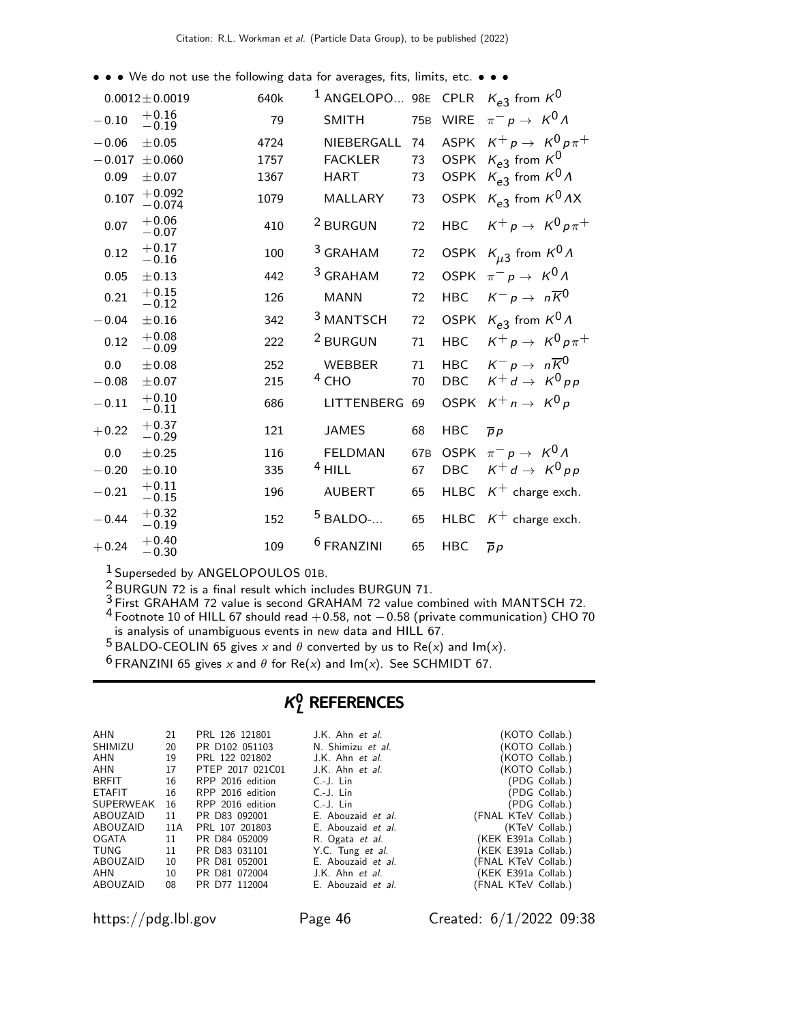• • • We do not use the following data for averages, fits, limits, etc. • • •

|          | $0.0012 \pm 0.0019$  | 640k | <sup>1</sup> ANGELOPO 98E CPLR |                 |             | $K_{e3}$ from $K^0$                  |
|----------|----------------------|------|--------------------------------|-----------------|-------------|--------------------------------------|
| $-0.10$  | $+0.16$<br>$-0.19$   | 79   | <b>SMITH</b>                   | 75 <sub>B</sub> | <b>WIRE</b> | $\pi^- p \to K^0 \Lambda$            |
| $-0.06$  | ±0.05                | 4724 | NIEBERGALL                     | 74              | <b>ASPK</b> | $K^+ p \rightarrow K^0 p \pi^+$      |
| $-0.017$ | $\pm 0.060$          | 1757 | <b>FACKLER</b>                 | 73              | <b>OSPK</b> | $K_{e3}$ from $K^0$                  |
| 0.09     | ±0.07                | 1367 | <b>HART</b>                    | 73              | <b>OSPK</b> | $K_{e3}$ from $K^0 \Lambda$          |
| 0.107    | $+0.092$<br>$-0.074$ | 1079 | <b>MALLARY</b>                 | 73              |             | OSPK $K_{e3}$ from $K^0AX$           |
| 0.07     | $+0.06$<br>$-0.07$   | 410  | <sup>2</sup> BURGUN            | 72              | <b>HBC</b>  | $K^+ p \rightarrow K^0 p \pi^+$      |
| 0.12     | $+0.17$<br>$-0.16$   | 100  | <sup>3</sup> GRAHAM            | 72              |             | OSPK $K_{\mu 3}$ from $K^0 \Lambda$  |
| 0.05     | $\pm 0.13$           | 442  | <sup>3</sup> GRAHAM            | 72              | <b>OSPK</b> | $\pi^- p \to K^0 \Lambda$            |
| 0.21     | $+0.15$<br>$-0.12$   | 126  | <b>MANN</b>                    | 72              | <b>HBC</b>  | $K^- p \rightarrow n \overline{K}^0$ |
| $-0.04$  | $\pm 0.16$           | 342  | <sup>3</sup> MANTSCH           | 72              | <b>OSPK</b> | $K_{e3}$ from $K^0 \Lambda$          |
| 0.12     | $+0.08$<br>$-0.09$   | 222  | <sup>2</sup> BURGUN            | 71              | <b>HBC</b>  | $K^+ p \rightarrow K^0 p \pi^+$      |
| 0.0      | ±0.08                | 252  | <b>WEBBER</b>                  | 71              | <b>HBC</b>  | $K^- p \to n \overline{K}0$          |
| $-0.08$  | ±0.07                | 215  | $4$ CHO                        | 70              | DBC         | $K^+ d \rightarrow K^0 p p$          |
| $-0.11$  | $+0.10$<br>$-0.11$   | 686  | LITTENBERG                     | 69              |             | OSPK $K^+ n \rightarrow K^0 p$       |
| $+0.22$  | $+0.37$<br>$-0.29$   | 121  | <b>JAMES</b>                   | 68              | <b>HBC</b>  | $\overline{p} p$                     |
| 0.0      | ±0.25                | 116  | <b>FELDMAN</b>                 | 67 <sub>B</sub> | <b>OSPK</b> | $\pi^- p \to K^0 \Lambda$            |
| $-0.20$  | $\pm 0.10$           | 335  | $4$ HILL                       | 67              | <b>DBC</b>  | $K^+ d \rightarrow K^0 p p$          |
| $-0.21$  | $+0.11$<br>$-0.15$   | 196  | <b>AUBERT</b>                  | 65              |             | HLBC $K^+$ charge exch.              |
| $-0.44$  | $+0.32$<br>$-0.19$   | 152  | $5$ BALDO-                     | 65              |             | HLBC $K^+$ charge exch.              |
| $+0.24$  | $+0.40$<br>$-0.30$   | 109  | <sup>6</sup> FRANZINI          | 65              | <b>HBC</b>  | $\overline{p} p$                     |

1 Superseded by ANGELOPOULOS 01B.

 $\frac{2}{3}$  BURGUN 72 is a final result which includes BURGUN 71.

 $3$  First GRAHAM 72 value is second GRAHAM 72 value combined with MANTSCH 72.

 $4$  Footnote 10 of HILL 67 should read  $+0.58$ , not  $-0.58$  (private communication) CHO 70 is analysis of unambiguous events in new data and HILL 67.

5 BALDO-CEOLIN 65 gives x and  $\theta$  converted by us to Re(x) and Im(x).

<sup>6</sup> FRANZINI 65 gives x and  $\theta$  for Re(x) and Im(x). See SCHMIDT 67.

#### $\kappa$ o **L** REFERENCES

| AHN<br><b>SHIMIZU</b><br>AHN<br>AHN<br><b>BRFIT</b> | 21<br>20<br>19<br>17<br>16 | PRL 126 121801<br>PR D102 051103<br>PRL 122 021802<br>PTEP 2017 021C01<br>RPP 2016 edition | J.K. Ahn et al.<br>N. Shimizu et al.<br>J.K. Ahn et al.<br>J.K. Ahn et al.<br>$C - J$ . Lin | (KOTO Collab.)<br>(KOTO Collab.)<br>(KOTO Collab.)<br>(KOTO Collab.)<br>(PDG Collab.) |
|-----------------------------------------------------|----------------------------|--------------------------------------------------------------------------------------------|---------------------------------------------------------------------------------------------|---------------------------------------------------------------------------------------|
| <b>ETAFIT</b>                                       | 16                         | RPP 2016 edition                                                                           | $C.-J.$ Lin                                                                                 | (PDG Collab.)                                                                         |
| <b>SUPERWEAK</b>                                    | 16                         | RPP 2016 edition                                                                           | $C.-J.$ Lin                                                                                 | (PDG Collab.)                                                                         |
| ABOUZAID                                            | 11                         | PR D83 092001                                                                              | E. Abouzaid et al.                                                                          | (FNAL KTeV Collab.)                                                                   |
| ABOUZAID                                            | 11A                        | PRL 107 201803                                                                             | E. Abouzaid et al.                                                                          | (KTeV Collab.)                                                                        |
| OGATA                                               | 11                         | PR D84 052009                                                                              | R. Ogata et al.                                                                             | (KEK E391a Collab.)                                                                   |
| TUNG                                                | 11                         | PR D83 031101                                                                              | Y.C. Tung et al.                                                                            | (KEK E391a Collab.)                                                                   |
| ABOUZAID                                            | 10                         | PR D81 052001                                                                              | E. Abouzaid et al.                                                                          | (FNAL KTeV Collab.)                                                                   |
| AHN                                                 | 10                         | PR D81 072004                                                                              | J.K. Ahn et al.                                                                             | (KEK E391a Collab.)                                                                   |
| ABOUZAID                                            | 08                         | PR D77 112004                                                                              | E. Abouzaid et al.                                                                          | (FNAL KTeV Collab.)                                                                   |

https://pdg.lbl.gov Page 46 Created: 6/1/2022 09:38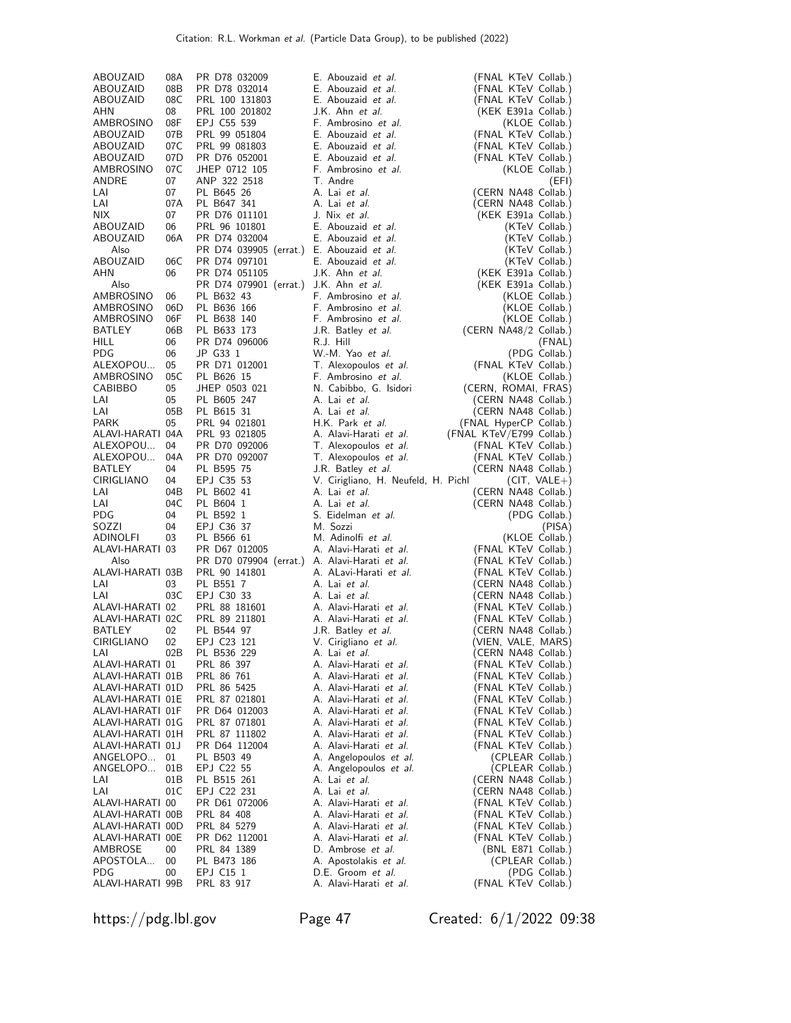| 08C<br>E. Abouzaid et al.<br>(FNAL KTeV Collab.)<br>ABOUZAID<br>PRL 100 131803<br>08<br>PRL 100 201802<br>J.K. Ahn et al.<br>AHN<br>(KEK E391a Collab.)<br>AMBROSINO<br>08F<br>EPJ C55 539<br>F. Ambrosino et al.<br>(KLOE Collab.)<br>E. Abouzaid et al.<br>ABOUZAID<br>07B<br>PRL 99 051804<br>(FNAL KTeV Collab.)<br>07 C<br>E. Abouzaid et al.<br>ABOUZAID<br>PRL 99 081803<br>(FNAL KTeV Collab.)<br>07D<br>E. Abouzaid et al.<br>ABOUZAID<br>PR D76 052001<br>(FNAL KTeV Collab.)<br>AMBROSINO<br>07C<br>JHEP 0712 105<br>F. Ambrosino et al.<br>(KLOE Collab.)<br>07<br>ANDRE<br>ANP 322 2518<br>T. Andre<br>(EFI)<br>LAI<br>07<br>PL B645 26<br>A. Lai et al.<br>(CERN NA48 Collab.)<br>LAI<br>07A<br>PL B647 341<br>A. Lai et al.<br>(CERN NA48 Collab.)<br>NIX.<br>07<br>PR D76 011101<br>J. Nix et al.<br>(KEK E391a Collab.)<br>ABOUZAID<br>06<br>PRL 96 101801<br>E. Abouzaid et al.<br>(KTeV Collab.)<br>ABOUZAID<br>06A<br>PR D74 032004<br>E. Abouzaid et al.<br>(KTeV Collab.)<br>Also<br>PR D74 039905 (errat.) E. Abouzaid et al.<br>(KTeV Collab.)<br>ABOUZAID<br>06C<br>PR D74 097101<br>E. Abouzaid et al.<br>(KTeV Collab.)<br>AHN<br>06<br>PR D74 051105<br>J.K. Ahn et al.<br>(KEK E391a Collab.)<br>PR D74 079901 (errat.) J.K. Ahn et al.<br>Also<br>(KEK E391a Collab.)<br>AMBROSINO<br>F. Ambrosino et al.<br>06<br>PL B632 43<br>(KLOE Collab.)<br>AMBROSINO<br>06D<br>PL B636 166<br>F. Ambrosino et al.<br>(KLOE Collab.)<br>AMBROSINO<br>06F<br>PL B638 140<br>F. Ambrosino et al.<br>(KLOE Collab.)<br>06B<br>(CERN NA48/2 Collab.)<br>BATLEY<br>PL B633 173<br>J.R. Batley et al.<br>06<br><b>HILL</b><br>PR D74 096006<br>R.J. Hill<br>(FNAL)<br>JP G33 1<br>W.-M. Yao et al.<br>PDG<br>06<br>(PDG Collab.)<br>ALEXOPOU<br>05<br>PR D71 012001<br>T. Alexopoulos et al.<br>(FNAL KTeV Collab.)<br>05C<br>PL B626 15<br>AMBROSINO<br>F. Ambrosino et al.<br>(KLOE Collab.)<br>05<br>JHEP 0503 021<br>CABIBBO<br>N. Cabibbo, G. Isidori<br>(CERN, ROMAI, FRAS)<br>LAI<br>05<br>PL B605 247<br>A. Lai et al.<br>(CERN NA48 Collab.)<br>LAI<br>05B<br>PL B615 31<br>A. Lai et al.<br>(CERN NA48 Collab.)<br><b>PARK</b><br>05<br>PRL 94 021801<br>H.K. Park et al.<br>(FNAL HyperCP Collab.)<br>(FNAL KTeV/E799 Collab.)<br>ALAVI-HARATI 04A<br>PRL 93 021805<br>A. Alavi-Harati et al.<br>04<br>ALEXOPOU<br>PR D70 092006<br>T. Alexopoulos et al.<br>(FNAL KTeV Collab.)<br>ALEXOPOU<br>04A<br>PR D70 092007<br>T. Alexopoulos et al.<br>(FNAL KTeV Collab.)<br>BATLEY<br>04<br>PL B595 75<br>J.R. Batley <i>et al.</i><br>(CERN NA48 Collab.)<br>CIRIGLIANO<br>04<br>EPJ C35 53<br>V. Cirigliano, H. Neufeld, H. Pichl<br>$(CIT, VALE+)$<br>LAI<br>04B<br>PL B602 41<br>A. Lai et al.<br>(CERN NA48 Collab.)<br>04C<br>PL B604 1<br>A. Lai et al.<br>(CERN NA48 Collab.)<br>LAI<br>PL B592 1<br>S. Eidelman et al.<br><b>PDG</b><br>04<br>(PDG Collab.)<br>EPJ C36 37<br>M. Sozzi<br>SOZZI<br>04<br>(PISA)<br>M. Adinolfi et al.<br>ADINOLFI<br>03<br>PL B566 61<br>(KLOE Collab.)<br>ALAVI-HARATI 03<br>A. Alavi-Harati et al.<br>(FNAL KTeV Collab.)<br>PR D67 012005<br>PR D70 079904 (errat.) A. Alavi-Harati et al.<br>(FNAL KTeV Collab.)<br>Also<br>A. ALavi-Harati et al.<br>ALAVI-HARATI 03B<br>PRL 90 141801<br>(FNAL KTeV Collab.)<br>LAI<br>PL B551 7<br>03<br>A. Lai et al.<br>(CERN NA48 Collab.)<br>03C<br>EPJ C30 33<br>A. Lai et al.<br>(CERN NA48 Collab.)<br>LAI<br>ALAVI-HARATI 02<br>PRL 88 181601<br>A. Alavi-Harati et al.<br>(FNAL KTeV Collab.)<br>ALAVI-HARATI 02C<br>PRL 89 211801<br>A. Alavi-Harati et al.<br>(FNAL KTeV Collab.)<br>BATLEY<br>02<br>PL B544 97<br>(CERN NA48 Collab.)<br>J.R. Batley <i>et al.</i><br>02<br>(VIEN, VALE, MARS)<br>CIRIGLIANO<br>EPJ C23 121<br>V. Cirigliano et al.<br>LAI<br>02B<br>PL B536 229<br>A. Lai et al.<br>(CERN NA48 Collab.)<br>A. Alavi-Harati et al.<br>ALAVI-HARATI 01<br>PRL 86 397<br>(FNAL KTeV Collab.)<br>A. Alavi-Harati et al.<br>(FNAL KTeV Collab.)<br>ALAVI-HARATI 01B<br>PRL 86 761<br>ALAVI-HARATI 01D<br>PRL 86 5425<br>A. Alavi-Harati et al.<br>(FNAL KTeV Collab.)<br>ALAVI-HARATI 01E<br>PRL 87 021801<br>A. Alavi-Harati et al.<br>(FNAL KTeV Collab.)<br>A. Alavi-Harati et al.<br>ALAVI-HARATI 01F<br>PR D64 012003<br>(FNAL KTeV Collab.)<br>A. Alavi-Harati et al.<br>ALAVI-HARATI 01G<br>PRL 87 071801<br>(FNAL KTeV Collab.)<br>ALAVI-HARATI 01H<br>PRL 87 111802<br>A. Alavi-Harati et al.<br>(FNAL KTeV Collab.)<br>ALAVI-HARATI 01J<br>PR D64 112004<br>A. Alavi-Harati et al.<br>(FNAL KTeV Collab.)<br>ANGELOPO<br>01<br>PL B503 49<br>A. Angelopoulos et al.<br>(CPLEAR Collab.)<br>ANGELOPO<br>(CPLEAR Collab.)<br>01B<br>EPJ C22 55<br>A. Angelopoulos et al.<br>A. Lai et al.<br>(CERN NA48 Collab.)<br>LAI<br>01B<br>PL B515 261<br>(CERN NA48 Collab.)<br>LAI<br>01C<br>EPJ C22 231<br>A. Lai et al.<br>A. Alavi-Harati et al.<br>ALAVI-HARATI 00<br>PR D61 072006<br>(FNAL KTeV Collab.)<br>ALAVI-HARATI 00B<br>A. Alavi-Harati et al.<br>(FNAL KTeV Collab.)<br>PRL 84 408<br>A. Alavi-Harati et al.<br>(FNAL KTeV Collab.)<br>ALAVI-HARATI 00D<br>PRL 84 5279<br>ALAVI-HARATI 00E<br>A. Alavi-Harati et al.<br>(FNAL KTeV Collab.)<br>PR D62 112001<br>AMBROSE<br>00<br>PRL 84 1389<br>D. Ambrose et al.<br>(BNL E871 Collab.)<br>(CPLEAR Collab.)<br>APOSTOLA<br>00<br>PL B473 186<br>A. Apostolakis et al.<br>PDG<br>EPJ C15 1<br>D.E. Groom et al.<br>(PDG Collab.)<br>00<br>ALAVI-HARATI 99B<br>PRL 83 917<br>A. Alavi-Harati et al.<br>(FNAL KTeV Collab.) | ABOUZAID | 08A | PR D78 032009 | E. Abouzaid et al. | (FNAL KTeV Collab.) |
|-----------------------------------------------------------------------------------------------------------------------------------------------------------------------------------------------------------------------------------------------------------------------------------------------------------------------------------------------------------------------------------------------------------------------------------------------------------------------------------------------------------------------------------------------------------------------------------------------------------------------------------------------------------------------------------------------------------------------------------------------------------------------------------------------------------------------------------------------------------------------------------------------------------------------------------------------------------------------------------------------------------------------------------------------------------------------------------------------------------------------------------------------------------------------------------------------------------------------------------------------------------------------------------------------------------------------------------------------------------------------------------------------------------------------------------------------------------------------------------------------------------------------------------------------------------------------------------------------------------------------------------------------------------------------------------------------------------------------------------------------------------------------------------------------------------------------------------------------------------------------------------------------------------------------------------------------------------------------------------------------------------------------------------------------------------------------------------------------------------------------------------------------------------------------------------------------------------------------------------------------------------------------------------------------------------------------------------------------------------------------------------------------------------------------------------------------------------------------------------------------------------------------------------------------------------------------------------------------------------------------------------------------------------------------------------------------------------------------------------------------------------------------------------------------------------------------------------------------------------------------------------------------------------------------------------------------------------------------------------------------------------------------------------------------------------------------------------------------------------------------------------------------------------------------------------------------------------------------------------------------------------------------------------------------------------------------------------------------------------------------------------------------------------------------------------------------------------------------------------------------------------------------------------------------------------------------------------------------------------------------------------------------------------------------------------------------------------------------------------------------------------------------------------------------------------------------------------------------------------------------------------------------------------------------------------------------------------------------------------------------------------------------------------------------------------------------------------------------------------------------------------------------------------------------------------------------------------------------------------------------------------------------------------------------------------------------------------------------------------------------------------------------------------------------------------------------------------------------------------------------------------------------------------------------------------------------------------------------------------------------------------------------------------------------------------------------------------------------------------------------------------------------------------------------------------------------------------------------------------------------------------------------------------------------------------------------------------------------------------------------------------------------------------------------------------------------------------------------------------------------------------------------------------------------------------------------------------------------------------------------------------------------------------------------------------------------------------------------------------------------------------------------------------------------------------------------------------------------------------------------------------------------|----------|-----|---------------|--------------------|---------------------|
|                                                                                                                                                                                                                                                                                                                                                                                                                                                                                                                                                                                                                                                                                                                                                                                                                                                                                                                                                                                                                                                                                                                                                                                                                                                                                                                                                                                                                                                                                                                                                                                                                                                                                                                                                                                                                                                                                                                                                                                                                                                                                                                                                                                                                                                                                                                                                                                                                                                                                                                                                                                                                                                                                                                                                                                                                                                                                                                                                                                                                                                                                                                                                                                                                                                                                                                                                                                                                                                                                                                                                                                                                                                                                                                                                                                                                                                                                                                                                                                                                                                                                                                                                                                                                                                                                                                                                                                                                                                                                                                                                                                                                                                                                                                                                                                                                                                                                                                                                                                                                                                                                                                                                                                                                                                                                                                                                                                                                                                                                                                       | ABOUZAID | 08B | PR D78 032014 | E. Abouzaid et al. | (FNAL KTeV Collab.) |
|                                                                                                                                                                                                                                                                                                                                                                                                                                                                                                                                                                                                                                                                                                                                                                                                                                                                                                                                                                                                                                                                                                                                                                                                                                                                                                                                                                                                                                                                                                                                                                                                                                                                                                                                                                                                                                                                                                                                                                                                                                                                                                                                                                                                                                                                                                                                                                                                                                                                                                                                                                                                                                                                                                                                                                                                                                                                                                                                                                                                                                                                                                                                                                                                                                                                                                                                                                                                                                                                                                                                                                                                                                                                                                                                                                                                                                                                                                                                                                                                                                                                                                                                                                                                                                                                                                                                                                                                                                                                                                                                                                                                                                                                                                                                                                                                                                                                                                                                                                                                                                                                                                                                                                                                                                                                                                                                                                                                                                                                                                                       |          |     |               |                    |                     |
|                                                                                                                                                                                                                                                                                                                                                                                                                                                                                                                                                                                                                                                                                                                                                                                                                                                                                                                                                                                                                                                                                                                                                                                                                                                                                                                                                                                                                                                                                                                                                                                                                                                                                                                                                                                                                                                                                                                                                                                                                                                                                                                                                                                                                                                                                                                                                                                                                                                                                                                                                                                                                                                                                                                                                                                                                                                                                                                                                                                                                                                                                                                                                                                                                                                                                                                                                                                                                                                                                                                                                                                                                                                                                                                                                                                                                                                                                                                                                                                                                                                                                                                                                                                                                                                                                                                                                                                                                                                                                                                                                                                                                                                                                                                                                                                                                                                                                                                                                                                                                                                                                                                                                                                                                                                                                                                                                                                                                                                                                                                       |          |     |               |                    |                     |
|                                                                                                                                                                                                                                                                                                                                                                                                                                                                                                                                                                                                                                                                                                                                                                                                                                                                                                                                                                                                                                                                                                                                                                                                                                                                                                                                                                                                                                                                                                                                                                                                                                                                                                                                                                                                                                                                                                                                                                                                                                                                                                                                                                                                                                                                                                                                                                                                                                                                                                                                                                                                                                                                                                                                                                                                                                                                                                                                                                                                                                                                                                                                                                                                                                                                                                                                                                                                                                                                                                                                                                                                                                                                                                                                                                                                                                                                                                                                                                                                                                                                                                                                                                                                                                                                                                                                                                                                                                                                                                                                                                                                                                                                                                                                                                                                                                                                                                                                                                                                                                                                                                                                                                                                                                                                                                                                                                                                                                                                                                                       |          |     |               |                    |                     |
|                                                                                                                                                                                                                                                                                                                                                                                                                                                                                                                                                                                                                                                                                                                                                                                                                                                                                                                                                                                                                                                                                                                                                                                                                                                                                                                                                                                                                                                                                                                                                                                                                                                                                                                                                                                                                                                                                                                                                                                                                                                                                                                                                                                                                                                                                                                                                                                                                                                                                                                                                                                                                                                                                                                                                                                                                                                                                                                                                                                                                                                                                                                                                                                                                                                                                                                                                                                                                                                                                                                                                                                                                                                                                                                                                                                                                                                                                                                                                                                                                                                                                                                                                                                                                                                                                                                                                                                                                                                                                                                                                                                                                                                                                                                                                                                                                                                                                                                                                                                                                                                                                                                                                                                                                                                                                                                                                                                                                                                                                                                       |          |     |               |                    |                     |
|                                                                                                                                                                                                                                                                                                                                                                                                                                                                                                                                                                                                                                                                                                                                                                                                                                                                                                                                                                                                                                                                                                                                                                                                                                                                                                                                                                                                                                                                                                                                                                                                                                                                                                                                                                                                                                                                                                                                                                                                                                                                                                                                                                                                                                                                                                                                                                                                                                                                                                                                                                                                                                                                                                                                                                                                                                                                                                                                                                                                                                                                                                                                                                                                                                                                                                                                                                                                                                                                                                                                                                                                                                                                                                                                                                                                                                                                                                                                                                                                                                                                                                                                                                                                                                                                                                                                                                                                                                                                                                                                                                                                                                                                                                                                                                                                                                                                                                                                                                                                                                                                                                                                                                                                                                                                                                                                                                                                                                                                                                                       |          |     |               |                    |                     |
|                                                                                                                                                                                                                                                                                                                                                                                                                                                                                                                                                                                                                                                                                                                                                                                                                                                                                                                                                                                                                                                                                                                                                                                                                                                                                                                                                                                                                                                                                                                                                                                                                                                                                                                                                                                                                                                                                                                                                                                                                                                                                                                                                                                                                                                                                                                                                                                                                                                                                                                                                                                                                                                                                                                                                                                                                                                                                                                                                                                                                                                                                                                                                                                                                                                                                                                                                                                                                                                                                                                                                                                                                                                                                                                                                                                                                                                                                                                                                                                                                                                                                                                                                                                                                                                                                                                                                                                                                                                                                                                                                                                                                                                                                                                                                                                                                                                                                                                                                                                                                                                                                                                                                                                                                                                                                                                                                                                                                                                                                                                       |          |     |               |                    |                     |
|                                                                                                                                                                                                                                                                                                                                                                                                                                                                                                                                                                                                                                                                                                                                                                                                                                                                                                                                                                                                                                                                                                                                                                                                                                                                                                                                                                                                                                                                                                                                                                                                                                                                                                                                                                                                                                                                                                                                                                                                                                                                                                                                                                                                                                                                                                                                                                                                                                                                                                                                                                                                                                                                                                                                                                                                                                                                                                                                                                                                                                                                                                                                                                                                                                                                                                                                                                                                                                                                                                                                                                                                                                                                                                                                                                                                                                                                                                                                                                                                                                                                                                                                                                                                                                                                                                                                                                                                                                                                                                                                                                                                                                                                                                                                                                                                                                                                                                                                                                                                                                                                                                                                                                                                                                                                                                                                                                                                                                                                                                                       |          |     |               |                    |                     |
|                                                                                                                                                                                                                                                                                                                                                                                                                                                                                                                                                                                                                                                                                                                                                                                                                                                                                                                                                                                                                                                                                                                                                                                                                                                                                                                                                                                                                                                                                                                                                                                                                                                                                                                                                                                                                                                                                                                                                                                                                                                                                                                                                                                                                                                                                                                                                                                                                                                                                                                                                                                                                                                                                                                                                                                                                                                                                                                                                                                                                                                                                                                                                                                                                                                                                                                                                                                                                                                                                                                                                                                                                                                                                                                                                                                                                                                                                                                                                                                                                                                                                                                                                                                                                                                                                                                                                                                                                                                                                                                                                                                                                                                                                                                                                                                                                                                                                                                                                                                                                                                                                                                                                                                                                                                                                                                                                                                                                                                                                                                       |          |     |               |                    |                     |
|                                                                                                                                                                                                                                                                                                                                                                                                                                                                                                                                                                                                                                                                                                                                                                                                                                                                                                                                                                                                                                                                                                                                                                                                                                                                                                                                                                                                                                                                                                                                                                                                                                                                                                                                                                                                                                                                                                                                                                                                                                                                                                                                                                                                                                                                                                                                                                                                                                                                                                                                                                                                                                                                                                                                                                                                                                                                                                                                                                                                                                                                                                                                                                                                                                                                                                                                                                                                                                                                                                                                                                                                                                                                                                                                                                                                                                                                                                                                                                                                                                                                                                                                                                                                                                                                                                                                                                                                                                                                                                                                                                                                                                                                                                                                                                                                                                                                                                                                                                                                                                                                                                                                                                                                                                                                                                                                                                                                                                                                                                                       |          |     |               |                    |                     |
|                                                                                                                                                                                                                                                                                                                                                                                                                                                                                                                                                                                                                                                                                                                                                                                                                                                                                                                                                                                                                                                                                                                                                                                                                                                                                                                                                                                                                                                                                                                                                                                                                                                                                                                                                                                                                                                                                                                                                                                                                                                                                                                                                                                                                                                                                                                                                                                                                                                                                                                                                                                                                                                                                                                                                                                                                                                                                                                                                                                                                                                                                                                                                                                                                                                                                                                                                                                                                                                                                                                                                                                                                                                                                                                                                                                                                                                                                                                                                                                                                                                                                                                                                                                                                                                                                                                                                                                                                                                                                                                                                                                                                                                                                                                                                                                                                                                                                                                                                                                                                                                                                                                                                                                                                                                                                                                                                                                                                                                                                                                       |          |     |               |                    |                     |
|                                                                                                                                                                                                                                                                                                                                                                                                                                                                                                                                                                                                                                                                                                                                                                                                                                                                                                                                                                                                                                                                                                                                                                                                                                                                                                                                                                                                                                                                                                                                                                                                                                                                                                                                                                                                                                                                                                                                                                                                                                                                                                                                                                                                                                                                                                                                                                                                                                                                                                                                                                                                                                                                                                                                                                                                                                                                                                                                                                                                                                                                                                                                                                                                                                                                                                                                                                                                                                                                                                                                                                                                                                                                                                                                                                                                                                                                                                                                                                                                                                                                                                                                                                                                                                                                                                                                                                                                                                                                                                                                                                                                                                                                                                                                                                                                                                                                                                                                                                                                                                                                                                                                                                                                                                                                                                                                                                                                                                                                                                                       |          |     |               |                    |                     |
|                                                                                                                                                                                                                                                                                                                                                                                                                                                                                                                                                                                                                                                                                                                                                                                                                                                                                                                                                                                                                                                                                                                                                                                                                                                                                                                                                                                                                                                                                                                                                                                                                                                                                                                                                                                                                                                                                                                                                                                                                                                                                                                                                                                                                                                                                                                                                                                                                                                                                                                                                                                                                                                                                                                                                                                                                                                                                                                                                                                                                                                                                                                                                                                                                                                                                                                                                                                                                                                                                                                                                                                                                                                                                                                                                                                                                                                                                                                                                                                                                                                                                                                                                                                                                                                                                                                                                                                                                                                                                                                                                                                                                                                                                                                                                                                                                                                                                                                                                                                                                                                                                                                                                                                                                                                                                                                                                                                                                                                                                                                       |          |     |               |                    |                     |
|                                                                                                                                                                                                                                                                                                                                                                                                                                                                                                                                                                                                                                                                                                                                                                                                                                                                                                                                                                                                                                                                                                                                                                                                                                                                                                                                                                                                                                                                                                                                                                                                                                                                                                                                                                                                                                                                                                                                                                                                                                                                                                                                                                                                                                                                                                                                                                                                                                                                                                                                                                                                                                                                                                                                                                                                                                                                                                                                                                                                                                                                                                                                                                                                                                                                                                                                                                                                                                                                                                                                                                                                                                                                                                                                                                                                                                                                                                                                                                                                                                                                                                                                                                                                                                                                                                                                                                                                                                                                                                                                                                                                                                                                                                                                                                                                                                                                                                                                                                                                                                                                                                                                                                                                                                                                                                                                                                                                                                                                                                                       |          |     |               |                    |                     |
|                                                                                                                                                                                                                                                                                                                                                                                                                                                                                                                                                                                                                                                                                                                                                                                                                                                                                                                                                                                                                                                                                                                                                                                                                                                                                                                                                                                                                                                                                                                                                                                                                                                                                                                                                                                                                                                                                                                                                                                                                                                                                                                                                                                                                                                                                                                                                                                                                                                                                                                                                                                                                                                                                                                                                                                                                                                                                                                                                                                                                                                                                                                                                                                                                                                                                                                                                                                                                                                                                                                                                                                                                                                                                                                                                                                                                                                                                                                                                                                                                                                                                                                                                                                                                                                                                                                                                                                                                                                                                                                                                                                                                                                                                                                                                                                                                                                                                                                                                                                                                                                                                                                                                                                                                                                                                                                                                                                                                                                                                                                       |          |     |               |                    |                     |
|                                                                                                                                                                                                                                                                                                                                                                                                                                                                                                                                                                                                                                                                                                                                                                                                                                                                                                                                                                                                                                                                                                                                                                                                                                                                                                                                                                                                                                                                                                                                                                                                                                                                                                                                                                                                                                                                                                                                                                                                                                                                                                                                                                                                                                                                                                                                                                                                                                                                                                                                                                                                                                                                                                                                                                                                                                                                                                                                                                                                                                                                                                                                                                                                                                                                                                                                                                                                                                                                                                                                                                                                                                                                                                                                                                                                                                                                                                                                                                                                                                                                                                                                                                                                                                                                                                                                                                                                                                                                                                                                                                                                                                                                                                                                                                                                                                                                                                                                                                                                                                                                                                                                                                                                                                                                                                                                                                                                                                                                                                                       |          |     |               |                    |                     |
|                                                                                                                                                                                                                                                                                                                                                                                                                                                                                                                                                                                                                                                                                                                                                                                                                                                                                                                                                                                                                                                                                                                                                                                                                                                                                                                                                                                                                                                                                                                                                                                                                                                                                                                                                                                                                                                                                                                                                                                                                                                                                                                                                                                                                                                                                                                                                                                                                                                                                                                                                                                                                                                                                                                                                                                                                                                                                                                                                                                                                                                                                                                                                                                                                                                                                                                                                                                                                                                                                                                                                                                                                                                                                                                                                                                                                                                                                                                                                                                                                                                                                                                                                                                                                                                                                                                                                                                                                                                                                                                                                                                                                                                                                                                                                                                                                                                                                                                                                                                                                                                                                                                                                                                                                                                                                                                                                                                                                                                                                                                       |          |     |               |                    |                     |
|                                                                                                                                                                                                                                                                                                                                                                                                                                                                                                                                                                                                                                                                                                                                                                                                                                                                                                                                                                                                                                                                                                                                                                                                                                                                                                                                                                                                                                                                                                                                                                                                                                                                                                                                                                                                                                                                                                                                                                                                                                                                                                                                                                                                                                                                                                                                                                                                                                                                                                                                                                                                                                                                                                                                                                                                                                                                                                                                                                                                                                                                                                                                                                                                                                                                                                                                                                                                                                                                                                                                                                                                                                                                                                                                                                                                                                                                                                                                                                                                                                                                                                                                                                                                                                                                                                                                                                                                                                                                                                                                                                                                                                                                                                                                                                                                                                                                                                                                                                                                                                                                                                                                                                                                                                                                                                                                                                                                                                                                                                                       |          |     |               |                    |                     |
|                                                                                                                                                                                                                                                                                                                                                                                                                                                                                                                                                                                                                                                                                                                                                                                                                                                                                                                                                                                                                                                                                                                                                                                                                                                                                                                                                                                                                                                                                                                                                                                                                                                                                                                                                                                                                                                                                                                                                                                                                                                                                                                                                                                                                                                                                                                                                                                                                                                                                                                                                                                                                                                                                                                                                                                                                                                                                                                                                                                                                                                                                                                                                                                                                                                                                                                                                                                                                                                                                                                                                                                                                                                                                                                                                                                                                                                                                                                                                                                                                                                                                                                                                                                                                                                                                                                                                                                                                                                                                                                                                                                                                                                                                                                                                                                                                                                                                                                                                                                                                                                                                                                                                                                                                                                                                                                                                                                                                                                                                                                       |          |     |               |                    |                     |
|                                                                                                                                                                                                                                                                                                                                                                                                                                                                                                                                                                                                                                                                                                                                                                                                                                                                                                                                                                                                                                                                                                                                                                                                                                                                                                                                                                                                                                                                                                                                                                                                                                                                                                                                                                                                                                                                                                                                                                                                                                                                                                                                                                                                                                                                                                                                                                                                                                                                                                                                                                                                                                                                                                                                                                                                                                                                                                                                                                                                                                                                                                                                                                                                                                                                                                                                                                                                                                                                                                                                                                                                                                                                                                                                                                                                                                                                                                                                                                                                                                                                                                                                                                                                                                                                                                                                                                                                                                                                                                                                                                                                                                                                                                                                                                                                                                                                                                                                                                                                                                                                                                                                                                                                                                                                                                                                                                                                                                                                                                                       |          |     |               |                    |                     |
|                                                                                                                                                                                                                                                                                                                                                                                                                                                                                                                                                                                                                                                                                                                                                                                                                                                                                                                                                                                                                                                                                                                                                                                                                                                                                                                                                                                                                                                                                                                                                                                                                                                                                                                                                                                                                                                                                                                                                                                                                                                                                                                                                                                                                                                                                                                                                                                                                                                                                                                                                                                                                                                                                                                                                                                                                                                                                                                                                                                                                                                                                                                                                                                                                                                                                                                                                                                                                                                                                                                                                                                                                                                                                                                                                                                                                                                                                                                                                                                                                                                                                                                                                                                                                                                                                                                                                                                                                                                                                                                                                                                                                                                                                                                                                                                                                                                                                                                                                                                                                                                                                                                                                                                                                                                                                                                                                                                                                                                                                                                       |          |     |               |                    |                     |
|                                                                                                                                                                                                                                                                                                                                                                                                                                                                                                                                                                                                                                                                                                                                                                                                                                                                                                                                                                                                                                                                                                                                                                                                                                                                                                                                                                                                                                                                                                                                                                                                                                                                                                                                                                                                                                                                                                                                                                                                                                                                                                                                                                                                                                                                                                                                                                                                                                                                                                                                                                                                                                                                                                                                                                                                                                                                                                                                                                                                                                                                                                                                                                                                                                                                                                                                                                                                                                                                                                                                                                                                                                                                                                                                                                                                                                                                                                                                                                                                                                                                                                                                                                                                                                                                                                                                                                                                                                                                                                                                                                                                                                                                                                                                                                                                                                                                                                                                                                                                                                                                                                                                                                                                                                                                                                                                                                                                                                                                                                                       |          |     |               |                    |                     |
|                                                                                                                                                                                                                                                                                                                                                                                                                                                                                                                                                                                                                                                                                                                                                                                                                                                                                                                                                                                                                                                                                                                                                                                                                                                                                                                                                                                                                                                                                                                                                                                                                                                                                                                                                                                                                                                                                                                                                                                                                                                                                                                                                                                                                                                                                                                                                                                                                                                                                                                                                                                                                                                                                                                                                                                                                                                                                                                                                                                                                                                                                                                                                                                                                                                                                                                                                                                                                                                                                                                                                                                                                                                                                                                                                                                                                                                                                                                                                                                                                                                                                                                                                                                                                                                                                                                                                                                                                                                                                                                                                                                                                                                                                                                                                                                                                                                                                                                                                                                                                                                                                                                                                                                                                                                                                                                                                                                                                                                                                                                       |          |     |               |                    |                     |
|                                                                                                                                                                                                                                                                                                                                                                                                                                                                                                                                                                                                                                                                                                                                                                                                                                                                                                                                                                                                                                                                                                                                                                                                                                                                                                                                                                                                                                                                                                                                                                                                                                                                                                                                                                                                                                                                                                                                                                                                                                                                                                                                                                                                                                                                                                                                                                                                                                                                                                                                                                                                                                                                                                                                                                                                                                                                                                                                                                                                                                                                                                                                                                                                                                                                                                                                                                                                                                                                                                                                                                                                                                                                                                                                                                                                                                                                                                                                                                                                                                                                                                                                                                                                                                                                                                                                                                                                                                                                                                                                                                                                                                                                                                                                                                                                                                                                                                                                                                                                                                                                                                                                                                                                                                                                                                                                                                                                                                                                                                                       |          |     |               |                    |                     |
|                                                                                                                                                                                                                                                                                                                                                                                                                                                                                                                                                                                                                                                                                                                                                                                                                                                                                                                                                                                                                                                                                                                                                                                                                                                                                                                                                                                                                                                                                                                                                                                                                                                                                                                                                                                                                                                                                                                                                                                                                                                                                                                                                                                                                                                                                                                                                                                                                                                                                                                                                                                                                                                                                                                                                                                                                                                                                                                                                                                                                                                                                                                                                                                                                                                                                                                                                                                                                                                                                                                                                                                                                                                                                                                                                                                                                                                                                                                                                                                                                                                                                                                                                                                                                                                                                                                                                                                                                                                                                                                                                                                                                                                                                                                                                                                                                                                                                                                                                                                                                                                                                                                                                                                                                                                                                                                                                                                                                                                                                                                       |          |     |               |                    |                     |
|                                                                                                                                                                                                                                                                                                                                                                                                                                                                                                                                                                                                                                                                                                                                                                                                                                                                                                                                                                                                                                                                                                                                                                                                                                                                                                                                                                                                                                                                                                                                                                                                                                                                                                                                                                                                                                                                                                                                                                                                                                                                                                                                                                                                                                                                                                                                                                                                                                                                                                                                                                                                                                                                                                                                                                                                                                                                                                                                                                                                                                                                                                                                                                                                                                                                                                                                                                                                                                                                                                                                                                                                                                                                                                                                                                                                                                                                                                                                                                                                                                                                                                                                                                                                                                                                                                                                                                                                                                                                                                                                                                                                                                                                                                                                                                                                                                                                                                                                                                                                                                                                                                                                                                                                                                                                                                                                                                                                                                                                                                                       |          |     |               |                    |                     |
|                                                                                                                                                                                                                                                                                                                                                                                                                                                                                                                                                                                                                                                                                                                                                                                                                                                                                                                                                                                                                                                                                                                                                                                                                                                                                                                                                                                                                                                                                                                                                                                                                                                                                                                                                                                                                                                                                                                                                                                                                                                                                                                                                                                                                                                                                                                                                                                                                                                                                                                                                                                                                                                                                                                                                                                                                                                                                                                                                                                                                                                                                                                                                                                                                                                                                                                                                                                                                                                                                                                                                                                                                                                                                                                                                                                                                                                                                                                                                                                                                                                                                                                                                                                                                                                                                                                                                                                                                                                                                                                                                                                                                                                                                                                                                                                                                                                                                                                                                                                                                                                                                                                                                                                                                                                                                                                                                                                                                                                                                                                       |          |     |               |                    |                     |
|                                                                                                                                                                                                                                                                                                                                                                                                                                                                                                                                                                                                                                                                                                                                                                                                                                                                                                                                                                                                                                                                                                                                                                                                                                                                                                                                                                                                                                                                                                                                                                                                                                                                                                                                                                                                                                                                                                                                                                                                                                                                                                                                                                                                                                                                                                                                                                                                                                                                                                                                                                                                                                                                                                                                                                                                                                                                                                                                                                                                                                                                                                                                                                                                                                                                                                                                                                                                                                                                                                                                                                                                                                                                                                                                                                                                                                                                                                                                                                                                                                                                                                                                                                                                                                                                                                                                                                                                                                                                                                                                                                                                                                                                                                                                                                                                                                                                                                                                                                                                                                                                                                                                                                                                                                                                                                                                                                                                                                                                                                                       |          |     |               |                    |                     |
|                                                                                                                                                                                                                                                                                                                                                                                                                                                                                                                                                                                                                                                                                                                                                                                                                                                                                                                                                                                                                                                                                                                                                                                                                                                                                                                                                                                                                                                                                                                                                                                                                                                                                                                                                                                                                                                                                                                                                                                                                                                                                                                                                                                                                                                                                                                                                                                                                                                                                                                                                                                                                                                                                                                                                                                                                                                                                                                                                                                                                                                                                                                                                                                                                                                                                                                                                                                                                                                                                                                                                                                                                                                                                                                                                                                                                                                                                                                                                                                                                                                                                                                                                                                                                                                                                                                                                                                                                                                                                                                                                                                                                                                                                                                                                                                                                                                                                                                                                                                                                                                                                                                                                                                                                                                                                                                                                                                                                                                                                                                       |          |     |               |                    |                     |
|                                                                                                                                                                                                                                                                                                                                                                                                                                                                                                                                                                                                                                                                                                                                                                                                                                                                                                                                                                                                                                                                                                                                                                                                                                                                                                                                                                                                                                                                                                                                                                                                                                                                                                                                                                                                                                                                                                                                                                                                                                                                                                                                                                                                                                                                                                                                                                                                                                                                                                                                                                                                                                                                                                                                                                                                                                                                                                                                                                                                                                                                                                                                                                                                                                                                                                                                                                                                                                                                                                                                                                                                                                                                                                                                                                                                                                                                                                                                                                                                                                                                                                                                                                                                                                                                                                                                                                                                                                                                                                                                                                                                                                                                                                                                                                                                                                                                                                                                                                                                                                                                                                                                                                                                                                                                                                                                                                                                                                                                                                                       |          |     |               |                    |                     |
|                                                                                                                                                                                                                                                                                                                                                                                                                                                                                                                                                                                                                                                                                                                                                                                                                                                                                                                                                                                                                                                                                                                                                                                                                                                                                                                                                                                                                                                                                                                                                                                                                                                                                                                                                                                                                                                                                                                                                                                                                                                                                                                                                                                                                                                                                                                                                                                                                                                                                                                                                                                                                                                                                                                                                                                                                                                                                                                                                                                                                                                                                                                                                                                                                                                                                                                                                                                                                                                                                                                                                                                                                                                                                                                                                                                                                                                                                                                                                                                                                                                                                                                                                                                                                                                                                                                                                                                                                                                                                                                                                                                                                                                                                                                                                                                                                                                                                                                                                                                                                                                                                                                                                                                                                                                                                                                                                                                                                                                                                                                       |          |     |               |                    |                     |
|                                                                                                                                                                                                                                                                                                                                                                                                                                                                                                                                                                                                                                                                                                                                                                                                                                                                                                                                                                                                                                                                                                                                                                                                                                                                                                                                                                                                                                                                                                                                                                                                                                                                                                                                                                                                                                                                                                                                                                                                                                                                                                                                                                                                                                                                                                                                                                                                                                                                                                                                                                                                                                                                                                                                                                                                                                                                                                                                                                                                                                                                                                                                                                                                                                                                                                                                                                                                                                                                                                                                                                                                                                                                                                                                                                                                                                                                                                                                                                                                                                                                                                                                                                                                                                                                                                                                                                                                                                                                                                                                                                                                                                                                                                                                                                                                                                                                                                                                                                                                                                                                                                                                                                                                                                                                                                                                                                                                                                                                                                                       |          |     |               |                    |                     |
|                                                                                                                                                                                                                                                                                                                                                                                                                                                                                                                                                                                                                                                                                                                                                                                                                                                                                                                                                                                                                                                                                                                                                                                                                                                                                                                                                                                                                                                                                                                                                                                                                                                                                                                                                                                                                                                                                                                                                                                                                                                                                                                                                                                                                                                                                                                                                                                                                                                                                                                                                                                                                                                                                                                                                                                                                                                                                                                                                                                                                                                                                                                                                                                                                                                                                                                                                                                                                                                                                                                                                                                                                                                                                                                                                                                                                                                                                                                                                                                                                                                                                                                                                                                                                                                                                                                                                                                                                                                                                                                                                                                                                                                                                                                                                                                                                                                                                                                                                                                                                                                                                                                                                                                                                                                                                                                                                                                                                                                                                                                       |          |     |               |                    |                     |
|                                                                                                                                                                                                                                                                                                                                                                                                                                                                                                                                                                                                                                                                                                                                                                                                                                                                                                                                                                                                                                                                                                                                                                                                                                                                                                                                                                                                                                                                                                                                                                                                                                                                                                                                                                                                                                                                                                                                                                                                                                                                                                                                                                                                                                                                                                                                                                                                                                                                                                                                                                                                                                                                                                                                                                                                                                                                                                                                                                                                                                                                                                                                                                                                                                                                                                                                                                                                                                                                                                                                                                                                                                                                                                                                                                                                                                                                                                                                                                                                                                                                                                                                                                                                                                                                                                                                                                                                                                                                                                                                                                                                                                                                                                                                                                                                                                                                                                                                                                                                                                                                                                                                                                                                                                                                                                                                                                                                                                                                                                                       |          |     |               |                    |                     |
|                                                                                                                                                                                                                                                                                                                                                                                                                                                                                                                                                                                                                                                                                                                                                                                                                                                                                                                                                                                                                                                                                                                                                                                                                                                                                                                                                                                                                                                                                                                                                                                                                                                                                                                                                                                                                                                                                                                                                                                                                                                                                                                                                                                                                                                                                                                                                                                                                                                                                                                                                                                                                                                                                                                                                                                                                                                                                                                                                                                                                                                                                                                                                                                                                                                                                                                                                                                                                                                                                                                                                                                                                                                                                                                                                                                                                                                                                                                                                                                                                                                                                                                                                                                                                                                                                                                                                                                                                                                                                                                                                                                                                                                                                                                                                                                                                                                                                                                                                                                                                                                                                                                                                                                                                                                                                                                                                                                                                                                                                                                       |          |     |               |                    |                     |
|                                                                                                                                                                                                                                                                                                                                                                                                                                                                                                                                                                                                                                                                                                                                                                                                                                                                                                                                                                                                                                                                                                                                                                                                                                                                                                                                                                                                                                                                                                                                                                                                                                                                                                                                                                                                                                                                                                                                                                                                                                                                                                                                                                                                                                                                                                                                                                                                                                                                                                                                                                                                                                                                                                                                                                                                                                                                                                                                                                                                                                                                                                                                                                                                                                                                                                                                                                                                                                                                                                                                                                                                                                                                                                                                                                                                                                                                                                                                                                                                                                                                                                                                                                                                                                                                                                                                                                                                                                                                                                                                                                                                                                                                                                                                                                                                                                                                                                                                                                                                                                                                                                                                                                                                                                                                                                                                                                                                                                                                                                                       |          |     |               |                    |                     |
|                                                                                                                                                                                                                                                                                                                                                                                                                                                                                                                                                                                                                                                                                                                                                                                                                                                                                                                                                                                                                                                                                                                                                                                                                                                                                                                                                                                                                                                                                                                                                                                                                                                                                                                                                                                                                                                                                                                                                                                                                                                                                                                                                                                                                                                                                                                                                                                                                                                                                                                                                                                                                                                                                                                                                                                                                                                                                                                                                                                                                                                                                                                                                                                                                                                                                                                                                                                                                                                                                                                                                                                                                                                                                                                                                                                                                                                                                                                                                                                                                                                                                                                                                                                                                                                                                                                                                                                                                                                                                                                                                                                                                                                                                                                                                                                                                                                                                                                                                                                                                                                                                                                                                                                                                                                                                                                                                                                                                                                                                                                       |          |     |               |                    |                     |
|                                                                                                                                                                                                                                                                                                                                                                                                                                                                                                                                                                                                                                                                                                                                                                                                                                                                                                                                                                                                                                                                                                                                                                                                                                                                                                                                                                                                                                                                                                                                                                                                                                                                                                                                                                                                                                                                                                                                                                                                                                                                                                                                                                                                                                                                                                                                                                                                                                                                                                                                                                                                                                                                                                                                                                                                                                                                                                                                                                                                                                                                                                                                                                                                                                                                                                                                                                                                                                                                                                                                                                                                                                                                                                                                                                                                                                                                                                                                                                                                                                                                                                                                                                                                                                                                                                                                                                                                                                                                                                                                                                                                                                                                                                                                                                                                                                                                                                                                                                                                                                                                                                                                                                                                                                                                                                                                                                                                                                                                                                                       |          |     |               |                    |                     |
|                                                                                                                                                                                                                                                                                                                                                                                                                                                                                                                                                                                                                                                                                                                                                                                                                                                                                                                                                                                                                                                                                                                                                                                                                                                                                                                                                                                                                                                                                                                                                                                                                                                                                                                                                                                                                                                                                                                                                                                                                                                                                                                                                                                                                                                                                                                                                                                                                                                                                                                                                                                                                                                                                                                                                                                                                                                                                                                                                                                                                                                                                                                                                                                                                                                                                                                                                                                                                                                                                                                                                                                                                                                                                                                                                                                                                                                                                                                                                                                                                                                                                                                                                                                                                                                                                                                                                                                                                                                                                                                                                                                                                                                                                                                                                                                                                                                                                                                                                                                                                                                                                                                                                                                                                                                                                                                                                                                                                                                                                                                       |          |     |               |                    |                     |
|                                                                                                                                                                                                                                                                                                                                                                                                                                                                                                                                                                                                                                                                                                                                                                                                                                                                                                                                                                                                                                                                                                                                                                                                                                                                                                                                                                                                                                                                                                                                                                                                                                                                                                                                                                                                                                                                                                                                                                                                                                                                                                                                                                                                                                                                                                                                                                                                                                                                                                                                                                                                                                                                                                                                                                                                                                                                                                                                                                                                                                                                                                                                                                                                                                                                                                                                                                                                                                                                                                                                                                                                                                                                                                                                                                                                                                                                                                                                                                                                                                                                                                                                                                                                                                                                                                                                                                                                                                                                                                                                                                                                                                                                                                                                                                                                                                                                                                                                                                                                                                                                                                                                                                                                                                                                                                                                                                                                                                                                                                                       |          |     |               |                    |                     |
|                                                                                                                                                                                                                                                                                                                                                                                                                                                                                                                                                                                                                                                                                                                                                                                                                                                                                                                                                                                                                                                                                                                                                                                                                                                                                                                                                                                                                                                                                                                                                                                                                                                                                                                                                                                                                                                                                                                                                                                                                                                                                                                                                                                                                                                                                                                                                                                                                                                                                                                                                                                                                                                                                                                                                                                                                                                                                                                                                                                                                                                                                                                                                                                                                                                                                                                                                                                                                                                                                                                                                                                                                                                                                                                                                                                                                                                                                                                                                                                                                                                                                                                                                                                                                                                                                                                                                                                                                                                                                                                                                                                                                                                                                                                                                                                                                                                                                                                                                                                                                                                                                                                                                                                                                                                                                                                                                                                                                                                                                                                       |          |     |               |                    |                     |
|                                                                                                                                                                                                                                                                                                                                                                                                                                                                                                                                                                                                                                                                                                                                                                                                                                                                                                                                                                                                                                                                                                                                                                                                                                                                                                                                                                                                                                                                                                                                                                                                                                                                                                                                                                                                                                                                                                                                                                                                                                                                                                                                                                                                                                                                                                                                                                                                                                                                                                                                                                                                                                                                                                                                                                                                                                                                                                                                                                                                                                                                                                                                                                                                                                                                                                                                                                                                                                                                                                                                                                                                                                                                                                                                                                                                                                                                                                                                                                                                                                                                                                                                                                                                                                                                                                                                                                                                                                                                                                                                                                                                                                                                                                                                                                                                                                                                                                                                                                                                                                                                                                                                                                                                                                                                                                                                                                                                                                                                                                                       |          |     |               |                    |                     |
|                                                                                                                                                                                                                                                                                                                                                                                                                                                                                                                                                                                                                                                                                                                                                                                                                                                                                                                                                                                                                                                                                                                                                                                                                                                                                                                                                                                                                                                                                                                                                                                                                                                                                                                                                                                                                                                                                                                                                                                                                                                                                                                                                                                                                                                                                                                                                                                                                                                                                                                                                                                                                                                                                                                                                                                                                                                                                                                                                                                                                                                                                                                                                                                                                                                                                                                                                                                                                                                                                                                                                                                                                                                                                                                                                                                                                                                                                                                                                                                                                                                                                                                                                                                                                                                                                                                                                                                                                                                                                                                                                                                                                                                                                                                                                                                                                                                                                                                                                                                                                                                                                                                                                                                                                                                                                                                                                                                                                                                                                                                       |          |     |               |                    |                     |
|                                                                                                                                                                                                                                                                                                                                                                                                                                                                                                                                                                                                                                                                                                                                                                                                                                                                                                                                                                                                                                                                                                                                                                                                                                                                                                                                                                                                                                                                                                                                                                                                                                                                                                                                                                                                                                                                                                                                                                                                                                                                                                                                                                                                                                                                                                                                                                                                                                                                                                                                                                                                                                                                                                                                                                                                                                                                                                                                                                                                                                                                                                                                                                                                                                                                                                                                                                                                                                                                                                                                                                                                                                                                                                                                                                                                                                                                                                                                                                                                                                                                                                                                                                                                                                                                                                                                                                                                                                                                                                                                                                                                                                                                                                                                                                                                                                                                                                                                                                                                                                                                                                                                                                                                                                                                                                                                                                                                                                                                                                                       |          |     |               |                    |                     |
|                                                                                                                                                                                                                                                                                                                                                                                                                                                                                                                                                                                                                                                                                                                                                                                                                                                                                                                                                                                                                                                                                                                                                                                                                                                                                                                                                                                                                                                                                                                                                                                                                                                                                                                                                                                                                                                                                                                                                                                                                                                                                                                                                                                                                                                                                                                                                                                                                                                                                                                                                                                                                                                                                                                                                                                                                                                                                                                                                                                                                                                                                                                                                                                                                                                                                                                                                                                                                                                                                                                                                                                                                                                                                                                                                                                                                                                                                                                                                                                                                                                                                                                                                                                                                                                                                                                                                                                                                                                                                                                                                                                                                                                                                                                                                                                                                                                                                                                                                                                                                                                                                                                                                                                                                                                                                                                                                                                                                                                                                                                       |          |     |               |                    |                     |
|                                                                                                                                                                                                                                                                                                                                                                                                                                                                                                                                                                                                                                                                                                                                                                                                                                                                                                                                                                                                                                                                                                                                                                                                                                                                                                                                                                                                                                                                                                                                                                                                                                                                                                                                                                                                                                                                                                                                                                                                                                                                                                                                                                                                                                                                                                                                                                                                                                                                                                                                                                                                                                                                                                                                                                                                                                                                                                                                                                                                                                                                                                                                                                                                                                                                                                                                                                                                                                                                                                                                                                                                                                                                                                                                                                                                                                                                                                                                                                                                                                                                                                                                                                                                                                                                                                                                                                                                                                                                                                                                                                                                                                                                                                                                                                                                                                                                                                                                                                                                                                                                                                                                                                                                                                                                                                                                                                                                                                                                                                                       |          |     |               |                    |                     |
|                                                                                                                                                                                                                                                                                                                                                                                                                                                                                                                                                                                                                                                                                                                                                                                                                                                                                                                                                                                                                                                                                                                                                                                                                                                                                                                                                                                                                                                                                                                                                                                                                                                                                                                                                                                                                                                                                                                                                                                                                                                                                                                                                                                                                                                                                                                                                                                                                                                                                                                                                                                                                                                                                                                                                                                                                                                                                                                                                                                                                                                                                                                                                                                                                                                                                                                                                                                                                                                                                                                                                                                                                                                                                                                                                                                                                                                                                                                                                                                                                                                                                                                                                                                                                                                                                                                                                                                                                                                                                                                                                                                                                                                                                                                                                                                                                                                                                                                                                                                                                                                                                                                                                                                                                                                                                                                                                                                                                                                                                                                       |          |     |               |                    |                     |
|                                                                                                                                                                                                                                                                                                                                                                                                                                                                                                                                                                                                                                                                                                                                                                                                                                                                                                                                                                                                                                                                                                                                                                                                                                                                                                                                                                                                                                                                                                                                                                                                                                                                                                                                                                                                                                                                                                                                                                                                                                                                                                                                                                                                                                                                                                                                                                                                                                                                                                                                                                                                                                                                                                                                                                                                                                                                                                                                                                                                                                                                                                                                                                                                                                                                                                                                                                                                                                                                                                                                                                                                                                                                                                                                                                                                                                                                                                                                                                                                                                                                                                                                                                                                                                                                                                                                                                                                                                                                                                                                                                                                                                                                                                                                                                                                                                                                                                                                                                                                                                                                                                                                                                                                                                                                                                                                                                                                                                                                                                                       |          |     |               |                    |                     |
|                                                                                                                                                                                                                                                                                                                                                                                                                                                                                                                                                                                                                                                                                                                                                                                                                                                                                                                                                                                                                                                                                                                                                                                                                                                                                                                                                                                                                                                                                                                                                                                                                                                                                                                                                                                                                                                                                                                                                                                                                                                                                                                                                                                                                                                                                                                                                                                                                                                                                                                                                                                                                                                                                                                                                                                                                                                                                                                                                                                                                                                                                                                                                                                                                                                                                                                                                                                                                                                                                                                                                                                                                                                                                                                                                                                                                                                                                                                                                                                                                                                                                                                                                                                                                                                                                                                                                                                                                                                                                                                                                                                                                                                                                                                                                                                                                                                                                                                                                                                                                                                                                                                                                                                                                                                                                                                                                                                                                                                                                                                       |          |     |               |                    |                     |
|                                                                                                                                                                                                                                                                                                                                                                                                                                                                                                                                                                                                                                                                                                                                                                                                                                                                                                                                                                                                                                                                                                                                                                                                                                                                                                                                                                                                                                                                                                                                                                                                                                                                                                                                                                                                                                                                                                                                                                                                                                                                                                                                                                                                                                                                                                                                                                                                                                                                                                                                                                                                                                                                                                                                                                                                                                                                                                                                                                                                                                                                                                                                                                                                                                                                                                                                                                                                                                                                                                                                                                                                                                                                                                                                                                                                                                                                                                                                                                                                                                                                                                                                                                                                                                                                                                                                                                                                                                                                                                                                                                                                                                                                                                                                                                                                                                                                                                                                                                                                                                                                                                                                                                                                                                                                                                                                                                                                                                                                                                                       |          |     |               |                    |                     |
|                                                                                                                                                                                                                                                                                                                                                                                                                                                                                                                                                                                                                                                                                                                                                                                                                                                                                                                                                                                                                                                                                                                                                                                                                                                                                                                                                                                                                                                                                                                                                                                                                                                                                                                                                                                                                                                                                                                                                                                                                                                                                                                                                                                                                                                                                                                                                                                                                                                                                                                                                                                                                                                                                                                                                                                                                                                                                                                                                                                                                                                                                                                                                                                                                                                                                                                                                                                                                                                                                                                                                                                                                                                                                                                                                                                                                                                                                                                                                                                                                                                                                                                                                                                                                                                                                                                                                                                                                                                                                                                                                                                                                                                                                                                                                                                                                                                                                                                                                                                                                                                                                                                                                                                                                                                                                                                                                                                                                                                                                                                       |          |     |               |                    |                     |
|                                                                                                                                                                                                                                                                                                                                                                                                                                                                                                                                                                                                                                                                                                                                                                                                                                                                                                                                                                                                                                                                                                                                                                                                                                                                                                                                                                                                                                                                                                                                                                                                                                                                                                                                                                                                                                                                                                                                                                                                                                                                                                                                                                                                                                                                                                                                                                                                                                                                                                                                                                                                                                                                                                                                                                                                                                                                                                                                                                                                                                                                                                                                                                                                                                                                                                                                                                                                                                                                                                                                                                                                                                                                                                                                                                                                                                                                                                                                                                                                                                                                                                                                                                                                                                                                                                                                                                                                                                                                                                                                                                                                                                                                                                                                                                                                                                                                                                                                                                                                                                                                                                                                                                                                                                                                                                                                                                                                                                                                                                                       |          |     |               |                    |                     |
|                                                                                                                                                                                                                                                                                                                                                                                                                                                                                                                                                                                                                                                                                                                                                                                                                                                                                                                                                                                                                                                                                                                                                                                                                                                                                                                                                                                                                                                                                                                                                                                                                                                                                                                                                                                                                                                                                                                                                                                                                                                                                                                                                                                                                                                                                                                                                                                                                                                                                                                                                                                                                                                                                                                                                                                                                                                                                                                                                                                                                                                                                                                                                                                                                                                                                                                                                                                                                                                                                                                                                                                                                                                                                                                                                                                                                                                                                                                                                                                                                                                                                                                                                                                                                                                                                                                                                                                                                                                                                                                                                                                                                                                                                                                                                                                                                                                                                                                                                                                                                                                                                                                                                                                                                                                                                                                                                                                                                                                                                                                       |          |     |               |                    |                     |
|                                                                                                                                                                                                                                                                                                                                                                                                                                                                                                                                                                                                                                                                                                                                                                                                                                                                                                                                                                                                                                                                                                                                                                                                                                                                                                                                                                                                                                                                                                                                                                                                                                                                                                                                                                                                                                                                                                                                                                                                                                                                                                                                                                                                                                                                                                                                                                                                                                                                                                                                                                                                                                                                                                                                                                                                                                                                                                                                                                                                                                                                                                                                                                                                                                                                                                                                                                                                                                                                                                                                                                                                                                                                                                                                                                                                                                                                                                                                                                                                                                                                                                                                                                                                                                                                                                                                                                                                                                                                                                                                                                                                                                                                                                                                                                                                                                                                                                                                                                                                                                                                                                                                                                                                                                                                                                                                                                                                                                                                                                                       |          |     |               |                    |                     |
|                                                                                                                                                                                                                                                                                                                                                                                                                                                                                                                                                                                                                                                                                                                                                                                                                                                                                                                                                                                                                                                                                                                                                                                                                                                                                                                                                                                                                                                                                                                                                                                                                                                                                                                                                                                                                                                                                                                                                                                                                                                                                                                                                                                                                                                                                                                                                                                                                                                                                                                                                                                                                                                                                                                                                                                                                                                                                                                                                                                                                                                                                                                                                                                                                                                                                                                                                                                                                                                                                                                                                                                                                                                                                                                                                                                                                                                                                                                                                                                                                                                                                                                                                                                                                                                                                                                                                                                                                                                                                                                                                                                                                                                                                                                                                                                                                                                                                                                                                                                                                                                                                                                                                                                                                                                                                                                                                                                                                                                                                                                       |          |     |               |                    |                     |

https://pdg.lbl.gov Page 47 Created: 6/1/2022 09:38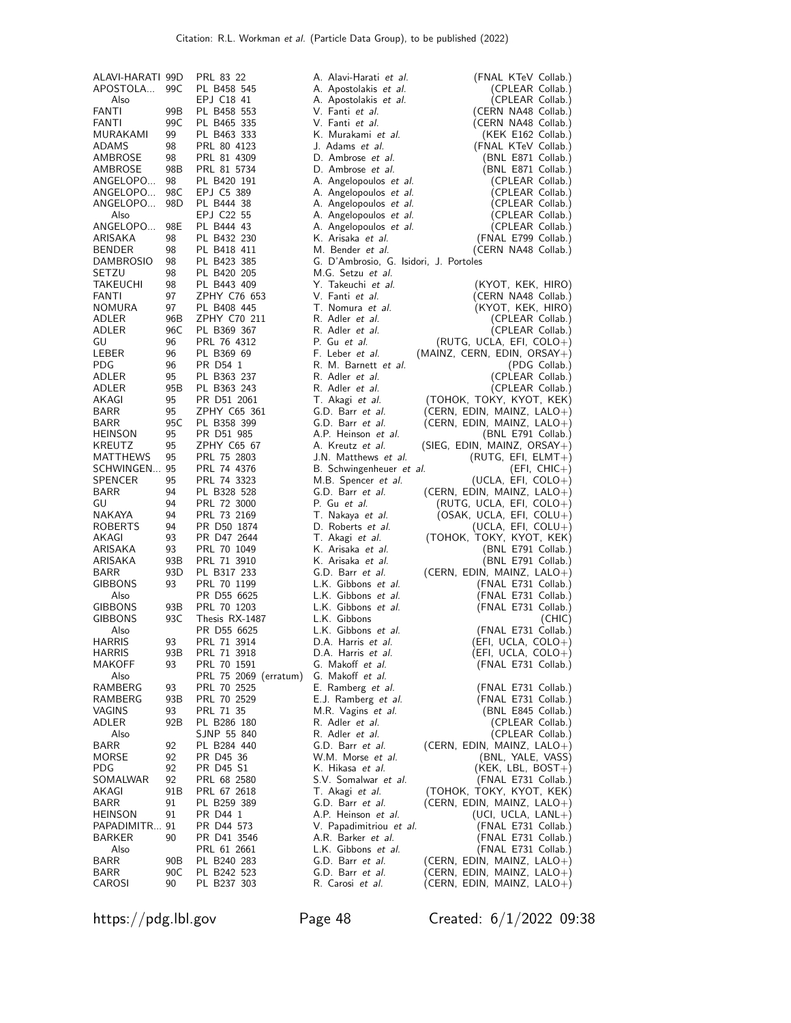| ALAVI-HARATI 99D |                 | PRL 83 22             | A. Alavi-Harati et al.                 | (FNAL KTeV Collab.)                  |
|------------------|-----------------|-----------------------|----------------------------------------|--------------------------------------|
| APOSTOLA         | 99C             | PL B458 545           | A. Apostolakis et al.                  | (CPLEAR Collab.)                     |
| Also             |                 | EPJ C18 41            | A. Apostolakis et al.                  | (CPLEAR Collab.)                     |
| FANTI            | 99B             | PL B458 553           | V. Fanti et al.                        | (CERN NA48 Collab.)                  |
| FANTI            | 99C             | PL B465 335           | V. Fanti et al.                        | (CERN NA48 Collab.)                  |
| MURAKAMI         | 99              | PL B463 333           | K. Murakami et al.                     | (KEK E162 Collab.)                   |
| <b>ADAMS</b>     | 98              | PRL 80 4123           | J. Adams et al.                        | (FNAL KTeV Collab.)                  |
| AMBROSE          | 98              | PRL 81 4309           | D. Ambrose et al.                      | (BNL E871 Collab.)                   |
| AMBROSE          | 98B             | PRL 81 5734           | D. Ambrose et al.                      | (BNL E871 Collab.)                   |
| ANGELOPO         | 98              | PL B420 191           | A. Angelopoulos et al.                 | (CPLEAR Collab.)                     |
| ANGELOPO         | 98C             | EPJ C5 389            | A. Angelopoulos et al.                 | (CPLEAR Collab.)                     |
| ANGELOPO         | 98 <sub>D</sub> | PL B444 38            | A. Angelopoulos et al.                 | (CPLEAR Collab.)                     |
| Also             |                 | EPJ C22 55            | A. Angelopoulos et al.                 | (CPLEAR Collab.)                     |
| ANGELOPO         | 98E             | PL B444 43            | A. Angelopoulos et al.                 | (CPLEAR Collab.)                     |
| ARISAKA          | 98              | PL B432 230           | K. Arisaka et al.                      | (FNAL E799 Collab.)                  |
| <b>BENDER</b>    | 98              | PL B418 411           | M. Bender et al.                       | (CERN NA48 Collab.)                  |
| <b>DAMBROSIO</b> | 98              | PL B423 385           | G. D'Ambrosio, G. Isidori, J. Portoles |                                      |
| SETZU            | 98              | PL B420 205           | M.G. Setzu et al.                      |                                      |
| <b>TAKEUCHI</b>  | 98              | PL B443 409           | Y. Takeuchi et al.                     | (KYOT, KEK, HIRO)                    |
| FANTI            | 97              | ZPHY C76 653          | V. Fanti et al.                        | (CERN NA48 Collab.)                  |
| <b>NOMURA</b>    | 97              | PL B408 445           | T. Nomura et al.                       | (KYOT, KEK, HIRO)                    |
| ADLER            | 96B             | ZPHY C70 211          | R. Adler et al.                        | (CPLEAR Collab.)                     |
| ADLER            | 96C             | PL B369 367           | R. Adler et al.                        | (CPLEAR Collab.)                     |
| GU               | 96              | PRL 76 4312           | P. Gu et al.                           | (RUTG, UCLA, EFI, $COLO +)$          |
| LEBER            | 96              | PL B369 69            | F. Leber et al.                        | (MAINZ, CERN, EDIN, ORSAY+)          |
| <b>PDG</b>       | 96              | PR D54 1              | R. M. Barnett et al.                   | (PDG Collab.)                        |
| ADLER            | 95              | PL B363 237           | R. Adler et al.                        | (CPLEAR Collab.)                     |
| ADLER            | 95B             | PL B363 243           | R. Adler et al.                        | (CPLEAR Collab.)                     |
| AKAGI            | 95              | PR D51 2061           | T. Akagi et al.                        | (TOHOK, TOKY, KYOT, KEK)             |
| <b>BARR</b>      | 95              | ZPHY C65 361          | G.D. Barr et al.                       | (CERN, EDIN, MAINZ, $LALO+$ )        |
| <b>BARR</b>      | 95C             | PL B358 399           | G.D. Barr et al.                       | (CERN, EDIN, MAINZ, $LALO+$ )        |
| <b>HEINSON</b>   | 95              | PR D51 985            | A.P. Heinson et al.                    | (BNL E791 Collab.)                   |
| KREUTZ           | 95              | ZPHY C65 67           | A. Kreutz <i>et al.</i>                | (SIEG, EDIN, MAINZ, ORSAY+)          |
| MATTHEWS         | 95              | PRL 75 2803           | J.N. Matthews <i>et al.</i>            | $(RUTG, EFI, ELMT+)$                 |
| SCHWINGEN 95     |                 | PRL 74 4376           | B. Schwingenheuer et al.               |                                      |
| <b>SPENCER</b>   | 95              | PRL 74 3323           | M.B. Spencer et al.                    | (EFI, CHIC+)<br>$(UCLA, EFI, COLO+)$ |
| <b>BARR</b>      | 94              | PL B328 528           | G.D. Barr et al.                       |                                      |
| GU               | 94              | PRL 72 3000           | P. Gu et al.                           | (CERN, EDIN, MAINZ, $LALO+$ )        |
| NAKAYA           | 94              | PRL 73 2169           | T. Nakaya et al.                       | (RUTG, UCLA, EFI, COLO+)             |
| <b>ROBERTS</b>   | 94              |                       |                                        | $(OSAK, UCLA, EFI, COLU+)$           |
|                  |                 | PR D50 1874           | D. Roberts et al.                      | (UCLA, EFI, $COLU+)$                 |
| AKAGI            | 93              | PR D47 2644           | T. Akagi et al.                        | (ТОНОК, ТОКҮ, КҮОТ, КЕК)             |
| ARISAKA          | 93              | PRL 70 1049           | K. Arisaka et al.                      | (BNL E791 Collab.)                   |
| ARISAKA          | 93B             | PRL 71 3910           | K. Arisaka et al.                      | (BNL E791 Collab.)                   |
| <b>BARR</b>      | 93D             | PL B317 233           | G.D. Barr et al.                       | (CERN, EDIN, MAINZ, $LALO+$ )        |
| <b>GIBBONS</b>   | 93              | PRL 70 1199           | L.K. Gibbons et al.                    | (FNAL E731 Collab.)                  |
| Also             |                 | PR D55 6625           | L.K. Gibbons et al.                    | (FNAL E731 Collab.)                  |
| <b>GIBBONS</b>   | 93B             | PRL 70 1203           | L.K. Gibbons et al.                    | (FNAL E731 Collab.)                  |
| <b>GIBBONS</b>   | 93C             | Thesis RX-1487        | L.K. Gibbons                           | (CHIC)                               |
| Also             |                 | PR D55 6625           | L.K. Gibbons et al.                    | (FNAL E731 Collab.)                  |
| <b>HARRIS</b>    | 93              | PRL 71 3914           | D.A. Harris et al.                     | (EFI, UCLA, COLO+)                   |
| HARRIS           | 93B             | PRL 71 3918           | D.A. Harris et al.                     | $(EFI, UCLA, COLO+)$                 |
| MAKOFF           | 93              | PRL 70 1591           | G. Makoff et al.                       | (FNAL E731 Collab.)                  |
| Also             |                 | PRL 75 2069 (erratum) | G. Makoff et al.                       |                                      |
| RAMBERG          | 93              | PRL 70 2525           | E. Ramberg et al.                      | (FNAL E731 Collab.)                  |
| RAMBERG          | 93B             | PRL 70 2529           | E.J. Ramberg et al.                    | (FNAL E731 Collab.)                  |
| <b>VAGINS</b>    | 93              | PRL 71 35             | M.R. Vagins et al.                     | (BNL E845 Collab.)                   |
| ADLER            | 92B             | PL B286 180           | R. Adler et al.                        | (CPLEAR Collab.)                     |
| Also             |                 | SJNP 55 840           | R. Adler <i>et al.</i>                 | (CPLEAR Collab.)                     |
| <b>BARR</b>      | 92              | PL B284 440           | G.D. Barr et al.                       | (CERN, EDIN, MAINZ, $LALO+$ )        |
| MORSE            | 92              | PR D45 36             | W.M. Morse et al.                      | (BNL, YALE, VASS)                    |
| <b>PDG</b>       | 92              | PR D45 S1             | K. Hikasa <i>et al.</i>                | $(KEK, LBL, BOST+)$                  |
| SOMALWAR         | 92              | PRL 68 2580           | S.V. Somalwar et al.                   | (FNAL E731 Collab.)                  |
| AKAGI            | 91B             | PRL 67 2618           | T. Akagi et al.                        | (TOHOK, TOKY, KYOT, KEK)             |
| BARR             | 91              | PL B259 389           | G.D. Barr et al.                       | (CERN, EDIN, MAINZ, $LALO+$ )        |
| <b>HEINSON</b>   | 91              | PR D44 1              | A.P. Heinson et al.                    | $(UCI, UCLA, LANL+)$                 |
| PAPADIMITR 91    |                 | PR D44 573            | V. Papadimitriou et al.                | (FNAL E731 Collab.)                  |
| BARKER           | 90              | PR D41 3546           | A.R. Barker et al.                     | (FNAL E731 Collab.)                  |
| Also             |                 | PRL 61 2661           | L.K. Gibbons et al.                    | (FNAL E731 Collab.)                  |
| <b>BARR</b>      | 90B             | PL B240 283           | G.D. Barr et al.                       | (CERN, EDIN, MAINZ, $LALO+$ )        |
| <b>BARR</b>      | 90C             | PL B242 523           | G.D. Barr et al.                       | (CERN, EDIN, MAINZ, $LALO+$ )        |
| CAROSI           | 90              | PL B237 303           | R. Carosi et al.                       | (CERN, EDIN, MAINZ, $LALO+$ )        |
|                  |                 |                       |                                        |                                      |

https://pdg.lbl.gov Page 48 Created: 6/1/2022 09:38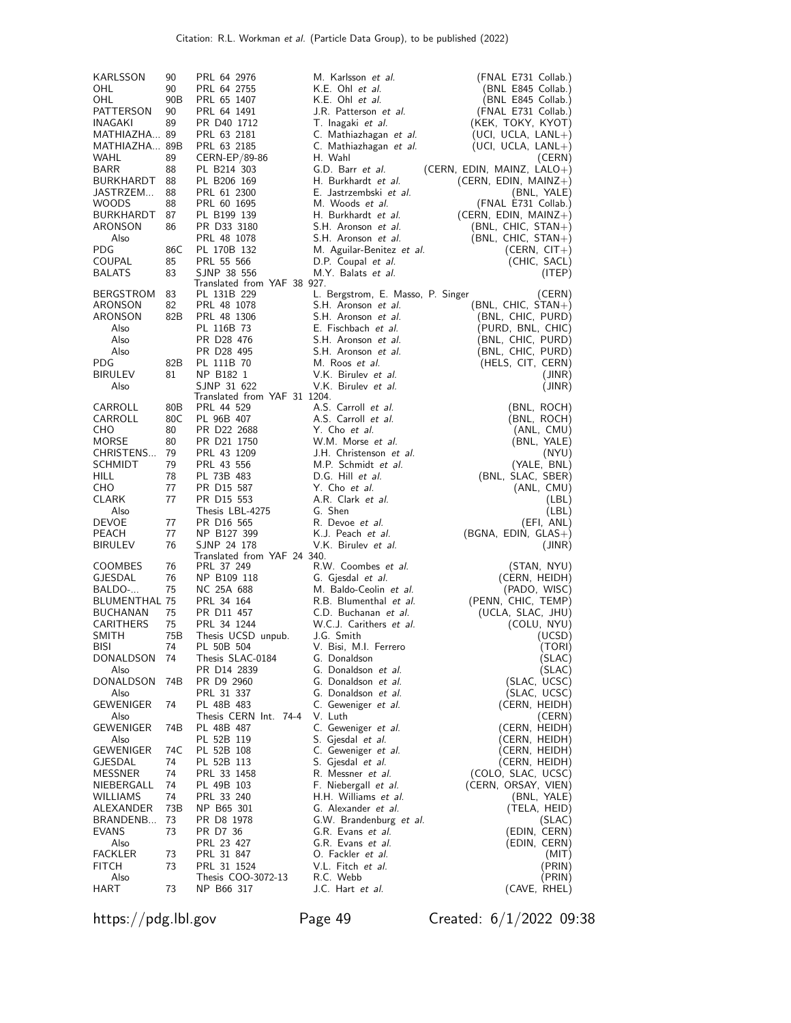| KARLSSON             | 90        | PRL 64 2976                                | M. Karlsson <i>et al.</i>              | (FNAL E731 Collab.)                            |
|----------------------|-----------|--------------------------------------------|----------------------------------------|------------------------------------------------|
| OHL                  | 90        | PRL 64 2755                                | K.E. Ohl <i>et al.</i>                 | (BNL E845 Collab.)                             |
| OHL                  | 90B       | PRL 65 1407                                | K.E. Ohl et al.                        | (BNL E845 Collab.)                             |
| PATTERSON            | 90        | PRL 64 1491                                | J.R. Patterson et al.                  | (FNAL E731 Collab.)                            |
| INAGAKI              | 89        | PR D40 1712                                | T. Inagaki et al.                      | (KEK, TOKY, KYOT)                              |
| MATHIAZHA 89         |           | PRL 63 2181                                | C. Mathiazhagan <i>et al.</i>          | $(UCI, UCLA, LANL+)$                           |
| MATHIAZHA 89B        |           | PRL 63 2185                                | C. Mathiazhagan et al.                 | $(UCI, UCLA, LANL+)$                           |
| WAHL                 | 89        | CERN-EP/89-86                              | H. Wahl                                | (CERN)                                         |
| BARR                 | 88        | PL B214 303                                | G.D. Barr et al.                       | (CERN, EDIN, MAINZ, $LALO+$ )                  |
| BURKHARDT            | 88        | PL B206 169                                | H. Burkhardt et al.                    | $(CERN, EDIN, MAINZ+)$                         |
| JASTRZEM             | 88        | PRL 61 2300                                | E. Jastrzembski et al.                 | (BNL, YALE)                                    |
| WOODS                | 88        | PRL 60 1695                                | M. Woods et al.<br>H. Burkhardt et al. | (FNAL E731 Collab.)                            |
| BURKHARDT<br>ARONSON | 87<br>86  | PL B199 139<br>PR D33 3180                 | S.H. Aronson et al.                    | $(CERN, EDIN, MAINZ+)$<br>$(BNL, CHIC, STAN+)$ |
| Also                 |           | PRL 48 1078                                | S.H. Aronson et al.                    | $(BNL, CHIC, STAN+)$                           |
| PDG                  | 86C       | PL 170B 132                                | M. Aguilar-Benitez et al.              | $(CERN, CIT+)$                                 |
| COUPAL               | 85        | PRL 55 566                                 | D.P. Coupal et al.                     | (CHIC, SACL)                                   |
| <b>BALATS</b>        | 83        | SJNP 38 556                                | M.Y. Balats et al.                     | (ITEP)                                         |
|                      |           | Translated from YAF 38 927.                |                                        |                                                |
| <b>BERGSTROM</b>     | 83        | PL 131B 229                                | L. Bergstrom, E. Masso, P. Singer      | (CERN)                                         |
| ARONSON              | 82        | PRL 48 1078                                | S.H. Aronson et al.                    | $(BNL, CHIC, STAN+)$                           |
| ARONSON              | 82B       | PRL 48 1306                                | S.H. Aronson et al.                    | (BNL, CHIC, PURD)                              |
| Also                 |           | PL 116B 73                                 | E. Fischbach et al.                    | (PURD, BNL, CHIC)                              |
| Also                 |           | PR D28 476                                 | S.H. Aronson et al.                    | (BNL, CHIC, PURD)                              |
| Also                 |           | PR D28 495                                 | S.H. Aronson et al.                    | (BNL, CHIC, PURD)                              |
| PDG.                 | 82B       | PL 111B 70                                 | M. Roos et al.                         | (HELS, CIT, CERN)                              |
| <b>BIRULEV</b>       | 81        | NP B182 1                                  | V.K. Birulev et al.                    | (JINR)                                         |
| Also                 |           | SJNP 31 622                                | V.K. Birulev et al.                    | (JINR)                                         |
| CARROLL              | 80B       | Translated from YAF 31 1204.<br>PRL 44 529 | A.S. Carroll et al.                    | (BNL, ROCH)                                    |
| CARROLL              | 80C       | PL 96B 407                                 | A.S. Carroll et al.                    | (BNL, ROCH)                                    |
| CHO                  | 80        | PR D22 2688                                | Y. Cho et al.                          | (ANL, CMU)                                     |
| <b>MORSE</b>         | 80        | PR D21 1750                                | W.M. Morse et al.                      | (BNL, YALE)                                    |
| CHRISTENS            | 79        | PRL 43 1209                                | J.H. Christenson et al.                | (NYU)                                          |
| SCHMIDT              | 79        | PRL 43 556                                 | M.P. Schmidt et al.                    | (YALE, BNL)                                    |
| HILL                 | 78        | PL 73B 483                                 | D.G. Hill et al.                       | (BNL, SLAC, SBER)                              |
| CHO                  | 77        | PR D15 587                                 | Y. Cho et al.                          | (ANL, CMU)                                     |
| <b>CLARK</b>         | 77        | PR D15 553                                 | A.R. Clark et al.                      | (LBL)                                          |
| Also                 |           | Thesis LBL-4275                            | G. Shen                                | (LBL)                                          |
| DEVOE                | 77        | PR D <sub>16</sub> 565                     | R. Devoe et al.                        | (EFI, ANL)                                     |
| PEACH                | 77        | NP B127 399                                | K.J. Peach et al.                      | $(BGNA, EDIN, GLAS+)$                          |
| <b>BIRULEV</b>       | 76        | SJNP 24 178                                | V.K. Birulev et al.                    | (JINR)                                         |
|                      |           | Translated from YAF 24 340.                |                                        |                                                |
| <b>COOMBES</b>       | 76        | PRL 37 249                                 | R.W. Coombes et al.                    | (STAN, NYU)                                    |
| GJESDAL              | 76        | NP B109 118                                | G. Gjesdal et al.                      | (CERN, HEIDH)                                  |
| BALDO-               | 75        | NC 25A 688                                 | M. Baldo-Ceolin et al.                 | (PADO, WISC)                                   |
| <b>BLUMENTHAL 75</b> |           | PRL 34 164                                 | R.B. Blumenthal et al.                 | (PENN, CHIC, TEMP)                             |
| <b>BUCHANAN</b>      | 75        | PR D11 457                                 | C.D. Buchanan et al.                   | (UCLA, SLAC, JHU)                              |
| CARITHERS<br>SMITH   | 75<br>75B | PRL 34 1244<br>Thesis UCSD unpub.          | W.C.J. Carithers et al.<br>J.G. Smith  | (COLU, NYU)                                    |
| <b>BISI</b>          | 74        | PL 50B 504                                 | V. Bisi, M.I. Ferrero                  | (UCSD)<br>(TORI)                               |
| DONALDSON            | 74        | Thesis SLAC-0184                           | G. Donaldson                           | (SLAC)                                         |
| Also                 |           | PR D14 2839                                | G. Donaldson et al.                    | (SLAC)                                         |
| DONALDSON            | 74B       | PR D9 2960                                 | G. Donaldson et al.                    | (SLAC, UCSC)                                   |
| Also                 |           | PRL 31 337                                 | G. Donaldson et al.                    | (SLAC, UCSC)                                   |
| GEWENIGER            | 74        | PL 48B 483                                 | C. Geweniger et al.                    | (CERN, HEIDH)                                  |
| Also                 |           | Thesis CERN Int. 74-4                      | V. Luth                                | (CERN)                                         |
| GEWENIGER            | 74B       | PL 48B 487                                 | C. Geweniger et al.                    | (CERN, HEIDH)                                  |
| Also                 |           | PL 52B 119                                 | S. Gjesdal et al.                      | (CERN, HEIDH)                                  |
| GEWENIGER            | 74C       | PL 52B 108                                 | C. Geweniger et al.                    | (CERN, HEIDH)                                  |
| GJESDAL              | 74        | PL 52B 113                                 | S. Gjesdal et al.                      | (CERN, HEIDH)                                  |
| MESSNER              | 74        | PRL 33 1458                                | R. Messner <i>et al.</i>               | (COLO, SLAC, UCSC)                             |
| NIEBERGALL           | 74        | PL 49B 103                                 | F. Niebergall et al.                   | (CERN, ORSAY, VIEN)                            |
| WILLIAMS             | 74        | PRL 33 240                                 | H.H. Williams et al.                   | (BNL, YALE)                                    |
| ALEXANDER            | 73B       | NP B65 301                                 | G. Alexander et al.                    | (TELA, HEID)                                   |
| BRANDENB             | 73        | PR D8 1978                                 | G.W. Brandenburg et al.                | (SLAC)                                         |
| EVANS                | 73        | PR D7 36                                   | G.R. Evans et al.                      | (EDIN, CERN)                                   |
| Also                 |           | PRL 23 427                                 | G.R. Evans et al.                      | (EDIN, CERN)                                   |
| FACKLER              | 73        | PRL 31 847                                 | 0. Fackler <i>et al.</i>               | (MII)                                          |
| <b>FITCH</b>         | 73        | PRL 31 1524                                | V.L. Fitch <i>et al.</i>               | (PRIN)                                         |
| Also                 |           | Thesis COO-3072-13                         | R.C. Webb                              | (PRIN)                                         |
| HART                 | 73        | NP B66 317                                 | J.C. Hart <i>et al.</i>                | (CAVE, RHEL)                                   |

https://pdg.lbl.gov Page 49 Created: 6/1/2022 09:38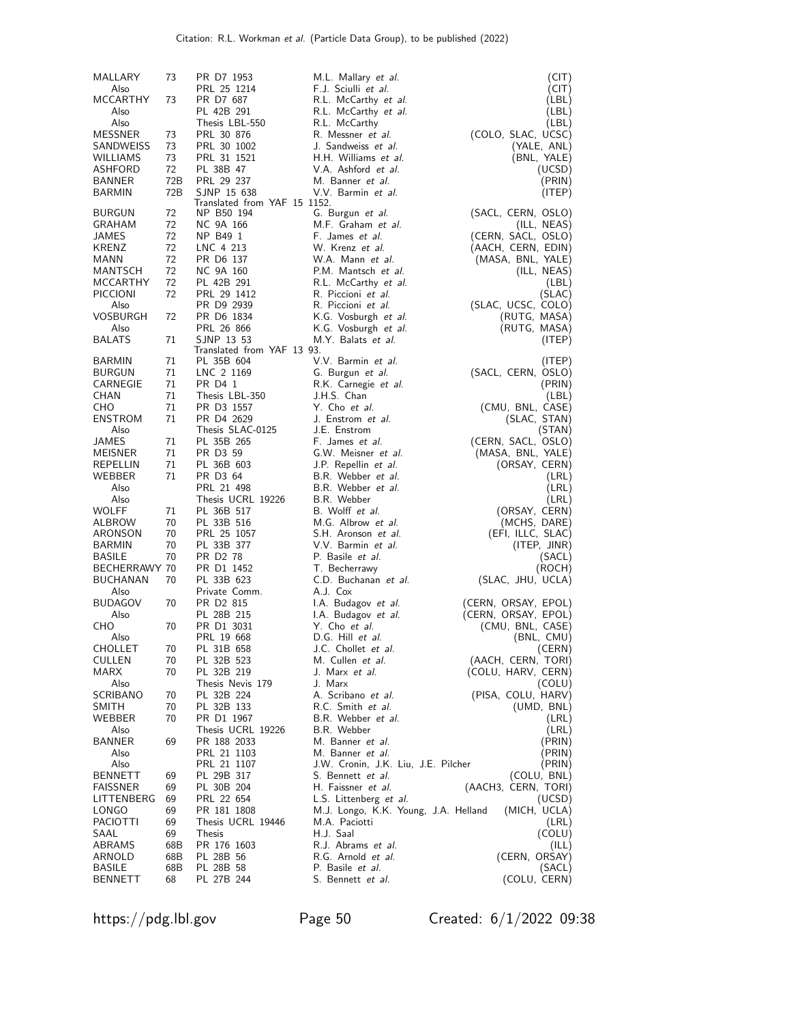| MALLARY                | 73       | PR D7 1953                               | M.L. Mallary et al.                                             | (CIT)                             |
|------------------------|----------|------------------------------------------|-----------------------------------------------------------------|-----------------------------------|
| Also                   |          | PRL 25 1214                              | F.J. Sciulli et al.                                             | (CIT)                             |
| <b>MCCARTHY</b>        | 73       | PR D7 687                                | R.L. McCarthy et al.                                            | (LBL)                             |
| Also                   |          | PL 42B 291                               | R.L. McCarthy et al.                                            | (LBL)                             |
| Also<br><b>MESSNER</b> |          | Thesis LBL-550                           | R.L. McCarthy                                                   | (LBL)                             |
| SANDWEISS              | 73<br>73 | PRL 30 876<br>PRL 30 1002                | R. Messner <i>et al.</i><br>J. Sandweiss <i>et al.</i>          | (COLO, SLAC, UCSC)<br>(YALE, ANL) |
| WILLIAMS               | 73       | PRL 31 1521                              | H.H. Williams et al.                                            | (BNL, YALE)                       |
| ASHFORD                | 72       | PL 38B 47                                | V.A. Ashford <i>et al.</i>                                      | (UCSD)                            |
| BANNER                 | 72B      | PRL 29 237                               | M. Banner et al.                                                | (PRIN)                            |
| <b>BARMIN</b>          | 72B      | SJNP 15 638                              | V.V. Barmin et al.                                              | (ITER)                            |
|                        |          | Translated from YAF 15 1152.             |                                                                 |                                   |
| <b>BURGUN</b>          | 72       | NP B50 194                               | G. Burgun et al.                                                | (SACL, CERN, OSLO)                |
| GRAHAM<br>JAMES        | 72<br>72 | NC 9A 166<br>NP B49 1                    | M.F. Graham et al.<br>F. James et al.                           | (ILL, NEAS)<br>(CERN, SACL, OSLO) |
| <b>KRENZ</b>           | 72       | LNC 4 213                                | W. Krenz et al.                                                 | (AACH, CERN, EDIN)                |
| MANN                   | 72       | PR D6 137                                | W.A. Mann et al.                                                | (MASA, BNL, YALE)                 |
| MANTSCH                | 72       | NC 9A 160                                | P.M. Mantsch et al.                                             | (ILL, NEAS)                       |
| MCCARTHY               | 72       | PL 42B 291                               | R.L. McCarthy et al.                                            | (LBL)                             |
| <b>PICCIONI</b>        | 72       | PRL 29 1412                              | R. Piccioni et al.                                              | (SLAC)                            |
| Also                   |          | PR D9 2939                               | R. Piccioni et al.                                              | (SLAC, UCSC, COLO)                |
| <b>VOSBURGH</b>        | 72       | PR D6 1834                               | K.G. Vosburgh et al.                                            | (RUTG, MASA)                      |
| Also                   |          | PRL 26 866                               | K.G. Vosburgh <i>et al.</i>                                     | (RUTG, MASA)                      |
| <b>BALATS</b>          | 71       | SJNP 13 53                               | M.Y. Balats et al.                                              | (ITEP)                            |
| BARMIN                 | 71       | Translated from YAF 13 93.<br>PL 35B 604 | V.V. Barmin et al.                                              |                                   |
| <b>BURGUN</b>          | 71       | LNC 2 1169                               | G. Burgun et al.                                                | (ITEP)<br>(SACL, CERN, OSLO)      |
| CARNEGIE               | 71       | PR D4 1                                  | R.K. Carnegie et al.                                            | (PRIN)                            |
| <b>CHAN</b>            | 71       | Thesis LBL-350                           | J.H.S. Chan                                                     | (LBL)                             |
| CHO                    | 71       | PR D3 1557                               | Y. Cho et al.                                                   | (CMU, BNL, CASE)                  |
| <b>ENSTROM</b>         | 71       | PR D4 2629                               | J. Enstrom <i>et al.</i>                                        | (SLAC, STAN)                      |
| Also                   |          | Thesis SLAC-0125                         | J.E. Enstrom                                                    | (STAN)                            |
| JAMES                  | 71       | PL 35B 265                               | F. James et al.                                                 | (CERN, SACL, OSLO)                |
| MEISNER                | 71       | PR D3 59                                 | G.W. Meisner et al.                                             | (MASA, BNL, YALE)                 |
| REPELLIN               | 71       | PL 36B 603                               | J.P. Repellin <i>et al.</i>                                     | (ORSAY, CERN)                     |
| WEBBER                 | 71       | PR D3 64                                 | B.R. Webber et al.                                              | (LRL)                             |
| Also                   |          | PRL 21 498                               | B.R. Webber et al.                                              | (LRL)                             |
| Also<br><b>WOLFF</b>   | 71       | Thesis UCRL 19226<br>PL 36B 517          | B.R. Webber<br>B. Wolff et al.                                  | (LRL)                             |
| ALBROW                 | 70       | PL 33B 516                               | M.G. Albrow et al.                                              | (ORSAY, CERN)<br>(MCHS, DARE)     |
| ARONSON                | 70       | PRL 25 1057                              | S.H. Aronson et al.                                             | (EFI, ILLC, SLAC)                 |
| BARMIN                 | 70       | PL 33B 377                               | V.V. Barmin et al.                                              | (ITEP, JINR)                      |
| <b>BASILE</b>          | 70       | PR D <sub>2</sub> 78                     | P. Basile <i>et al.</i>                                         | (SACL)                            |
| BECHERRAWY 70          |          | PR D1 1452                               | T. Becherrawy                                                   | (ROCH)                            |
| <b>BUCHANAN</b>        | 70       | PL 33B 623                               | C.D. Buchanan et al.                                            | (SLAC, JHU, UCLA)                 |
| Also                   |          | Private Comm.                            | A.J. Cox                                                        |                                   |
| <b>BUDAGOV</b>         | 70       | PR D <sub>2</sub> 815                    | I.A. Budagov et al.                                             | (CERN, ORSAY, EPOL)               |
| Also                   |          | PL 28B 215                               | I.A. Budagov et al.                                             | (CERN, ORSAY, EPOL)               |
| CHO<br>Also            | 70       | PR D1 3031<br>PRL 19 668                 | Y. Cho et al.<br>D.G. Hill et al.                               | (CMU, BNL, CASE)<br>(BNL, CMU)    |
| CHOLLET                | 70       | PL 31B 658                               | J.C. Chollet <i>et al.</i>                                      | (CERN)                            |
| <b>CULLEN</b>          | 70       | PL 32B 523                               | M. Cullen et al.                                                | (AACH, CERN, TORI)                |
| MARX                   | 70       | PL 32B 219                               | J. Marx <i>et al.</i>                                           | (COLU, HARV, CERN)                |
| Also                   |          | Thesis Nevis 179                         | J. Marx                                                         | (COLU)                            |
| SCRIBANO               | 70       | PL 32B 224                               | A. Scribano et al.                                              | (PISA, COLU, HARV)                |
| <b>SMITH</b>           | 70       | PL 32B 133                               | R.C. Smith et al.                                               | (UMD, BNL)                        |
| WEBBER                 | 70       | PR D1 1967                               | B.R. Webber et al.                                              | (LRL)                             |
| Also                   |          | Thesis UCRL 19226                        | B.R. Webber                                                     | (LRL)                             |
| <b>BANNER</b>          | 69       | PR 188 2033                              | M. Banner <i>et al</i> .                                        | (PRIN)                            |
| Also<br>Also           |          | PRL 21 1103<br>PRL 21 1107               | M. Banner <i>et al</i> .<br>J.W. Cronin, J.K. Liu, J.E. Pilcher | (PRIN)<br>(PRIN)                  |
| <b>BENNETT</b>         | 69       | PL 29B 317                               | S. Bennett et al.                                               | (COLU, BNL)                       |
| <b>FAISSNER</b>        | 69       | PL 30B 204                               | H. Faissner et al.                                              | (AACH3, CERN, TORI)               |
| LITTENBERG             | 69       | PRL 22 654                               | L.S. Littenberg et al.                                          | (UCSD)                            |
| LONGO                  | 69       | PR 181 1808                              | M.J. Longo, K.K. Young, J.A. Helland                            | (MICH, UCLA)                      |
| <b>PACIOTTI</b>        | 69       | Thesis UCRL 19446                        | M.A. Paciotti                                                   | (LRL)                             |
| SAAL                   | 69       | <b>Thesis</b>                            | H.J. Saal                                                       | (COLU)                            |
| ABRAMS                 | 68B      | PR 176 1603                              | R.J. Abrams et al.                                              | (ILL)                             |
| ARNOLD                 | 68B      | PL 28B 56                                | R.G. Arnold et al.                                              | (CERN, ORSAY)                     |
| <b>BASILE</b>          | 68B      | PL 28B 58                                | P. Basile <i>et al.</i>                                         | (SACL)                            |
| <b>BENNETT</b>         | 68       | PL 27B 244                               | S. Bennett et al.                                               | (COLU, CERN)                      |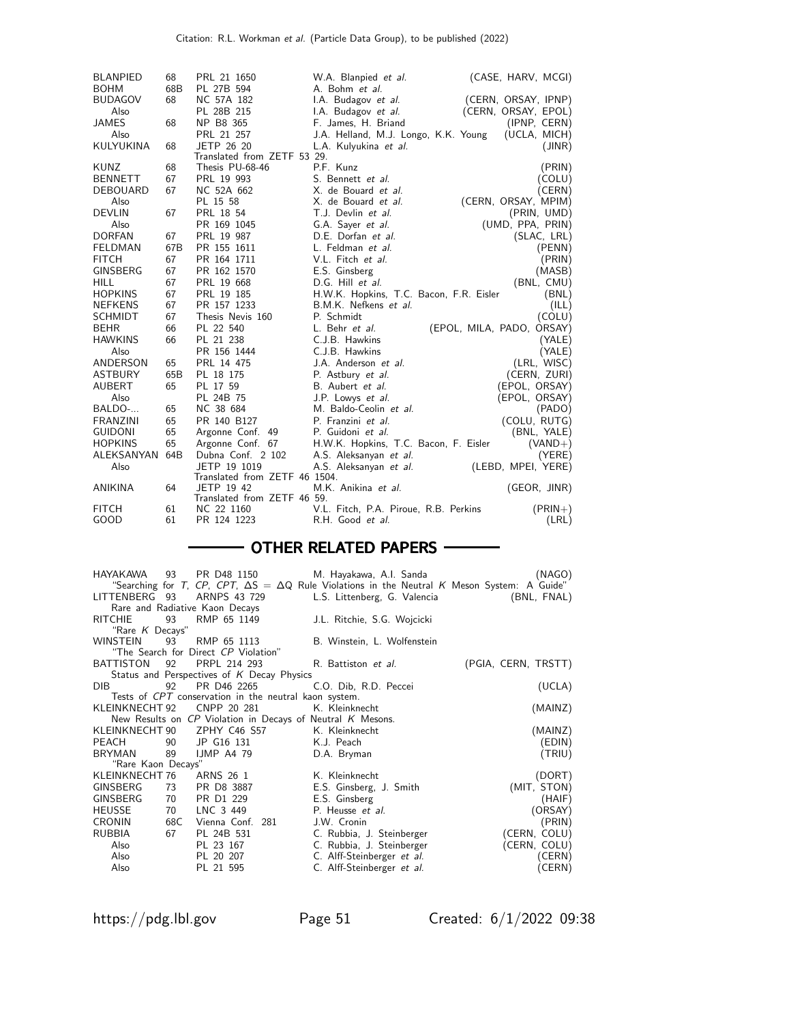| <b>BLANPIED</b>  | 68  | PRL 21 1650                   | W.A. Blanpied et al.                    | (CASE, HARV, MCGI)        |
|------------------|-----|-------------------------------|-----------------------------------------|---------------------------|
| <b>BOHM</b>      | 68B | PL 27B 594                    | A. Bohm et al.                          |                           |
| <b>BUDAGOV</b>   | 68  | NC 57A 182                    | I.A. Budagov et al.                     | (CERN, ORSAY, IPNP)       |
| Also             |     | PL 28B 215                    | I.A. Budagov et al.                     | (CERN, ORSAY, EPOL)       |
| JAMES            | 68  | NP B8 365                     | F. James, H. Briand                     | (IPNP, CERN)              |
| Also             |     | PRL 21 257                    | J.A. Helland, M.J. Longo, K.K. Young    | (UCLA, MICH)              |
| <b>KULYUKINA</b> | 68  | JETP 26 20                    | L.A. Kulyukina et al.                   | (JINR)                    |
|                  |     | Translated from ZETF 53 29.   |                                         |                           |
| KUNZ             | 68  | Thesis PU-68-46               | P.F. Kunz                               | (PRIN)                    |
| <b>BENNETT</b>   | 67  | PRL 19 993                    | S. Bennett et al.                       | (COLU)                    |
| DEBOUARD         | 67  | NC 52A 662                    | X. de Bouard et al.                     | (CERN)                    |
| Also             |     | PL 15 58                      | X. de Bouard <i>et al.</i>              | (CERN, ORSAY, MPIM)       |
| <b>DEVLIN</b>    | 67  | PRL 18 54                     | T.J. Devlin et al.                      | (PRIN, UMD)               |
| Also             |     | PR 169 1045                   | G.A. Sayer et al.                       | (UMD, PPA, PRIN)          |
| <b>DORFAN</b>    | 67  | PRL 19 987                    | D.E. Dorfan et al.                      | (SLAC, LRL)               |
| <b>FELDMAN</b>   | 67B | PR 155 1611                   | L. Feldman et al.                       | (PENN)                    |
| <b>FITCH</b>     | 67  | PR 164 1711                   | V.L. Fitch et al.                       | (PRIN)                    |
| <b>GINSBERG</b>  | 67  | PR 162 1570                   | E.S. Ginsberg                           | (MASB)                    |
| <b>HILL</b>      | 67  | PRL 19 668                    | D.G. Hill et al.                        | (BNL, CMU)                |
| <b>HOPKINS</b>   | 67  | PRL 19 185                    | H.W.K. Hopkins, T.C. Bacon, F.R. Eisler | (BNL)                     |
| <b>NEFKENS</b>   | 67  | PR 157 1233                   | B.M.K. Nefkens et al.                   | (ILL)                     |
| <b>SCHMIDT</b>   | 67  | Thesis Nevis 160              | P. Schmidt                              | (COLU)                    |
| <b>BEHR</b>      | 66  | PL 22 540                     | L. Behr <i>et al.</i>                   | (EPOL, MILA, PADO, ORSAY) |
| <b>HAWKINS</b>   | 66  | PL 21 238                     | C.J.B. Hawkins                          | (YALE)                    |
| Also             |     | PR 156 1444                   | C.J.B. Hawkins                          | (YALE)                    |
| ANDERSON         | 65  | PRL 14 475                    | J.A. Anderson et al.                    | (LRL, WISC)               |
| <b>ASTBURY</b>   | 65B | PL 18 175                     | P. Astbury et al.                       | (CERN, ZURI)              |
| <b>AUBERT</b>    | 65  | PL 17 59                      | B. Aubert et al.                        | (EPOL, ORSAY)             |
| Also             |     | PL 24B 75                     | J.P. Lowys et al.                       | (EPOL, ORSAY)             |
| BALDO-           | 65  | NC 38 684                     | M. Baldo-Ceolin et al.                  | (PADO)                    |
| <b>FRANZINI</b>  | 65  | PR 140 B127                   | P. Franzini et al.                      | (COLU, RUTG)              |
| <b>GUIDONI</b>   | 65  | Argonne Conf. 49              | P. Guidoni et al.                       | (BNL, YALE)               |
| <b>HOPKINS</b>   | 65  | Argonne Conf. 67              | H.W.K. Hopkins, T.C. Bacon, F. Eisler   | $(VAND+)$                 |
| ALEKSANYAN       | 64B | Dubna Conf. 2 102             | A.S. Aleksanyan et al.                  | (YERE)                    |
| Also             |     | JETP 19 1019                  | A.S. Aleksanyan et al.                  | (LEBD, MPEI, YERE)        |
|                  |     | Translated from ZETF 46 1504. |                                         |                           |
| <b>ANIKINA</b>   | 64  | JETP 19 42                    | M.K. Anikina et al.                     | (GEOR, JINR)              |
|                  |     | Translated from ZETF 46 59.   |                                         |                           |
| <b>FITCH</b>     | 61  | NC 22 1160                    | V.L. Fitch, P.A. Piroue, R.B. Perkins   | $(PRIN+)$                 |
| GOOD             | 61  | PR 124 1223                   | R.H. Good et al.                        | (LRL)                     |

#### - OTHER RELATED PAPERS -

| HAYAKAWA                                              | 93  | PR D48 1150                                                    | M. Hayakawa, A.I. Sanda<br>"Searching for T, CP, CPT, $\Delta S = \Delta Q$ Rule Violations in the Neutral K Meson System: A Guide" | (NAGO)              |  |
|-------------------------------------------------------|-----|----------------------------------------------------------------|-------------------------------------------------------------------------------------------------------------------------------------|---------------------|--|
|                                                       |     | LITTENBERG 93 ARNPS 43 729                                     | L.S. Littenberg, G. Valencia                                                                                                        | (BNL, FNAL)         |  |
|                                                       |     | Rare and Radiative Kaon Decays                                 |                                                                                                                                     |                     |  |
| <b>RITCHIE</b>                                        | 93  | RMP 65 1149                                                    | J.L. Ritchie, S.G. Wojcicki                                                                                                         |                     |  |
| "Rare K Decays"                                       |     |                                                                |                                                                                                                                     |                     |  |
| WINSTEIN                                              | 93  | RMP 65 1113                                                    | B. Winstein, L. Wolfenstein                                                                                                         |                     |  |
|                                                       |     | "The Search for Direct CP Violation"                           |                                                                                                                                     |                     |  |
| <b>BATTISTON</b>                                      | 92  | PRPL 214 293                                                   | R. Battiston et al.                                                                                                                 | (PGIA, CERN, TRSTT) |  |
|                                                       |     | Status and Perspectives of K Decay Physics                     |                                                                                                                                     |                     |  |
| DIB.                                                  | 92  | PR D46 2265                                                    | C.O. Dib, R.D. Peccei                                                                                                               | (UCLA)              |  |
| Tests of CPT conservation in the neutral kaon system. |     |                                                                |                                                                                                                                     |                     |  |
| KLEINKNECHT 92                                        |     | CNPP 20 281                                                    | K. Kleinknecht                                                                                                                      | (MAINZ)             |  |
|                                                       |     | New Results on $CP$ Violation in Decays of Neutral $K$ Mesons. |                                                                                                                                     |                     |  |
|                                                       |     | KLEINKNECHT 90 ZPHY C46 S57                                    | K. Kleinknecht                                                                                                                      | (MAINZ)             |  |
| PEACH                                                 | 90  | JP G16 131                                                     | K.J. Peach                                                                                                                          | EDIN)               |  |
| <b>BRYMAN</b>                                         | 89  | IJMPA479                                                       | D.A. Bryman                                                                                                                         | (TRIU)              |  |
| "Rare Kaon Decays"                                    |     |                                                                |                                                                                                                                     |                     |  |
| KLEINKNECHT 76                                        |     | ARNS 26 1                                                      | K. Kleinknecht                                                                                                                      | (DORT)              |  |
| GINSBERG                                              | 73  | PR D8 3887                                                     | E.S. Ginsberg, J. Smith                                                                                                             | (MIT, STON)         |  |
| <b>GINSBERG</b>                                       | 70  | PR D1 229                                                      | E.S. Ginsberg                                                                                                                       | (HAIF)              |  |
| <b>HEUSSE</b>                                         | 70  | LNC 3 449                                                      | P. Heusse et al.                                                                                                                    | (ORSAY)             |  |
| CRONIN                                                | 68C | Vienna Conf.<br>281                                            | J.W. Cronin                                                                                                                         | (PRIN)              |  |
| RUBBIA                                                | 67  | PL 24B 531                                                     | C. Rubbia, J. Steinberger                                                                                                           | (CERN, COLU)        |  |
| Also                                                  |     | PL 23 167                                                      | C. Rubbia, J. Steinberger                                                                                                           | (CERN, COLU)        |  |
| Also                                                  |     | PL 20 207                                                      | C. Alff-Steinberger et al.                                                                                                          | (CERN)              |  |
| Also                                                  |     | PL 21 595                                                      | C. Alff-Steinberger et al.                                                                                                          | (CERN)              |  |
|                                                       |     |                                                                |                                                                                                                                     |                     |  |